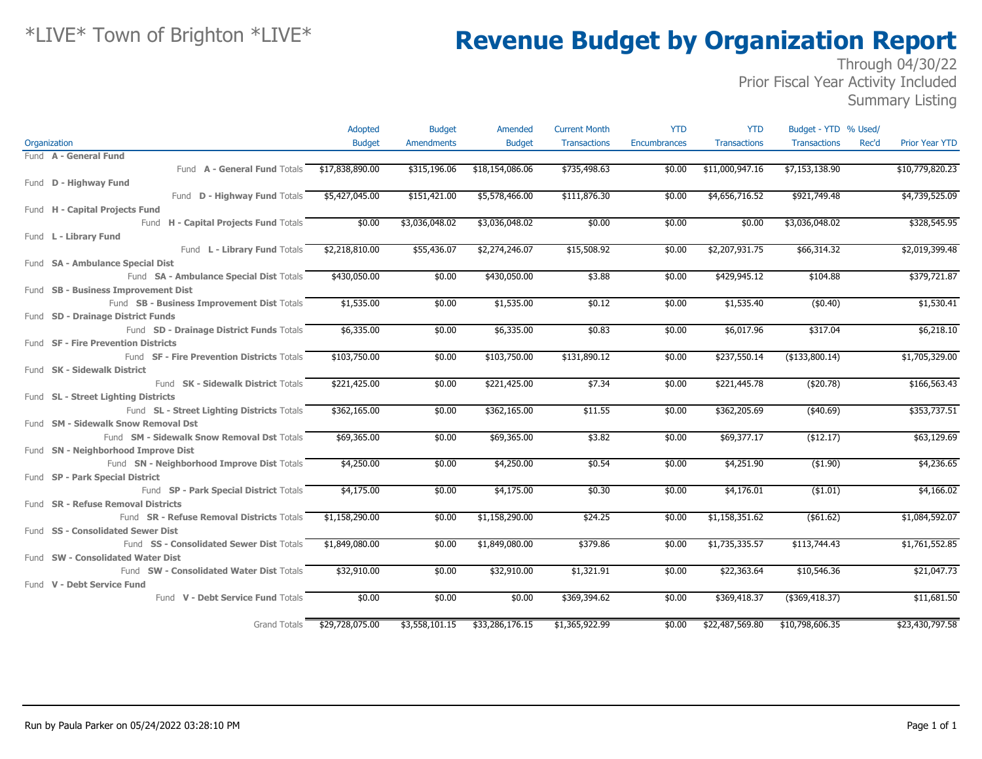### Through 04/30/22 Prior Fiscal Year Activity Included

Summary Listing

|                                              | Adopted         | <b>Budget</b>     | Amended         | <b>Current Month</b> | <b>YTD</b>   | <b>YTD</b>          | Budget - YTD % Used/         |                       |
|----------------------------------------------|-----------------|-------------------|-----------------|----------------------|--------------|---------------------|------------------------------|-----------------------|
| Organization                                 | <b>Budget</b>   | <b>Amendments</b> | <b>Budget</b>   | <b>Transactions</b>  | Encumbrances | <b>Transactions</b> | <b>Transactions</b><br>Rec'd | <b>Prior Year YTD</b> |
| Fund A - General Fund                        |                 |                   |                 |                      |              |                     |                              |                       |
| Fund A - General Fund Totals \$17,838,890.00 |                 | \$315,196.06      | \$18,154,086.06 | \$735,498.63         | \$0.00       | \$11,000,947.16     | \$7,153,138.90               | \$10,779,820.23       |
| Fund D - Highway Fund                        |                 |                   |                 |                      |              |                     |                              |                       |
| Fund D - Highway Fund Totals                 | \$5,427,045.00  | \$151,421.00      | \$5,578,466.00  | \$111,876.30         | \$0.00       | \$4,656,716.52      | \$921,749.48                 | \$4,739,525.09        |
| Fund H - Capital Projects Fund               |                 |                   |                 |                      |              |                     |                              |                       |
| Fund H - Capital Projects Fund Totals        | \$0.00          | \$3,036,048.02    | \$3,036,048.02  | \$0.00               | \$0.00       | \$0.00              | \$3,036,048.02               | \$328,545.95          |
| Fund L - Library Fund                        |                 |                   |                 |                      |              |                     |                              |                       |
| Fund L - Library Fund Totals                 | \$2,218,810.00  | \$55,436.07       | \$2,274,246.07  | \$15,508.92          | \$0.00       | \$2,207,931.75      | \$66,314.32                  | \$2,019,399.48        |
| Fund SA - Ambulance Special Dist             |                 |                   |                 |                      |              |                     |                              |                       |
| Fund SA - Ambulance Special Dist Totals      | \$430,050.00    | \$0.00            | \$430,050.00    | \$3.88               | \$0.00       | \$429,945.12        | \$104.88                     | \$379,721.87          |
| Fund SB - Business Improvement Dist          |                 |                   |                 |                      |              |                     |                              |                       |
| Fund SB - Business Improvement Dist Totals   | \$1,535.00      | \$0.00            | \$1,535.00      | \$0.12               | \$0.00       | \$1,535.40          | (\$0.40)                     | \$1,530.41            |
| Fund SD - Drainage District Funds            |                 |                   |                 |                      |              |                     |                              |                       |
| Fund SD - Drainage District Funds Totals     | \$6,335.00      | \$0.00            | \$6,335.00      | \$0.83               | \$0.00       | \$6,017.96          | \$317.04                     | \$6,218.10            |
| Fund SF - Fire Prevention Districts          |                 |                   |                 |                      |              |                     |                              |                       |
| Fund SF - Fire Prevention Districts Totals   | \$103,750.00    | \$0.00            | \$103,750.00    | \$131,890.12         | \$0.00       | \$237,550.14        | (\$133,800.14)               | \$1,705,329.00        |
| Fund SK - Sidewalk District                  |                 |                   |                 |                      |              |                     |                              |                       |
| Fund <b>SK - Sidewalk District Totals</b>    | \$221,425.00    | \$0.00            | \$221,425.00    | \$7.34               | \$0.00       | \$221,445.78        | (\$20.78)                    | \$166,563.43          |
| Fund SL - Street Lighting Districts          |                 |                   |                 |                      |              |                     |                              |                       |
| Fund SL - Street Lighting Districts Totals   | \$362,165.00    | \$0.00            | \$362,165.00    | \$11.55              | \$0.00       | \$362,205.69        | $(*40.69)$                   | \$353,737.51          |
| Fund SM - Sidewalk Snow Removal Dst          |                 |                   |                 |                      |              |                     |                              |                       |
| Fund SM - Sidewalk Snow Removal Dst Totals   | \$69,365.00     | \$0.00            | \$69,365.00     | \$3.82               | \$0.00       | \$69,377.17         | ( \$12.17)                   | \$63,129.69           |
| Fund SN - Neighborhood Improve Dist          |                 |                   |                 |                      |              |                     |                              |                       |
| Fund SN - Neighborhood Improve Dist Totals   | \$4,250.00      | \$0.00            | \$4,250.00      | \$0.54               | \$0.00       | \$4,251.90          | (\$1.90)                     | \$4,236.65            |
| Fund SP - Park Special District              |                 |                   |                 |                      |              |                     |                              |                       |
| Fund SP - Park Special District Totals       | \$4,175.00      | \$0.00            | \$4,175.00      | \$0.30               | \$0.00       | \$4,176.01          | ( \$1.01)                    | \$4,166.02            |
| Fund SR - Refuse Removal Districts           |                 |                   |                 |                      |              |                     |                              |                       |
| Fund SR - Refuse Removal Districts Totals    | \$1,158,290.00  | \$0.00            | \$1,158,290.00  | \$24.25              | \$0.00       | \$1,158,351.62      | ( \$61.62)                   | \$1,084,592.07        |
| Fund SS - Consolidated Sewer Dist            |                 |                   |                 |                      |              |                     |                              |                       |
| Fund SS - Consolidated Sewer Dist Totals     | \$1,849,080.00  | \$0.00            | \$1,849,080.00  | \$379.86             | \$0.00       | \$1,735,335.57      | \$113,744.43                 | \$1,761,552.85        |
| Fund SW - Consolidated Water Dist            |                 |                   |                 |                      |              |                     |                              |                       |
| Fund SW - Consolidated Water Dist Totals     | \$32,910.00     | \$0.00            | \$32,910.00     | \$1,321.91           | \$0.00       | \$22,363.64         | \$10,546.36                  | \$21,047.73           |
| Fund V - Debt Service Fund                   |                 |                   |                 |                      |              |                     |                              |                       |
| Fund V - Debt Service Fund Totals            | \$0.00          | \$0.00            | \$0.00          | \$369,394.62         | \$0.00       | \$369,418.37        | $($ \$369,418.37)            | \$11,681.50           |
|                                              |                 |                   |                 |                      |              |                     |                              |                       |
| Grand Totals                                 | \$29,728,075.00 | \$3,558,101.15    | \$33,286,176.15 | \$1,365,922.99       | \$0.00       | \$22,487,569.80     | \$10,798,606.35              | \$23,430,797.58       |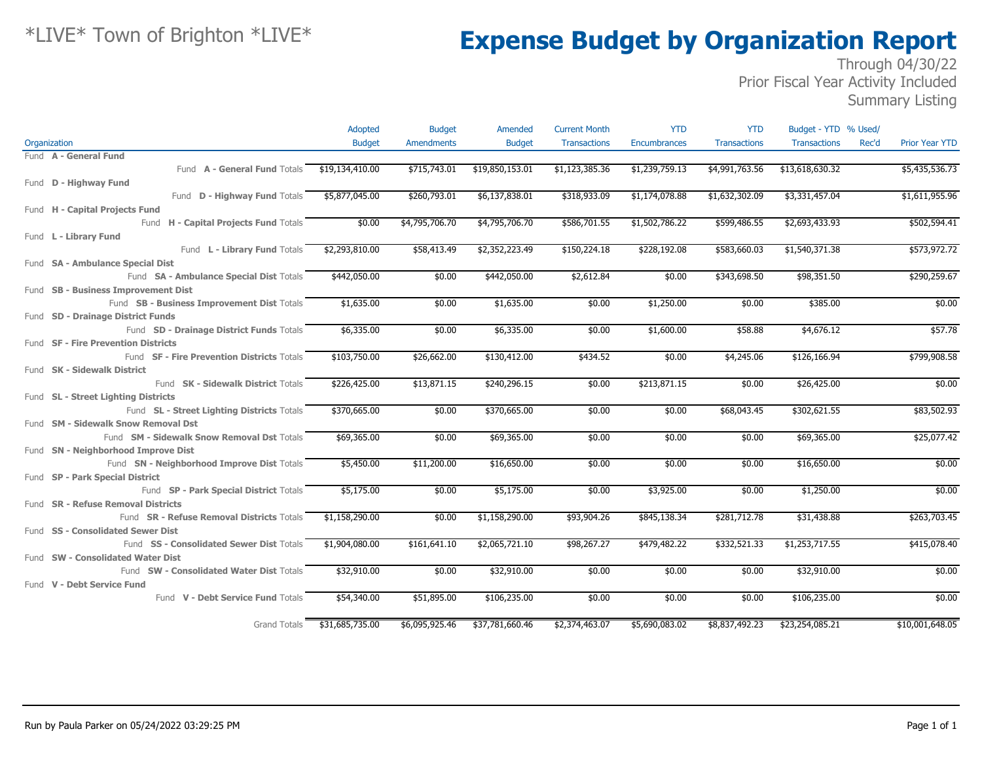### Through 04/30/22 Prior Fiscal Year Activity Included

Summary Listing

|                                                   | Adopted         | <b>Budget</b>     | Amended         | <b>Current Month</b> | <b>YTD</b>     | <b>YTD</b>          | Budget - YTD % Used/ |       |                       |
|---------------------------------------------------|-----------------|-------------------|-----------------|----------------------|----------------|---------------------|----------------------|-------|-----------------------|
| Organization                                      | <b>Budget</b>   | <b>Amendments</b> | <b>Budget</b>   | <b>Transactions</b>  | Encumbrances   | <b>Transactions</b> | <b>Transactions</b>  | Rec'd | <b>Prior Year YTD</b> |
| Fund A - General Fund                             |                 |                   |                 |                      |                |                     |                      |       |                       |
| Fund A - General Fund Totals                      | \$19,134,410.00 | \$715,743.01      | \$19,850,153.01 | \$1,123,385.36       | \$1,239,759.13 | \$4,991,763.56      | \$13,618,630.32      |       | \$5,435,536.73        |
| Fund D - Highway Fund                             |                 |                   |                 |                      |                |                     |                      |       |                       |
| Fund D - Highway Fund Totals                      | \$5,877,045.00  | \$260,793.01      | \$6,137,838.01  | \$318,933.09         | \$1,174,078.88 | \$1,632,302.09      | \$3,331,457.04       |       | \$1,611,955.96        |
| Fund H - Capital Projects Fund                    |                 |                   |                 |                      |                |                     |                      |       |                       |
| Fund H - Capital Projects Fund Totals             | \$0.00          | \$4,795,706.70    | \$4,795,706.70  | \$586,701.55         | \$1,502,786.22 | \$599,486.55        | \$2,693,433.93       |       | \$502,594.41          |
| Fund L - Library Fund                             |                 |                   |                 |                      |                |                     |                      |       |                       |
| Fund L - Library Fund Totals                      | \$2,293,810.00  | \$58,413.49       | \$2,352,223.49  | \$150,224.18         | \$228,192.08   | \$583,660.03        | \$1,540,371.38       |       | \$573,972.72          |
| Fund SA - Ambulance Special Dist                  |                 |                   |                 |                      |                |                     |                      |       |                       |
| Fund SA - Ambulance Special Dist Totals           | \$442,050.00    | \$0.00            | \$442,050.00    | \$2,612.84           | \$0.00         | \$343,698.50        | \$98,351.50          |       | \$290,259.67          |
| Fund SB - Business Improvement Dist               |                 |                   |                 |                      |                |                     |                      |       |                       |
| Fund SB - Business Improvement Dist Totals        | \$1,635.00      | \$0.00            | \$1,635.00      | \$0.00               | \$1,250.00     | \$0.00              | \$385.00             |       | \$0.00                |
| Fund SD - Drainage District Funds                 |                 |                   |                 |                      |                |                     |                      |       |                       |
| Fund SD - Drainage District Funds Totals          | \$6,335.00      | \$0.00            | \$6,335.00      | \$0.00               | \$1,600.00     | \$58.88             | \$4,676.12           |       | \$57.78               |
| Fund SF - Fire Prevention Districts               |                 |                   |                 |                      |                |                     |                      |       |                       |
| Fund <b>SF - Fire Prevention Districts Totals</b> | \$103,750.00    | \$26,662.00       | \$130,412.00    | \$434.52             | \$0.00         | \$4,245.06          | \$126,166.94         |       | \$799,908.58          |
| Fund SK - Sidewalk District                       |                 |                   |                 |                      |                |                     |                      |       |                       |
| Fund SK - Sidewalk District Totals                | \$226,425.00    | \$13,871.15       | \$240,296.15    | \$0.00               | \$213,871.15   | \$0.00              | \$26,425.00          |       | \$0.00                |
| Fund SL - Street Lighting Districts               |                 |                   |                 |                      |                |                     |                      |       |                       |
| Fund SL - Street Lighting Districts Totals        | \$370,665.00    | \$0.00            | \$370,665.00    | \$0.00               | \$0.00         | \$68,043.45         | \$302,621.55         |       | \$83,502.93           |
| Fund SM - Sidewalk Snow Removal Dst               |                 |                   |                 |                      |                |                     |                      |       |                       |
| Fund SM - Sidewalk Snow Removal Dst Totals        | \$69,365.00     | \$0.00            | \$69,365.00     | \$0.00               | \$0.00         | \$0.00              | \$69,365.00          |       | \$25,077.42           |
| Fund SN - Neighborhood Improve Dist               |                 |                   |                 |                      |                |                     |                      |       |                       |
| Fund SN - Neighborhood Improve Dist Totals        | \$5,450.00      | \$11,200.00       | \$16,650.00     | \$0.00               | \$0.00         | \$0.00              | \$16,650.00          |       | \$0.00                |
| Fund SP - Park Special District                   |                 |                   |                 |                      |                |                     |                      |       |                       |
| Fund SP - Park Special District Totals            | \$5,175.00      | \$0.00            | \$5,175.00      | \$0.00               | \$3,925.00     | \$0.00              | \$1,250.00           |       | \$0.00                |
| Fund SR - Refuse Removal Districts                |                 |                   |                 |                      |                |                     |                      |       |                       |
| Fund SR - Refuse Removal Districts Totals         | \$1,158,290.00  | \$0.00            | \$1,158,290.00  | \$93,904.26          | \$845,138.34   | \$281,712.78        | \$31,438.88          |       | \$263,703.45          |
| Fund SS - Consolidated Sewer Dist                 |                 |                   |                 |                      |                |                     |                      |       |                       |
| Fund SS - Consolidated Sewer Dist Totals          | \$1,904,080.00  | \$161,641.10      | \$2,065,721.10  | \$98,267.27          | \$479,482.22   | \$332,521.33        | \$1,253,717.55       |       | \$415,078.40          |
| Fund SW - Consolidated Water Dist                 |                 |                   |                 |                      |                |                     |                      |       |                       |
| Fund SW - Consolidated Water Dist Totals          | \$32,910.00     | \$0.00            | \$32,910.00     | \$0.00               | \$0.00         | \$0.00              | \$32,910.00          |       | \$0.00                |
| Fund V - Debt Service Fund                        |                 |                   |                 |                      |                |                     |                      |       |                       |
| Fund V - Debt Service Fund Totals                 | \$54,340.00     | \$51,895.00       | \$106,235.00    | \$0.00               | \$0.00         | \$0.00              | \$106,235.00         |       | \$0.00                |
| <b>Grand Totals</b>                               | \$31,685,735.00 | \$6,095,925.46    | \$37,781,660.46 | \$2,374,463.07       | \$5,690,083.02 | \$8,837,492.23      | \$23,254,085.21      |       | \$10,001,648.05       |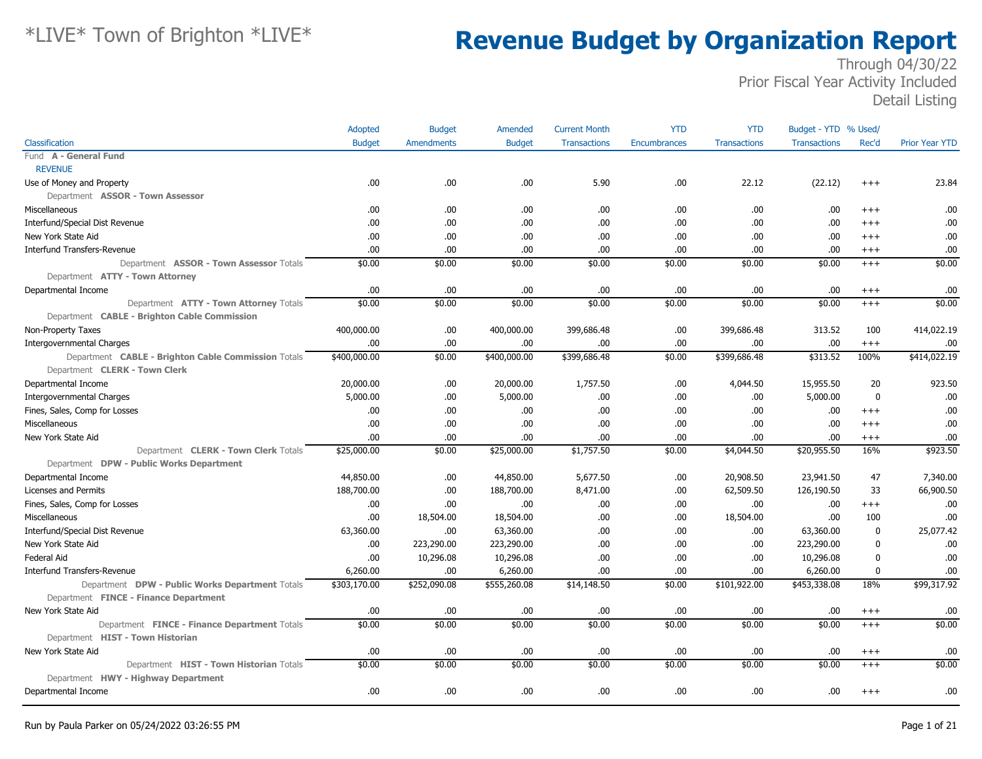|                                                     | Adopted       | <b>Budget</b>     | Amended       | <b>Current Month</b> | <b>YTD</b>   | <b>YTD</b>          | Budget - YTD % Used/ |                  |                       |
|-----------------------------------------------------|---------------|-------------------|---------------|----------------------|--------------|---------------------|----------------------|------------------|-----------------------|
| Classification                                      | <b>Budget</b> | <b>Amendments</b> | <b>Budget</b> | <b>Transactions</b>  | Encumbrances | <b>Transactions</b> | <b>Transactions</b>  | Rec'd            | <b>Prior Year YTD</b> |
| Fund A - General Fund                               |               |                   |               |                      |              |                     |                      |                  |                       |
| <b>REVENUE</b>                                      |               |                   |               |                      |              |                     |                      |                  |                       |
| Use of Money and Property                           | .00           | .00.              | .00.          | 5.90                 | .00          | 22.12               | (22.12)              | $+++$            | 23.84                 |
| Department ASSOR - Town Assessor                    |               |                   |               |                      |              |                     |                      |                  |                       |
| Miscellaneous                                       | .00.          | .00.              | .00           | .00                  | .00          | .00                 | .00                  | $^{+++}$         | .00                   |
| Interfund/Special Dist Revenue                      | .00           | .00.              | .00           | .00.                 | .00          | .00.                | .00                  | $+++$            | .00                   |
| New York State Aid                                  | .00           | .00.              | .00.          | .00.                 | .00          | .00.                | .00                  | $+++$            | .00                   |
| <b>Interfund Transfers-Revenue</b>                  | .00           | .00               | .00           | .00.                 | .00          | .00.                | .00                  | $^{+++}$         | .00                   |
| Department ASSOR - Town Assessor Totals             | \$0.00        | \$0.00            | \$0.00        | \$0.00               | \$0.00       | \$0.00              | \$0.00               | $+++$            | \$0.00                |
| Department ATTY - Town Attorney                     |               |                   |               |                      |              |                     |                      |                  |                       |
| Departmental Income                                 | .00           | .00.              | .00           | .00.                 | .00          | .00.                | .00                  | $^{+++}$         | .00                   |
| Department ATTY - Town Attorney Totals              | \$0.00        | \$0.00            | \$0.00        | \$0.00               | \$0.00       | \$0.00              | \$0.00               | $^{+++}$         | \$0.00                |
| Department CABLE - Brighton Cable Commission        |               |                   |               |                      |              |                     |                      |                  |                       |
| Non-Property Taxes                                  | 400,000.00    | .00.              | 400,000.00    | 399,686.48           | .00          | 399,686.48          | 313.52               | 100              | 414,022.19            |
| <b>Intergovernmental Charges</b>                    | .00           | .00.              | .00           | .00.                 | .00          | .00.                | .00                  | $^{+++}$         | .00                   |
| Department CABLE - Brighton Cable Commission Totals | \$400,000.00  | \$0.00            | \$400,000.00  | \$399,686.48         | \$0.00       | \$399,686.48        | \$313.52             | 100%             | \$414,022.19          |
| Department CLERK - Town Clerk                       |               |                   |               |                      |              |                     |                      |                  |                       |
| Departmental Income                                 | 20,000.00     | .00.              | 20,000.00     | 1,757.50             | .00          | 4,044.50            | 15,955.50            | 20               | 923.50                |
| <b>Intergovernmental Charges</b>                    | 5,000.00      | .00.              | 5,000.00      | .00.                 | .00          | .00.                | 5,000.00             | $\boldsymbol{0}$ | .00                   |
| Fines, Sales, Comp for Losses                       | .00           | .00.              | .00           | .00.                 | .00          | .00.                | .00                  | $^{+++}$         | .00                   |
| Miscellaneous                                       | .00           | .00.              | .00           | .00.                 | .00          | .00.                | .00                  | $+++$            | .00                   |
| New York State Aid                                  | .00           | .00.              | .00           | .00.                 | .00          | .00.                | .00                  | $^{+++}$         | .00                   |
| Department CLERK - Town Clerk Totals                | \$25,000.00   | \$0.00            | \$25,000.00   | \$1,757.50           | \$0.00       | \$4,044.50          | \$20,955.50          | 16%              | \$923.50              |
| Department DPW - Public Works Department            |               |                   |               |                      |              |                     |                      |                  |                       |
| Departmental Income                                 | 44,850.00     | .00.              | 44,850.00     | 5,677.50             | .00          | 20,908.50           | 23,941.50            | 47               | 7,340.00              |
| Licenses and Permits                                | 188,700.00    | .00               | 188,700.00    | 8,471.00             | .00          | 62,509.50           | 126,190.50           | 33               | 66,900.50             |
| Fines, Sales, Comp for Losses                       | .00.          | .00               | .00.          | .00.                 | .00          | .00.                | .00                  | $^{+++}$         | .00                   |
| Miscellaneous                                       | .00.          | 18,504.00         | 18,504.00     | .00.                 | .00          | 18,504.00           | .00                  | 100              | .00                   |
| Interfund/Special Dist Revenue                      | 63,360.00     | .00               | 63,360.00     | .00.                 | .00          | .00.                | 63,360.00            | $\bf{0}$         | 25,077.42             |
| New York State Aid                                  | .00.          | 223,290.00        | 223,290.00    | .00.                 | .00          | .00.                | 223,290.00           | $\boldsymbol{0}$ | .00                   |
| <b>Federal Aid</b>                                  | .00           | 10,296.08         | 10,296.08     | .00.                 | .00          | .00.                | 10,296.08            | $\mathbf 0$      | .00                   |
| <b>Interfund Transfers-Revenue</b>                  | 6,260.00      | .00               | 6,260.00      | .00.                 | .00          | .00.                | 6,260.00             | $\mathbf 0$      | .00                   |
| Department DPW - Public Works Department Totals     | \$303,170.00  | \$252,090.08      | \$555,260.08  | \$14,148.50          | \$0.00       | \$101,922.00        | \$453,338.08         | 18%              | \$99,317.92           |
| Department FINCE - Finance Department               |               |                   |               |                      |              |                     |                      |                  |                       |
| New York State Aid                                  | .00.          | .00.              | .00           | .00.                 | .00          | .00.                | .00                  | $^{+++}$         | .00                   |
| Department FINCE - Finance Department Totals        | \$0.00        | \$0.00            | \$0.00        | \$0.00               | \$0.00       | \$0.00              | \$0.00               | $+++$            | \$0.00                |
| Department HIST - Town Historian                    |               |                   |               |                      |              |                     |                      |                  |                       |
| New York State Aid                                  | .00           | .00.              | .00           | .00.                 | .00          | .00.                | .00                  | $^{+++}$         | .00                   |
| Department HIST - Town Historian Totals             | \$0.00        | \$0.00            | \$0.00        | \$0.00               | \$0.00       | \$0.00              | \$0.00               | $+++$            | \$0.00                |
| Department HWY - Highway Department                 |               |                   |               |                      |              |                     |                      |                  |                       |
| Departmental Income                                 | .00           | .00               | .00           | .00.                 | .00          | .00.                | .00                  | $^{+++}$         | .00                   |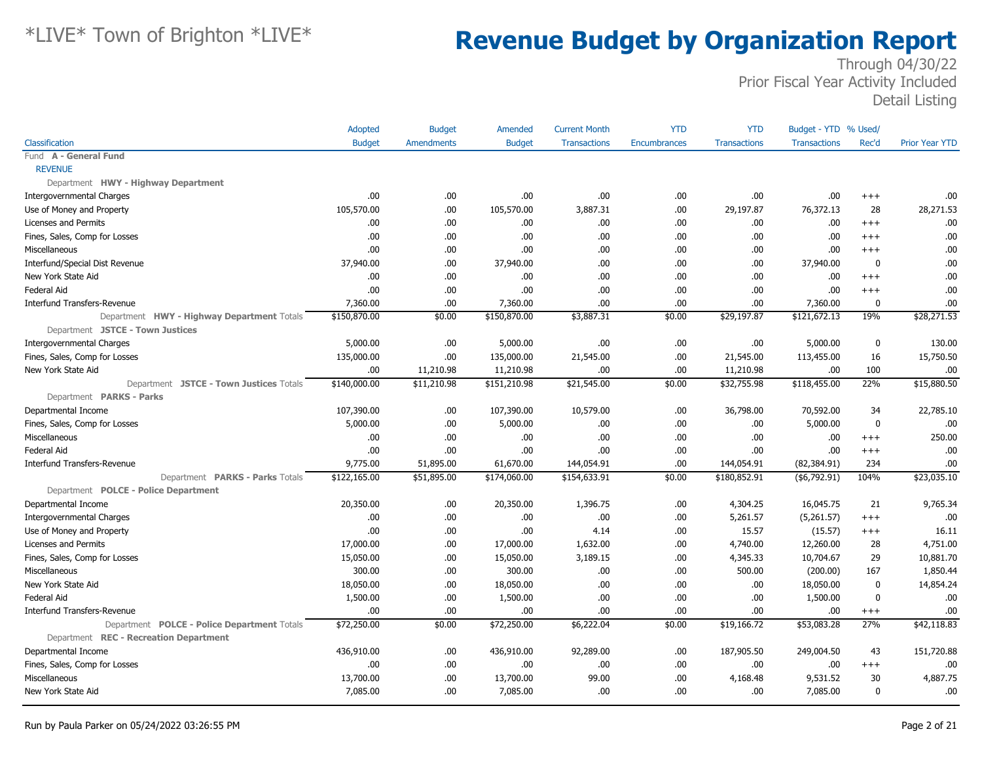|                                             | Adopted       | <b>Budget</b>     | Amended       | <b>Current Month</b> | <b>YTD</b>   | <b>YTD</b>          | Budget - YTD % Used/ |              |                       |
|---------------------------------------------|---------------|-------------------|---------------|----------------------|--------------|---------------------|----------------------|--------------|-----------------------|
| Classification                              | <b>Budget</b> | <b>Amendments</b> | <b>Budget</b> | <b>Transactions</b>  | Encumbrances | <b>Transactions</b> | <b>Transactions</b>  | Rec'd        | <b>Prior Year YTD</b> |
| Fund A - General Fund                       |               |                   |               |                      |              |                     |                      |              |                       |
| <b>REVENUE</b>                              |               |                   |               |                      |              |                     |                      |              |                       |
| Department HWY - Highway Department         |               |                   |               |                      |              |                     |                      |              |                       |
| <b>Intergovernmental Charges</b>            | .00           | .00.              | .00.          | .00                  | .00          | .00.                | .00                  | $+++$        | .00                   |
| Use of Money and Property                   | 105,570.00    | .00.              | 105,570.00    | 3,887.31             | .00          | 29,197.87           | 76,372.13            | 28           | 28,271.53             |
| Licenses and Permits                        | .00           | .00.              | .00.          | .00.                 | .00          | .00                 | .00                  | $+++$        | .00                   |
| Fines, Sales, Comp for Losses               | .00           | .00.              | .00.          | .00.                 | .00          | .00.                | .00                  | $+++$        | .00                   |
| Miscellaneous                               | .00           | .00.              | .00           | .00.                 | .00          | .00.                | .00                  | $^{+++}$     | .00                   |
| Interfund/Special Dist Revenue              | 37,940.00     | .00.              | 37,940.00     | .00.                 | .00          | .00.                | 37,940.00            | $\mathbf 0$  | .00                   |
| New York State Aid                          | .00           | .00.              | .00.          | .00                  | .00          | .00                 | .00.                 | $+++$        | .00                   |
| Federal Aid                                 | .00           | .00.              | .00           | .00                  | .00          | .00.                | .00                  | $^{+++}$     | .00                   |
| <b>Interfund Transfers-Revenue</b>          | 7,360.00      | .00.              | 7,360.00      | 00.                  | .00          | .00                 | 7,360.00             | $\mathbf{0}$ | .00                   |
| Department HWY - Highway Department Totals  | \$150,870.00  | \$0.00            | \$150,870.00  | \$3,887.31           | \$0.00       | \$29,197.87         | \$121,672.13         | 19%          | \$28,271.53           |
| Department JSTCE - Town Justices            |               |                   |               |                      |              |                     |                      |              |                       |
| <b>Intergovernmental Charges</b>            | 5,000.00      | .00.              | 5,000.00      | .00.                 | .00          | .00.                | 5,000.00             | 0            | 130.00                |
| Fines, Sales, Comp for Losses               | 135,000.00    | .00.              | 135,000.00    | 21,545.00            | .00          | 21,545.00           | 113,455.00           | 16           | 15,750.50             |
| New York State Aid                          | .00           | 11,210.98         | 11,210.98     | 00.                  | .00          | 11,210.98           | .00                  | 100          | .00                   |
| Department JSTCE - Town Justices Totals     | \$140,000.00  | \$11,210.98       | \$151,210.98  | \$21,545.00          | \$0.00       | \$32,755.98         | \$118,455.00         | 22%          | \$15,880.50           |
| Department PARKS - Parks                    |               |                   |               |                      |              |                     |                      |              |                       |
| Departmental Income                         | 107,390.00    | .00.              | 107,390.00    | 10,579.00            | .00          | 36,798.00           | 70,592.00            | 34           | 22,785.10             |
| Fines, Sales, Comp for Losses               | 5,000.00      | .00.              | 5,000.00      | .00.                 | .00          | .00.                | 5,000.00             | $\mathbf 0$  | .00                   |
| Miscellaneous                               | .00           | .00.              | .00           | .00.                 | .00          | .00                 | .00                  | $+++$        | 250.00                |
| Federal Aid                                 | .00           | .00.              | .00           | .00.                 | .00          | .00.                | .00                  | $^{+++}$     | .00                   |
| <b>Interfund Transfers-Revenue</b>          | 9,775.00      | 51,895.00         | 61,670.00     | 144,054.91           | .00          | 144,054.91          | (82, 384.91)         | 234          | .00                   |
| Department PARKS - Parks Totals             | \$122,165.00  | \$51,895.00       | \$174,060.00  | \$154,633.91         | \$0.00       | \$180,852.91        | ( \$6,792.91)        | 104%         | \$23,035.10           |
| Department POLCE - Police Department        |               |                   |               |                      |              |                     |                      |              |                       |
| Departmental Income                         | 20,350.00     | .00.              | 20,350.00     | 1,396.75             | .00          | 4,304.25            | 16,045.75            | 21           | 9,765.34              |
| <b>Intergovernmental Charges</b>            | .00           | .00.              | .00           | .00.                 | .00          | 5,261.57            | (5,261.57)           | $+++$        | .00                   |
| Use of Money and Property                   | .00           | .00.              | .00           | 4.14                 | .00          | 15.57               | (15.57)              | $^{+++}$     | 16.11                 |
| Licenses and Permits                        | 17,000.00     | .00.              | 17,000.00     | 1,632.00             | .00          | 4,740.00            | 12,260.00            | 28           | 4,751.00              |
| Fines, Sales, Comp for Losses               | 15,050.00     | .00.              | 15,050.00     | 3,189.15             | .00          | 4,345.33            | 10,704.67            | 29           | 10,881.70             |
| Miscellaneous                               | 300.00        | .00.              | 300.00        | .00.                 | .00          | 500.00              | (200.00)             | 167          | 1,850.44              |
| New York State Aid                          | 18,050.00     | .00.              | 18,050.00     | .00.                 | .00          | .00.                | 18,050.00            | $\mathbf 0$  | 14,854.24             |
| Federal Aid                                 | 1,500.00      | .00.              | 1,500.00      | .00                  | .00          | .00                 | 1,500.00             | $\mathbf{0}$ | .00                   |
| <b>Interfund Transfers-Revenue</b>          | .00           | .00.              | .00.          | .00.                 | .00          | .00.                | .00                  | $^{+++}$     | .00                   |
| Department POLCE - Police Department Totals | \$72,250.00   | \$0.00            | \$72,250.00   | \$6,222.04           | \$0.00       | \$19,166.72         | \$53,083.28          | 27%          | \$42,118.83           |
| Department REC - Recreation Department      |               |                   |               |                      |              |                     |                      |              |                       |
| Departmental Income                         | 436,910.00    | .00.              | 436,910.00    | 92,289.00            | .00          | 187,905.50          | 249,004.50           | 43           | 151,720.88            |
| Fines, Sales, Comp for Losses               | .00           | .00.              | .00           | .00.                 | .00          | .00.                | .00                  | $^{+++}$     | .00                   |
| Miscellaneous                               | 13,700.00     | .00.              | 13,700.00     | 99.00                | .00          | 4,168.48            | 9,531.52             | 30           | 4,887.75              |
| New York State Aid                          | 7,085.00      | .00.              | 7,085.00      | .00                  | .00          | .00                 | 7,085.00             | 0            | .00                   |
|                                             |               |                   |               |                      |              |                     |                      |              |                       |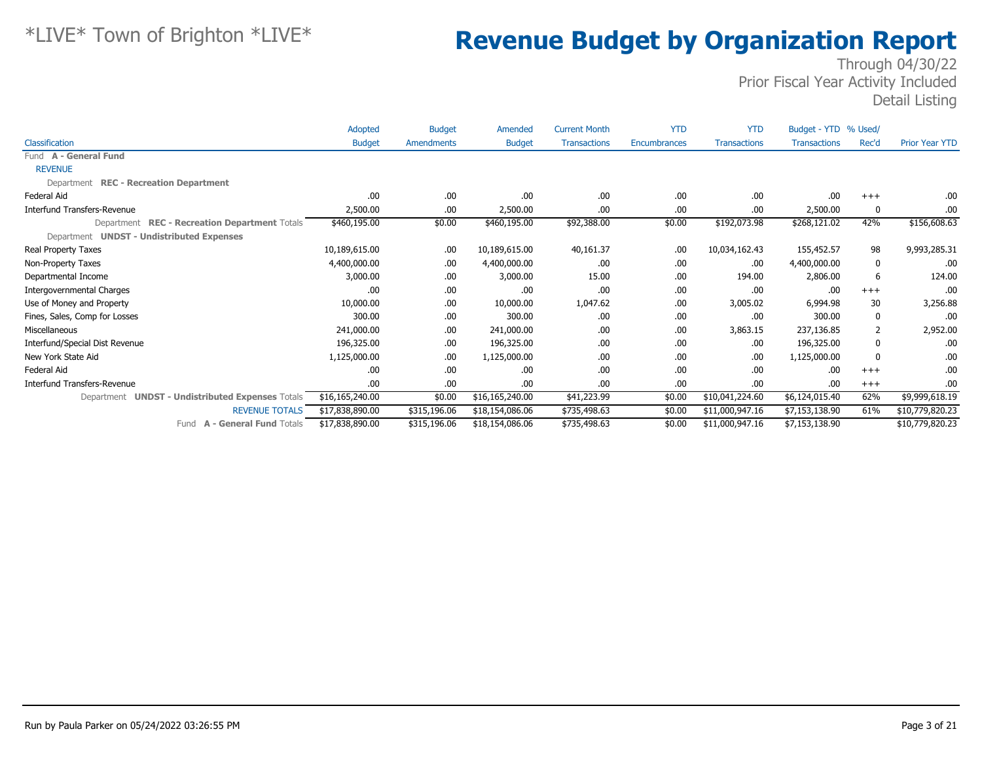|                                                  | Adopted         | <b>Budget</b> | Amended         | <b>Current Month</b> | <b>YTD</b>   | <b>YTD</b>          | Budget - YTD % Used/ |              |                       |
|--------------------------------------------------|-----------------|---------------|-----------------|----------------------|--------------|---------------------|----------------------|--------------|-----------------------|
| Classification                                   | <b>Budget</b>   | Amendments    | <b>Budget</b>   | <b>Transactions</b>  | Encumbrances | <b>Transactions</b> | <b>Transactions</b>  | Rec'd        | <b>Prior Year YTD</b> |
| Fund A - General Fund                            |                 |               |                 |                      |              |                     |                      |              |                       |
| <b>REVENUE</b>                                   |                 |               |                 |                      |              |                     |                      |              |                       |
| Department REC - Recreation Department           |                 |               |                 |                      |              |                     |                      |              |                       |
| Federal Aid                                      | .00             | .00.          | .00.            | .00.                 | .00          | .00.                | .00                  | $+++$        | .00                   |
| Interfund Transfers-Revenue                      | 2,500.00        | .00.          | 2,500.00        | .00.                 | .00          | .00                 | 2,500.00             | 0            | .00                   |
| Department REC - Recreation Department Totals    | \$460,195.00    | \$0.00        | \$460,195.00    | \$92,388.00          | \$0.00       | \$192,073.98        | \$268,121.02         | 42%          | \$156,608.63          |
| Department UNDST - Undistributed Expenses        |                 |               |                 |                      |              |                     |                      |              |                       |
| Real Property Taxes                              | 10,189,615.00   | .00.          | 10,189,615.00   | 40,161.37            | .00          | 10,034,162.43       | 155,452.57           | 98           | 9,993,285.31          |
| Non-Property Taxes                               | 4,400,000.00    | .00.          | 4,400,000.00    | .00.                 | .00          | .00.                | 4,400,000.00         | 0            | .00                   |
| Departmental Income                              | 3,000.00        | .00.          | 3,000.00        | 15.00                | .00          | 194.00              | 2,806.00             | 6            | 124.00                |
| <b>Intergovernmental Charges</b>                 | .00             | .00.          | .00.            | .00.                 | .00          | .00.                | .00                  | $+++$        | .00                   |
| Use of Money and Property                        | 10,000.00       | .00.          | 10,000.00       | 1,047.62             | .00          | 3,005.02            | 6,994.98             | 30           | 3,256.88              |
| Fines, Sales, Comp for Losses                    | 300.00          | .00.          | 300.00          | .00.                 | .00          | .00                 | 300.00               | 0            | .00                   |
| Miscellaneous                                    | 241,000.00      | .00.          | 241,000.00      | .00.                 | .00          | 3,863.15            | 237,136.85           | 2            | 2,952.00              |
| Interfund/Special Dist Revenue                   | 196,325.00      | .00.          | 196,325.00      | .00.                 | .00          | .00.                | 196,325.00           | $\mathbf{0}$ | .00                   |
| New York State Aid                               | 1,125,000.00    | .00.          | 1,125,000.00    | .00.                 | .00          | .00.                | 1,125,000.00         | 0            | .00                   |
| Federal Aid                                      | .00             | .00.          | .00.            | .00.                 | .00          | .00.                | .00                  | $+++$        | .00                   |
| Interfund Transfers-Revenue                      | .00             | .00.          | .00.            | .00.                 | .00          | .00.                | .00                  | $+++$        | .00                   |
| Department UNDST - Undistributed Expenses Totals | \$16,165,240.00 | \$0.00        | \$16,165,240.00 | \$41,223.99          | \$0.00       | \$10,041,224.60     | \$6,124,015.40       | 62%          | \$9,999,618.19        |
| <b>REVENUE TOTALS</b>                            | \$17,838,890.00 | \$315,196.06  | \$18,154,086.06 | \$735,498.63         | \$0.00       | \$11,000,947.16     | \$7,153,138.90       | 61%          | \$10,779,820.23       |
| Fund A - General Fund Totals                     | \$17,838,890.00 | \$315,196.06  | \$18,154,086.06 | \$735,498.63         | \$0.00       | \$11,000,947.16     | \$7,153,138.90       |              | \$10,779,820.23       |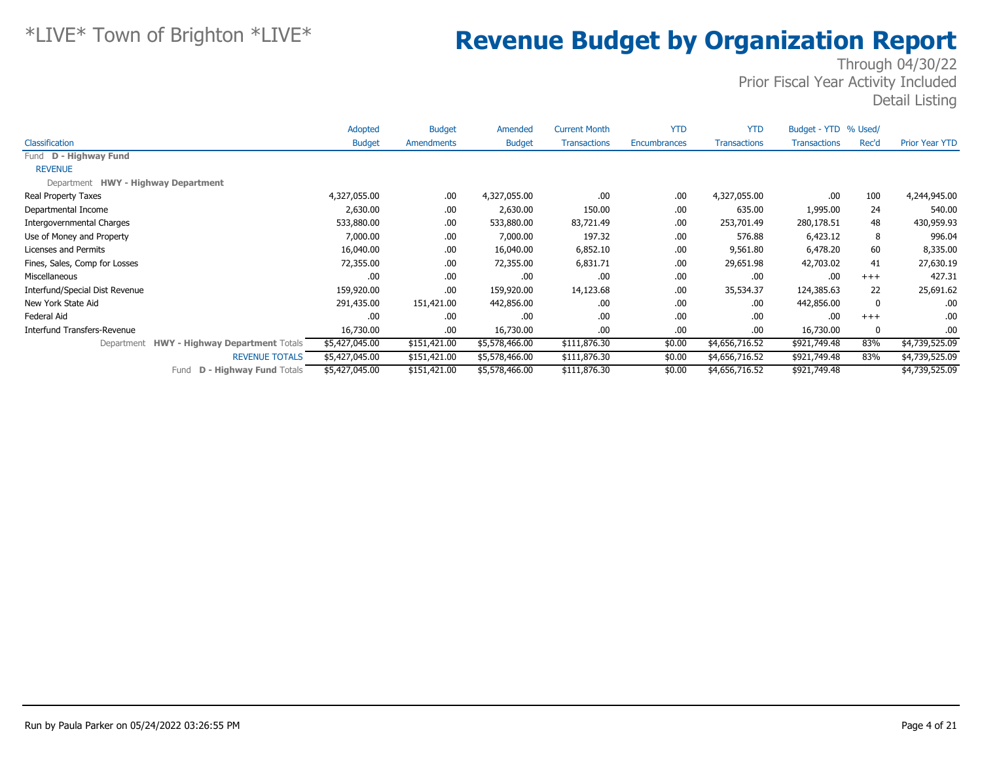|                                            | Adopted        | <b>Budget</b> | Amended        | <b>Current Month</b> | <b>YTD</b>   | <b>YTD</b>          | Budget - YTD % Used/ |       |                       |
|--------------------------------------------|----------------|---------------|----------------|----------------------|--------------|---------------------|----------------------|-------|-----------------------|
| <b>Classification</b>                      | <b>Budget</b>  | Amendments    | <b>Budget</b>  | <b>Transactions</b>  | Encumbrances | <b>Transactions</b> | <b>Transactions</b>  | Rec'd | <b>Prior Year YTD</b> |
| Fund D - Highway Fund                      |                |               |                |                      |              |                     |                      |       |                       |
| <b>REVENUE</b>                             |                |               |                |                      |              |                     |                      |       |                       |
| Department HWY - Highway Department        |                |               |                |                      |              |                     |                      |       |                       |
| Real Property Taxes                        | 4,327,055.00   | .00.          | 4,327,055.00   | .00.                 | .00          | 4,327,055.00        | .00                  | 100   | 4,244,945.00          |
| Departmental Income                        | 2,630.00       | .00.          | 2,630.00       | 150.00               | .00          | 635.00              | 1,995.00             | 24    | 540.00                |
| Intergovernmental Charges                  | 533,880.00     | .00.          | 533,880.00     | 83,721.49            | .00          | 253,701.49          | 280,178.51           | 48    | 430,959.93            |
| Use of Money and Property                  | 7,000.00       | .00.          | 7,000.00       | 197.32               | .00          | 576.88              | 6,423.12             | 8     | 996.04                |
| Licenses and Permits                       | 16,040.00      | .00.          | 16,040.00      | 6,852.10             | .00          | 9,561.80            | 6,478.20             | 60    | 8,335.00              |
| Fines, Sales, Comp for Losses              | 72,355.00      | .00.          | 72,355.00      | 6,831.71             | .00          | 29,651.98           | 42,703.02            | 41    | 27,630.19             |
| Miscellaneous                              | .00            | .00.          | .00.           | .00.                 | .00          | .00.                | .00                  | $+++$ | 427.31                |
| Interfund/Special Dist Revenue             | 159,920.00     | .00.          | 159,920.00     | 14,123.68            | .00          | 35,534.37           | 124,385.63           | 22    | 25,691.62             |
| New York State Aid                         | 291,435.00     | 151,421.00    | 442,856.00     | .00.                 | .00          | .00.                | 442,856.00           | 0     | .00                   |
| Federal Aid                                | .00.           | .00.          | .00.           | .00.                 | .00          | .00.                | .00                  | $+++$ | .00                   |
| Interfund Transfers-Revenue                | 16,730.00      | .00.          | 16,730.00      | .00.                 | .00          | .00.                | 16,730.00            | 0     | .00                   |
| Department HWY - Highway Department Totals | \$5,427,045.00 | \$151,421.00  | \$5,578,466.00 | \$111,876.30         | \$0.00       | \$4,656,716.52      | \$921,749.48         | 83%   | \$4,739,525.09        |
| <b>REVENUE TOTALS</b>                      | \$5,427,045.00 | \$151,421.00  | \$5,578,466.00 | \$111,876.30         | \$0.00       | \$4,656,716.52      | \$921,749.48         | 83%   | \$4,739,525.09        |
| <b>D - Highway Fund Totals</b><br>Fund     | \$5,427,045.00 | \$151,421.00  | \$5,578,466.00 | \$111,876.30         | \$0.00       | \$4,656,716.52      | \$921,749.48         |       | \$4,739,525.09        |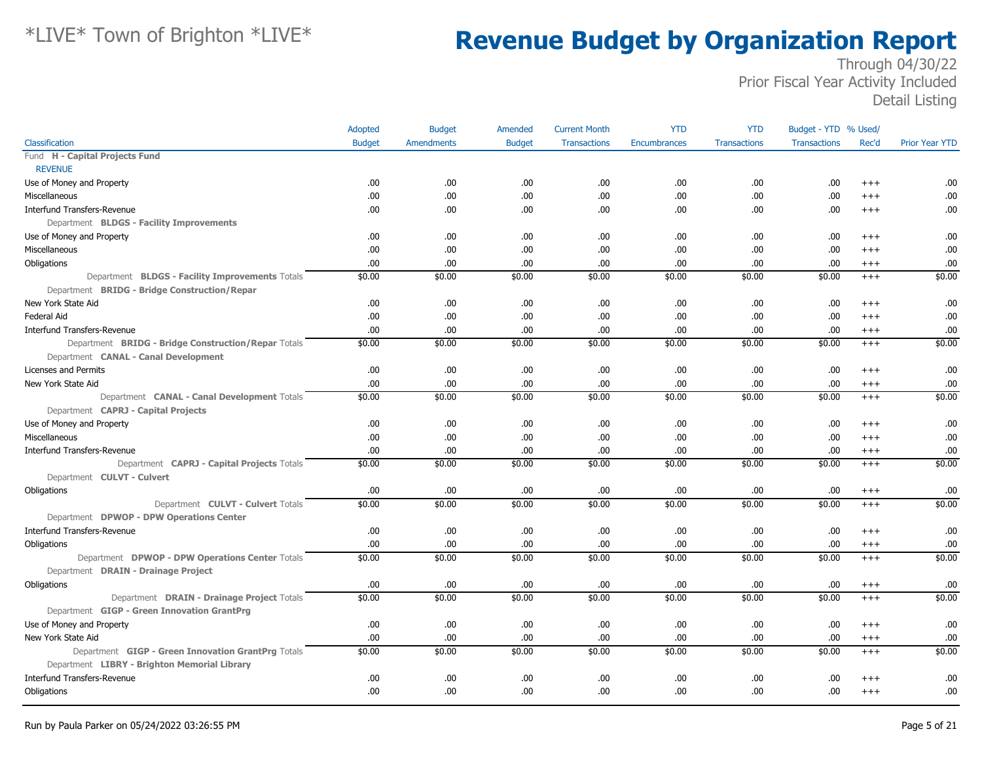| Classification<br><b>Budget</b><br>Amendments<br><b>Budget</b><br><b>Transactions</b><br>Rec'd<br><b>Prior Year YTD</b><br><b>Transactions</b><br>Encumbrances<br><b>Transactions</b><br><b>REVENUE</b><br>Use of Money and Property<br>.00<br>.00.<br>.00<br>.00.<br>.00<br>.00<br>.00<br>.00<br>$^{+++}$<br>.00<br>.00.<br>.00<br>.00.<br>.00<br>.00.<br>.00<br>.00<br>Miscellaneous<br>$+++$<br>.00<br>.00.<br>.00<br>.00.<br>.00<br>.00.<br>.00<br>.00<br><b>Interfund Transfers-Revenue</b><br>$^{+++}$<br>Department BLDGS - Facility Improvements<br>Use of Money and Property<br>.00<br>.00.<br>.00<br>.00.<br>.00<br>.00.<br>.00<br>.00<br>$^{+++}$<br>Miscellaneous<br>.00<br>.00.<br>.00<br>.00.<br>.00<br>.00<br>.00<br>.00<br>$^{+++}$<br>.00<br>.00.<br>.00<br>.00<br>.00.<br>.00<br>.00.<br>.00<br>Obligations<br>$^{+++}$<br>\$0.00<br>\$0.00<br>\$0.00<br>Department BLDGS - Facility Improvements Totals<br>\$0.00<br>\$0.00<br>\$0.00<br>\$0.00<br>\$0.00<br>$+++$<br>Department BRIDG - Bridge Construction/Repar<br>New York State Aid<br>.00<br>.00.<br>.00<br>.00.<br>.00<br>.00.<br>.00<br>.00<br>$^{+++}$<br>.00<br>.00.<br>.00<br>.00.<br>.00<br>.00.<br>.00<br>.00<br>Federal Aid<br>$^{++}$<br>.00<br>.00<br>.00<br>.00<br><b>Interfund Transfers-Revenue</b><br>.00.<br>.00.<br>.00.<br>.00<br>$^{+++}$<br>\$0.00<br>\$0.00<br>\$0.00<br>\$0.00<br>\$0.00<br>\$0.00<br>\$0.00<br>Department BRIDG - Bridge Construction/Repar Totals<br>\$0.00<br>$+++$<br>Department CANAL - Canal Development<br>Licenses and Permits<br>.00<br>.00.<br>.00<br>.00.<br>.00<br>.00<br>.00<br>.00<br>$^{++}$<br>.00<br>.00.<br>.00<br>.00.<br>.00<br>.00<br>.00<br>.00<br>New York State Aid<br>$^{+++}$<br>\$0.00<br>\$0.00<br>\$0.00<br>\$0.00<br>\$0.00<br>\$0.00<br>Department CANAL - Canal Development Totals<br>\$0.00<br>\$0.00<br>$+++$<br>Department CAPRJ - Capital Projects<br>.00<br>.00.<br>.00<br>.00.<br>.00<br>.00<br>.00<br>.00<br>Use of Money and Property<br>$^{++}$<br>.00<br>.00<br><b>Miscellaneous</b><br>.00<br>.00.<br>.00<br>.00<br>.00<br>.00<br>$^{++}$<br>.00<br>.00<br><b>Interfund Transfers-Revenue</b><br>.00<br>.00.<br>.00.<br>.00<br>.00<br>.00<br>$^{+++}$<br>\$0.00<br>\$0.00<br>\$0.00<br>\$0.00<br>\$0.00<br>\$0.00<br>Department CAPRJ - Capital Projects Totals<br>\$0.00<br>\$0.00<br>$^{+++}$<br>Department CULVT - Culvert<br>.00<br>.00.<br>.00<br>.00.<br>.00<br>.00<br>.00<br>.00<br>$^{+++}$<br>\$0.00<br>\$0.00<br>\$0.00<br>\$0.00<br>\$0.00<br>\$0.00<br>\$0.00<br>\$0.00<br>Department CULVT - Culvert Totals<br>$+++$<br>Department DPWOP - DPW Operations Center<br><b>Interfund Transfers-Revenue</b><br>.00<br>.00.<br>.00<br>.00.<br>.00<br>.00<br>.00<br>.00<br>$^{+++}$<br>.00.<br>.00<br>.00<br>.00<br>.00<br>.00<br>.00<br>.00<br>Obligations<br>$^{+++}$<br>Department DPWOP - DPW Operations Center Totals<br>\$0.00<br>\$0.00<br>\$0.00<br>\$0.00<br>\$0.00<br>\$0.00<br>\$0.00<br>\$0.00<br>$+++$<br>Department DRAIN - Drainage Project<br>Obligations<br>.00<br>.00.<br>.00<br>.00.<br>.00<br>.00<br>.00<br>.00<br>$^{+++}$<br>\$0.00<br>\$0.00<br>\$0.00<br>\$0.00<br>\$0.00<br>\$0.00<br>\$0.00<br>\$0.00<br>Department DRAIN - Drainage Project Totals<br>$^{+++}$<br>Department GIGP - Green Innovation GrantPrg<br>.00<br>.00.<br>.00<br>.00.<br>.00<br>.00.<br>.00<br>.00<br>Use of Money and Property<br>$+++$<br>.00.<br>New York State Aid<br>.00<br>.00<br>.00.<br>.00<br>.00<br>.00<br>.00<br>$^{+++}$<br>\$0.00<br>\$0.00<br>\$0.00<br>\$0.00<br>Department GIGP - Green Innovation GrantPrg Totals<br>\$0.00<br>\$0.00<br>\$0.00<br>\$0.00<br>$+++$<br>Department LIBRY - Brighton Memorial Library<br><b>Interfund Transfers-Revenue</b><br>.00<br>.00.<br>.00<br>.00.<br>.00<br>.00<br>.00<br>.00<br>$+++$<br>.00<br>.00.<br>.00<br>.00.<br>.00<br>.00.<br>.00<br>.00<br>Obligations<br>$^{+++}$ |                                | Adopted | <b>Budget</b> | Amended | <b>Current Month</b> | <b>YTD</b> | <b>YTD</b> | Budget - YTD % Used/ |  |
|----------------------------------------------------------------------------------------------------------------------------------------------------------------------------------------------------------------------------------------------------------------------------------------------------------------------------------------------------------------------------------------------------------------------------------------------------------------------------------------------------------------------------------------------------------------------------------------------------------------------------------------------------------------------------------------------------------------------------------------------------------------------------------------------------------------------------------------------------------------------------------------------------------------------------------------------------------------------------------------------------------------------------------------------------------------------------------------------------------------------------------------------------------------------------------------------------------------------------------------------------------------------------------------------------------------------------------------------------------------------------------------------------------------------------------------------------------------------------------------------------------------------------------------------------------------------------------------------------------------------------------------------------------------------------------------------------------------------------------------------------------------------------------------------------------------------------------------------------------------------------------------------------------------------------------------------------------------------------------------------------------------------------------------------------------------------------------------------------------------------------------------------------------------------------------------------------------------------------------------------------------------------------------------------------------------------------------------------------------------------------------------------------------------------------------------------------------------------------------------------------------------------------------------------------------------------------------------------------------------------------------------------------------------------------------------------------------------------------------------------------------------------------------------------------------------------------------------------------------------------------------------------------------------------------------------------------------------------------------------------------------------------------------------------------------------------------------------------------------------------------------------------------------------------------------------------------------------------------------------------------------------------------------------------------------------------------------------------------------------------------------------------------------------------------------------------------------------------------------------------------------------------------------------------------------------------------------------------------------------------------------------------------------------------------------------------------------------------------------------------------------------------------------------------------------------------------------------------------------------------------------------------------|--------------------------------|---------|---------------|---------|----------------------|------------|------------|----------------------|--|
|                                                                                                                                                                                                                                                                                                                                                                                                                                                                                                                                                                                                                                                                                                                                                                                                                                                                                                                                                                                                                                                                                                                                                                                                                                                                                                                                                                                                                                                                                                                                                                                                                                                                                                                                                                                                                                                                                                                                                                                                                                                                                                                                                                                                                                                                                                                                                                                                                                                                                                                                                                                                                                                                                                                                                                                                                                                                                                                                                                                                                                                                                                                                                                                                                                                                                                                                                                                                                                                                                                                                                                                                                                                                                                                                                                                                                                                                                                    |                                |         |               |         |                      |            |            |                      |  |
|                                                                                                                                                                                                                                                                                                                                                                                                                                                                                                                                                                                                                                                                                                                                                                                                                                                                                                                                                                                                                                                                                                                                                                                                                                                                                                                                                                                                                                                                                                                                                                                                                                                                                                                                                                                                                                                                                                                                                                                                                                                                                                                                                                                                                                                                                                                                                                                                                                                                                                                                                                                                                                                                                                                                                                                                                                                                                                                                                                                                                                                                                                                                                                                                                                                                                                                                                                                                                                                                                                                                                                                                                                                                                                                                                                                                                                                                                                    | Fund H - Capital Projects Fund |         |               |         |                      |            |            |                      |  |
|                                                                                                                                                                                                                                                                                                                                                                                                                                                                                                                                                                                                                                                                                                                                                                                                                                                                                                                                                                                                                                                                                                                                                                                                                                                                                                                                                                                                                                                                                                                                                                                                                                                                                                                                                                                                                                                                                                                                                                                                                                                                                                                                                                                                                                                                                                                                                                                                                                                                                                                                                                                                                                                                                                                                                                                                                                                                                                                                                                                                                                                                                                                                                                                                                                                                                                                                                                                                                                                                                                                                                                                                                                                                                                                                                                                                                                                                                                    |                                |         |               |         |                      |            |            |                      |  |
|                                                                                                                                                                                                                                                                                                                                                                                                                                                                                                                                                                                                                                                                                                                                                                                                                                                                                                                                                                                                                                                                                                                                                                                                                                                                                                                                                                                                                                                                                                                                                                                                                                                                                                                                                                                                                                                                                                                                                                                                                                                                                                                                                                                                                                                                                                                                                                                                                                                                                                                                                                                                                                                                                                                                                                                                                                                                                                                                                                                                                                                                                                                                                                                                                                                                                                                                                                                                                                                                                                                                                                                                                                                                                                                                                                                                                                                                                                    |                                |         |               |         |                      |            |            |                      |  |
|                                                                                                                                                                                                                                                                                                                                                                                                                                                                                                                                                                                                                                                                                                                                                                                                                                                                                                                                                                                                                                                                                                                                                                                                                                                                                                                                                                                                                                                                                                                                                                                                                                                                                                                                                                                                                                                                                                                                                                                                                                                                                                                                                                                                                                                                                                                                                                                                                                                                                                                                                                                                                                                                                                                                                                                                                                                                                                                                                                                                                                                                                                                                                                                                                                                                                                                                                                                                                                                                                                                                                                                                                                                                                                                                                                                                                                                                                                    |                                |         |               |         |                      |            |            |                      |  |
|                                                                                                                                                                                                                                                                                                                                                                                                                                                                                                                                                                                                                                                                                                                                                                                                                                                                                                                                                                                                                                                                                                                                                                                                                                                                                                                                                                                                                                                                                                                                                                                                                                                                                                                                                                                                                                                                                                                                                                                                                                                                                                                                                                                                                                                                                                                                                                                                                                                                                                                                                                                                                                                                                                                                                                                                                                                                                                                                                                                                                                                                                                                                                                                                                                                                                                                                                                                                                                                                                                                                                                                                                                                                                                                                                                                                                                                                                                    |                                |         |               |         |                      |            |            |                      |  |
|                                                                                                                                                                                                                                                                                                                                                                                                                                                                                                                                                                                                                                                                                                                                                                                                                                                                                                                                                                                                                                                                                                                                                                                                                                                                                                                                                                                                                                                                                                                                                                                                                                                                                                                                                                                                                                                                                                                                                                                                                                                                                                                                                                                                                                                                                                                                                                                                                                                                                                                                                                                                                                                                                                                                                                                                                                                                                                                                                                                                                                                                                                                                                                                                                                                                                                                                                                                                                                                                                                                                                                                                                                                                                                                                                                                                                                                                                                    |                                |         |               |         |                      |            |            |                      |  |
|                                                                                                                                                                                                                                                                                                                                                                                                                                                                                                                                                                                                                                                                                                                                                                                                                                                                                                                                                                                                                                                                                                                                                                                                                                                                                                                                                                                                                                                                                                                                                                                                                                                                                                                                                                                                                                                                                                                                                                                                                                                                                                                                                                                                                                                                                                                                                                                                                                                                                                                                                                                                                                                                                                                                                                                                                                                                                                                                                                                                                                                                                                                                                                                                                                                                                                                                                                                                                                                                                                                                                                                                                                                                                                                                                                                                                                                                                                    |                                |         |               |         |                      |            |            |                      |  |
|                                                                                                                                                                                                                                                                                                                                                                                                                                                                                                                                                                                                                                                                                                                                                                                                                                                                                                                                                                                                                                                                                                                                                                                                                                                                                                                                                                                                                                                                                                                                                                                                                                                                                                                                                                                                                                                                                                                                                                                                                                                                                                                                                                                                                                                                                                                                                                                                                                                                                                                                                                                                                                                                                                                                                                                                                                                                                                                                                                                                                                                                                                                                                                                                                                                                                                                                                                                                                                                                                                                                                                                                                                                                                                                                                                                                                                                                                                    |                                |         |               |         |                      |            |            |                      |  |
|                                                                                                                                                                                                                                                                                                                                                                                                                                                                                                                                                                                                                                                                                                                                                                                                                                                                                                                                                                                                                                                                                                                                                                                                                                                                                                                                                                                                                                                                                                                                                                                                                                                                                                                                                                                                                                                                                                                                                                                                                                                                                                                                                                                                                                                                                                                                                                                                                                                                                                                                                                                                                                                                                                                                                                                                                                                                                                                                                                                                                                                                                                                                                                                                                                                                                                                                                                                                                                                                                                                                                                                                                                                                                                                                                                                                                                                                                                    |                                |         |               |         |                      |            |            |                      |  |
|                                                                                                                                                                                                                                                                                                                                                                                                                                                                                                                                                                                                                                                                                                                                                                                                                                                                                                                                                                                                                                                                                                                                                                                                                                                                                                                                                                                                                                                                                                                                                                                                                                                                                                                                                                                                                                                                                                                                                                                                                                                                                                                                                                                                                                                                                                                                                                                                                                                                                                                                                                                                                                                                                                                                                                                                                                                                                                                                                                                                                                                                                                                                                                                                                                                                                                                                                                                                                                                                                                                                                                                                                                                                                                                                                                                                                                                                                                    |                                |         |               |         |                      |            |            |                      |  |
|                                                                                                                                                                                                                                                                                                                                                                                                                                                                                                                                                                                                                                                                                                                                                                                                                                                                                                                                                                                                                                                                                                                                                                                                                                                                                                                                                                                                                                                                                                                                                                                                                                                                                                                                                                                                                                                                                                                                                                                                                                                                                                                                                                                                                                                                                                                                                                                                                                                                                                                                                                                                                                                                                                                                                                                                                                                                                                                                                                                                                                                                                                                                                                                                                                                                                                                                                                                                                                                                                                                                                                                                                                                                                                                                                                                                                                                                                                    |                                |         |               |         |                      |            |            |                      |  |
|                                                                                                                                                                                                                                                                                                                                                                                                                                                                                                                                                                                                                                                                                                                                                                                                                                                                                                                                                                                                                                                                                                                                                                                                                                                                                                                                                                                                                                                                                                                                                                                                                                                                                                                                                                                                                                                                                                                                                                                                                                                                                                                                                                                                                                                                                                                                                                                                                                                                                                                                                                                                                                                                                                                                                                                                                                                                                                                                                                                                                                                                                                                                                                                                                                                                                                                                                                                                                                                                                                                                                                                                                                                                                                                                                                                                                                                                                                    |                                |         |               |         |                      |            |            |                      |  |
|                                                                                                                                                                                                                                                                                                                                                                                                                                                                                                                                                                                                                                                                                                                                                                                                                                                                                                                                                                                                                                                                                                                                                                                                                                                                                                                                                                                                                                                                                                                                                                                                                                                                                                                                                                                                                                                                                                                                                                                                                                                                                                                                                                                                                                                                                                                                                                                                                                                                                                                                                                                                                                                                                                                                                                                                                                                                                                                                                                                                                                                                                                                                                                                                                                                                                                                                                                                                                                                                                                                                                                                                                                                                                                                                                                                                                                                                                                    |                                |         |               |         |                      |            |            |                      |  |
|                                                                                                                                                                                                                                                                                                                                                                                                                                                                                                                                                                                                                                                                                                                                                                                                                                                                                                                                                                                                                                                                                                                                                                                                                                                                                                                                                                                                                                                                                                                                                                                                                                                                                                                                                                                                                                                                                                                                                                                                                                                                                                                                                                                                                                                                                                                                                                                                                                                                                                                                                                                                                                                                                                                                                                                                                                                                                                                                                                                                                                                                                                                                                                                                                                                                                                                                                                                                                                                                                                                                                                                                                                                                                                                                                                                                                                                                                                    |                                |         |               |         |                      |            |            |                      |  |
|                                                                                                                                                                                                                                                                                                                                                                                                                                                                                                                                                                                                                                                                                                                                                                                                                                                                                                                                                                                                                                                                                                                                                                                                                                                                                                                                                                                                                                                                                                                                                                                                                                                                                                                                                                                                                                                                                                                                                                                                                                                                                                                                                                                                                                                                                                                                                                                                                                                                                                                                                                                                                                                                                                                                                                                                                                                                                                                                                                                                                                                                                                                                                                                                                                                                                                                                                                                                                                                                                                                                                                                                                                                                                                                                                                                                                                                                                                    |                                |         |               |         |                      |            |            |                      |  |
|                                                                                                                                                                                                                                                                                                                                                                                                                                                                                                                                                                                                                                                                                                                                                                                                                                                                                                                                                                                                                                                                                                                                                                                                                                                                                                                                                                                                                                                                                                                                                                                                                                                                                                                                                                                                                                                                                                                                                                                                                                                                                                                                                                                                                                                                                                                                                                                                                                                                                                                                                                                                                                                                                                                                                                                                                                                                                                                                                                                                                                                                                                                                                                                                                                                                                                                                                                                                                                                                                                                                                                                                                                                                                                                                                                                                                                                                                                    |                                |         |               |         |                      |            |            |                      |  |
|                                                                                                                                                                                                                                                                                                                                                                                                                                                                                                                                                                                                                                                                                                                                                                                                                                                                                                                                                                                                                                                                                                                                                                                                                                                                                                                                                                                                                                                                                                                                                                                                                                                                                                                                                                                                                                                                                                                                                                                                                                                                                                                                                                                                                                                                                                                                                                                                                                                                                                                                                                                                                                                                                                                                                                                                                                                                                                                                                                                                                                                                                                                                                                                                                                                                                                                                                                                                                                                                                                                                                                                                                                                                                                                                                                                                                                                                                                    |                                |         |               |         |                      |            |            |                      |  |
|                                                                                                                                                                                                                                                                                                                                                                                                                                                                                                                                                                                                                                                                                                                                                                                                                                                                                                                                                                                                                                                                                                                                                                                                                                                                                                                                                                                                                                                                                                                                                                                                                                                                                                                                                                                                                                                                                                                                                                                                                                                                                                                                                                                                                                                                                                                                                                                                                                                                                                                                                                                                                                                                                                                                                                                                                                                                                                                                                                                                                                                                                                                                                                                                                                                                                                                                                                                                                                                                                                                                                                                                                                                                                                                                                                                                                                                                                                    |                                |         |               |         |                      |            |            |                      |  |
|                                                                                                                                                                                                                                                                                                                                                                                                                                                                                                                                                                                                                                                                                                                                                                                                                                                                                                                                                                                                                                                                                                                                                                                                                                                                                                                                                                                                                                                                                                                                                                                                                                                                                                                                                                                                                                                                                                                                                                                                                                                                                                                                                                                                                                                                                                                                                                                                                                                                                                                                                                                                                                                                                                                                                                                                                                                                                                                                                                                                                                                                                                                                                                                                                                                                                                                                                                                                                                                                                                                                                                                                                                                                                                                                                                                                                                                                                                    |                                |         |               |         |                      |            |            |                      |  |
|                                                                                                                                                                                                                                                                                                                                                                                                                                                                                                                                                                                                                                                                                                                                                                                                                                                                                                                                                                                                                                                                                                                                                                                                                                                                                                                                                                                                                                                                                                                                                                                                                                                                                                                                                                                                                                                                                                                                                                                                                                                                                                                                                                                                                                                                                                                                                                                                                                                                                                                                                                                                                                                                                                                                                                                                                                                                                                                                                                                                                                                                                                                                                                                                                                                                                                                                                                                                                                                                                                                                                                                                                                                                                                                                                                                                                                                                                                    |                                |         |               |         |                      |            |            |                      |  |
|                                                                                                                                                                                                                                                                                                                                                                                                                                                                                                                                                                                                                                                                                                                                                                                                                                                                                                                                                                                                                                                                                                                                                                                                                                                                                                                                                                                                                                                                                                                                                                                                                                                                                                                                                                                                                                                                                                                                                                                                                                                                                                                                                                                                                                                                                                                                                                                                                                                                                                                                                                                                                                                                                                                                                                                                                                                                                                                                                                                                                                                                                                                                                                                                                                                                                                                                                                                                                                                                                                                                                                                                                                                                                                                                                                                                                                                                                                    |                                |         |               |         |                      |            |            |                      |  |
|                                                                                                                                                                                                                                                                                                                                                                                                                                                                                                                                                                                                                                                                                                                                                                                                                                                                                                                                                                                                                                                                                                                                                                                                                                                                                                                                                                                                                                                                                                                                                                                                                                                                                                                                                                                                                                                                                                                                                                                                                                                                                                                                                                                                                                                                                                                                                                                                                                                                                                                                                                                                                                                                                                                                                                                                                                                                                                                                                                                                                                                                                                                                                                                                                                                                                                                                                                                                                                                                                                                                                                                                                                                                                                                                                                                                                                                                                                    |                                |         |               |         |                      |            |            |                      |  |
|                                                                                                                                                                                                                                                                                                                                                                                                                                                                                                                                                                                                                                                                                                                                                                                                                                                                                                                                                                                                                                                                                                                                                                                                                                                                                                                                                                                                                                                                                                                                                                                                                                                                                                                                                                                                                                                                                                                                                                                                                                                                                                                                                                                                                                                                                                                                                                                                                                                                                                                                                                                                                                                                                                                                                                                                                                                                                                                                                                                                                                                                                                                                                                                                                                                                                                                                                                                                                                                                                                                                                                                                                                                                                                                                                                                                                                                                                                    |                                |         |               |         |                      |            |            |                      |  |
|                                                                                                                                                                                                                                                                                                                                                                                                                                                                                                                                                                                                                                                                                                                                                                                                                                                                                                                                                                                                                                                                                                                                                                                                                                                                                                                                                                                                                                                                                                                                                                                                                                                                                                                                                                                                                                                                                                                                                                                                                                                                                                                                                                                                                                                                                                                                                                                                                                                                                                                                                                                                                                                                                                                                                                                                                                                                                                                                                                                                                                                                                                                                                                                                                                                                                                                                                                                                                                                                                                                                                                                                                                                                                                                                                                                                                                                                                                    |                                |         |               |         |                      |            |            |                      |  |
|                                                                                                                                                                                                                                                                                                                                                                                                                                                                                                                                                                                                                                                                                                                                                                                                                                                                                                                                                                                                                                                                                                                                                                                                                                                                                                                                                                                                                                                                                                                                                                                                                                                                                                                                                                                                                                                                                                                                                                                                                                                                                                                                                                                                                                                                                                                                                                                                                                                                                                                                                                                                                                                                                                                                                                                                                                                                                                                                                                                                                                                                                                                                                                                                                                                                                                                                                                                                                                                                                                                                                                                                                                                                                                                                                                                                                                                                                                    |                                |         |               |         |                      |            |            |                      |  |
|                                                                                                                                                                                                                                                                                                                                                                                                                                                                                                                                                                                                                                                                                                                                                                                                                                                                                                                                                                                                                                                                                                                                                                                                                                                                                                                                                                                                                                                                                                                                                                                                                                                                                                                                                                                                                                                                                                                                                                                                                                                                                                                                                                                                                                                                                                                                                                                                                                                                                                                                                                                                                                                                                                                                                                                                                                                                                                                                                                                                                                                                                                                                                                                                                                                                                                                                                                                                                                                                                                                                                                                                                                                                                                                                                                                                                                                                                                    | Obligations                    |         |               |         |                      |            |            |                      |  |
|                                                                                                                                                                                                                                                                                                                                                                                                                                                                                                                                                                                                                                                                                                                                                                                                                                                                                                                                                                                                                                                                                                                                                                                                                                                                                                                                                                                                                                                                                                                                                                                                                                                                                                                                                                                                                                                                                                                                                                                                                                                                                                                                                                                                                                                                                                                                                                                                                                                                                                                                                                                                                                                                                                                                                                                                                                                                                                                                                                                                                                                                                                                                                                                                                                                                                                                                                                                                                                                                                                                                                                                                                                                                                                                                                                                                                                                                                                    |                                |         |               |         |                      |            |            |                      |  |
|                                                                                                                                                                                                                                                                                                                                                                                                                                                                                                                                                                                                                                                                                                                                                                                                                                                                                                                                                                                                                                                                                                                                                                                                                                                                                                                                                                                                                                                                                                                                                                                                                                                                                                                                                                                                                                                                                                                                                                                                                                                                                                                                                                                                                                                                                                                                                                                                                                                                                                                                                                                                                                                                                                                                                                                                                                                                                                                                                                                                                                                                                                                                                                                                                                                                                                                                                                                                                                                                                                                                                                                                                                                                                                                                                                                                                                                                                                    |                                |         |               |         |                      |            |            |                      |  |
|                                                                                                                                                                                                                                                                                                                                                                                                                                                                                                                                                                                                                                                                                                                                                                                                                                                                                                                                                                                                                                                                                                                                                                                                                                                                                                                                                                                                                                                                                                                                                                                                                                                                                                                                                                                                                                                                                                                                                                                                                                                                                                                                                                                                                                                                                                                                                                                                                                                                                                                                                                                                                                                                                                                                                                                                                                                                                                                                                                                                                                                                                                                                                                                                                                                                                                                                                                                                                                                                                                                                                                                                                                                                                                                                                                                                                                                                                                    |                                |         |               |         |                      |            |            |                      |  |
|                                                                                                                                                                                                                                                                                                                                                                                                                                                                                                                                                                                                                                                                                                                                                                                                                                                                                                                                                                                                                                                                                                                                                                                                                                                                                                                                                                                                                                                                                                                                                                                                                                                                                                                                                                                                                                                                                                                                                                                                                                                                                                                                                                                                                                                                                                                                                                                                                                                                                                                                                                                                                                                                                                                                                                                                                                                                                                                                                                                                                                                                                                                                                                                                                                                                                                                                                                                                                                                                                                                                                                                                                                                                                                                                                                                                                                                                                                    |                                |         |               |         |                      |            |            |                      |  |
|                                                                                                                                                                                                                                                                                                                                                                                                                                                                                                                                                                                                                                                                                                                                                                                                                                                                                                                                                                                                                                                                                                                                                                                                                                                                                                                                                                                                                                                                                                                                                                                                                                                                                                                                                                                                                                                                                                                                                                                                                                                                                                                                                                                                                                                                                                                                                                                                                                                                                                                                                                                                                                                                                                                                                                                                                                                                                                                                                                                                                                                                                                                                                                                                                                                                                                                                                                                                                                                                                                                                                                                                                                                                                                                                                                                                                                                                                                    |                                |         |               |         |                      |            |            |                      |  |
|                                                                                                                                                                                                                                                                                                                                                                                                                                                                                                                                                                                                                                                                                                                                                                                                                                                                                                                                                                                                                                                                                                                                                                                                                                                                                                                                                                                                                                                                                                                                                                                                                                                                                                                                                                                                                                                                                                                                                                                                                                                                                                                                                                                                                                                                                                                                                                                                                                                                                                                                                                                                                                                                                                                                                                                                                                                                                                                                                                                                                                                                                                                                                                                                                                                                                                                                                                                                                                                                                                                                                                                                                                                                                                                                                                                                                                                                                                    |                                |         |               |         |                      |            |            |                      |  |
|                                                                                                                                                                                                                                                                                                                                                                                                                                                                                                                                                                                                                                                                                                                                                                                                                                                                                                                                                                                                                                                                                                                                                                                                                                                                                                                                                                                                                                                                                                                                                                                                                                                                                                                                                                                                                                                                                                                                                                                                                                                                                                                                                                                                                                                                                                                                                                                                                                                                                                                                                                                                                                                                                                                                                                                                                                                                                                                                                                                                                                                                                                                                                                                                                                                                                                                                                                                                                                                                                                                                                                                                                                                                                                                                                                                                                                                                                                    |                                |         |               |         |                      |            |            |                      |  |
|                                                                                                                                                                                                                                                                                                                                                                                                                                                                                                                                                                                                                                                                                                                                                                                                                                                                                                                                                                                                                                                                                                                                                                                                                                                                                                                                                                                                                                                                                                                                                                                                                                                                                                                                                                                                                                                                                                                                                                                                                                                                                                                                                                                                                                                                                                                                                                                                                                                                                                                                                                                                                                                                                                                                                                                                                                                                                                                                                                                                                                                                                                                                                                                                                                                                                                                                                                                                                                                                                                                                                                                                                                                                                                                                                                                                                                                                                                    |                                |         |               |         |                      |            |            |                      |  |
|                                                                                                                                                                                                                                                                                                                                                                                                                                                                                                                                                                                                                                                                                                                                                                                                                                                                                                                                                                                                                                                                                                                                                                                                                                                                                                                                                                                                                                                                                                                                                                                                                                                                                                                                                                                                                                                                                                                                                                                                                                                                                                                                                                                                                                                                                                                                                                                                                                                                                                                                                                                                                                                                                                                                                                                                                                                                                                                                                                                                                                                                                                                                                                                                                                                                                                                                                                                                                                                                                                                                                                                                                                                                                                                                                                                                                                                                                                    |                                |         |               |         |                      |            |            |                      |  |
|                                                                                                                                                                                                                                                                                                                                                                                                                                                                                                                                                                                                                                                                                                                                                                                                                                                                                                                                                                                                                                                                                                                                                                                                                                                                                                                                                                                                                                                                                                                                                                                                                                                                                                                                                                                                                                                                                                                                                                                                                                                                                                                                                                                                                                                                                                                                                                                                                                                                                                                                                                                                                                                                                                                                                                                                                                                                                                                                                                                                                                                                                                                                                                                                                                                                                                                                                                                                                                                                                                                                                                                                                                                                                                                                                                                                                                                                                                    |                                |         |               |         |                      |            |            |                      |  |
|                                                                                                                                                                                                                                                                                                                                                                                                                                                                                                                                                                                                                                                                                                                                                                                                                                                                                                                                                                                                                                                                                                                                                                                                                                                                                                                                                                                                                                                                                                                                                                                                                                                                                                                                                                                                                                                                                                                                                                                                                                                                                                                                                                                                                                                                                                                                                                                                                                                                                                                                                                                                                                                                                                                                                                                                                                                                                                                                                                                                                                                                                                                                                                                                                                                                                                                                                                                                                                                                                                                                                                                                                                                                                                                                                                                                                                                                                                    |                                |         |               |         |                      |            |            |                      |  |
|                                                                                                                                                                                                                                                                                                                                                                                                                                                                                                                                                                                                                                                                                                                                                                                                                                                                                                                                                                                                                                                                                                                                                                                                                                                                                                                                                                                                                                                                                                                                                                                                                                                                                                                                                                                                                                                                                                                                                                                                                                                                                                                                                                                                                                                                                                                                                                                                                                                                                                                                                                                                                                                                                                                                                                                                                                                                                                                                                                                                                                                                                                                                                                                                                                                                                                                                                                                                                                                                                                                                                                                                                                                                                                                                                                                                                                                                                                    |                                |         |               |         |                      |            |            |                      |  |
|                                                                                                                                                                                                                                                                                                                                                                                                                                                                                                                                                                                                                                                                                                                                                                                                                                                                                                                                                                                                                                                                                                                                                                                                                                                                                                                                                                                                                                                                                                                                                                                                                                                                                                                                                                                                                                                                                                                                                                                                                                                                                                                                                                                                                                                                                                                                                                                                                                                                                                                                                                                                                                                                                                                                                                                                                                                                                                                                                                                                                                                                                                                                                                                                                                                                                                                                                                                                                                                                                                                                                                                                                                                                                                                                                                                                                                                                                                    |                                |         |               |         |                      |            |            |                      |  |
|                                                                                                                                                                                                                                                                                                                                                                                                                                                                                                                                                                                                                                                                                                                                                                                                                                                                                                                                                                                                                                                                                                                                                                                                                                                                                                                                                                                                                                                                                                                                                                                                                                                                                                                                                                                                                                                                                                                                                                                                                                                                                                                                                                                                                                                                                                                                                                                                                                                                                                                                                                                                                                                                                                                                                                                                                                                                                                                                                                                                                                                                                                                                                                                                                                                                                                                                                                                                                                                                                                                                                                                                                                                                                                                                                                                                                                                                                                    |                                |         |               |         |                      |            |            |                      |  |
|                                                                                                                                                                                                                                                                                                                                                                                                                                                                                                                                                                                                                                                                                                                                                                                                                                                                                                                                                                                                                                                                                                                                                                                                                                                                                                                                                                                                                                                                                                                                                                                                                                                                                                                                                                                                                                                                                                                                                                                                                                                                                                                                                                                                                                                                                                                                                                                                                                                                                                                                                                                                                                                                                                                                                                                                                                                                                                                                                                                                                                                                                                                                                                                                                                                                                                                                                                                                                                                                                                                                                                                                                                                                                                                                                                                                                                                                                                    |                                |         |               |         |                      |            |            |                      |  |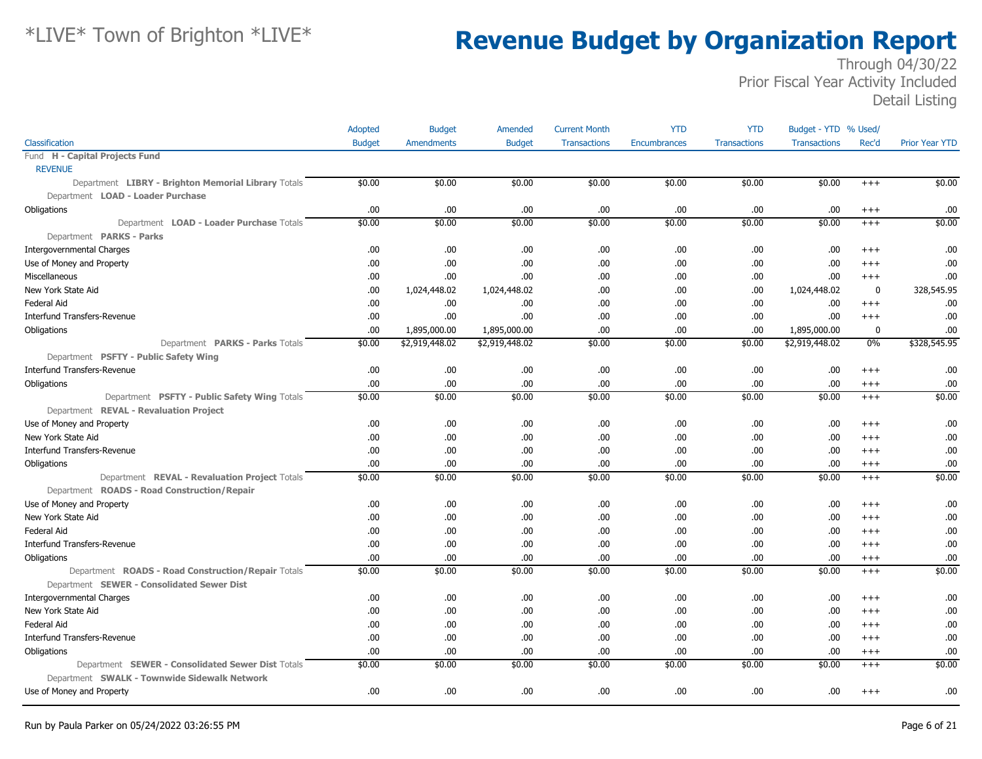|                                                     | Adopted       | <b>Budget</b>     | Amended        | <b>Current Month</b> | <b>YTD</b>   | <b>YTD</b>          | Budget - YTD % Used/ |             |                       |
|-----------------------------------------------------|---------------|-------------------|----------------|----------------------|--------------|---------------------|----------------------|-------------|-----------------------|
| Classification                                      | <b>Budget</b> | <b>Amendments</b> | <b>Budget</b>  | <b>Transactions</b>  | Encumbrances | <b>Transactions</b> | <b>Transactions</b>  | Rec'd       | <b>Prior Year YTD</b> |
| Fund H - Capital Projects Fund                      |               |                   |                |                      |              |                     |                      |             |                       |
| <b>REVENUE</b>                                      |               |                   |                |                      |              |                     |                      |             |                       |
| Department LIBRY - Brighton Memorial Library Totals | \$0.00        | \$0.00            | \$0.00         | \$0.00               | \$0.00       | \$0.00              | \$0.00               | $^{+++}$    | \$0.00                |
| Department LOAD - Loader Purchase                   |               |                   |                |                      |              |                     |                      |             |                       |
| Obligations                                         | .00.          | .00               | .00.           | .00                  | .00.         | .00                 | .00                  | $^{+++}$    | .00                   |
| Department LOAD - Loader Purchase Totals            | \$0.00        | \$0.00            | \$0.00         | \$0.00               | \$0.00       | \$0.00              | \$0.00               | $^{+++}$    | \$0.00                |
| Department PARKS - Parks                            |               |                   |                |                      |              |                     |                      |             |                       |
| <b>Intergovernmental Charges</b>                    | .00.          | .00               | .00.           | .00                  | .00.         | .00                 | .00                  | $^{+++}$    | .00                   |
| Use of Money and Property                           | .00.          | .00               | .00.           | .00                  | .00.         | .00                 | .00                  | $+++$       | .00                   |
| Miscellaneous                                       | .00.          | .00               | .00.           | .00                  | .00.         | .00.                | .00                  | $+++$       | .00                   |
| New York State Aid                                  | .00.          | 1,024,448.02      | 1,024,448.02   | .00                  | .00.         | .00                 | 1,024,448.02         | $\mathbf 0$ | 328,545.95            |
| <b>Federal Aid</b>                                  | .00           | .00               | .00.           | .00                  | .00.         | .00.                | .00                  | $^{++}$     | .00                   |
| Interfund Transfers-Revenue                         | .00.          | .00               | .00.           | .00                  | .00.         | .00.                | .00                  | $++++$      | .00                   |
| Obligations                                         | .00.          | 1,895,000.00      | 1,895,000.00   | .00                  | .00.         | .00.                | 1,895,000.00         | 0           | .00                   |
| Department PARKS - Parks Totals                     | \$0.00        | \$2,919,448.02    | \$2,919,448.02 | \$0.00               | \$0.00       | \$0.00              | \$2,919,448.02       | $0\%$       | \$328,545.95          |
| Department PSFTY - Public Safety Wing               |               |                   |                |                      |              |                     |                      |             |                       |
| <b>Interfund Transfers-Revenue</b>                  | .00.          | .00               | .00.           | .00                  | .00.         | .00                 | .00                  | $^{+++}$    | .00                   |
| Obligations                                         | .00           | .00               | .00.           | .00                  | .00.         | .00                 | .00                  | $^{+++}$    | .00                   |
| Department PSFTY - Public Safety Wing Totals        | \$0.00        | \$0.00            | \$0.00         | \$0.00               | \$0.00       | \$0.00              | \$0.00               | $^{+++}$    | \$0.00                |
| Department REVAL - Revaluation Project              |               |                   |                |                      |              |                     |                      |             |                       |
| Use of Money and Property                           | .00.          | .00               | .00.           | .00                  | .00.         | .00                 | .00                  | $++++$      | .00                   |
| New York State Aid                                  | .00.          | .00               | .00.           | .00                  | .00.         | .00                 | .00                  | $^{++}$     | .00                   |
| <b>Interfund Transfers-Revenue</b>                  | .00.          | .00               | .00            | .00                  | .00.         | .00                 | .00                  | $^{+++}$    | .00                   |
| Obligations                                         | .00.          | .00               | .00.           | .00                  | .00.         | .00.                | .00                  | $^{+++}$    | .00                   |
| Department REVAL - Revaluation Project Totals       | \$0.00        | \$0.00            | \$0.00         | \$0.00               | \$0.00       | \$0.00              | \$0.00               | $^{+++}$    | \$0.00                |
| Department ROADS - Road Construction/Repair         |               |                   |                |                      |              |                     |                      |             |                       |
| Use of Money and Property                           | .00.          | .00               | .00.           | .00                  | .00.         | .00                 | .00                  | $^{+++}$    | .00                   |
| New York State Aid                                  | .00.          | .00               | .00.           | .00                  | .00.         | .00.                | .00                  | $^{+++}$    | .00                   |
| <b>Federal Aid</b>                                  | .00.          | .00               | .00.           | .00                  | .00.         | .00                 | .00                  | $^{+++}$    | .00                   |
| Interfund Transfers-Revenue                         | .00.          | .00               | .00.           | .00                  | .00.         | .00                 | .00                  | $+++$       | .00                   |
| Obligations                                         | .00.          | .00               | .00.           | .00                  | .00.         | .00.                | .00                  | $^{+++}$    | .00                   |
| Department ROADS - Road Construction/Repair Totals  | \$0.00        | \$0.00            | \$0.00         | \$0.00               | \$0.00       | \$0.00              | \$0.00               | $^{+++}$    | \$0.00                |
| Department SEWER - Consolidated Sewer Dist          |               |                   |                |                      |              |                     |                      |             |                       |
| <b>Intergovernmental Charges</b>                    | .00.          | .00               | .00.           | .00                  | .00.         | .00                 | .00                  | $^{+++}$    | .00                   |
| New York State Aid                                  | .00.          | .00               | .00.           | .00                  | .00.         | .00                 | .00                  | $^{++}$     | .00                   |
| <b>Federal Aid</b>                                  | .00.          | .00               | .00.           | .00                  | .00.         | .00                 | .00                  | $^{+++}$    | .00                   |
| Interfund Transfers-Revenue                         | .00           | .00               | .00            | .00                  | .00.         | .00                 | .00                  | $^{+++}$    | .00                   |
| Obligations                                         | .00           | .00               | .00.           | .00                  | .00.         | .00.                | .00                  | $^{+++}$    | .00                   |
| Department SEWER - Consolidated Sewer Dist Totals   | \$0.00        | \$0.00            | \$0.00         | \$0.00               | \$0.00       | \$0.00              | \$0.00               | $^{+++}$    | \$0.00                |
| Department SWALK - Townwide Sidewalk Network        |               |                   |                |                      |              |                     |                      |             |                       |
| Use of Money and Property                           | .00.          | .00               | .00.           | .00                  | .00.         | .00                 | .00                  | $^{+++}$    | .00                   |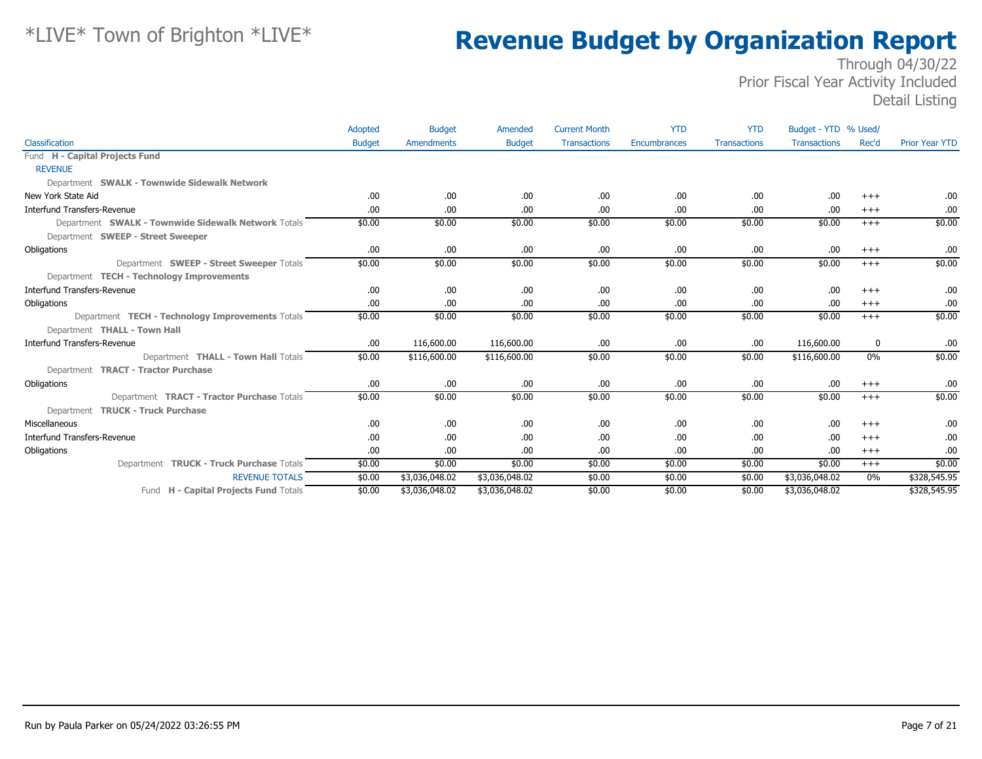|                                                     | Adopted       | <b>Budget</b>     | Amended        | <b>Current Month</b> | <b>YTD</b>   | <b>YTD</b>          | Budget - YTD % Used/ |          |                       |
|-----------------------------------------------------|---------------|-------------------|----------------|----------------------|--------------|---------------------|----------------------|----------|-----------------------|
| Classification                                      | <b>Budget</b> | <b>Amendments</b> | <b>Budget</b>  | <b>Transactions</b>  | Encumbrances | <b>Transactions</b> | <b>Transactions</b>  | Rec'd    | <b>Prior Year YTD</b> |
| Fund H - Capital Projects Fund                      |               |                   |                |                      |              |                     |                      |          |                       |
| <b>REVENUE</b>                                      |               |                   |                |                      |              |                     |                      |          |                       |
| Department SWALK - Townwide Sidewalk Network        |               |                   |                |                      |              |                     |                      |          |                       |
| New York State Aid                                  | .00.          | .00               | .00.           | .00                  | .00          | .00                 | .00                  | $+++$    | .00                   |
| <b>Interfund Transfers-Revenue</b>                  | .00.          | .00               | .00.           | .00                  | .00          | .00                 | .00                  | $+++$    | .00.                  |
| Department SWALK - Townwide Sidewalk Network Totals | \$0.00        | \$0.00            | \$0.00         | \$0.00               | \$0.00       | \$0.00              | \$0.00               | $+++$    | \$0.00                |
| Department SWEEP - Street Sweeper                   |               |                   |                |                      |              |                     |                      |          |                       |
| Obligations                                         | .00.          | .00               | .00            | .00                  | .00          | .00                 | .00                  | $^{+++}$ | .00.                  |
| Department SWEEP - Street Sweeper Totals            | \$0.00        | \$0.00            | \$0.00         | \$0.00               | \$0.00       | \$0.00              | \$0.00               | $+++$    | \$0.00                |
| Department TECH - Technology Improvements           |               |                   |                |                      |              |                     |                      |          |                       |
| <b>Interfund Transfers-Revenue</b>                  | .00.          | .00               | .00.           | .00                  | .00          | .00                 | .00                  | $+++$    | .00.                  |
| Obligations                                         | .00.          | .00               | .00.           | .00                  | .00          | .00                 | .00                  | $+++$    | .00                   |
| Department TECH - Technology Improvements Totals    | \$0.00        | \$0.00            | \$0.00         | \$0.00               | \$0.00       | \$0.00              | \$0.00               | $+++$    | \$0.00                |
| Department THALL - Town Hall                        |               |                   |                |                      |              |                     |                      |          |                       |
| <b>Interfund Transfers-Revenue</b>                  | .00.          | 116,600.00        | 116,600.00     | .00                  | .00          | .00                 | 116,600.00           | 0        | .00                   |
| Department THALL - Town Hall Totals                 | \$0.00        | \$116,600.00      | \$116,600.00   | \$0.00               | \$0.00       | \$0.00              | \$116,600.00         | $0\%$    | \$0.00                |
| Department TRACT - Tractor Purchase                 |               |                   |                |                      |              |                     |                      |          |                       |
| Obligations                                         | .00.          | .00               | .00            | .00                  | .00.         | .00                 | .00                  | $^{+++}$ | .00.                  |
| Department <b>TRACT - Tractor Purchase Totals</b>   | \$0.00        | \$0.00            | \$0.00         | \$0.00               | \$0.00       | \$0.00              | \$0.00               | $+++$    | \$0.00                |
| Department TRUCK - Truck Purchase                   |               |                   |                |                      |              |                     |                      |          |                       |
| Miscellaneous                                       | .00.          | .00               | .00.           | .00                  | .00.         | .00                 | .00                  | $+++$    | .00.                  |
| Interfund Transfers-Revenue                         | .00.          | .00               | .00.           | .00                  | .00          | .00                 | .00                  | $+++$    | .00                   |
| Obligations                                         | .00.          | .00               | .00            | .00                  | .00          | .00                 | .00                  | $+++$    | .00                   |
| Department TRUCK - Truck Purchase Totals            | \$0.00        | \$0.00            | \$0.00         | \$0.00               | \$0.00       | \$0.00              | \$0.00               | $+++$    | \$0.00                |
| <b>REVENUE TOTALS</b>                               | \$0.00        | \$3,036,048.02    | \$3,036,048.02 | \$0.00               | \$0.00       | \$0.00              | \$3,036,048.02       | $0\%$    | \$328,545.95          |
| Fund H - Capital Projects Fund Totals               | \$0.00        | \$3,036,048.02    | \$3,036,048.02 | \$0.00               | \$0.00       | \$0.00              | \$3,036,048.02       |          | \$328,545.95          |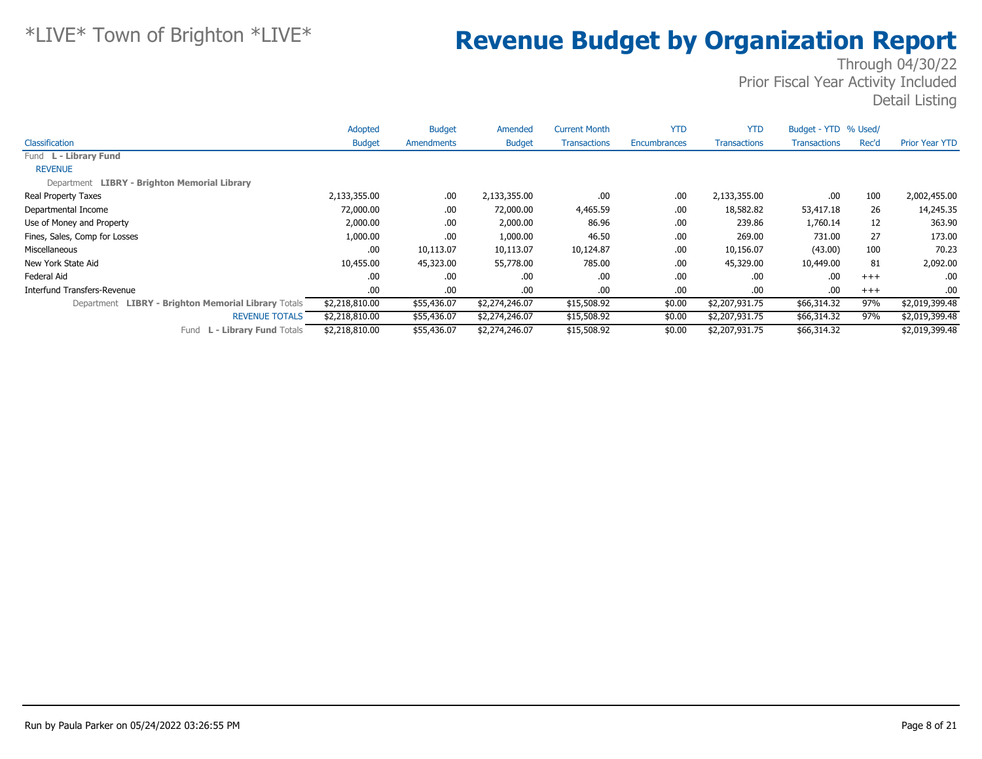|                                                     | Adopted        | <b>Budget</b> | Amended        | <b>Current Month</b> | <b>YTD</b>   | <b>YTD</b>          | Budget - YTD % Used/ |       |                       |
|-----------------------------------------------------|----------------|---------------|----------------|----------------------|--------------|---------------------|----------------------|-------|-----------------------|
| Classification                                      | <b>Budget</b>  | Amendments    | <b>Budget</b>  | <b>Transactions</b>  | Encumbrances | <b>Transactions</b> | <b>Transactions</b>  | Rec'd | <b>Prior Year YTD</b> |
| Fund L - Library Fund                               |                |               |                |                      |              |                     |                      |       |                       |
| <b>REVENUE</b>                                      |                |               |                |                      |              |                     |                      |       |                       |
| Department LIBRY - Brighton Memorial Library        |                |               |                |                      |              |                     |                      |       |                       |
| Real Property Taxes                                 | 2,133,355.00   | .00.          | 2,133,355.00   | .00.                 | .00          | 2,133,355.00        | .00                  | 100   | 2,002,455.00          |
| Departmental Income                                 | 72,000.00      | .00.          | 72,000.00      | 4,465.59             | .00          | 18,582.82           | 53,417.18            | 26    | 14,245.35             |
| Use of Money and Property                           | 2,000.00       | .00.          | 2,000.00       | 86.96                | .00          | 239.86              | 1,760.14             | 12    | 363.90                |
| Fines, Sales, Comp for Losses                       | 1,000.00       | .00.          | 1,000.00       | 46.50                | .00          | 269.00              | 731.00               | 27    | 173.00                |
| Miscellaneous                                       | .00            | 10,113.07     | 10,113.07      | 10,124.87            | .00          | 10,156.07           | (43.00)              | 100   | 70.23                 |
| New York State Aid                                  | 10,455.00      | 45,323.00     | 55,778.00      | 785.00               | .00          | 45,329.00           | 10,449.00            | 81    | 2,092.00              |
| Federal Aid                                         | .00            | .00.          | .00            | .00.                 | .00          | .00                 | .00                  | $+++$ | .00                   |
| Interfund Transfers-Revenue                         | .00            | .00.          | .00.           | .00.                 | .00          | .00                 | .00                  | $+++$ | .00                   |
| Department LIBRY - Brighton Memorial Library Totals | \$2,218,810.00 | \$55,436.07   | \$2,274,246.07 | \$15,508.92          | \$0.00       | \$2,207,931.75      | \$66,314.32          | 97%   | \$2,019,399.48        |
| <b>REVENUE TOTALS</b>                               | \$2,218,810.00 | \$55,436.07   | \$2,274,246.07 | \$15,508.92          | \$0.00       | \$2,207,931.75      | \$66,314.32          | 97%   | \$2,019,399.48        |
| L - Library Fund Totals<br>Fund                     | \$2,218,810.00 | \$55,436.07   | \$2,274,246.07 | \$15,508.92          | \$0.00       | \$2,207,931.75      | \$66,314.32          |       | \$2,019,399.48        |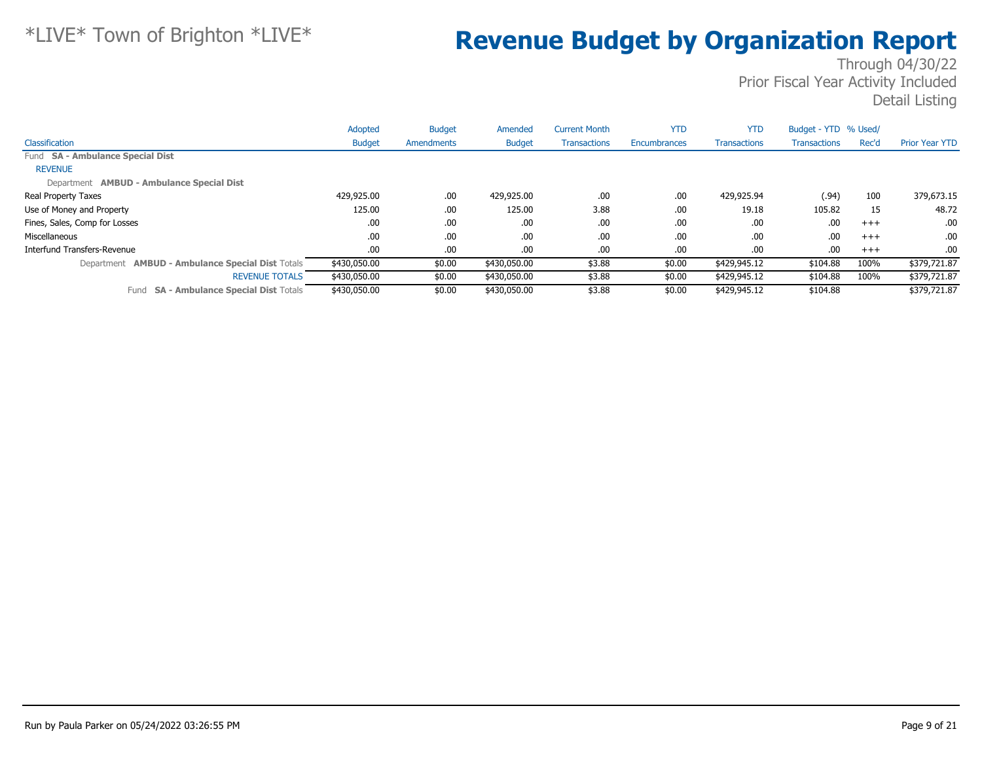|                                                         | Adopted       | <b>Budget</b> | Amended       | <b>Current Month</b> | <b>YTD</b>   | <b>YTD</b>          | Budget - YTD % Used/ |          |                       |
|---------------------------------------------------------|---------------|---------------|---------------|----------------------|--------------|---------------------|----------------------|----------|-----------------------|
| Classification                                          | <b>Budget</b> | Amendments    | <b>Budget</b> | <b>Transactions</b>  | Encumbrances | <b>Transactions</b> | <b>Transactions</b>  | Rec'd    | <b>Prior Year YTD</b> |
| Fund SA - Ambulance Special Dist                        |               |               |               |                      |              |                     |                      |          |                       |
| <b>REVENUE</b>                                          |               |               |               |                      |              |                     |                      |          |                       |
| Department AMBUD - Ambulance Special Dist               |               |               |               |                      |              |                     |                      |          |                       |
| Real Property Taxes                                     | 429,925.00    | .00.          | 429,925.00    | .00                  | .00          | 429,925.94          | (.94)                | 100      | 379,673.15            |
| Use of Money and Property                               | 125.00        | .00.          | 125.00        | 3.88                 | .00          | 19.18               | 105.82               | 15       | 48.72                 |
| Fines, Sales, Comp for Losses                           | .00.          | .00.          | .00.          | .00                  | .00          | .00                 | .00                  | $^{+++}$ | .00.                  |
| Miscellaneous                                           | .00           | .00.          | .00.          | .00                  | .00          | .00                 | .00                  | $^{+++}$ | .00.                  |
| Interfund Transfers-Revenue                             | .00.          | .00.          | .00.          | .00                  | .00          | .00                 | .00                  | $+++$    | .00.                  |
| Department <b>AMBUD - Ambulance Special Dist Totals</b> | \$430,050.00  | \$0.00        | \$430,050.00  | \$3.88               | \$0.00       | \$429,945.12        | \$104.88             | 100%     | \$379,721.87          |
| <b>REVENUE TOTALS</b>                                   | \$430,050.00  | \$0.00        | \$430,050.00  | \$3.88               | \$0.00       | \$429,945.12        | \$104.88             | 100%     | \$379,721.87          |
| <b>SA - Ambulance Special Dist Totals</b><br>Fund       | \$430,050,00  | \$0.00        | \$430,050.00  | \$3.88               | \$0.00       | \$429,945.12        | \$104.88             |          | \$379,721.87          |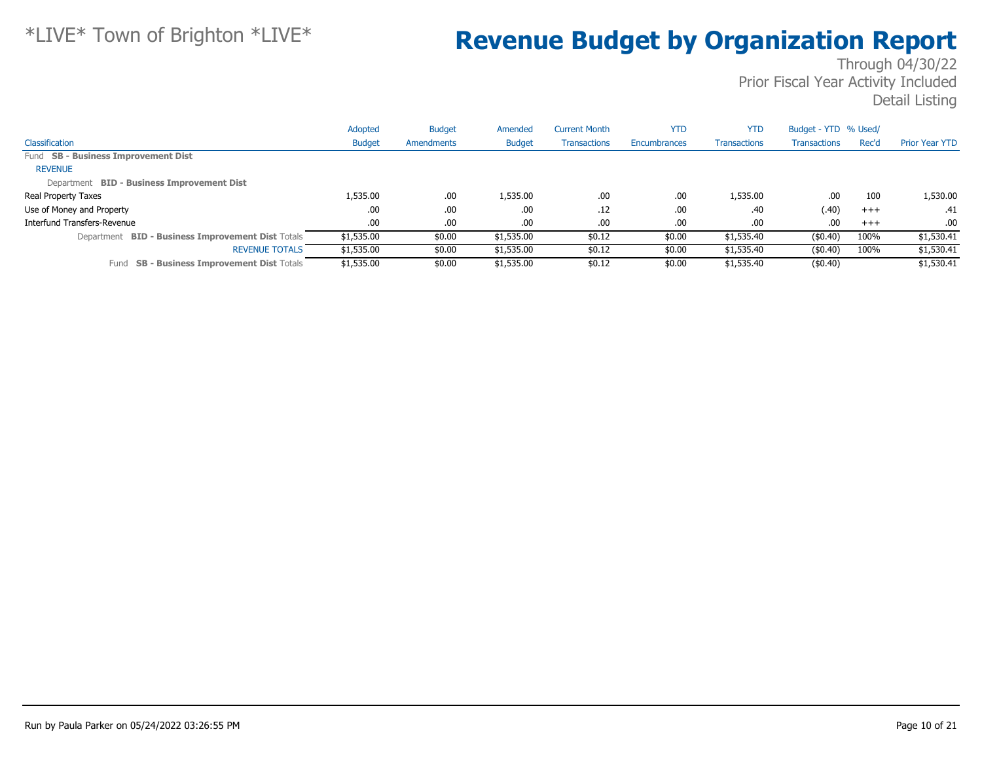|                                                             | Adopted       | <b>Budget</b> | Amended       | <b>Current Month</b> | <b>YTD</b>   | <b>YTD</b>          | Budget - YTD % Used/ |       |                       |
|-------------------------------------------------------------|---------------|---------------|---------------|----------------------|--------------|---------------------|----------------------|-------|-----------------------|
| Classification                                              | <b>Budget</b> | Amendments    | <b>Budget</b> | <b>Transactions</b>  | Encumbrances | <b>Transactions</b> | <b>Transactions</b>  | Rec'd | <b>Prior Year YTD</b> |
| Fund SB - Business Improvement Dist                         |               |               |               |                      |              |                     |                      |       |                       |
| <b>REVENUE</b>                                              |               |               |               |                      |              |                     |                      |       |                       |
| Department BID - Business Improvement Dist                  |               |               |               |                      |              |                     |                      |       |                       |
| Real Property Taxes                                         | 1,535.00      | .00.          | 1,535.00      | .00                  | .00          | 1,535.00            | .00                  | 100   | 1,530.00              |
| Use of Money and Property                                   | .00           | .00.          | .00           | .12                  | .00          | .40                 | (.40)                | $+++$ | .41                   |
| Interfund Transfers-Revenue                                 | .00.          | .00.          | .00           | .00                  | .00          | .00                 | .00                  | $+++$ | .00                   |
| <b>BID - Business Improvement Dist Totals</b><br>Department | \$1,535.00    | \$0.00        | \$1,535.00    | \$0.12               | \$0.00       | \$1,535.40          | (\$0.40)             | 100%  | \$1,530.41            |
| <b>REVENUE TOTALS</b>                                       | \$1,535.00    | \$0.00        | \$1,535.00    | \$0.12               | \$0.00       | \$1,535.40          | $($ \$0.40)          | 100%  | \$1,530.41            |
| <b>SB - Business Improvement Dist Totals</b><br>Fund        | \$1,535.00    | \$0.00        | \$1,535.00    | \$0.12               | \$0.00       | \$1,535.40          | $($ \$0.40)          |       | \$1,530.41            |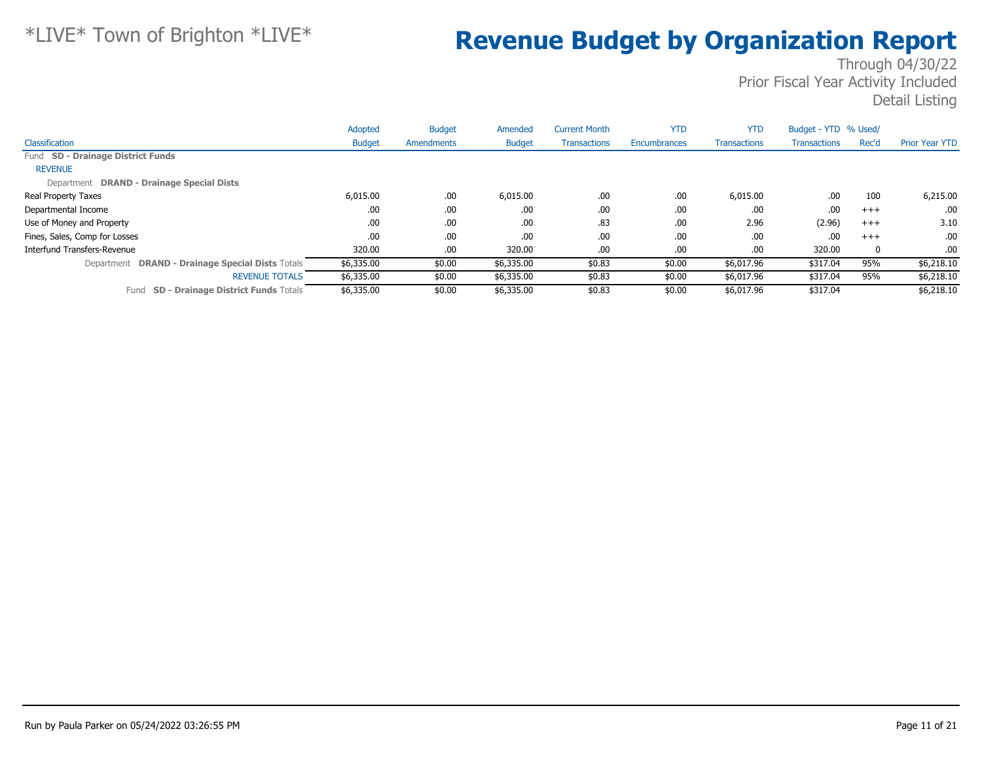|                                                    | Adopted       | <b>Budget</b> | Amended       | <b>Current Month</b> | <b>YTD</b>   | <b>YTD</b>          | Budget - YTD % Used/ |       |                       |
|----------------------------------------------------|---------------|---------------|---------------|----------------------|--------------|---------------------|----------------------|-------|-----------------------|
| Classification                                     | <b>Budget</b> | Amendments    | <b>Budget</b> | <b>Transactions</b>  | Encumbrances | <b>Transactions</b> | <b>Transactions</b>  | Rec'd | <b>Prior Year YTD</b> |
| Fund SD - Drainage District Funds                  |               |               |               |                      |              |                     |                      |       |                       |
| <b>REVENUE</b>                                     |               |               |               |                      |              |                     |                      |       |                       |
| Department DRAND - Drainage Special Dists          |               |               |               |                      |              |                     |                      |       |                       |
| <b>Real Property Taxes</b>                         | 6,015.00      | .00.          | 6,015.00      | .00.                 | .00          | 6,015.00            | .00                  | 100   | 6,215.00              |
| Departmental Income                                | .00           | .00.          | .00.          | .00.                 | .00          | .00                 | .00                  | $+++$ | .00.                  |
| Use of Money and Property                          | .00           | .00.          | .00           | .83                  | .00          | 2.96                | (2.96)               | $+++$ | 3.10                  |
| Fines, Sales, Comp for Losses                      | .00           | .00.          | .00.          | .00.                 | .00          | .00                 | .00                  | $+++$ | .00                   |
| Interfund Transfers-Revenue                        | 320.00        | .00.          | 320.00        | .00.                 | .00          | .00.                | 320.00               | 0     | .00                   |
| Department DRAND - Drainage Special Dists Totals   | \$6,335.00    | \$0.00        | \$6,335.00    | \$0.83               | \$0.00       | \$6,017.96          | \$317.04             | 95%   | \$6,218.10            |
| <b>REVENUE TOTALS</b>                              | \$6,335.00    | \$0.00        | \$6,335.00    | \$0.83               | \$0.00       | \$6,017.96          | \$317.04             | 95%   | \$6,218.10            |
| <b>SD - Drainage District Funds Totals</b><br>Fund | \$6,335.00    | \$0.00        | \$6,335.00    | \$0.83               | \$0.00       | \$6,017.96          | \$317.04             |       | \$6,218.10            |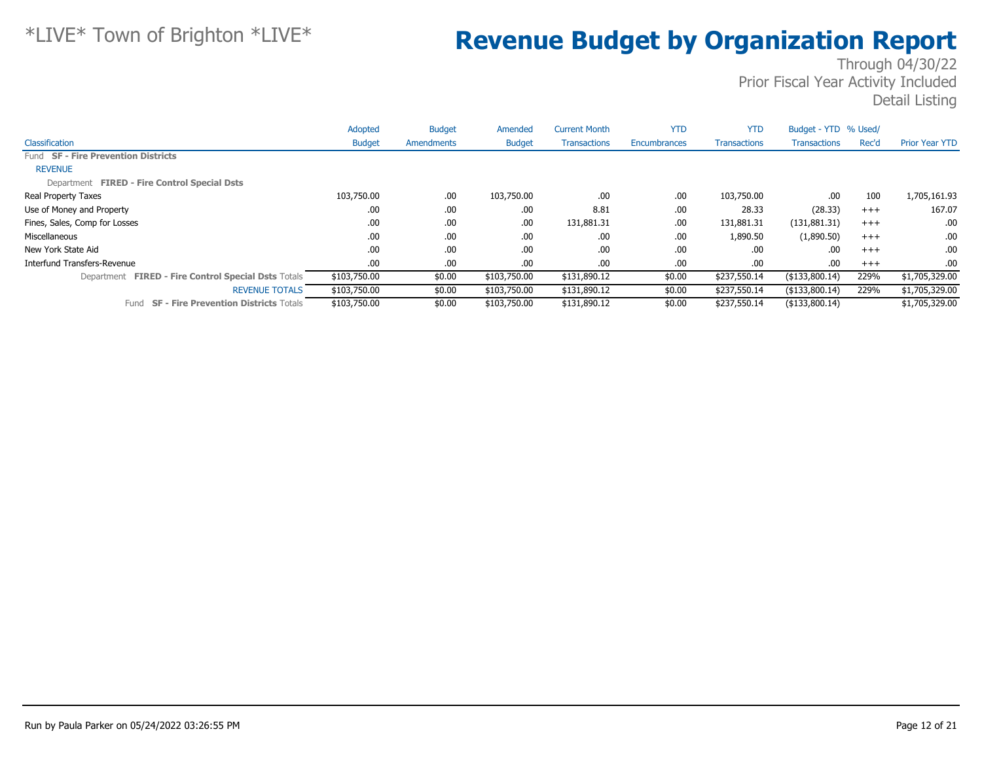|                                                      | Adopted       | <b>Budget</b> | Amended       | <b>Current Month</b> | <b>YTD</b>   | <b>YTD</b>          | Budget - YTD % Used/ |       |                       |
|------------------------------------------------------|---------------|---------------|---------------|----------------------|--------------|---------------------|----------------------|-------|-----------------------|
| Classification                                       | <b>Budget</b> | Amendments    | <b>Budget</b> | <b>Transactions</b>  | Encumbrances | <b>Transactions</b> | <b>Transactions</b>  | Rec'd | <b>Prior Year YTD</b> |
| Fund SF - Fire Prevention Districts                  |               |               |               |                      |              |                     |                      |       |                       |
| <b>REVENUE</b>                                       |               |               |               |                      |              |                     |                      |       |                       |
| Department FIRED - Fire Control Special Dsts         |               |               |               |                      |              |                     |                      |       |                       |
| Real Property Taxes                                  | 103,750.00    | .00.          | 103,750.00    | .00.                 | .00          | 103,750.00          | .00                  | 100   | 1,705,161.93          |
| Use of Money and Property                            | .00           | .00.          | .00.          | 8.81                 | .00          | 28.33               | (28.33)              | $+++$ | 167.07                |
| Fines, Sales, Comp for Losses                        | .00           | .00.          | .00.          | 131,881.31           | .00          | 131,881.31          | (131,881.31)         | $+++$ | .00                   |
| Miscellaneous                                        | .00           | .00.          | .00           | .00.                 | .00          | 1,890.50            | (1,890.50)           | $+++$ | .00                   |
| New York State Aid                                   | .00           | .00.          | .00           | .00.                 | .00          | .00                 | .00                  | $+++$ | .00                   |
| Interfund Transfers-Revenue                          | .00           | .00.          | .00.          | .00.                 | .00          | .00                 | .00                  | $+++$ | .00                   |
| Department FIRED - Fire Control Special Dsts Totals  | \$103,750.00  | \$0.00        | \$103,750.00  | \$131,890.12         | \$0.00       | \$237,550.14        | ( \$133,800.14)      | 229%  | \$1,705,329.00        |
| <b>REVENUE TOTALS</b>                                | \$103,750.00  | \$0.00        | \$103,750.00  | \$131,890.12         | \$0.00       | \$237,550.14        | $($ \$133,800.14)    | 229%  | \$1,705,329.00        |
| <b>SF - Fire Prevention Districts Totals</b><br>Fund | \$103,750.00  | \$0.00        | \$103,750.00  | \$131,890.12         | \$0.00       | \$237,550.14        | $($ \$133,800.14)    |       | \$1,705,329.00        |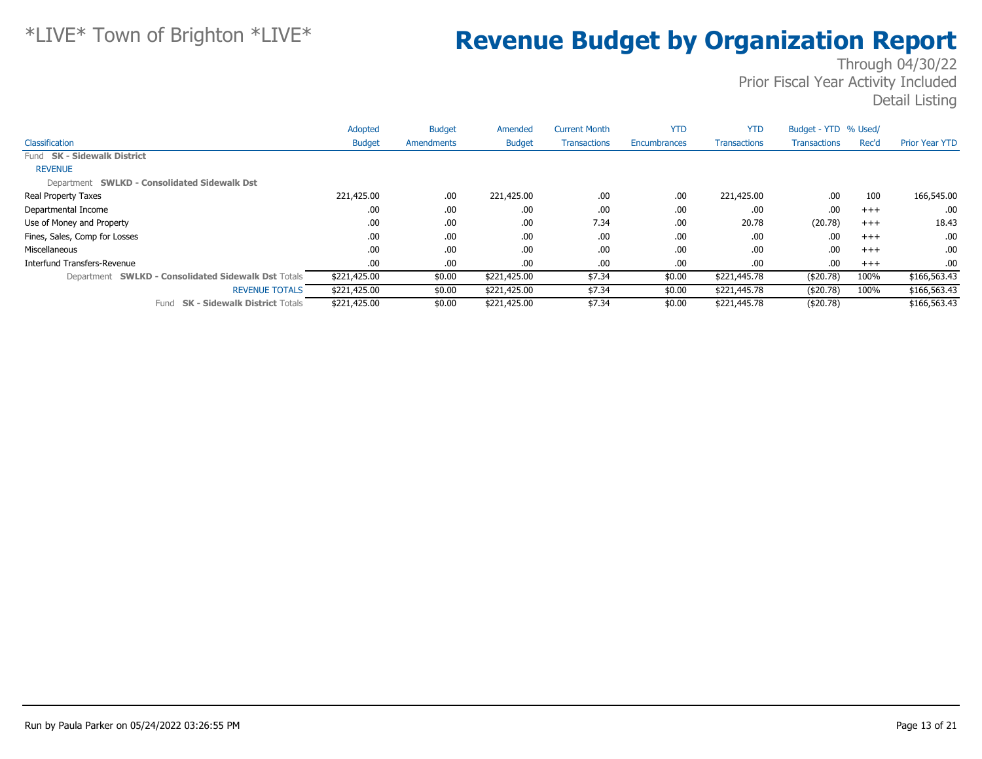|                                                     | Adopted       | <b>Budget</b> | Amended       | <b>Current Month</b> | <b>YTD</b>   | <b>YTD</b>          | Budget - YTD % Used/ |          |                       |
|-----------------------------------------------------|---------------|---------------|---------------|----------------------|--------------|---------------------|----------------------|----------|-----------------------|
| Classification                                      | <b>Budget</b> | Amendments    | <b>Budget</b> | <b>Transactions</b>  | Encumbrances | <b>Transactions</b> | <b>Transactions</b>  | Rec'd    | <b>Prior Year YTD</b> |
| Fund SK - Sidewalk District                         |               |               |               |                      |              |                     |                      |          |                       |
| <b>REVENUE</b>                                      |               |               |               |                      |              |                     |                      |          |                       |
| Department SWLKD - Consolidated Sidewalk Dst        |               |               |               |                      |              |                     |                      |          |                       |
| Real Property Taxes                                 | 221,425.00    | .00           | 221,425.00    | .00                  | .00          | 221,425.00          | .00.                 | 100      | 166,545.00            |
| Departmental Income                                 | .00           | .00           | .00           | .00                  | .00          | .00                 | .00.                 | $+++$    | .00.                  |
| Use of Money and Property                           | .00           | .00           | .00           | 7.34                 | .00          | 20.78               | (20.78)              | $^{+++}$ | 18.43                 |
| Fines, Sales, Comp for Losses                       | .00           | .00           | .00           | .00                  | .00          | .00.                | .00.                 | $+++$    | .00.                  |
| Miscellaneous                                       | .00           | .00           | .00           | .00                  | .00          | .00.                | .00.                 | $+++$    | .00.                  |
| Interfund Transfers-Revenue                         | .00           | .00           | .00           | .00.                 | .00          | .00.                | .00.                 | $+++$    | $.00\,$               |
| Department SWLKD - Consolidated Sidewalk Dst Totals | \$221,425.00  | \$0.00        | \$221,425.00  | \$7.34               | \$0.00       | \$221,445.78        | ( \$20.78)           | 100%     | \$166,563.43          |
| <b>REVENUE TOTALS</b>                               | \$221,425.00  | \$0.00        | \$221,425.00  | \$7.34               | \$0.00       | \$221,445.78        | ( \$20.78)           | 100%     | \$166,563.43          |
| <b>SK - Sidewalk District Totals</b><br>Fund        | \$221,425.00  | \$0.00        | \$221,425.00  | \$7.34               | \$0.00       | \$221,445.78        | ( \$20.78)           |          | \$166,563.43          |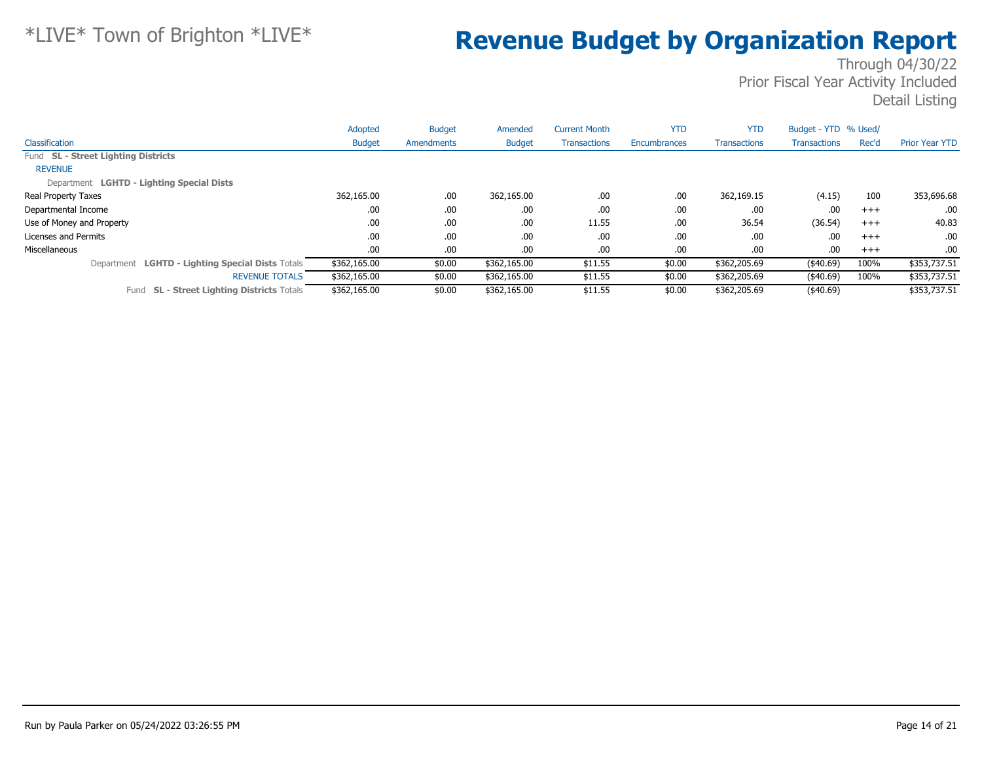|                                                      | Adopted       | <b>Budget</b> | Amended       | <b>Current Month</b> | <b>YTD</b>          | <b>YTD</b>          | Budget - YTD % Used/ |          |                          |
|------------------------------------------------------|---------------|---------------|---------------|----------------------|---------------------|---------------------|----------------------|----------|--------------------------|
| Classification                                       | <b>Budget</b> | Amendments    | <b>Budget</b> | <b>Transactions</b>  | <b>Encumbrances</b> | <b>Transactions</b> | Transactions         | Rec'd    | <b>Prior Year YTD</b>    |
| Fund SL - Street Lighting Districts                  |               |               |               |                      |                     |                     |                      |          |                          |
| <b>REVENUE</b>                                       |               |               |               |                      |                     |                     |                      |          |                          |
| Department LGHTD - Lighting Special Dists            |               |               |               |                      |                     |                     |                      |          |                          |
| <b>Real Property Taxes</b>                           | 362,165.00    | .00           | 362,165.00    | .00                  | .00                 | 362,169.15          | (4.15)               | 100      | 353,696.68               |
| Departmental Income                                  | .00.          | .00           | .00           | .00                  | .00                 | .00                 | .00                  | $+++$    | .00.                     |
| Use of Money and Property                            | .00           | .00           | .00           | 11.55                | .00                 | 36.54               | (36.54)              | $+++$    | 40.83                    |
| Licenses and Permits                                 | .00           | .00           | .00           | .00                  | .00                 | .00                 | .00                  | $^{+++}$ | .00.                     |
| Miscellaneous                                        | .00.          | .00           | .00           | .00                  | .00                 | .00                 | .00                  | $+++$    | .00.                     |
| Department LGHTD - Lighting Special Dists Totals     | \$362,165.00  | \$0.00        | \$362,165.00  | \$11.55              | \$0.00              | \$362,205.69        | (40.69)              | 100%     | \$353,737.51             |
| <b>REVENUE TOTALS</b>                                | \$362,165.00  | \$0.00        | \$362,165.00  | \$11.55              | \$0.00              | \$362,205.69        | (40.69)              | 100%     | $\overline{$353,737.51}$ |
| <b>SL - Street Lighting Districts Totals</b><br>Fund | \$362,165.00  | \$0.00        | \$362,165.00  | \$11.55              | \$0.00              | \$362,205.69        | (40.69)              |          | \$353,737.51             |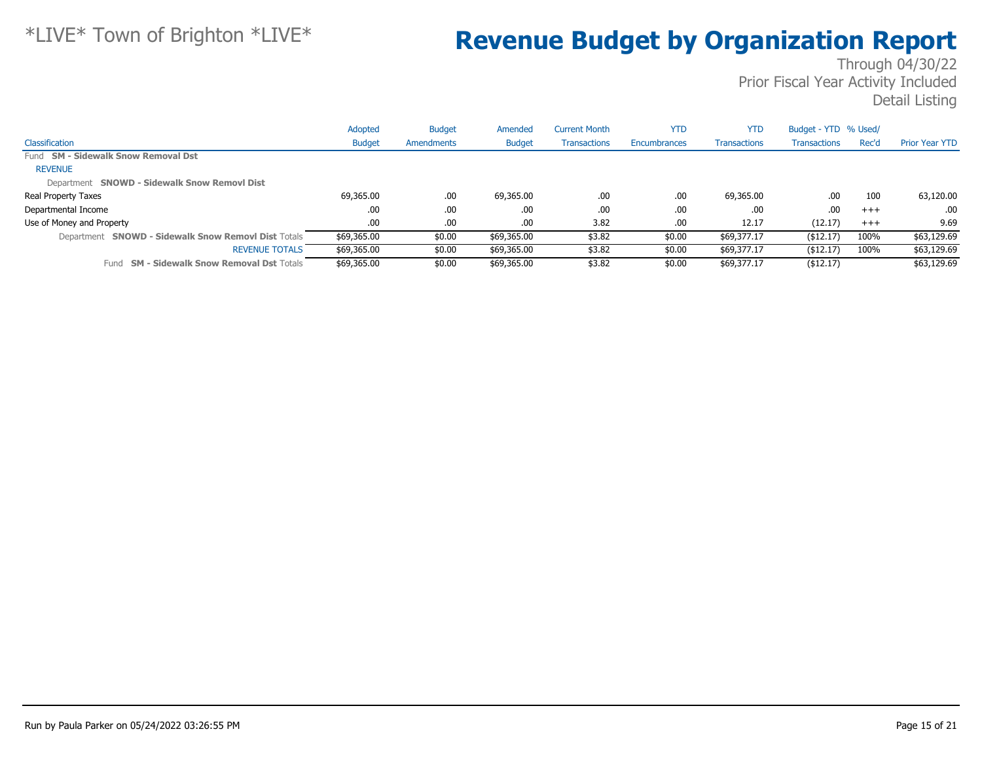|                                                     | Adopted       | <b>Budget</b> | Amended       | <b>Current Month</b> | <b>YTD</b>   | <b>YTD</b>          | Budget - YTD % Used/ |       |                       |
|-----------------------------------------------------|---------------|---------------|---------------|----------------------|--------------|---------------------|----------------------|-------|-----------------------|
| Classification                                      | <b>Budget</b> | Amendments    | <b>Budget</b> | <b>Transactions</b>  | Encumbrances | <b>Transactions</b> | <b>Transactions</b>  | Rec'd | <b>Prior Year YTD</b> |
| Fund SM - Sidewalk Snow Removal Dst                 |               |               |               |                      |              |                     |                      |       |                       |
| <b>REVENUE</b>                                      |               |               |               |                      |              |                     |                      |       |                       |
| Department SNOWD - Sidewalk Snow Removl Dist        |               |               |               |                      |              |                     |                      |       |                       |
| Real Property Taxes                                 | 69,365.00     | .00.          | 69,365.00     | .00                  | .00          | 69,365.00           | .00                  | 100   | 63,120.00             |
| Departmental Income                                 | .00           | .00           | .00           | .00                  | .00          | .00                 | .00                  | $+++$ | .00                   |
| Use of Money and Property                           | .00.          | .00.          | .00           | 3.82                 | .00          | 12.17               | (12.17)              | $+++$ | 9.69                  |
| Department SNOWD - Sidewalk Snow Removl Dist Totals | \$69,365.00   | \$0.00        | \$69,365.00   | \$3.82               | \$0.00       | \$69,377.17         | ( \$12.17)           | 100%  | \$63,129.69           |
| <b>REVENUE TOTALS</b>                               | \$69,365.00   | \$0.00        | \$69,365.00   | \$3.82               | \$0.00       | \$69,377.17         | ( \$12.17)           | 100%  | \$63,129.69           |
| Fund SM - Sidewalk Snow Removal Dst Totals          | \$69,365.00   | \$0.00        | \$69,365.00   | \$3.82               | \$0.00       | \$69,377.17         | ( \$12.17)           |       | \$63,129.69           |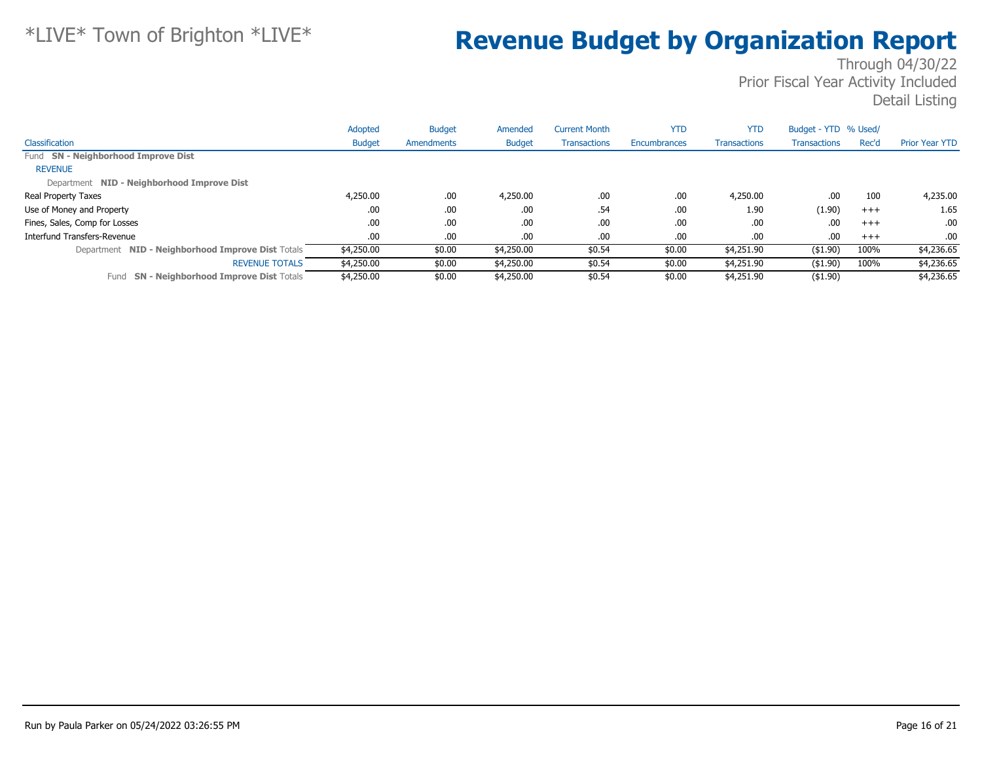|                                                      | Adopted       | <b>Budget</b> | Amended       | <b>Current Month</b> | <b>YTD</b>          | <b>YTD</b>          | Budget - YTD % Used/ |       |                       |
|------------------------------------------------------|---------------|---------------|---------------|----------------------|---------------------|---------------------|----------------------|-------|-----------------------|
| Classification                                       | <b>Budget</b> | Amendments    | <b>Budget</b> | <b>Transactions</b>  | <b>Encumbrances</b> | <b>Transactions</b> | <b>Transactions</b>  | Rec'd | <b>Prior Year YTD</b> |
| Fund SN - Neighborhood Improve Dist                  |               |               |               |                      |                     |                     |                      |       |                       |
| <b>REVENUE</b>                                       |               |               |               |                      |                     |                     |                      |       |                       |
| Department NID - Neighborhood Improve Dist           |               |               |               |                      |                     |                     |                      |       |                       |
| Real Property Taxes                                  | 4,250.00      | .00           | 4,250.00      | .00                  | .00                 | 4,250.00            | .00                  | 100   | 4,235.00              |
| Use of Money and Property                            | .00           | .00           | .00           | .54                  | .00                 | 1.90                | (1.90)               | $+++$ | 1.65                  |
| Fines, Sales, Comp for Losses                        | .00.          | .00           | .00           | .00                  | .00                 | .00                 | .00                  | $+++$ | .00.                  |
| Interfund Transfers-Revenue                          | .00.          | .00           | .00           | .00                  | .00                 | .00                 | .00                  | $+++$ | .00.                  |
| Department NID - Neighborhood Improve Dist Totals    | \$4,250.00    | \$0.00        | \$4,250.00    | \$0.54               | \$0.00              | \$4,251.90          | $($ \$1.90)          | 100%  | \$4,236.65            |
| <b>REVENUE TOTALS</b>                                | \$4,250.00    | \$0.00        | \$4,250.00    | \$0.54               | \$0.00              | \$4,251.90          | ( \$1.90)            | 100%  | \$4,236.65            |
| <b>SN - Neighborhood Improve Dist Totals</b><br>Fund | \$4,250.00    | \$0.00        | \$4,250.00    | \$0.54               | \$0.00              | \$4,251.90          | $($ \$1.90)          |       | \$4,236.65            |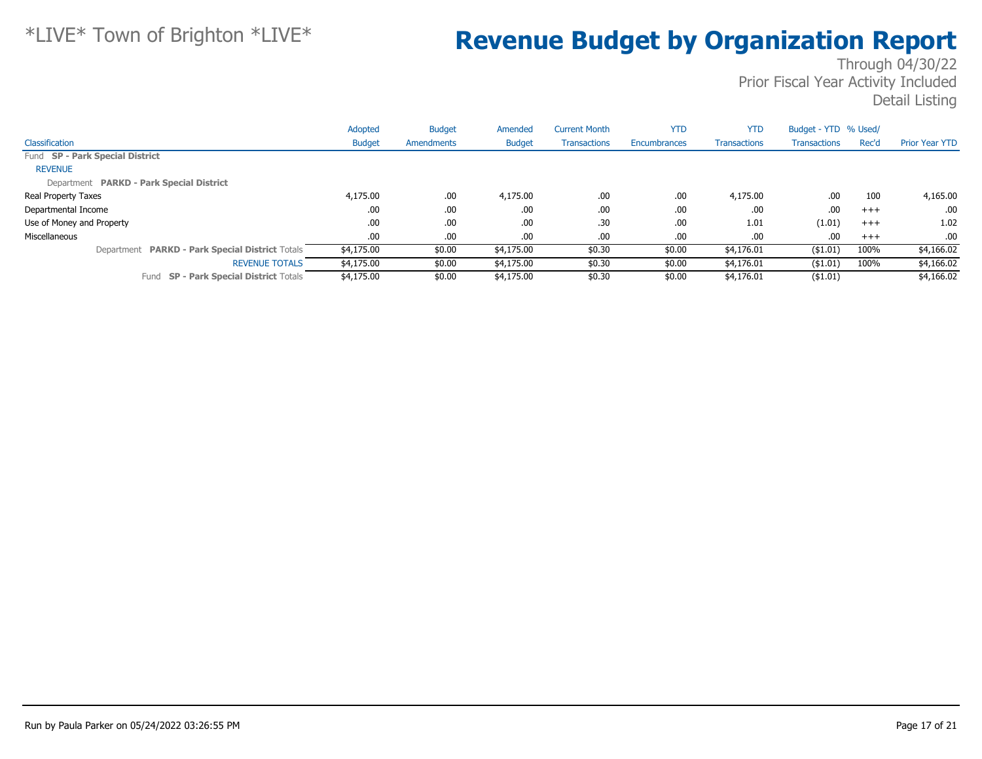|                                                 | Adopted       | <b>Budget</b> | Amended       | <b>Current Month</b> | <b>YTD</b>   | <b>YTD</b>          | Budget - YTD % Used/ |          |                       |
|-------------------------------------------------|---------------|---------------|---------------|----------------------|--------------|---------------------|----------------------|----------|-----------------------|
| Classification                                  | <b>Budget</b> | Amendments    | <b>Budget</b> | <b>Transactions</b>  | Encumbrances | <b>Transactions</b> | Transactions         | Rec'd    | <b>Prior Year YTD</b> |
| Fund SP - Park Special District                 |               |               |               |                      |              |                     |                      |          |                       |
| <b>REVENUE</b>                                  |               |               |               |                      |              |                     |                      |          |                       |
| Department PARKD - Park Special District        |               |               |               |                      |              |                     |                      |          |                       |
| Real Property Taxes                             | 4,175.00      | .00.          | 4,175.00      | .00                  | .00          | 4,175.00            | .00                  | 100      | 4,165.00              |
| Departmental Income                             | .00           | .00.          | .00           | .00                  | .00.         | .00                 | .00                  | $+++$    | $.00 \cdot$           |
| Use of Money and Property                       | .00.          | .00.          | .00.          | .30                  | .00          | 1.01                | (1.01)               | $^{+++}$ | 1.02                  |
| Miscellaneous                                   | .00.          | .00.          | .00.          | .00                  | .00.         | .00                 | .00                  | $+++$    | .00.                  |
| Department PARKD - Park Special District Totals | \$4,175.00    | \$0.00        | \$4,175.00    | \$0.30               | \$0.00       | \$4,176.01          | ( \$1.01)            | 100%     | \$4,166.02            |
| <b>REVENUE TOTALS</b>                           | \$4,175.00    | \$0.00        | \$4,175.00    | \$0.30               | \$0.00       | \$4,176.01          | ( \$1.01)            | 100%     | \$4,166.02            |
| Fund SP - Park Special District Totals          | \$4,175.00    | \$0.00        | \$4,175.00    | \$0.30               | \$0.00       | \$4,176.01          | $($ \$1.01)          |          | \$4,166.02            |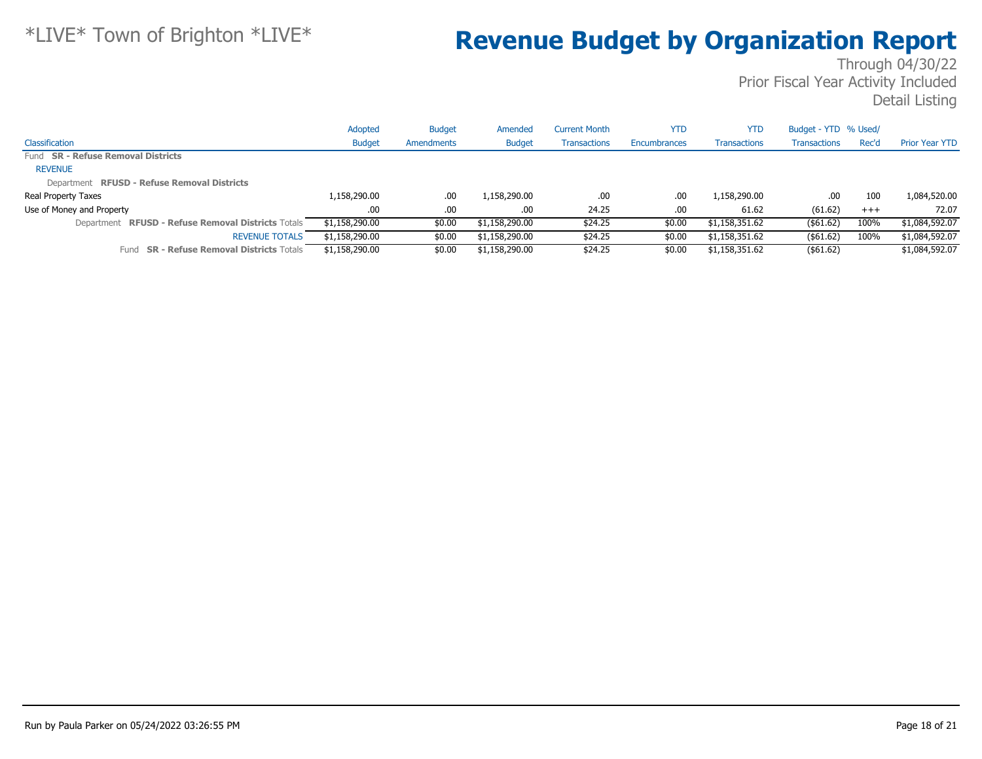|                                                     | Adopted        | <b>Budget</b> | Amended        | Current Month       | YTD                 | YTD                 | Budget - YTD % Used/ |       |                       |
|-----------------------------------------------------|----------------|---------------|----------------|---------------------|---------------------|---------------------|----------------------|-------|-----------------------|
| Classification                                      | <b>Budget</b>  | Amendments    | <b>Budget</b>  | <b>Transactions</b> | <b>Encumbrances</b> | <b>Transactions</b> | <b>Transactions</b>  | Rec'd | <b>Prior Year YTD</b> |
| Fund SR - Refuse Removal Districts                  |                |               |                |                     |                     |                     |                      |       |                       |
| <b>REVENUE</b>                                      |                |               |                |                     |                     |                     |                      |       |                       |
| Department RFUSD - Refuse Removal Districts         |                |               |                |                     |                     |                     |                      |       |                       |
| Real Property Taxes                                 | 1,158,290.00   | .00           | 1,158,290.00   | .00                 | .00                 | 1,158,290.00        | .00                  | 100   | 1,084,520.00          |
| Use of Money and Property                           | .00            | .00           | .00            | 24.25               | .00.                | 61.62               | (61.62)              | $+++$ | 72.07                 |
| Department RFUSD - Refuse Removal Districts Totals  | \$1,158,290.00 | \$0.00        | \$1,158,290.00 | \$24.25             | \$0.00              | \$1,158,351.62      | ( \$61.62)           | 100%  | \$1,084,592.07        |
| <b>REVENUE TOTALS</b>                               | \$1,158,290.00 | \$0.00        | \$1,158,290.00 | \$24.25             | \$0.00              | \$1,158,351.62      | ( \$61.62)           | 100%  | \$1,084,592.07        |
| <b>SR - Refuse Removal Districts Totals</b><br>Fund | \$1,158,290.00 | \$0.00        | \$1,158,290.00 | \$24.25             | \$0.00              | \$1,158,351.62      | $($ \$61.62)         |       | \$1,084,592.07        |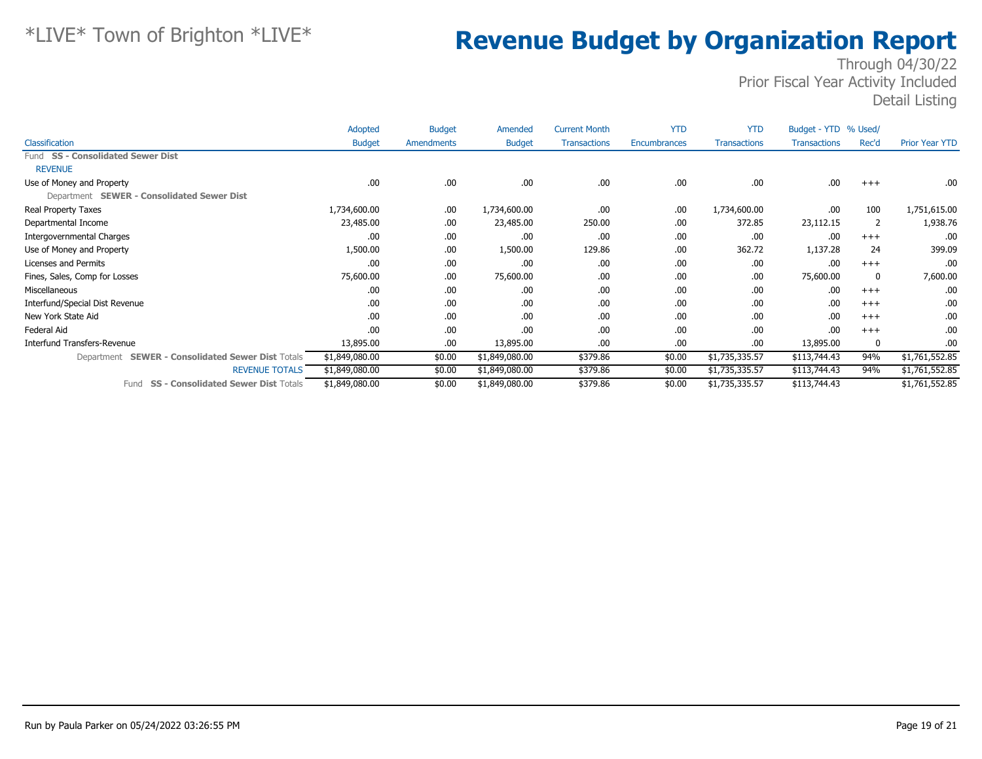|                                                             | Adopted        | <b>Budget</b> | Amended        | <b>Current Month</b> | <b>YTD</b>   | <b>YTD</b>          | Budget - YTD % Used/ |          |                       |
|-------------------------------------------------------------|----------------|---------------|----------------|----------------------|--------------|---------------------|----------------------|----------|-----------------------|
| Classification                                              | <b>Budget</b>  | Amendments    | <b>Budget</b>  | <b>Transactions</b>  | Encumbrances | <b>Transactions</b> | <b>Transactions</b>  | Rec'd    | <b>Prior Year YTD</b> |
| Fund SS - Consolidated Sewer Dist                           |                |               |                |                      |              |                     |                      |          |                       |
| <b>REVENUE</b>                                              |                |               |                |                      |              |                     |                      |          |                       |
| Use of Money and Property                                   | .00            | .00.          | .00.           | .00                  | .00          | .00                 | .00                  | $^{+++}$ | .00.                  |
| Department SEWER - Consolidated Sewer Dist                  |                |               |                |                      |              |                     |                      |          |                       |
| Real Property Taxes                                         | 1,734,600.00   | .00.          | 1,734,600.00   | .00                  | .00          | 1,734,600.00        | .00                  | 100      | 1,751,615.00          |
| Departmental Income                                         | 23,485.00      | .00.          | 23,485.00      | 250.00               | .00          | 372.85              | 23,112.15            | 2        | 1,938.76              |
| Intergovernmental Charges                                   | .00            | .00.          | .00            | .00                  | .00          | .00                 | .00                  | $+++$    | .00                   |
| Use of Money and Property                                   | 1,500.00       | .00.          | 1,500.00       | 129.86               | .00          | 362.72              | 1,137.28             | 24       | 399.09                |
| Licenses and Permits                                        | .00            | .00.          | .00.           | .00                  | .00          | .00                 | .00                  | $+++$    | .00                   |
| Fines, Sales, Comp for Losses                               | 75,600.00      | .00.          | 75,600.00      | .00                  | .00          | .00                 | 75,600.00            | 0        | 7,600.00              |
| Miscellaneous                                               | .00.           | .00.          | .00.           | .00                  | .00          | .00                 | .00                  | $+++$    | .00.                  |
| Interfund/Special Dist Revenue                              | .00            | .00.          | .00.           | .00                  | .00          | .00                 | .00                  | $+++$    | .00.                  |
| New York State Aid                                          | .00            | .00.          | .00.           | .00                  | .00          | .00                 | .00                  | $+++$    | .00.                  |
| Federal Aid                                                 | .00            | .00           | .00.           | .00                  | .00          | .00                 | .00                  | $+++$    | .00.                  |
| <b>Interfund Transfers-Revenue</b>                          | 13,895.00      | .00.          | 13,895.00      | .00                  | .00          | .00                 | 13,895.00            | 0        | .00                   |
| <b>SEWER - Consolidated Sewer Dist Totals</b><br>Department | \$1,849,080.00 | \$0.00        | \$1,849,080.00 | \$379.86             | \$0.00       | \$1,735,335.57      | \$113,744.43         | 94%      | \$1,761,552.85        |
| <b>REVENUE TOTALS</b>                                       | \$1,849,080.00 | \$0.00        | \$1,849,080.00 | \$379.86             | \$0.00       | \$1,735,335.57      | \$113,744.43         | 94%      | \$1,761,552.85        |
| <b>SS - Consolidated Sewer Dist Totals</b><br>Fund          | \$1,849,080.00 | \$0.00        | \$1,849,080.00 | \$379.86             | \$0.00       | \$1,735,335.57      | \$113,744.43         |          | \$1,761,552.85        |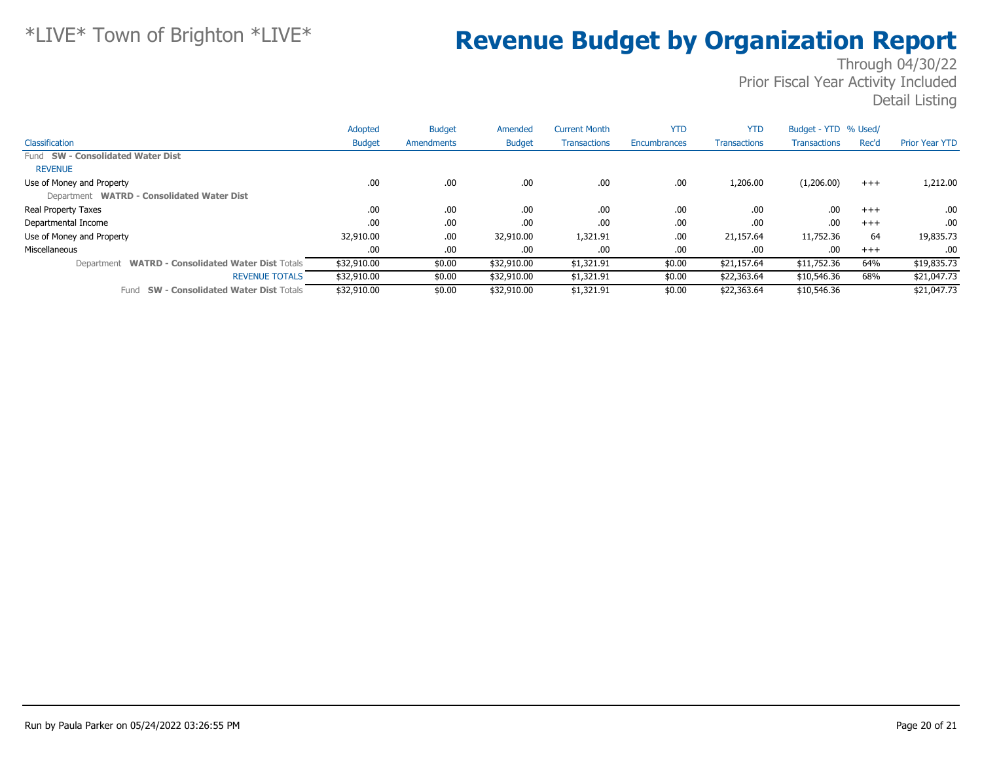|                                                             | Adopted       | <b>Budget</b> | Amended       | <b>Current Month</b> | <b>YTD</b>   | <b>YTD</b>          | Budget - YTD % Used/ |          |                       |
|-------------------------------------------------------------|---------------|---------------|---------------|----------------------|--------------|---------------------|----------------------|----------|-----------------------|
| Classification                                              | <b>Budget</b> | Amendments    | <b>Budget</b> | <b>Transactions</b>  | Encumbrances | <b>Transactions</b> | <b>Transactions</b>  | Rec'd    | <b>Prior Year YTD</b> |
| Fund SW - Consolidated Water Dist                           |               |               |               |                      |              |                     |                      |          |                       |
| <b>REVENUE</b>                                              |               |               |               |                      |              |                     |                      |          |                       |
| Use of Money and Property                                   | .00.          | .00           | .00           | .00                  | .00          | 1,206.00            | (1,206.00)           | $^{+++}$ | 1,212.00              |
| Department WATRD - Consolidated Water Dist                  |               |               |               |                      |              |                     |                      |          |                       |
| Real Property Taxes                                         | .00           | .00.          | .00.          | .00                  | .00          | .00.                | .00                  | $+++$    | .00                   |
| Departmental Income                                         | .00           | .00           | .00.          | .00                  | .00          | .00.                | .00                  | $+++$    | .00                   |
| Use of Money and Property                                   | 32,910.00     | .00           | 32,910.00     | 1,321.91             | .00          | 21,157.64           | 11,752.36            | 64       | 19,835.73             |
| Miscellaneous                                               | .00           | .00           | .00.          | .00                  | .00          | .00                 | .00                  | $+++$    | .00                   |
| <b>WATRD - Consolidated Water Dist Totals</b><br>Department | \$32,910.00   | \$0.00        | \$32,910.00   | \$1,321.91           | \$0.00       | \$21,157.64         | \$11,752.36          | 64%      | \$19,835.73           |
| <b>REVENUE TOTALS</b>                                       | \$32,910.00   | \$0.00        | \$32,910.00   | \$1,321.91           | \$0.00       | \$22,363.64         | \$10,546.36          | 68%      | \$21,047.73           |
| <b>SW - Consolidated Water Dist Totals</b><br>Fund          | \$32,910.00   | \$0.00        | \$32,910.00   | \$1,321.91           | \$0.00       | \$22,363.64         | \$10,546.36          |          | \$21,047.73           |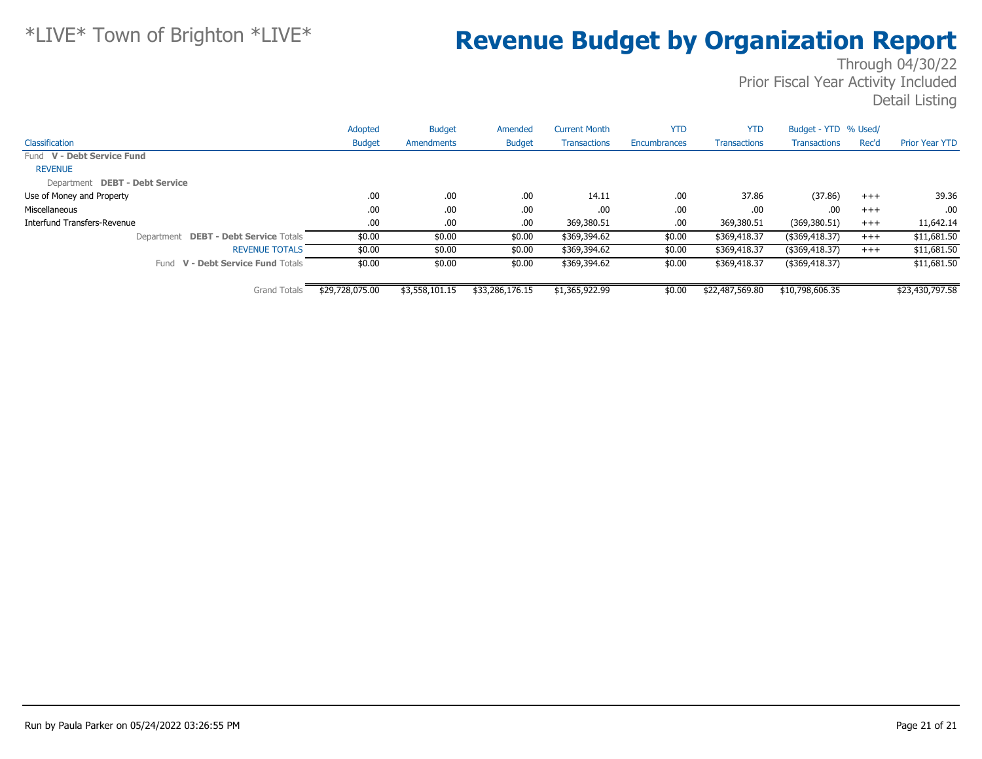|                                       | Adopted         | <b>Budget</b>  | Amended         | <b>Current Month</b> | <b>YTD</b>   | <b>YTD</b>          | Budget - YTD % Used/ |       |                       |
|---------------------------------------|-----------------|----------------|-----------------|----------------------|--------------|---------------------|----------------------|-------|-----------------------|
| Classification                        | <b>Budget</b>   | Amendments     | <b>Budget</b>   | <b>Transactions</b>  | Encumbrances | <b>Transactions</b> | <b>Transactions</b>  | Rec'd | <b>Prior Year YTD</b> |
| Fund V - Debt Service Fund            |                 |                |                 |                      |              |                     |                      |       |                       |
| <b>REVENUE</b>                        |                 |                |                 |                      |              |                     |                      |       |                       |
| Department DEBT - Debt Service        |                 |                |                 |                      |              |                     |                      |       |                       |
| Use of Money and Property             | .00.            | .00.           | .00.            | 14.11                | .00          | 37.86               | (37.86)              | $+++$ | 39.36                 |
| Miscellaneous                         | .00.            | .00.           | .00.            | .00                  | .00          | .00                 | .00                  | $+++$ | .00.                  |
| Interfund Transfers-Revenue           | .00.            | .00.           | .00.            | 369,380.51           | .00          | 369,380.51          | (369, 380.51)        | $+++$ | 11,642.14             |
| Department DEBT - Debt Service Totals | \$0.00          | \$0.00         | \$0.00          | \$369,394.62         | \$0.00       | \$369,418.37        | $($ \$369,418.37)    | $+++$ | \$11,681.50           |
| <b>REVENUE TOTALS</b>                 | \$0.00          | \$0.00         | \$0.00          | \$369,394.62         | \$0.00       | \$369,418.37        | $($ \$369,418.37)    | $+++$ | \$11,681.50           |
| Fund V - Debt Service Fund Totals     | \$0.00          | \$0.00         | \$0.00          | \$369,394.62         | \$0.00       | \$369,418.37        | (\$369,418.37)       |       | \$11,681.50           |
| <b>Grand Totals</b>                   | \$29,728,075.00 | \$3,558,101.15 | \$33,286,176.15 | \$1,365,922.99       | \$0.00       | \$22,487,569.80     | \$10,798,606.35      |       | \$23,430,797.58       |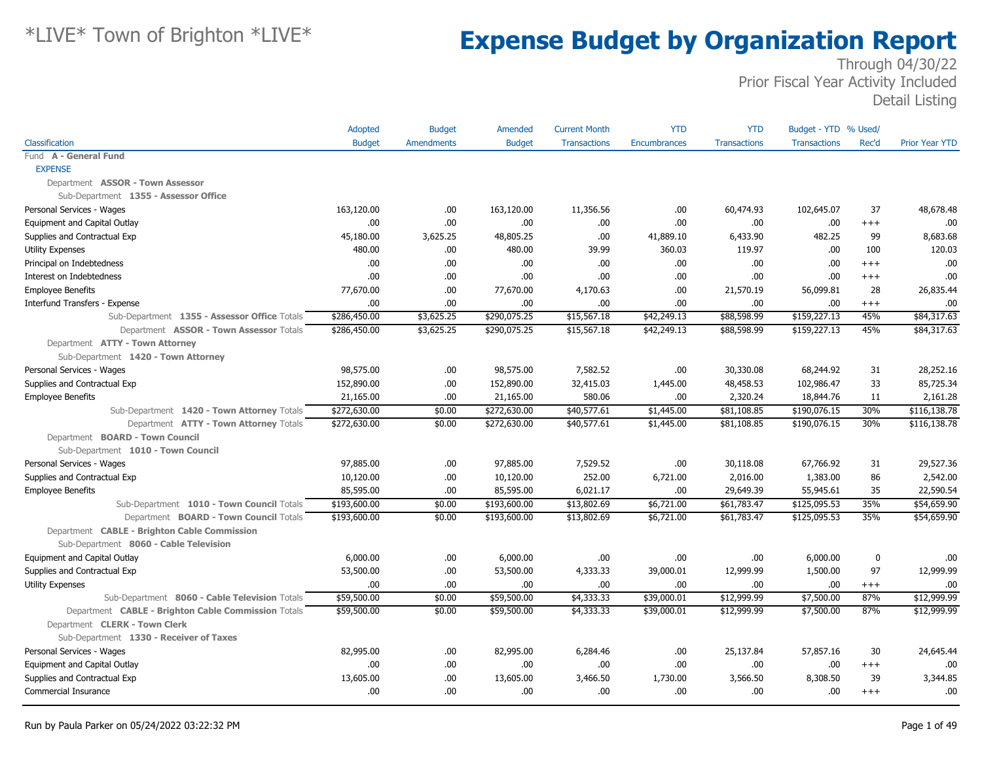|                                                     | Adopted       | <b>Budget</b>     | Amended       | <b>Current Month</b> | <b>YTD</b>          | <b>YTD</b>          | Budget - YTD % Used/ |                  |                       |
|-----------------------------------------------------|---------------|-------------------|---------------|----------------------|---------------------|---------------------|----------------------|------------------|-----------------------|
| Classification                                      | <b>Budget</b> | <b>Amendments</b> | <b>Budget</b> | <b>Transactions</b>  | <b>Encumbrances</b> | <b>Transactions</b> | <b>Transactions</b>  | Rec'd            | <b>Prior Year YTD</b> |
| Fund A - General Fund                               |               |                   |               |                      |                     |                     |                      |                  |                       |
| <b>EXPENSE</b>                                      |               |                   |               |                      |                     |                     |                      |                  |                       |
| Department ASSOR - Town Assessor                    |               |                   |               |                      |                     |                     |                      |                  |                       |
| Sub-Department 1355 - Assessor Office               |               |                   |               |                      |                     |                     |                      |                  |                       |
| Personal Services - Wages                           | 163,120.00    | .00               | 163,120.00    | 11,356.56            | .00.                | 60,474.93           | 102,645.07           | 37               | 48,678.48             |
| Equipment and Capital Outlay                        | .00.          | .00               | .00           | .00                  | .00                 | .00                 | .00                  | $^{+++}$         | .00                   |
| Supplies and Contractual Exp                        | 45,180.00     | 3,625.25          | 48,805.25     | .00                  | 41,889.10           | 6,433.90            | 482.25               | 99               | 8,683.68              |
| <b>Utility Expenses</b>                             | 480.00        | .00.              | 480.00        | 39.99                | 360.03              | 119.97              | .00                  | 100              | 120.03                |
| Principal on Indebtedness                           | .00.          | .00.              | .00.          | .00                  | .00                 | .00                 | .00                  | $^{++}$          | .00                   |
| Interest on Indebtedness                            | .00.          | .00.              | .00.          | .00                  | .00                 | .00                 | .00                  | $+++$            | .00                   |
| <b>Employee Benefits</b>                            | 77,670.00     | .00.              | 77,670.00     | 4,170.63             | .00                 | 21,570.19           | 56,099.81            | 28               | 26,835.44             |
| Interfund Transfers - Expense                       | .00           | .00               | .00.          | .00                  | .00                 | .00                 | .00                  | $^{+++}$         | .00                   |
| Sub-Department 1355 - Assessor Office Totals        | \$286,450.00  | \$3,625.25        | \$290,075.25  | \$15,567.18          | \$42,249.13         | \$88,598.99         | \$159,227.13         | 45%              | \$84,317.63           |
| Department ASSOR - Town Assessor Totals             | \$286,450.00  | \$3,625.25        | \$290,075.25  | \$15,567.18          | \$42,249.13         | \$88,598.99         | \$159,227.13         | 45%              | \$84,317.63           |
| Department ATTY - Town Attorney                     |               |                   |               |                      |                     |                     |                      |                  |                       |
| Sub-Department 1420 - Town Attorney                 |               |                   |               |                      |                     |                     |                      |                  |                       |
| Personal Services - Wages                           | 98,575.00     | .00               | 98,575.00     | 7,582.52             | .00                 | 30,330.08           | 68,244.92            | 31               | 28,252.16             |
| Supplies and Contractual Exp                        | 152,890.00    | .00.              | 152,890.00    | 32,415.03            | 1,445.00            | 48,458.53           | 102,986.47           | 33               | 85,725.34             |
| <b>Employee Benefits</b>                            | 21,165.00     | .00               | 21,165.00     | 580.06               | .00                 | 2,320.24            | 18,844.76            | 11               | 2,161.28              |
| Sub-Department 1420 - Town Attorney Totals          | \$272,630.00  | \$0.00            | \$272,630.00  | \$40,577.61          | \$1,445.00          | \$81,108.85         | \$190,076.15         | 30%              | \$116,138.78          |
| Department ATTY - Town Attorney Totals              | \$272,630.00  | \$0.00            | \$272,630.00  | \$40,577.61          | \$1,445.00          | \$81,108.85         | \$190,076.15         | 30%              | \$116,138.78          |
| Department BOARD - Town Council                     |               |                   |               |                      |                     |                     |                      |                  |                       |
| Sub-Department 1010 - Town Council                  |               |                   |               |                      |                     |                     |                      |                  |                       |
| Personal Services - Wages                           | 97,885.00     | .00.              | 97,885.00     | 7,529.52             | .00                 | 30,118.08           | 67,766.92            | 31               | 29,527.36             |
| Supplies and Contractual Exp                        | 10,120.00     | .00.              | 10,120.00     | 252.00               | 6,721.00            | 2,016.00            | 1,383.00             | 86               | 2,542.00              |
| <b>Employee Benefits</b>                            | 85,595.00     | .00               | 85,595.00     | 6,021.17             | .00                 | 29,649.39           | 55,945.61            | 35               | 22,590.54             |
| Sub-Department 1010 - Town Council Totals           | \$193,600.00  | \$0.00            | \$193,600.00  | \$13,802.69          | \$6,721.00          | \$61,783.47         | \$125,095.53         | 35%              | \$54,659.90           |
| Department BOARD - Town Council Totals              | \$193,600.00  | \$0.00            | \$193,600.00  | \$13,802.69          | \$6,721.00          | \$61,783.47         | \$125,095.53         | 35%              | \$54,659.90           |
| Department CABLE - Brighton Cable Commission        |               |                   |               |                      |                     |                     |                      |                  |                       |
| Sub-Department 8060 - Cable Television              |               |                   |               |                      |                     |                     |                      |                  |                       |
| Equipment and Capital Outlay                        | 6,000.00      | .00.              | 6,000.00      | .00                  | .00                 | .00                 | 6,000.00             | $\boldsymbol{0}$ | .00                   |
| Supplies and Contractual Exp                        | 53,500.00     | .00.              | 53,500.00     | 4,333.33             | 39,000.01           | 12,999.99           | 1,500.00             | 97               | 12,999.99             |
| Utility Expenses                                    | .00.          | .00               | .00.          | .00.                 | .00.                | .00                 | .00                  | $+++$            | .00                   |
| Sub-Department 8060 - Cable Television Totals       | \$59,500.00   | \$0.00            | \$59,500.00   | \$4,333.33           | \$39,000.01         | \$12,999.99         | \$7,500.00           | 87%              | \$12,999.99           |
| Department CABLE - Brighton Cable Commission Totals | \$59,500.00   | \$0.00            | \$59,500.00   | \$4,333.33           | \$39,000.01         | \$12,999.99         | \$7,500.00           | 87%              | \$12,999.99           |
| Department CLERK - Town Clerk                       |               |                   |               |                      |                     |                     |                      |                  |                       |
| Sub-Department 1330 - Receiver of Taxes             |               |                   |               |                      |                     |                     |                      |                  |                       |
| Personal Services - Wages                           | 82,995.00     | .00               | 82,995.00     | 6,284.46             | .00                 | 25,137.84           | 57,857.16            | 30               | 24,645.44             |
| Equipment and Capital Outlay                        | .00.          | .00.              | .00.          | .00                  | .00                 | .00                 | .00                  | $+++$            | .00                   |
| Supplies and Contractual Exp                        | 13,605.00     | .00               | 13,605.00     | 3,466.50             | 1,730.00            | 3,566.50            | 8,308.50             | 39               | 3,344.85              |
| Commercial Insurance                                | .00           | .00.              | 00.           | .00                  | .00                 | .00                 | .00                  | $^{++}$          | .00                   |
|                                                     |               |                   |               |                      |                     |                     |                      |                  |                       |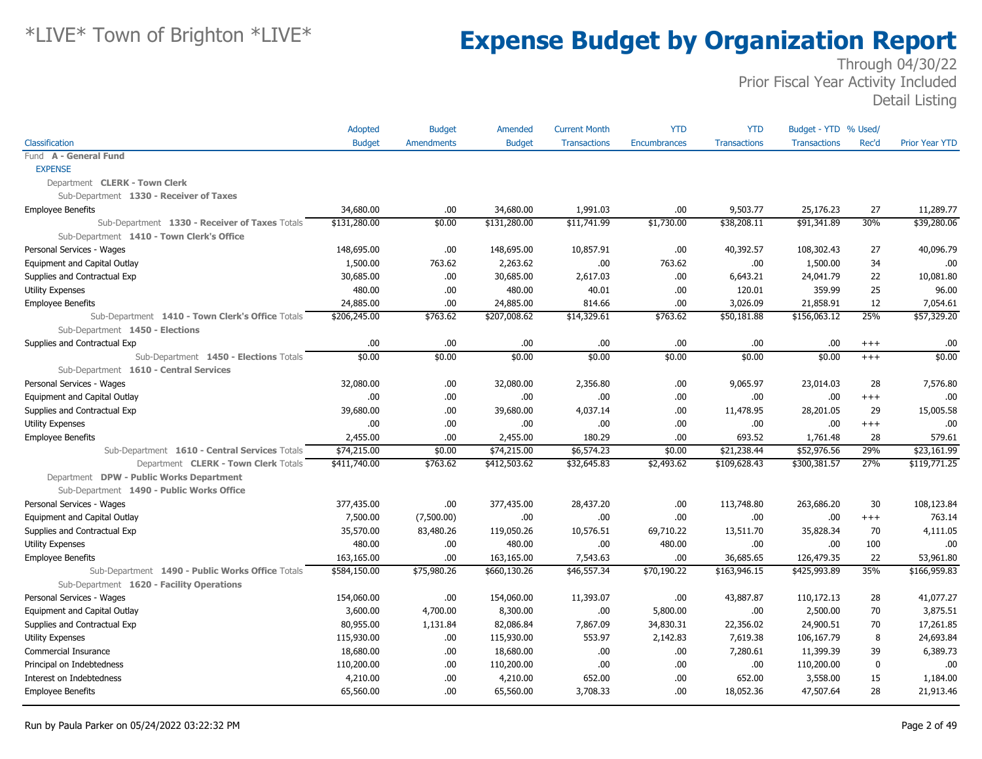|                                                  | Adopted       | <b>Budget</b>     | Amended       | <b>Current Month</b> | <b>YTD</b>   | <b>YTD</b>          | Budget - YTD % Used/ |          |                       |
|--------------------------------------------------|---------------|-------------------|---------------|----------------------|--------------|---------------------|----------------------|----------|-----------------------|
| Classification                                   | <b>Budget</b> | <b>Amendments</b> | <b>Budget</b> | <b>Transactions</b>  | Encumbrances | <b>Transactions</b> | <b>Transactions</b>  | Rec'd    | <b>Prior Year YTD</b> |
| Fund A - General Fund                            |               |                   |               |                      |              |                     |                      |          |                       |
| <b>EXPENSE</b>                                   |               |                   |               |                      |              |                     |                      |          |                       |
| Department CLERK - Town Clerk                    |               |                   |               |                      |              |                     |                      |          |                       |
| Sub-Department 1330 - Receiver of Taxes          |               |                   |               |                      |              |                     |                      |          |                       |
| <b>Employee Benefits</b>                         | 34,680,00     | .00.              | 34,680.00     | 1,991.03             | .00.         | 9,503,77            | 25,176.23            | 27       | 11,289.77             |
| Sub-Department 1330 - Receiver of Taxes Totals   | \$131,280.00  | \$0.00            | \$131,280.00  | \$11,741.99          | \$1,730.00   | \$38,208.11         | \$91,341.89          | 30%      | \$39,280.06           |
| Sub-Department 1410 - Town Clerk's Office        |               |                   |               |                      |              |                     |                      |          |                       |
| Personal Services - Wages                        | 148,695.00    | .00               | 148,695.00    | 10,857.91            | .00.         | 40,392.57           | 108,302.43           | 27       | 40,096.79             |
| Equipment and Capital Outlay                     | 1,500.00      | 763.62            | 2,263.62      | .00                  | 763.62       | .00.                | 1,500.00             | 34       | .00                   |
| Supplies and Contractual Exp                     | 30,685.00     | .00.              | 30,685.00     | 2,617.03             | .00.         | 6,643.21            | 24,041.79            | 22       | 10,081.80             |
| <b>Utility Expenses</b>                          | 480.00        | .00               | 480.00        | 40.01                | .00.         | 120.01              | 359.99               | 25       | 96.00                 |
| <b>Employee Benefits</b>                         | 24,885.00     | .00               | 24,885.00     | 814.66               | .00.         | 3,026.09            | 21,858.91            | 12       | 7,054.61              |
| Sub-Department 1410 - Town Clerk's Office Totals | \$206,245.00  | \$763.62          | \$207,008.62  | \$14,329.61          | \$763.62     | \$50,181.88         | \$156,063.12         | 25%      | \$57,329.20           |
| Sub-Department 1450 - Elections                  |               |                   |               |                      |              |                     |                      |          |                       |
| Supplies and Contractual Exp                     | .00.          | .00               | .00.          | .00                  | .00.         | .00                 | .00.                 | $^{+++}$ | .00                   |
| Sub-Department 1450 - Elections Totals           | \$0.00        | \$0.00            | \$0.00        | \$0.00               | \$0.00       | \$0.00              | \$0.00               | $+++$    | \$0.00                |
| Sub-Department 1610 - Central Services           |               |                   |               |                      |              |                     |                      |          |                       |
| Personal Services - Wages                        | 32,080.00     | .00.              | 32,080.00     | 2,356.80             | .00.         | 9,065.97            | 23,014.03            | 28       | 7,576.80              |
| Equipment and Capital Outlay                     | 00.           | .00               | .00.          | .00                  | .00.         | .00                 | .00                  | $+++$    | .00                   |
| Supplies and Contractual Exp                     | 39,680.00     | .00.              | 39,680.00     | 4,037.14             | .00.         | 11,478.95           | 28,201.05            | 29       | 15,005.58             |
| <b>Utility Expenses</b>                          | 00.           | .00               | 00.           | .00                  | .00.         | .00                 | .00                  | $+++$    | .00                   |
| <b>Employee Benefits</b>                         | 2,455.00      | .00               | 2,455.00      | 180.29               | .00.         | 693.52              | 1,761.48             | 28       | 579.61                |
| Sub-Department 1610 - Central Services Totals    | \$74,215.00   | \$0.00            | \$74,215.00   | \$6,574.23           | \$0.00       | \$21,238.44         | \$52,976.56          | 29%      | \$23,161.99           |
| Department CLERK - Town Clerk Totals             | \$411,740.00  | \$763.62          | \$412,503.62  | \$32,645.83          | \$2,493.62   | \$109,628.43        | \$300,381.57         | 27%      | \$119,771.25          |
| Department DPW - Public Works Department         |               |                   |               |                      |              |                     |                      |          |                       |
| Sub-Department 1490 - Public Works Office        |               |                   |               |                      |              |                     |                      |          |                       |
| Personal Services - Wages                        | 377,435.00    | .00.              | 377,435.00    | 28,437.20            | .00.         | 113,748.80          | 263,686.20           | 30       | 108,123.84            |
| Equipment and Capital Outlay                     | 7,500.00      | (7,500.00)        | .00.          | .00                  | .00.         | .00                 | .00.                 | $+++$    | 763.14                |
| Supplies and Contractual Exp                     | 35,570.00     | 83,480.26         | 119,050.26    | 10,576.51            | 69,710.22    | 13,511.70           | 35,828.34            | 70       | 4,111.05              |
| <b>Utility Expenses</b>                          | 480.00        | .00.              | 480.00        | .00                  | 480.00       | .00                 | .00.                 | 100      | .00                   |
| <b>Employee Benefits</b>                         | 163,165.00    | .00.              | 163,165.00    | 7,543.63             | .00.         | 36,685.65           | 126,479.35           | 22       | 53,961.80             |
| Sub-Department 1490 - Public Works Office Totals | \$584,150.00  | \$75,980.26       | \$660,130.26  | \$46,557.34          | \$70,190.22  | \$163,946.15        | \$425,993.89         | 35%      | \$166,959.83          |
| Sub-Department 1620 - Facility Operations        |               |                   |               |                      |              |                     |                      |          |                       |
| Personal Services - Wages                        | 154,060.00    | .00.              | 154,060.00    | 11,393.07            | .00.         | 43,887.87           | 110,172.13           | 28       | 41,077.27             |
| Equipment and Capital Outlay                     | 3,600.00      | 4,700.00          | 8,300.00      | .00                  | 5,800.00     | .00.                | 2,500.00             | 70       | 3,875.51              |
| Supplies and Contractual Exp                     | 80,955.00     | 1,131.84          | 82,086.84     | 7,867.09             | 34,830.31    | 22,356.02           | 24,900.51            | 70       | 17,261.85             |
| <b>Utility Expenses</b>                          | 115,930.00    | .00.              | 115,930.00    | 553.97               | 2,142.83     | 7,619.38            | 106,167.79           | 8        | 24,693.84             |
| Commercial Insurance                             | 18,680.00     | .00               | 18,680.00     | .00                  | .00.         | 7,280.61            | 11,399.39            | 39       | 6,389.73              |
| Principal on Indebtedness                        | 110,200.00    | .00.              | 110,200.00    | .00                  | .00.         | .00                 | 110,200.00           | $\bf{0}$ | .00.                  |
| Interest on Indebtedness                         | 4,210.00      | .00.              | 4,210.00      | 652.00               | .00.         | 652.00              | 3,558.00             | 15       | 1,184.00              |
| <b>Employee Benefits</b>                         | 65,560.00     | .00.              | 65,560.00     | 3,708.33             | .00.         | 18,052.36           | 47,507.64            | 28       | 21,913.46             |
|                                                  |               |                   |               |                      |              |                     |                      |          |                       |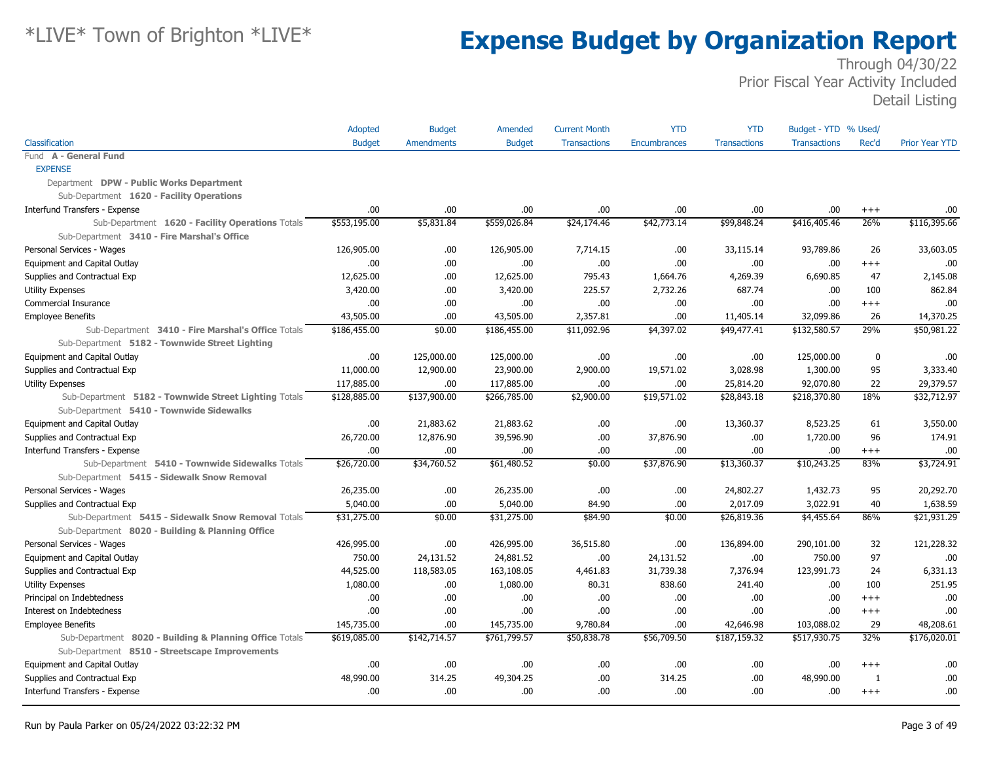|                                                         | Adopted       | <b>Budget</b>     | Amended       | <b>Current Month</b> | <b>YTD</b>          | <b>YTD</b>          | Budget - YTD % Used/ |              |                       |
|---------------------------------------------------------|---------------|-------------------|---------------|----------------------|---------------------|---------------------|----------------------|--------------|-----------------------|
| Classification                                          | <b>Budget</b> | <b>Amendments</b> | <b>Budget</b> | <b>Transactions</b>  | <b>Encumbrances</b> | <b>Transactions</b> | <b>Transactions</b>  | Rec'd        | <b>Prior Year YTD</b> |
| Fund A - General Fund                                   |               |                   |               |                      |                     |                     |                      |              |                       |
| <b>EXPENSE</b>                                          |               |                   |               |                      |                     |                     |                      |              |                       |
| Department DPW - Public Works Department                |               |                   |               |                      |                     |                     |                      |              |                       |
| Sub-Department 1620 - Facility Operations               |               |                   |               |                      |                     |                     |                      |              |                       |
| Interfund Transfers - Expense                           | .00           | .00               | .00           | .00                  | .00                 | .00                 | .00                  | $^{+++}$     | .00.                  |
| Sub-Department 1620 - Facility Operations Totals        | \$553,195.00  | \$5,831.84        | \$559,026.84  | \$24,174.46          | \$42,773.14         | \$99,848.24         | \$416,405.46         | 26%          | \$116,395.66          |
| Sub-Department 3410 - Fire Marshal's Office             |               |                   |               |                      |                     |                     |                      |              |                       |
| Personal Services - Wages                               | 126,905.00    | .00.              | 126,905.00    | 7,714.15             | .00                 | 33,115.14           | 93,789.86            | 26           | 33,603.05             |
| Equipment and Capital Outlay                            | .00           | .00.              | .00.          | .00                  | .00                 | .00                 | .00                  | $^{+++}$     | .00                   |
| Supplies and Contractual Exp                            | 12,625.00     | .00.              | 12,625.00     | 795.43               | 1,664.76            | 4,269.39            | 6,690.85             | 47           | 2,145.08              |
| <b>Utility Expenses</b>                                 | 3,420.00      | .00.              | 3,420.00      | 225.57               | 2,732.26            | 687.74              | .00                  | 100          | 862.84                |
| Commercial Insurance                                    | .00.          | .00               | .00.          | .00                  | .00                 | .00                 | .00                  | $+++$        | .00                   |
| <b>Employee Benefits</b>                                | 43,505.00     | .00               | 43,505.00     | 2,357.81             | .00                 | 11,405.14           | 32,099.86            | 26           | 14,370.25             |
| Sub-Department 3410 - Fire Marshal's Office Totals      | \$186,455.00  | \$0.00            | \$186,455.00  | \$11,092.96          | \$4,397.02          | \$49,477.41         | \$132,580.57         | 29%          | \$50,981.22           |
| Sub-Department 5182 - Townwide Street Lighting          |               |                   |               |                      |                     |                     |                      |              |                       |
| Equipment and Capital Outlay                            | .00           | 125,000.00        | 125,000.00    | .00                  | .00                 | .00                 | 125,000.00           | 0            | .00                   |
| Supplies and Contractual Exp                            | 11,000.00     | 12,900.00         | 23,900.00     | 2,900.00             | 19,571.02           | 3,028.98            | 1,300.00             | 95           | 3,333.40              |
| <b>Utility Expenses</b>                                 | 117,885.00    | .00               | 117,885.00    | .00                  | .00                 | 25,814.20           | 92,070.80            | 22           | 29,379.57             |
| Sub-Department 5182 - Townwide Street Lighting Totals   | \$128,885.00  | \$137,900.00      | \$266,785.00  | \$2,900.00           | \$19,571.02         | \$28,843.18         | \$218,370.80         | 18%          | \$32,712.97           |
| Sub-Department 5410 - Townwide Sidewalks                |               |                   |               |                      |                     |                     |                      |              |                       |
| Equipment and Capital Outlay                            | .00           | 21,883.62         | 21,883.62     | .00                  | .00                 | 13,360.37           | 8,523.25             | 61           | 3,550.00              |
| Supplies and Contractual Exp                            | 26,720.00     | 12,876.90         | 39,596.90     | .00                  | 37,876.90           | .00                 | 1,720.00             | 96           | 174.91                |
| Interfund Transfers - Expense                           | .00           | .00               | .00.          | .00                  | .00                 | .00                 | .00                  | $^{+++}$     | .00.                  |
| Sub-Department 5410 - Townwide Sidewalks Totals         | \$26,720.00   | \$34,760.52       | \$61,480.52   | \$0.00               | \$37,876.90         | \$13,360.37         | \$10,243.25          | 83%          | \$3,724.91            |
| Sub-Department 5415 - Sidewalk Snow Removal             |               |                   |               |                      |                     |                     |                      |              |                       |
| Personal Services - Wages                               | 26,235.00     | .00.              | 26,235.00     | .00                  | .00                 | 24,802.27           | 1,432.73             | 95           | 20,292.70             |
| Supplies and Contractual Exp                            | 5,040.00      | .00               | 5,040.00      | 84.90                | .00                 | 2,017.09            | 3,022.91             | 40           | 1,638.59              |
| Sub-Department 5415 - Sidewalk Snow Removal Totals      | \$31,275.00   | \$0.00            | \$31,275.00   | \$84.90              | \$0.00              | \$26,819.36         | \$4,455.64           | 86%          | \$21,931.29           |
| Sub-Department 8020 - Building & Planning Office        |               |                   |               |                      |                     |                     |                      |              |                       |
| Personal Services - Wages                               | 426,995.00    | .00               | 426,995.00    | 36,515.80            | .00                 | 136,894.00          | 290,101.00           | 32           | 121,228.32            |
| Equipment and Capital Outlay                            | 750.00        | 24,131.52         | 24,881.52     | .00                  | 24,131.52           | .00                 | 750.00               | 97           | .00.                  |
| Supplies and Contractual Exp                            | 44,525.00     | 118,583.05        | 163,108.05    | 4,461.83             | 31,739.38           | 7,376.94            | 123,991.73           | 24           | 6,331.13              |
| <b>Utility Expenses</b>                                 | 1,080.00      | .00.              | 1,080.00      | 80.31                | 838.60              | 241.40              | .00                  | 100          | 251.95                |
| Principal on Indebtedness                               | .00           | .00.              | .00.          | .00                  | .00                 | .00                 | .00                  | $^{+++}$     | .00                   |
| Interest on Indebtedness                                | .00           | .00               | .00           | .00                  | .00                 | .00                 | .00                  | $+++$        | .00                   |
| <b>Employee Benefits</b>                                | 145,735.00    | .00.              | 145,735.00    | 9,780.84             | .00                 | 42,646.98           | 103,088.02           | 29           | 48,208.61             |
| Sub-Department 8020 - Building & Planning Office Totals | \$619,085.00  | \$142,714.57      | \$761,799.57  | \$50,838.78          | \$56,709.50         | \$187,159.32        | \$517,930.75         | 32%          | \$176,020.01          |
| Sub-Department 8510 - Streetscape Improvements          |               |                   |               |                      |                     |                     |                      |              |                       |
| Equipment and Capital Outlay                            | .00           | .00.              | .00.          | .00.                 | .00                 | .00                 | .00                  | $+++$        | .00                   |
| Supplies and Contractual Exp                            | 48,990,00     | 314.25            | 49,304.25     | .00                  | 314.25              | .00.                | 48,990.00            | $\mathbf{1}$ | .00.                  |
| Interfund Transfers - Expense                           | .00           | .00               | .00.          | .00.                 | .00                 | .00.                | .00                  | $+++$        | .00.                  |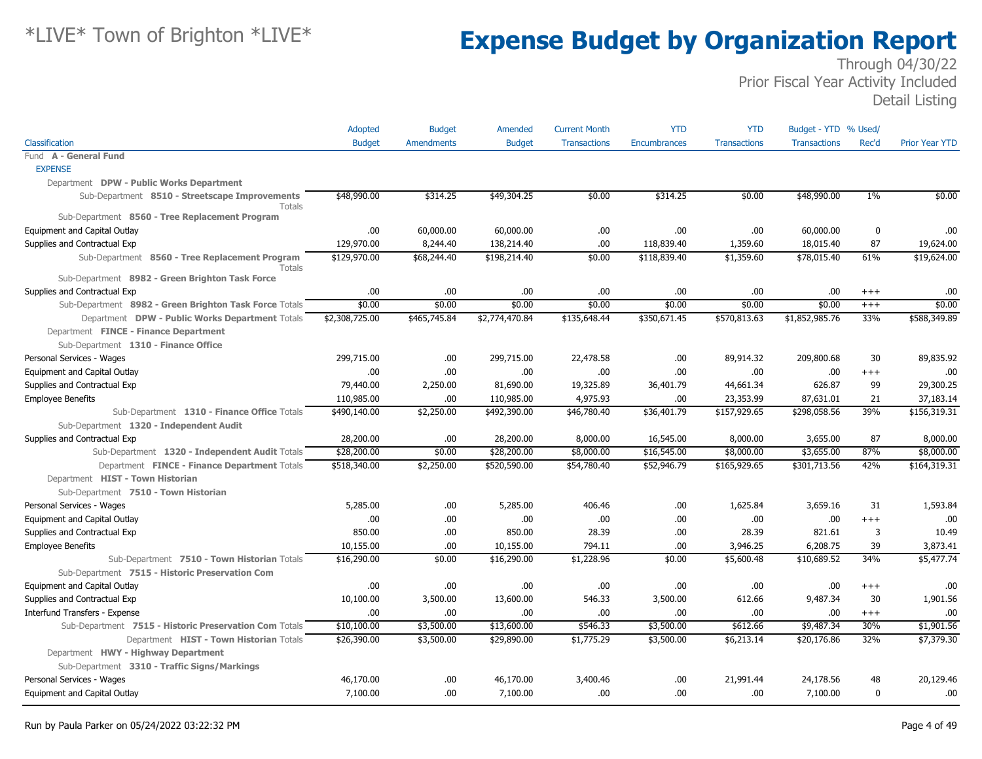|                                                          | Adopted        | <b>Budget</b> | Amended        | <b>Current Month</b> | <b>YTD</b>          | <b>YTD</b>          | Budget - YTD % Used/ |              |                       |
|----------------------------------------------------------|----------------|---------------|----------------|----------------------|---------------------|---------------------|----------------------|--------------|-----------------------|
| Classification                                           | <b>Budget</b>  | Amendments    | <b>Budget</b>  | <b>Transactions</b>  | <b>Encumbrances</b> | <b>Transactions</b> | <b>Transactions</b>  | Rec'd        | <b>Prior Year YTD</b> |
| Fund A - General Fund                                    |                |               |                |                      |                     |                     |                      |              |                       |
| <b>EXPENSE</b>                                           |                |               |                |                      |                     |                     |                      |              |                       |
| Department DPW - Public Works Department                 |                |               |                |                      |                     |                     |                      |              |                       |
| Sub-Department 8510 - Streetscape Improvements<br>Totals | \$48,990.00    | \$314.25      | \$49,304.25    | \$0.00               | \$314.25            | \$0.00              | \$48,990.00          | $1\%$        | \$0.00                |
| Sub-Department 8560 - Tree Replacement Program           |                |               |                |                      |                     |                     |                      |              |                       |
| <b>Equipment and Capital Outlay</b>                      | .00.           | 60,000.00     | 60,000.00      | .00.                 | .00.                | .00                 | 60,000.00            | 0            | .00                   |
| Supplies and Contractual Exp                             | 129,970.00     | 8,244.40      | 138,214.40     | .00                  | 118,839.40          | 1,359.60            | 18,015.40            | 87           | 19,624.00             |
| Sub-Department 8560 - Tree Replacement Program<br>Totals | \$129,970.00   | \$68,244.40   | \$198,214.40   | \$0.00               | \$118,839.40        | \$1,359.60          | \$78,015.40          | 61%          | \$19,624.00           |
| Sub-Department 8982 - Green Brighton Task Force          |                |               |                |                      |                     |                     |                      |              |                       |
| Supplies and Contractual Exp                             | .00            | .00           | .00            | .00                  | .00                 | .00                 | .00.                 | $+++$        | .00                   |
| Sub-Department 8982 - Green Brighton Task Force Totals   | \$0.00         | \$0.00        | \$0.00         | \$0.00               | \$0.00              | \$0.00              | \$0.00               | $^{+++}$     | \$0.00                |
| Department DPW - Public Works Department Totals          | \$2,308,725.00 | \$465,745.84  | \$2,774,470.84 | \$135,648.44         | \$350,671.45        | \$570,813.63        | \$1,852,985.76       | 33%          | \$588,349.89          |
| Department FINCE - Finance Department                    |                |               |                |                      |                     |                     |                      |              |                       |
| Sub-Department 1310 - Finance Office                     |                |               |                |                      |                     |                     |                      |              |                       |
| Personal Services - Wages                                | 299,715.00     | .00.          | 299,715.00     | 22,478.58            | .00.                | 89,914.32           | 209,800.68           | 30           | 89,835.92             |
| Equipment and Capital Outlay                             | .00            | .00.          | .00            | .00                  | .00.                | .00                 | .00                  | $^{+++}$     | .00                   |
| Supplies and Contractual Exp                             | 79,440.00      | 2,250.00      | 81,690.00      | 19,325.89            | 36,401.79           | 44,661.34           | 626.87               | 99           | 29,300.25             |
| <b>Employee Benefits</b>                                 | 110,985.00     | .00           | 110,985.00     | 4,975.93             | .00                 | 23,353.99           | 87,631.01            | 21           | 37,183.14             |
| Sub-Department 1310 - Finance Office Totals              | \$490,140.00   | \$2,250.00    | \$492,390.00   | \$46,780.40          | \$36,401.79         | \$157,929.65        | \$298,058.56         | 39%          | \$156,319.31          |
| Sub-Department 1320 - Independent Audit                  |                |               |                |                      |                     |                     |                      |              |                       |
| Supplies and Contractual Exp                             | 28,200.00      | .00.          | 28,200.00      | 8,000,00             | 16,545.00           | 8,000.00            | 3,655.00             | 87           | 8,000.00              |
| Sub-Department 1320 - Independent Audit Totals           | \$28,200.00    | \$0.00        | \$28,200.00    | \$8,000.00           | \$16,545.00         | \$8,000.00          | \$3,655.00           | 87%          | \$8,000.00            |
| Department FINCE - Finance Department Totals             | \$518,340.00   | \$2,250.00    | \$520,590.00   | \$54,780.40          | \$52,946.79         | \$165,929.65        | \$301,713.56         | 42%          | \$164,319.31          |
| Department HIST - Town Historian                         |                |               |                |                      |                     |                     |                      |              |                       |
| Sub-Department 7510 - Town Historian                     |                |               |                |                      |                     |                     |                      |              |                       |
| Personal Services - Wages                                | 5,285.00       | .00           | 5,285.00       | 406.46               | .00                 | 1,625.84            | 3,659.16             | 31           | 1,593.84              |
| Equipment and Capital Outlay                             | .00.           | .00.          | .00            | .00                  | .00.                | .00                 | .00                  | $+++$        | .00                   |
| Supplies and Contractual Exp                             | 850.00         | .00           | 850.00         | 28.39                | .00.                | 28.39               | 821.61               | 3            | 10.49                 |
| <b>Employee Benefits</b>                                 | 10,155.00      | .00.          | 10,155.00      | 794.11               | .00                 | 3,946.25            | 6,208.75             | 39           | 3,873.41              |
| Sub-Department 7510 - Town Historian Totals              | \$16,290.00    | \$0.00        | \$16,290.00    | \$1,228.96           | \$0.00              | \$5,600.48          | \$10,689.52          | 34%          | \$5,477.74            |
| Sub-Department 7515 - Historic Preservation Com          |                |               |                |                      |                     |                     |                      |              |                       |
| Equipment and Capital Outlay                             | .00            | .00.          | .00            | .00                  | .00.                | .00                 | .00                  | $^{+++}$     | .00                   |
| Supplies and Contractual Exp                             | 10,100.00      | 3,500.00      | 13,600.00      | 546.33               | 3,500.00            | 612.66              | 9,487.34             | 30           | 1,901.56              |
| Interfund Transfers - Expense                            | .00.           | .00.          | .00            | .00                  | .00.                | .00                 | .00.                 | $+++$        | .00                   |
| Sub-Department 7515 - Historic Preservation Com Totals   | \$10,100.00    | \$3,500.00    | \$13,600.00    | \$546.33             | \$3,500.00          | \$612.66            | \$9,487.34           | 30%          | \$1,901.56            |
| Department HIST - Town Historian Totals                  | \$26,390.00    | \$3,500.00    | \$29,890.00    | \$1,775.29           | \$3,500.00          | \$6,213.14          | \$20,176.86          | 32%          | \$7,379.30            |
| Department HWY - Highway Department                      |                |               |                |                      |                     |                     |                      |              |                       |
| Sub-Department 3310 - Traffic Signs/Markings             |                |               |                |                      |                     |                     |                      |              |                       |
| Personal Services - Wages                                | 46,170.00      | .00.          | 46,170.00      | 3,400.46             | .00.                | 21,991.44           | 24,178.56            | 48           | 20,129.46             |
| Equipment and Capital Outlay                             | 7,100.00       | .00.          | 7,100.00       | .00                  | .00.                | .00                 | 7,100.00             | $\mathbf{0}$ | .00                   |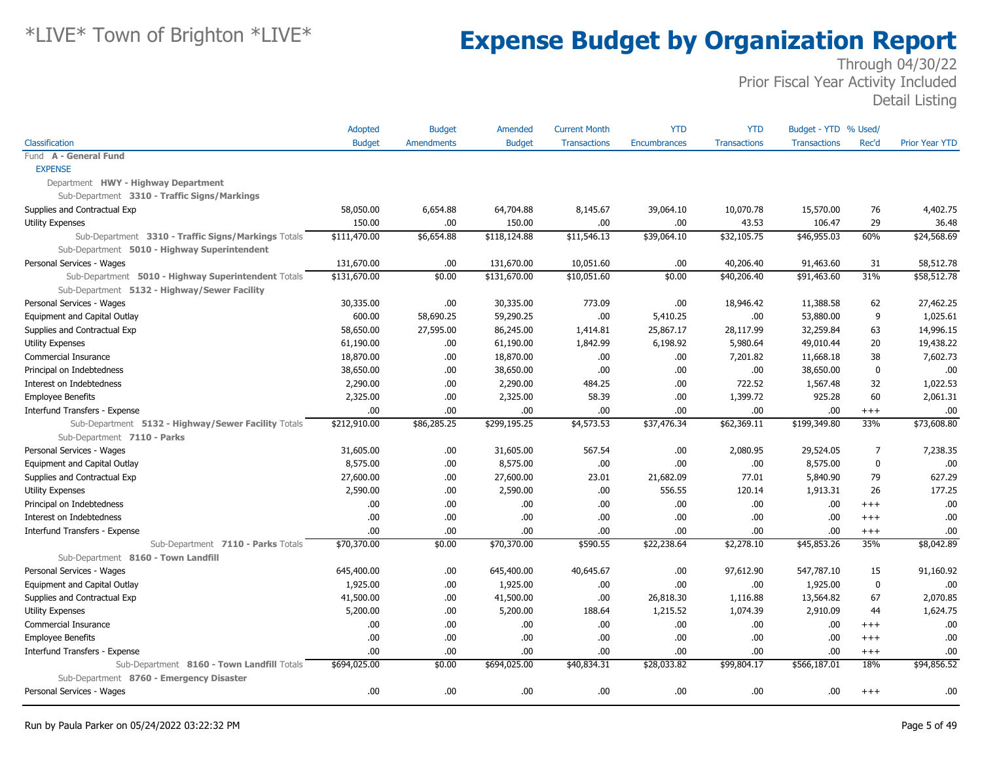|                                                     | <b>Adopted</b> | <b>Budget</b> | Amended       | <b>Current Month</b> | <b>YTD</b>          | <b>YTD</b>          | Budget - YTD % Used/ |                |                       |
|-----------------------------------------------------|----------------|---------------|---------------|----------------------|---------------------|---------------------|----------------------|----------------|-----------------------|
| Classification                                      | <b>Budget</b>  | Amendments    | <b>Budget</b> | <b>Transactions</b>  | <b>Encumbrances</b> | <b>Transactions</b> | <b>Transactions</b>  | Rec'd          | <b>Prior Year YTD</b> |
| Fund A - General Fund                               |                |               |               |                      |                     |                     |                      |                |                       |
| <b>EXPENSE</b>                                      |                |               |               |                      |                     |                     |                      |                |                       |
| Department HWY - Highway Department                 |                |               |               |                      |                     |                     |                      |                |                       |
| Sub-Department 3310 - Traffic Signs/Markings        |                |               |               |                      |                     |                     |                      |                |                       |
| Supplies and Contractual Exp                        | 58,050.00      | 6,654.88      | 64,704.88     | 8,145.67             | 39,064.10           | 10,070.78           | 15,570.00            | 76             | 4,402.75              |
| Utility Expenses                                    | 150.00         | .00           | 150.00        | .00                  | .00                 | 43.53               | 106.47               | 29             | 36.48                 |
| Sub-Department 3310 - Traffic Signs/Markings Totals | \$111,470.00   | \$6,654.88    | \$118,124.88  | \$11,546.13          | \$39,064.10         | \$32,105.75         | \$46,955.03          | 60%            | \$24,568.69           |
| Sub-Department 5010 - Highway Superintendent        |                |               |               |                      |                     |                     |                      |                |                       |
| Personal Services - Wages                           | 131,670.00     | .00           | 131,670.00    | 10,051.60            | .00                 | 40,206.40           | 91,463.60            | 31             | 58,512.78             |
| Sub-Department 5010 - Highway Superintendent Totals | \$131,670.00   | \$0.00        | \$131,670.00  | \$10,051.60          | \$0.00              | \$40,206.40         | \$91,463.60          | 31%            | \$58,512.78           |
| Sub-Department 5132 - Highway/Sewer Facility        |                |               |               |                      |                     |                     |                      |                |                       |
| Personal Services - Wages                           | 30,335.00      | .00           | 30,335.00     | 773.09               | .00                 | 18,946.42           | 11,388.58            | 62             | 27,462.25             |
| Equipment and Capital Outlay                        | 600.00         | 58,690.25     | 59,290.25     | .00                  | 5,410.25            | .00                 | 53,880.00            | 9              | 1,025.61              |
| Supplies and Contractual Exp                        | 58,650.00      | 27,595.00     | 86,245.00     | 1,414.81             | 25,867.17           | 28,117.99           | 32,259.84            | 63             | 14,996.15             |
| <b>Utility Expenses</b>                             | 61,190.00      | .00.          | 61,190.00     | 1,842.99             | 6,198.92            | 5,980.64            | 49,010.44            | 20             | 19,438.22             |
| Commercial Insurance                                | 18,870.00      | .00.          | 18,870.00     | .00                  | .00.                | 7,201.82            | 11,668.18            | 38             | 7,602.73              |
| Principal on Indebtedness                           | 38,650.00      | .00           | 38,650.00     | .00                  | .00.                | .00                 | 38,650.00            | $\mathbf 0$    | .00                   |
| Interest on Indebtedness                            | 2,290.00       | .00.          | 2,290.00      | 484.25               | .00                 | 722.52              | 1,567.48             | 32             | 1,022.53              |
| <b>Employee Benefits</b>                            | 2,325.00       | .00           | 2,325.00      | 58.39                | .00.                | 1,399.72            | 925.28               | 60             | 2,061.31              |
| Interfund Transfers - Expense                       | .00            | .00           | .00.          | .00                  | .00.                | .00                 | .00.                 | $^{+++}$       | .00                   |
| Sub-Department 5132 - Highway/Sewer Facility Totals | \$212,910.00   | \$86,285.25   | \$299,195.25  | \$4,573.53           | \$37,476.34         | \$62,369.11         | \$199,349.80         | 33%            | \$73,608.80           |
| Sub-Department 7110 - Parks                         |                |               |               |                      |                     |                     |                      |                |                       |
| Personal Services - Wages                           | 31,605.00      | .00.          | 31,605.00     | 567.54               | .00.                | 2,080.95            | 29,524.05            | $\overline{7}$ | 7,238.35              |
| Equipment and Capital Outlay                        | 8,575.00       | .00           | 8,575.00      | .00                  | .00.                | .00                 | 8,575.00             | 0              | .00                   |
| Supplies and Contractual Exp                        | 27,600.00      | .00           | 27,600.00     | 23.01                | 21,682.09           | 77.01               | 5,840.90             | 79             | 627.29                |
| <b>Utility Expenses</b>                             | 2,590.00       | .00           | 2,590.00      | .00                  | 556.55              | 120.14              | 1,913.31             | 26             | 177.25                |
| Principal on Indebtedness                           | .00.           | .00.          | .00.          | .00                  | .00.                | .00                 | .00.                 | $^{+++}$       | .00                   |
| Interest on Indebtedness                            | .00            | .00           | .00.          | .00                  | .00.                | .00                 | .00.                 | $+++$          | .00                   |
| Interfund Transfers - Expense                       | .00.           | .00           | .00.          | .00                  | .00.                | .00                 | .00.                 | $+++$          | .00                   |
| Sub-Department 7110 - Parks Totals                  | \$70,370.00    | \$0.00        | \$70,370.00   | \$590.55             | \$22,238.64         | \$2,278.10          | \$45,853.26          | 35%            | \$8,042.89            |
| Sub-Department 8160 - Town Landfill                 |                |               |               |                      |                     |                     |                      |                |                       |
| Personal Services - Wages                           | 645,400.00     | .00.          | 645,400.00    | 40,645.67            | .00                 | 97,612.90           | 547,787.10           | 15             | 91,160.92             |
| Equipment and Capital Outlay                        | 1,925.00       | .00.          | 1,925.00      | .00                  | .00.                | .00                 | 1,925.00             | $\bf{0}$       | .00                   |
| Supplies and Contractual Exp                        | 41,500.00      | .00           | 41,500.00     | .00                  | 26,818.30           | 1,116.88            | 13,564.82            | 67             | 2,070.85              |
| <b>Utility Expenses</b>                             | 5,200.00       | .00.          | 5,200.00      | 188.64               | 1,215.52            | 1,074.39            | 2,910.09             | 44             | 1,624.75              |
| Commercial Insurance                                | .00.           | .00           | .00.          | .00                  | .00                 | .00                 | .00.                 | $+++$          | .00                   |
| <b>Employee Benefits</b>                            | .00            | .00           | .00.          | .00                  | .00.                | .00                 | .00.                 | $^{+++}$       | .00                   |
| Interfund Transfers - Expense                       | 00.            | .00           | .00.          | .00                  | .00.                | .00                 | .00.                 | $+++$          | .00.                  |
| Sub-Department 8160 - Town Landfill Totals          | \$694,025.00   | \$0.00        | \$694,025.00  | \$40,834.31          | \$28,033.82         | \$99,804.17         | \$566,187.01         | 18%            | \$94,856.52           |
| Sub-Department 8760 - Emergency Disaster            |                |               |               |                      |                     |                     |                      |                |                       |
| Personal Services - Wages                           | .00.           | .00           | .00.          | .00                  | .00.                | .00                 | .00                  | $^{+++}$       | .00                   |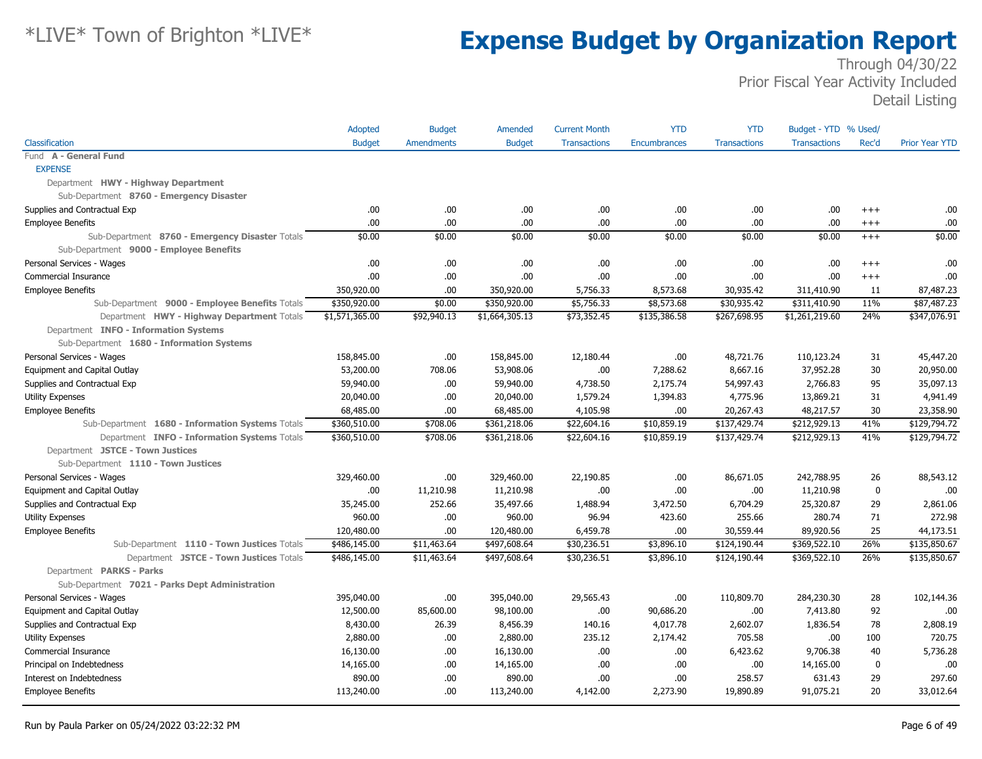|                                                  | Adopted        | <b>Budget</b>     | Amended        | <b>Current Month</b> | <b>YTD</b>          | <b>YTD</b>          | Budget - YTD % Used/ |         |                       |
|--------------------------------------------------|----------------|-------------------|----------------|----------------------|---------------------|---------------------|----------------------|---------|-----------------------|
| Classification                                   | <b>Budget</b>  | <b>Amendments</b> | <b>Budget</b>  | <b>Transactions</b>  | <b>Encumbrances</b> | <b>Transactions</b> | <b>Transactions</b>  | Rec'd   | <b>Prior Year YTD</b> |
| Fund A - General Fund                            |                |                   |                |                      |                     |                     |                      |         |                       |
| <b>EXPENSE</b>                                   |                |                   |                |                      |                     |                     |                      |         |                       |
| Department HWY - Highway Department              |                |                   |                |                      |                     |                     |                      |         |                       |
| Sub-Department 8760 - Emergency Disaster         |                |                   |                |                      |                     |                     |                      |         |                       |
| Supplies and Contractual Exp                     | .00.           | .00               | .00.           | .00                  | .00.                | .00                 | .00.                 | $+++$   | .00                   |
| <b>Employee Benefits</b>                         | 00.            | .00.              | .00.           | .00                  | .00                 | .00                 | .00                  | $+++$   | .00                   |
| Sub-Department 8760 - Emergency Disaster Totals  | \$0.00         | \$0.00            | \$0.00         | \$0.00               | \$0.00              | \$0.00              | \$0.00               | $+++$   | \$0.00                |
| Sub-Department 9000 - Employee Benefits          |                |                   |                |                      |                     |                     |                      |         |                       |
| Personal Services - Wages                        | .00.           | .00               | .00.           | .00                  | .00                 | .00                 | .00.                 | $^{++}$ | .00                   |
| Commercial Insurance                             | 00.            | .00               | .00.           | .00                  | .00.                | .00                 | .00                  | $+++$   | .00                   |
| <b>Employee Benefits</b>                         | 350,920.00     | .00               | 350,920.00     | 5,756.33             | 8,573.68            | 30,935.42           | 311,410.90           | 11      | 87,487.23             |
| Sub-Department 9000 - Employee Benefits Totals   | \$350,920.00   | \$0.00            | \$350,920.00   | \$5,756.33           | \$8,573.68          | \$30,935.42         | \$311,410.90         | 11%     | \$87,487.23           |
| Department HWY - Highway Department Totals       | \$1,571,365.00 | \$92,940.13       | \$1,664,305.13 | \$73,352.45          | \$135,386.58        | \$267,698.95        | \$1,261,219.60       | 24%     | \$347,076.91          |
| Department INFO - Information Systems            |                |                   |                |                      |                     |                     |                      |         |                       |
| Sub-Department 1680 - Information Systems        |                |                   |                |                      |                     |                     |                      |         |                       |
| Personal Services - Wages                        | 158,845.00     | .00               | 158,845.00     | 12,180.44            | .00.                | 48,721.76           | 110,123.24           | 31      | 45,447.20             |
| Equipment and Capital Outlay                     | 53,200.00      | 708.06            | 53,908.06      | .00                  | 7,288.62            | 8,667.16            | 37,952.28            | 30      | 20,950.00             |
| Supplies and Contractual Exp                     | 59,940.00      | .00               | 59,940.00      | 4,738.50             | 2,175.74            | 54,997.43           | 2,766.83             | 95      | 35,097.13             |
| Utility Expenses                                 | 20,040.00      | .00               | 20,040.00      | 1,579.24             | 1,394.83            | 4,775.96            | 13,869.21            | 31      | 4,941.49              |
| <b>Employee Benefits</b>                         | 68,485.00      | .00               | 68,485.00      | 4,105.98             | .00                 | 20,267.43           | 48,217.57            | 30      | 23,358.90             |
| Sub-Department 1680 - Information Systems Totals | \$360,510.00   | \$708.06          | \$361,218.06   | \$22,604.16          | \$10,859.19         | \$137,429.74        | \$212,929.13         | 41%     | \$129,794.72          |
| Department INFO - Information Systems Totals     | \$360,510.00   | \$708.06          | \$361,218.06   | \$22,604.16          | \$10,859.19         | \$137,429.74        | \$212,929.13         | 41%     | \$129,794.72          |
| Department JSTCE - Town Justices                 |                |                   |                |                      |                     |                     |                      |         |                       |
| Sub-Department 1110 - Town Justices              |                |                   |                |                      |                     |                     |                      |         |                       |
| Personal Services - Wages                        | 329,460.00     | .00.              | 329,460.00     | 22,190.85            | .00.                | 86,671.05           | 242,788.95           | 26      | 88,543.12             |
| Equipment and Capital Outlay                     | .00.           | 11,210.98         | 11,210.98      | .00                  | .00.                | .00                 | 11,210.98            | 0       | .00                   |
| Supplies and Contractual Exp                     | 35,245.00      | 252.66            | 35,497.66      | 1,488.94             | 3,472.50            | 6,704.29            | 25,320.87            | 29      | 2,861.06              |
| <b>Utility Expenses</b>                          | 960.00         | .00               | 960.00         | 96.94                | 423.60              | 255.66              | 280.74               | 71      | 272.98                |
| <b>Employee Benefits</b>                         | 120,480.00     | .00               | 120,480.00     | 6,459.78             | .00.                | 30,559.44           | 89,920.56            | 25      | 44,173.51             |
| Sub-Department 1110 - Town Justices Totals       | \$486,145.00   | \$11,463.64       | \$497,608.64   | \$30,236.51          | \$3,896.10          | \$124,190.44        | \$369,522.10         | 26%     | \$135,850.67          |
| Department JSTCE - Town Justices Totals          | \$486,145.00   | \$11,463.64       | \$497,608.64   | \$30,236.51          | \$3,896.10          | \$124,190.44        | \$369,522.10         | 26%     | \$135,850.67          |
| Department PARKS - Parks                         |                |                   |                |                      |                     |                     |                      |         |                       |
| Sub-Department 7021 - Parks Dept Administration  |                |                   |                |                      |                     |                     |                      |         |                       |
| Personal Services - Wages                        | 395,040.00     | .00               | 395,040.00     | 29,565.43            | .00.                | 110,809.70          | 284,230.30           | 28      | 102,144.36            |
| Equipment and Capital Outlay                     | 12,500.00      | 85,600.00         | 98,100.00      | .00                  | 90,686.20           | .00                 | 7,413.80             | 92      | .00                   |
| Supplies and Contractual Exp                     | 8,430.00       | 26.39             | 8,456.39       | 140.16               | 4,017.78            | 2,602.07            | 1,836.54             | 78      | 2,808.19              |
| <b>Utility Expenses</b>                          | 2,880.00       | .00               | 2,880.00       | 235.12               | 2,174.42            | 705.58              | .00.                 | 100     | 720.75                |
| Commercial Insurance                             | 16,130.00      | .00               | 16,130.00      | .00                  | .00                 | 6,423.62            | 9,706.38             | 40      | 5,736.28              |
| Principal on Indebtedness                        | 14,165.00      | .00               | 14,165.00      | .00                  | .00                 | .00                 | 14,165.00            | 0       | .00                   |
| Interest on Indebtedness                         | 890.00         | .00               | 890.00         | .00                  | .00.                | 258.57              | 631.43               | 29      | 297.60                |
| <b>Employee Benefits</b>                         | 113,240.00     | .00               | 113,240.00     | 4,142.00             | 2,273.90            | 19,890.89           | 91,075.21            | 20      | 33,012.64             |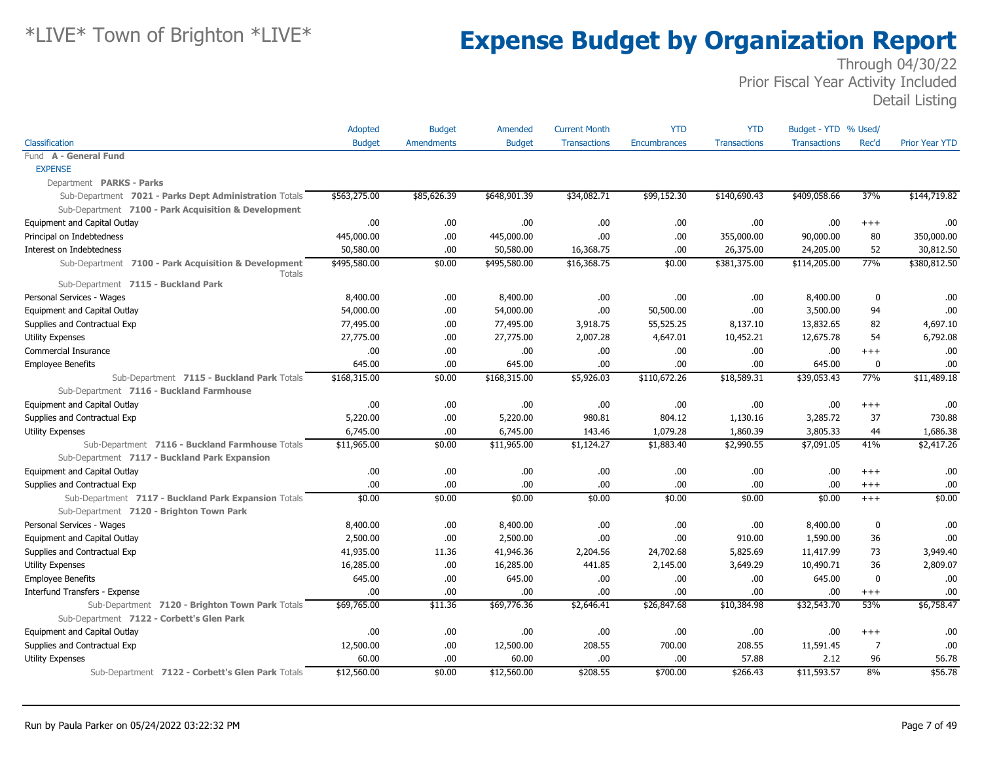|                                                                       | Adopted       | <b>Budget</b>     | Amended       | <b>Current Month</b> | <b>YTD</b>   | <b>YTD</b>          | Budget - YTD % Used/ |                |                       |
|-----------------------------------------------------------------------|---------------|-------------------|---------------|----------------------|--------------|---------------------|----------------------|----------------|-----------------------|
| Classification                                                        | <b>Budget</b> | <b>Amendments</b> | <b>Budget</b> | <b>Transactions</b>  | Encumbrances | <b>Transactions</b> | <b>Transactions</b>  | Rec'd          | <b>Prior Year YTD</b> |
| Fund A - General Fund                                                 |               |                   |               |                      |              |                     |                      |                |                       |
| <b>EXPENSE</b>                                                        |               |                   |               |                      |              |                     |                      |                |                       |
| Department PARKS - Parks                                              |               |                   |               |                      |              |                     |                      |                |                       |
| Sub-Department 7021 - Parks Dept Administration Totals                | \$563,275.00  | \$85,626.39       | \$648,901.39  | \$34,082.71          | \$99,152.30  | \$140,690.43        | \$409,058.66         | 37%            | \$144,719.82          |
| Sub-Department 7100 - Park Acquisition & Development                  |               |                   |               |                      |              |                     |                      |                |                       |
| Equipment and Capital Outlay                                          | .00           | .00               | .00           | .00.                 | .00.         | .00.                | .00                  | $^{+++}$       | .00                   |
| Principal on Indebtedness                                             | 445,000.00    | .00               | 445,000.00    | .00                  | .00.         | 355,000.00          | 90,000.00            | 80             | 350,000.00            |
| Interest on Indebtedness                                              | 50,580.00     | .00               | 50,580.00     | 16,368.75            | .00.         | 26,375.00           | 24,205.00            | 52             | 30,812.50             |
| Sub-Department 7100 - Park Acquisition & Development<br><b>Totals</b> | \$495,580.00  | \$0.00            | \$495,580.00  | \$16,368.75          | \$0.00       | \$381,375.00        | \$114,205.00         | 77%            | \$380,812.50          |
| Sub-Department 7115 - Buckland Park                                   |               |                   |               |                      |              |                     |                      |                |                       |
| Personal Services - Wages                                             | 8,400.00      | .00.              | 8,400.00      | .00                  | .00          | .00.                | 8,400.00             | $\mathbf 0$    | .00                   |
| Equipment and Capital Outlay                                          | 54,000.00     | .00.              | 54,000.00     | .00                  | 50,500.00    | .00                 | 3,500.00             | 94             | .00                   |
| Supplies and Contractual Exp                                          | 77,495.00     | .00               | 77,495.00     | 3,918.75             | 55,525.25    | 8,137.10            | 13,832.65            | 82             | 4,697.10              |
| <b>Utility Expenses</b>                                               | 27,775.00     | .00               | 27,775.00     | 2,007.28             | 4,647.01     | 10,452.21           | 12,675.78            | 54             | 6,792.08              |
| Commercial Insurance                                                  | .00           | .00               | .00.          | .00.                 | .00.         | .00.                | .00                  | $+++$          | .00                   |
| <b>Employee Benefits</b>                                              | 645.00        | .00               | 645.00        | .00.                 | .00.         | .00.                | 645.00               | 0              | .00                   |
| Sub-Department 7115 - Buckland Park Totals                            | \$168,315.00  | \$0.00            | \$168,315.00  | \$5,926.03           | \$110,672.26 | \$18,589.31         | \$39,053.43          | 77%            | \$11,489.18           |
| Sub-Department 7116 - Buckland Farmhouse                              |               |                   |               |                      |              |                     |                      |                |                       |
| Equipment and Capital Outlay                                          | .00.          | .00.              | .00.          | .00.                 | .00.         | .00                 | .00.                 | $^{+++}$       | .00                   |
| Supplies and Contractual Exp                                          | 5,220.00      | .00               | 5,220.00      | 980.81               | 804.12       | 1,130.16            | 3,285.72             | 37             | 730.88                |
| <b>Utility Expenses</b>                                               | 6,745.00      | .00               | 6,745.00      | 143.46               | 1,079.28     | 1,860.39            | 3,805.33             | 44             | 1,686.38              |
| Sub-Department 7116 - Buckland Farmhouse Totals                       | \$11,965.00   | \$0.00            | \$11,965.00   | \$1,124.27           | \$1,883.40   | \$2,990.55          | \$7,091.05           | 41%            | \$2,417.26            |
| Sub-Department 7117 - Buckland Park Expansion                         |               |                   |               |                      |              |                     |                      |                |                       |
| Equipment and Capital Outlay                                          | .00           | .00               | .00.          | .00.                 | .00.         | .00.                | .00.                 | $^{++}$        | .00                   |
| Supplies and Contractual Exp                                          | 00.           | .00.              | .00.          | .00                  | .00.         | .00                 | .00                  | $+++$          | .00                   |
| Sub-Department 7117 - Buckland Park Expansion Totals                  | \$0.00        | \$0.00            | \$0.00        | \$0.00               | \$0.00       | \$0.00              | \$0.00               | $+++$          | \$0.00                |
| Sub-Department 7120 - Brighton Town Park                              |               |                   |               |                      |              |                     |                      |                |                       |
| Personal Services - Wages                                             | 8,400.00      | .00               | 8,400.00      | .00                  | .00          | .00                 | 8,400.00             | $\mathbf 0$    | .00                   |
| Equipment and Capital Outlay                                          | 2,500.00      | .00.              | 2,500.00      | .00                  | .00          | 910.00              | 1,590.00             | 36             | .00                   |
| Supplies and Contractual Exp                                          | 41,935.00     | 11.36             | 41,946.36     | 2,204.56             | 24,702.68    | 5,825.69            | 11,417.99            | 73             | 3,949.40              |
| <b>Utility Expenses</b>                                               | 16,285.00     | .00               | 16,285.00     | 441.85               | 2,145.00     | 3,649.29            | 10,490.71            | 36             | 2,809.07              |
| <b>Employee Benefits</b>                                              | 645.00        | .00.              | 645.00        | .00.                 | .00.         | .00                 | 645.00               | $\mathbf 0$    | .00                   |
| Interfund Transfers - Expense                                         | .00.          | .00               | .00.          | .00.                 | .00.         | .00.                | .00.                 | $^{+++}$       | .00                   |
| Sub-Department 7120 - Brighton Town Park Totals                       | \$69,765.00   | \$11.36           | \$69,776.36   | \$2,646.41           | \$26,847.68  | \$10,384.98         | \$32,543.70          | 53%            | \$6,758.47            |
| Sub-Department 7122 - Corbett's Glen Park                             |               |                   |               |                      |              |                     |                      |                |                       |
| Equipment and Capital Outlay                                          | 00.           | .00               | .00.          | .00.                 | .00.         | .00                 | .00                  | $^{+++}$       | .00                   |
| Supplies and Contractual Exp                                          | 12,500.00     | .00               | 12,500.00     | 208.55               | 700.00       | 208.55              | 11,591.45            | $\overline{7}$ | .00                   |
| <b>Utility Expenses</b>                                               | 60.00         | .00               | 60.00         | .00                  | .00.         | 57.88               | 2.12                 | 96             | 56.78                 |
| Sub-Department 7122 - Corbett's Glen Park Totals                      | \$12,560.00   | \$0.00            | \$12,560.00   | \$208.55             | \$700.00     | \$266.43            | \$11,593.57          | 8%             | \$56.78               |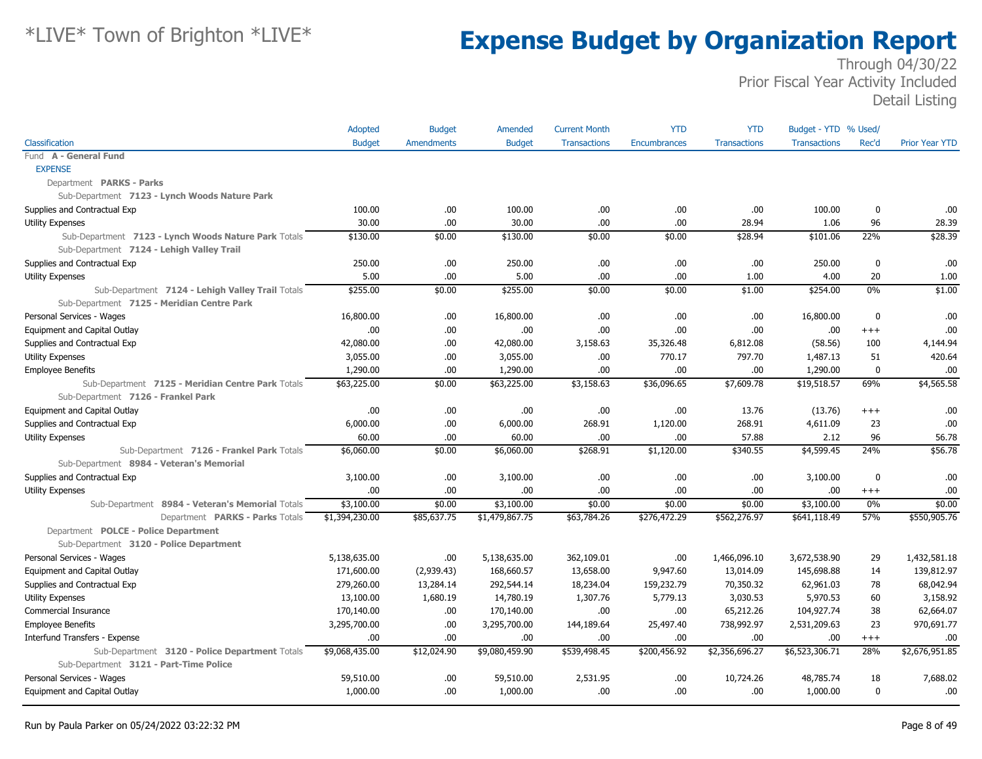|                                                      | Adopted        | <b>Budget</b>     | Amended        | <b>Current Month</b> | <b>YTD</b>   | <b>YTD</b>          | Budget - YTD % Used/ |             |                       |
|------------------------------------------------------|----------------|-------------------|----------------|----------------------|--------------|---------------------|----------------------|-------------|-----------------------|
| Classification                                       | <b>Budget</b>  | <b>Amendments</b> | <b>Budget</b>  | <b>Transactions</b>  | Encumbrances | <b>Transactions</b> | <b>Transactions</b>  | Rec'd       | <b>Prior Year YTD</b> |
| Fund A - General Fund                                |                |                   |                |                      |              |                     |                      |             |                       |
| <b>EXPENSE</b>                                       |                |                   |                |                      |              |                     |                      |             |                       |
| Department PARKS - Parks                             |                |                   |                |                      |              |                     |                      |             |                       |
| Sub-Department 7123 - Lynch Woods Nature Park        |                |                   |                |                      |              |                     |                      |             |                       |
| Supplies and Contractual Exp                         | 100.00         | .00               | 100.00         | .00.                 | .00.         | .00.                | 100.00               | 0           | .00.                  |
| <b>Utility Expenses</b>                              | 30.00          | .00               | 30.00          | .00                  | .00.         | 28.94               | 1.06                 | 96          | 28.39                 |
| Sub-Department 7123 - Lynch Woods Nature Park Totals | \$130.00       | \$0.00            | \$130.00       | \$0.00               | \$0.00       | \$28.94             | \$101.06             | 22%         | \$28.39               |
| Sub-Department 7124 - Lehigh Valley Trail            |                |                   |                |                      |              |                     |                      |             |                       |
| Supplies and Contractual Exp                         | 250.00         | .00               | 250.00         | .00                  | .00          | .00                 | 250.00               | $\mathbf 0$ | .00                   |
| Utility Expenses                                     | 5.00           | .00               | 5.00           | .00                  | .00.         | 1.00                | 4.00                 | 20          | 1.00                  |
| Sub-Department 7124 - Lehigh Valley Trail Totals     | \$255.00       | \$0.00            | \$255.00       | \$0.00               | \$0.00       | \$1.00              | \$254.00             | 0%          | \$1.00                |
| Sub-Department 7125 - Meridian Centre Park           |                |                   |                |                      |              |                     |                      |             |                       |
| Personal Services - Wages                            | 16,800.00      | .00               | 16,800.00      | .00                  | .00.         | .00                 | 16,800.00            | $\mathbf 0$ | .00                   |
| Equipment and Capital Outlay                         | 00.            | .00               | 00.            | .00.                 | .00.         | .00.                | .00.                 | $+++$       | .00                   |
| Supplies and Contractual Exp                         | 42,080.00      | .00               | 42,080.00      | 3,158.63             | 35,326.48    | 6,812.08            | (58.56)              | 100         | 4,144.94              |
| <b>Utility Expenses</b>                              | 3,055.00       | .00               | 3,055.00       | .00.                 | 770.17       | 797.70              | 1,487.13             | 51          | 420.64                |
| <b>Employee Benefits</b>                             | 1,290.00       | .00               | 1,290.00       | .00                  | .00          | .00                 | 1,290.00             | $\mathbf 0$ | .00                   |
| Sub-Department 7125 - Meridian Centre Park Totals    | \$63,225.00    | \$0.00            | \$63,225.00    | \$3,158.63           | \$36,096.65  | \$7,609.78          | \$19,518.57          | 69%         | \$4,565.58            |
| Sub-Department 7126 - Frankel Park                   |                |                   |                |                      |              |                     |                      |             |                       |
| Equipment and Capital Outlay                         | 00.            | .00               | .00.           | .00                  | .00.         | 13.76               | (13.76)              | $^{++}$     | .00                   |
| Supplies and Contractual Exp                         | 6,000.00       | .00               | 6,000.00       | 268.91               | 1,120.00     | 268.91              | 4,611.09             | 23          | .00                   |
| <b>Utility Expenses</b>                              | 60.00          | .00.              | 60.00          | .00.                 | .00.         | 57.88               | 2.12                 | 96          | 56.78                 |
| Sub-Department 7126 - Frankel Park Totals            | \$6,060.00     | \$0.00            | \$6,060.00     | \$268.91             | \$1,120.00   | \$340.55            | \$4,599.45           | 24%         | \$56.78               |
| Sub-Department 8984 - Veteran's Memorial             |                |                   |                |                      |              |                     |                      |             |                       |
| Supplies and Contractual Exp                         | 3,100.00       | .00.              | 3,100.00       | .00.                 | .00.         | .00.                | 3,100.00             | $\mathbf 0$ | .00                   |
| <b>Utility Expenses</b>                              | .00            | .00.              | .00            | .00                  | .00          | .00                 | .00                  | $^{+++}$    | .00.                  |
| Sub-Department 8984 - Veteran's Memorial Totals      | \$3,100.00     | \$0.00            | \$3,100.00     | \$0.00               | \$0.00       | \$0.00              | \$3,100.00           | 0%          | \$0.00                |
| Department PARKS - Parks Totals                      | \$1,394,230.00 | \$85,637.75       | \$1,479,867.75 | \$63,784.26          | \$276,472.29 | \$562,276.97        | \$641,118.49         | 57%         | \$550,905.76          |
| Department POLCE - Police Department                 |                |                   |                |                      |              |                     |                      |             |                       |
| Sub-Department 3120 - Police Department              |                |                   |                |                      |              |                     |                      |             |                       |
| Personal Services - Wages                            | 5,138,635.00   | .00.              | 5,138,635.00   | 362,109.01           | .00.         | 1,466,096.10        | 3,672,538.90         | 29          | 1,432,581.18          |
| Equipment and Capital Outlay                         | 171,600.00     | (2,939.43)        | 168,660.57     | 13,658.00            | 9,947.60     | 13,014.09           | 145,698.88           | 14          | 139,812.97            |
| Supplies and Contractual Exp                         | 279,260.00     | 13,284.14         | 292,544.14     | 18,234.04            | 159,232.79   | 70,350.32           | 62,961.03            | 78          | 68,042.94             |
| Utility Expenses                                     | 13,100.00      | 1,680.19          | 14,780.19      | 1,307.76             | 5,779.13     | 3,030.53            | 5,970.53             | 60          | 3,158.92              |
| Commercial Insurance                                 | 170,140.00     | .00.              | 170,140.00     | .00                  | .00.         | 65,212.26           | 104,927.74           | 38          | 62,664.07             |
| <b>Employee Benefits</b>                             | 3,295,700.00   | .00               | 3,295,700.00   | 144,189.64           | 25,497.40    | 738,992.97          | 2,531,209.63         | 23          | 970,691.77            |
| Interfund Transfers - Expense                        | .00.           | .00               | .00.           | .00                  | .00.         | .00                 | .00                  | $^{+++}$    | .00                   |
| Sub-Department 3120 - Police Department Totals       | \$9,068,435.00 | \$12,024.90       | \$9,080,459.90 | \$539,498.45         | \$200,456.92 | \$2,356,696.27      | \$6,523,306.71       | 28%         | \$2,676,951.85        |
| Sub-Department 3121 - Part-Time Police               |                |                   |                |                      |              |                     |                      |             |                       |
| Personal Services - Wages                            | 59,510.00      | .00               | 59,510.00      | 2,531.95             | .00.         | 10,724.26           | 48,785.74            | 18          | 7,688.02              |
| Equipment and Capital Outlay                         | 1,000.00       | .00               | 1,000.00       | .00.                 | .00.         | .00.                | 1,000.00             | $\mathbf 0$ | .00                   |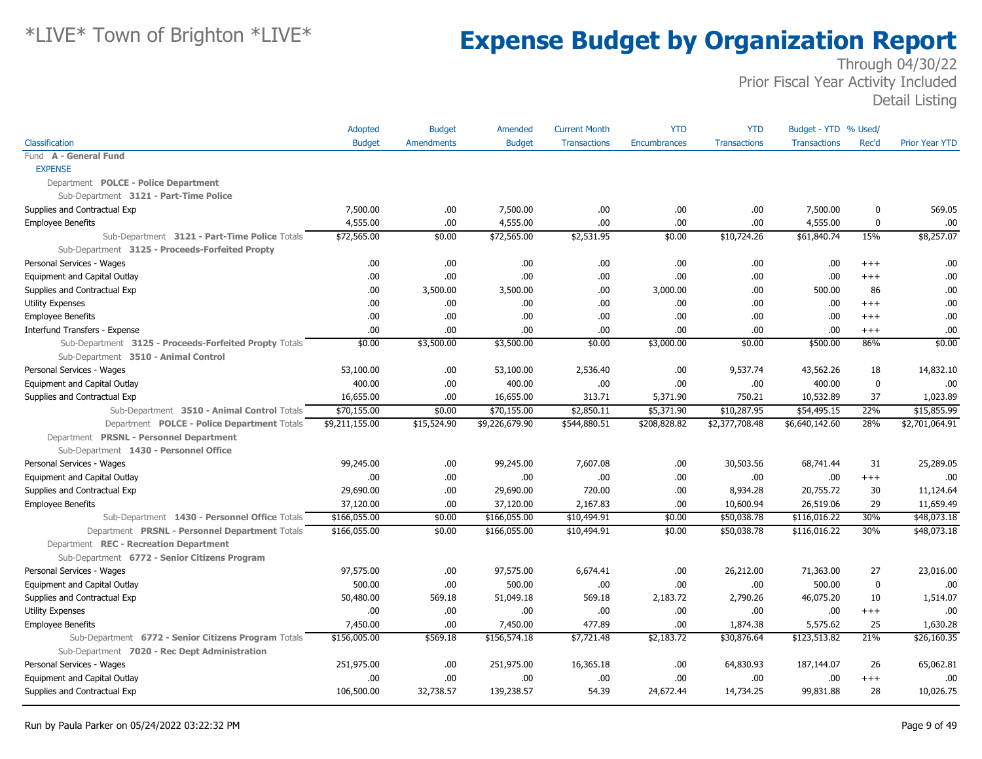|                                                        | Adopted        | <b>Budget</b>     | Amended        | <b>Current Month</b> | <b>YTD</b>          | <b>YTD</b>          | Budget - YTD % Used/ |             |                       |
|--------------------------------------------------------|----------------|-------------------|----------------|----------------------|---------------------|---------------------|----------------------|-------------|-----------------------|
| Classification                                         | <b>Budget</b>  | <b>Amendments</b> | <b>Budget</b>  | <b>Transactions</b>  | <b>Encumbrances</b> | <b>Transactions</b> | <b>Transactions</b>  | Rec'd       | <b>Prior Year YTD</b> |
| Fund A - General Fund                                  |                |                   |                |                      |                     |                     |                      |             |                       |
| <b>EXPENSE</b>                                         |                |                   |                |                      |                     |                     |                      |             |                       |
| Department POLCE - Police Department                   |                |                   |                |                      |                     |                     |                      |             |                       |
| Sub-Department 3121 - Part-Time Police                 |                |                   |                |                      |                     |                     |                      |             |                       |
| Supplies and Contractual Exp                           | 7,500.00       | .00.              | 7,500.00       | .00.                 | .00.                | .00                 | 7,500.00             | $\mathbf 0$ | 569.05                |
| <b>Employee Benefits</b>                               | 4,555.00       | .00               | 4,555.00       | .00                  | .00.                | .00.                | 4,555.00             | 0           | .00                   |
| Sub-Department 3121 - Part-Time Police Totals          | \$72,565.00    | \$0.00            | \$72,565.00    | \$2,531.95           | \$0.00              | \$10,724.26         | \$61,840.74          | 15%         | \$8,257.07            |
| Sub-Department 3125 - Proceeds-Forfeited Propty        |                |                   |                |                      |                     |                     |                      |             |                       |
| Personal Services - Wages                              | .00.           | .00.              | .00            | .00.                 | .00.                | .00.                | .00                  | $+++$       | .00                   |
| Equipment and Capital Outlay                           | .00            | .00               | .00            | .00                  | .00                 | .00.                | .00                  | $^{+++}$    | .00                   |
| Supplies and Contractual Exp                           | .00            | 3,500.00          | 3,500.00       | .00.                 | 3,000.00            | .00.                | 500.00               | 86          | .00                   |
| <b>Utility Expenses</b>                                | .00            | .00               | .00.           | .00                  | .00                 | .00                 | .00.                 | $+++$       | .00                   |
| <b>Employee Benefits</b>                               | .00            | .00               | .00            | .00                  | .00                 | .00                 | .00.                 | $^{+++}$    | .00                   |
| Interfund Transfers - Expense                          | .00.           | .00.              | .00.           | .00                  | .00.                | .00                 | .00.                 | $+++$       | .00                   |
| Sub-Department 3125 - Proceeds-Forfeited Propty Totals | \$0.00         | \$3,500.00        | \$3,500.00     | \$0.00               | \$3,000.00          | \$0.00              | \$500.00             | 86%         | \$0.00                |
| Sub-Department 3510 - Animal Control                   |                |                   |                |                      |                     |                     |                      |             |                       |
| Personal Services - Wages                              | 53,100.00      | .00.              | 53,100.00      | 2,536.40             | .00.                | 9,537.74            | 43,562.26            | 18          | 14,832.10             |
| Equipment and Capital Outlay                           | 400.00         | .00.              | 400.00         | .00.                 | .00.                | .00                 | 400.00               | $\mathbf 0$ | .00                   |
| Supplies and Contractual Exp                           | 16,655.00      | .00               | 16,655.00      | 313.71               | 5,371.90            | 750.21              | 10,532.89            | 37          | 1,023.89              |
| Sub-Department 3510 - Animal Control Totals            | \$70,155.00    | \$0.00            | \$70,155.00    | \$2,850.11           | \$5,371.90          | \$10,287.95         | \$54,495.15          | 22%         | \$15,855.99           |
| Department POLCE - Police Department Totals            | \$9,211,155.00 | \$15,524.90       | \$9,226,679.90 | \$544,880.51         | \$208,828.82        | \$2,377,708.48      | \$6,640,142.60       | 28%         | \$2,701,064.91        |
| Department PRSNL - Personnel Department                |                |                   |                |                      |                     |                     |                      |             |                       |
| Sub-Department 1430 - Personnel Office                 |                |                   |                |                      |                     |                     |                      |             |                       |
| Personal Services - Wages                              | 99,245.00      | .00               | 99,245.00      | 7,607.08             | .00.                | 30,503.56           | 68,741.44            | 31          | 25,289.05             |
| Equipment and Capital Outlay                           | .00            | .00               | .00.           | .00                  | .00.                | .00.                | .00.                 | $+++$       | .00                   |
| Supplies and Contractual Exp                           | 29,690.00      | .00               | 29,690.00      | 720.00               | .00.                | 8,934.28            | 20,755.72            | 30          | 11,124.64             |
| <b>Employee Benefits</b>                               | 37,120.00      | .00               | 37,120.00      | 2,167.83             | .00.                | 10,600.94           | 26,519.06            | 29          | 11,659.49             |
| Sub-Department 1430 - Personnel Office Totals          | \$166,055.00   | \$0.00            | \$166,055.00   | \$10,494.91          | \$0.00              | \$50,038.78         | \$116,016.22         | 30%         | \$48,073.18           |
| Department PRSNL - Personnel Department Totals         | \$166,055.00   | \$0.00            | \$166,055.00   | \$10,494.91          | \$0.00              | \$50,038.78         | \$116,016.22         | 30%         | \$48,073.18           |
| Department REC - Recreation Department                 |                |                   |                |                      |                     |                     |                      |             |                       |
| Sub-Department 6772 - Senior Citizens Program          |                |                   |                |                      |                     |                     |                      |             |                       |
| Personal Services - Wages                              | 97,575.00      | .00               | 97,575.00      | 6,674.41             | .00                 | 26,212.00           | 71,363.00            | 27          | 23,016.00             |
| Equipment and Capital Outlay                           | 500.00         | .00               | 500.00         | .00                  | .00.                | .00.                | 500.00               | 0           | .00                   |
| Supplies and Contractual Exp                           | 50,480.00      | 569.18            | 51,049.18      | 569.18               | 2,183.72            | 2,790.26            | 46,075.20            | 10          | 1,514.07              |
| <b>Utility Expenses</b>                                | .00            | .00               | .00            | .00                  | .00.                | .00                 | .00                  | $^{+++}$    | .00                   |
| <b>Employee Benefits</b>                               | 7,450.00       | .00               | 7,450.00       | 477.89               | .00.                | 1,874.38            | 5,575.62             | 25          | 1,630.28              |
| Sub-Department 6772 - Senior Citizens Program Totals   | \$156,005.00   | \$569.18          | \$156,574.18   | \$7,721.48           | \$2,183.72          | \$30,876.64         | \$123,513.82         | 21%         | \$26,160.35           |
| Sub-Department 7020 - Rec Dept Administration          |                |                   |                |                      |                     |                     |                      |             |                       |
| Personal Services - Wages                              | 251,975.00     | .00               | 251,975.00     | 16,365.18            | .00.                | 64,830.93           | 187,144.07           | 26          | 65,062.81             |
| Equipment and Capital Outlay                           | .00            | .00               | .00            | .00                  | .00.                | .00.                | .00.                 | $+++$       | .00                   |
| Supplies and Contractual Exp                           | 106,500.00     | 32,738.57         | 139,238.57     | 54.39                | 24,672.44           | 14,734.25           | 99,831.88            | 28          | 10,026.75             |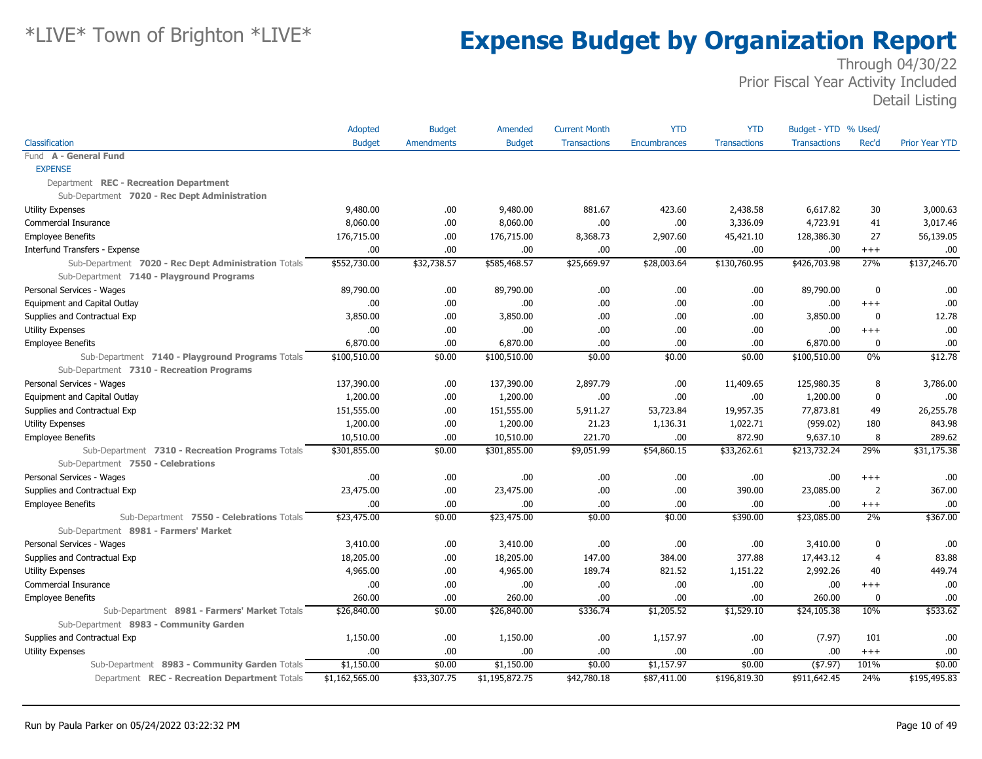|                                                      | Adopted        | <b>Budget</b>     | Amended        | <b>Current Month</b> | <b>YTD</b>          | <b>YTD</b>          | Budget - YTD % Used/ |                |                       |
|------------------------------------------------------|----------------|-------------------|----------------|----------------------|---------------------|---------------------|----------------------|----------------|-----------------------|
| Classification                                       | <b>Budget</b>  | <b>Amendments</b> | <b>Budget</b>  | <b>Transactions</b>  | <b>Encumbrances</b> | <b>Transactions</b> | <b>Transactions</b>  | Rec'd          | <b>Prior Year YTD</b> |
| Fund A - General Fund                                |                |                   |                |                      |                     |                     |                      |                |                       |
| <b>EXPENSE</b>                                       |                |                   |                |                      |                     |                     |                      |                |                       |
| Department REC - Recreation Department               |                |                   |                |                      |                     |                     |                      |                |                       |
| Sub-Department 7020 - Rec Dept Administration        |                |                   |                |                      |                     |                     |                      |                |                       |
| <b>Utility Expenses</b>                              | 9,480.00       | .00.              | 9,480.00       | 881.67               | 423.60              | 2,438.58            | 6,617.82             | 30             | 3,000.63              |
| Commercial Insurance                                 | 8,060,00       | .00.              | 8,060.00       | .00                  | .00.                | 3,336.09            | 4,723.91             | 41             | 3,017.46              |
| <b>Employee Benefits</b>                             | 176,715.00     | .00               | 176,715.00     | 8,368.73             | 2,907.60            | 45,421.10           | 128,386.30           | 27             | 56,139.05             |
| Interfund Transfers - Expense                        | .00.           | .00.              | .00            | .00                  | .00.                | .00.                | .00.                 | $^{+++}$       | .00                   |
| Sub-Department 7020 - Rec Dept Administration Totals | \$552,730.00   | \$32,738.57       | \$585,468.57   | \$25,669.97          | \$28,003.64         | \$130,760.95        | \$426,703.98         | 27%            | \$137,246.70          |
| Sub-Department 7140 - Playground Programs            |                |                   |                |                      |                     |                     |                      |                |                       |
| Personal Services - Wages                            | 89,790.00      | .00.              | 89,790.00      | .00                  | .00.                | .00                 | 89,790.00            | $\mathbf 0$    | .00                   |
| Equipment and Capital Outlay                         | .00.           | .00               | .00            | .00                  | .00.                | .00                 | .00.                 | $^{+++}$       | .00                   |
| Supplies and Contractual Exp                         | 3,850.00       | .00.              | 3,850.00       | .00                  | .00.                | .00.                | 3,850.00             | $\mathbf 0$    | 12.78                 |
| <b>Utility Expenses</b>                              | .00.           | .00.              | .00            | .00                  | .00.                | .00                 | .00                  | $+++$          | .00                   |
| <b>Employee Benefits</b>                             | 6,870.00       | .00               | 6,870.00       | .00                  | .00.                | .00                 | 6,870.00             | 0              | .00                   |
| Sub-Department 7140 - Playground Programs Totals     | \$100,510.00   | \$0.00            | \$100,510.00   | \$0.00               | \$0.00              | \$0.00              | \$100,510.00         | $0\%$          | \$12.78               |
| Sub-Department 7310 - Recreation Programs            |                |                   |                |                      |                     |                     |                      |                |                       |
| Personal Services - Wages                            | 137,390.00     | .00.              | 137,390.00     | 2,897.79             | .00.                | 11,409.65           | 125,980.35           | 8              | 3,786.00              |
| Equipment and Capital Outlay                         | 1,200.00       | .00.              | 1,200.00       | .00                  | .00.                | .00.                | 1,200.00             | 0              | .00                   |
| Supplies and Contractual Exp                         | 151,555.00     | .00.              | 151,555.00     | 5,911.27             | 53,723.84           | 19,957.35           | 77,873.81            | 49             | 26,255.78             |
| <b>Utility Expenses</b>                              | 1,200.00       | .00.              | 1,200.00       | 21.23                | 1,136.31            | 1,022.71            | (959.02)             | 180            | 843.98                |
| <b>Employee Benefits</b>                             | 10,510.00      | .00               | 10,510.00      | 221.70               | .00.                | 872.90              | 9,637.10             | 8              | 289.62                |
| Sub-Department 7310 - Recreation Programs Totals     | \$301,855.00   | \$0.00            | \$301,855.00   | \$9,051.99           | \$54,860.15         | \$33,262.61         | \$213,732.24         | 29%            | \$31,175.38           |
| Sub-Department 7550 - Celebrations                   |                |                   |                |                      |                     |                     |                      |                |                       |
| Personal Services - Wages                            | .00.           | .00.              | .00            | .00                  | .00.                | .00.                | .00.                 | $^{++}$        | .00                   |
| Supplies and Contractual Exp                         | 23,475.00      | .00               | 23,475.00      | .00                  | .00.                | 390.00              | 23,085.00            | $\overline{2}$ | 367.00                |
| <b>Employee Benefits</b>                             | .00.           | .00               | .00            | .00                  | .00.                | .00.                | .00.                 | $^{+++}$       | .00                   |
| Sub-Department 7550 - Celebrations Totals            | \$23,475.00    | \$0.00            | \$23,475.00    | \$0.00               | \$0.00              | \$390.00            | \$23,085.00          | 2%             | \$367.00              |
| Sub-Department 8981 - Farmers' Market                |                |                   |                |                      |                     |                     |                      |                |                       |
| Personal Services - Wages                            | 3,410.00       | .00.              | 3,410.00       | .00                  | .00.                | .00.                | 3,410.00             | 0              | .00                   |
| Supplies and Contractual Exp                         | 18,205.00      | .00.              | 18,205.00      | 147.00               | 384.00              | 377.88              | 17,443.12            | $\overline{4}$ | 83.88                 |
| <b>Utility Expenses</b>                              | 4,965.00       | .00.              | 4,965.00       | 189.74               | 821.52              | 1,151.22            | 2,992.26             | 40             | 449.74                |
| Commercial Insurance                                 | .00.           | .00               | .00            | .00                  | .00.                | .00.                | .00.                 | $+++$          | .00                   |
| <b>Employee Benefits</b>                             | 260.00         | .00.              | 260.00         | .00                  | .00.                | .00.                | 260.00               | $\mathbf 0$    | .00                   |
| Sub-Department 8981 - Farmers' Market Totals         | \$26,840.00    | \$0.00            | \$26,840.00    | \$336.74             | \$1,205.52          | \$1,529.10          | \$24,105.38          | 10%            | \$533.62              |
| Sub-Department 8983 - Community Garden               |                |                   |                |                      |                     |                     |                      |                |                       |
| Supplies and Contractual Exp                         | 1,150.00       | .00.              | 1,150.00       | .00                  | 1,157.97            | .00.                | (7.97)               | 101            | .00                   |
| <b>Utility Expenses</b>                              | .00            | .00               | .00            | .00                  | .00.                | .00.                | .00.                 | $+++$          | .00                   |
| Sub-Department 8983 - Community Garden Totals        | \$1,150.00     | \$0.00            | \$1,150.00     | \$0.00               | \$1,157.97          | \$0.00              | $($ \$7.97)          | 101%           | \$0.00                |
| Department REC - Recreation Department Totals        | \$1,162,565.00 | \$33,307.75       | \$1,195,872.75 | \$42,780.18          | \$87,411.00         | \$196,819.30        | \$911,642.45         | 24%            | \$195,495.83          |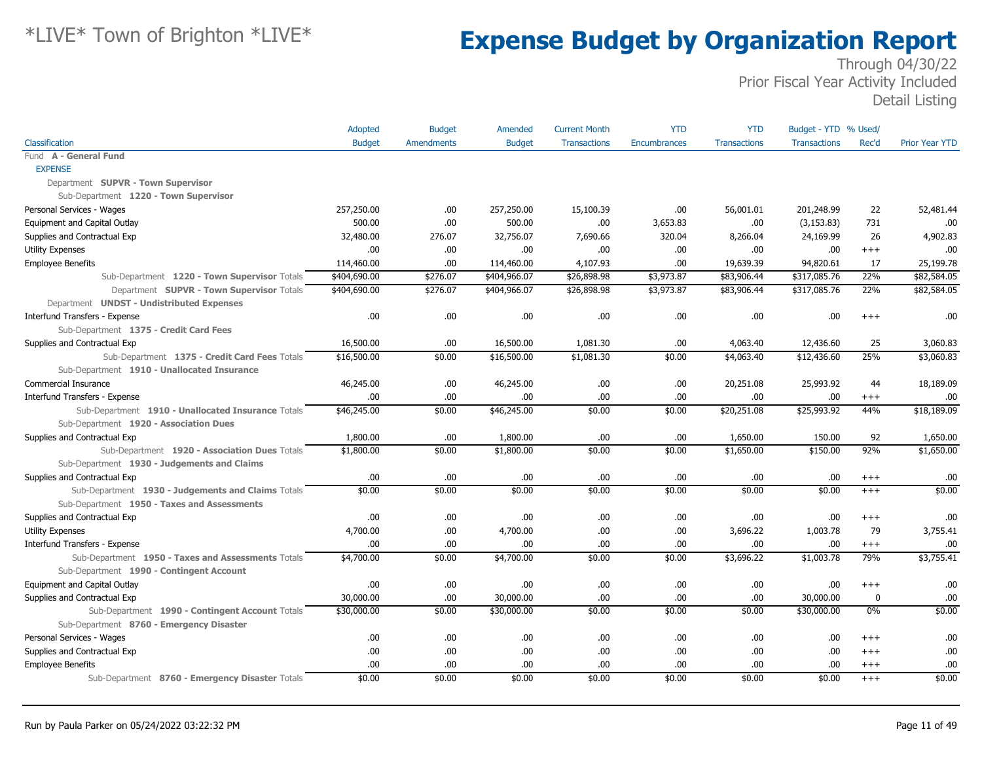|                                                    | Adopted       | <b>Budget</b> | Amended       | <b>Current Month</b> | <b>YTD</b>   | <b>YTD</b>          | Budget - YTD % Used/ |          |                |
|----------------------------------------------------|---------------|---------------|---------------|----------------------|--------------|---------------------|----------------------|----------|----------------|
| Classification                                     | <b>Budget</b> | Amendments    | <b>Budget</b> | <b>Transactions</b>  | Encumbrances | <b>Transactions</b> | <b>Transactions</b>  | Rec'd    | Prior Year YTD |
| Fund A - General Fund                              |               |               |               |                      |              |                     |                      |          |                |
| <b>EXPENSE</b>                                     |               |               |               |                      |              |                     |                      |          |                |
| Department SUPVR - Town Supervisor                 |               |               |               |                      |              |                     |                      |          |                |
| Sub-Department 1220 - Town Supervisor              |               |               |               |                      |              |                     |                      |          |                |
| Personal Services - Wages                          | 257,250.00    | .00           | 257,250.00    | 15,100.39            | .00.         | 56,001.01           | 201,248.99           | 22       | 52,481.44      |
| Equipment and Capital Outlay                       | 500.00        | .00           | 500.00        | .00                  | 3,653.83     | .00                 | (3, 153.83)          | 731      | .00            |
| Supplies and Contractual Exp                       | 32,480.00     | 276.07        | 32,756.07     | 7,690.66             | 320.04       | 8,266.04            | 24,169.99            | 26       | 4,902.83       |
| <b>Utility Expenses</b>                            | 00.           | .00           | .00           | .00                  | .00.         | .00                 | .00.                 | $+++$    | .00            |
| <b>Employee Benefits</b>                           | 114,460.00    | .00           | 114,460.00    | 4,107.93             | .00          | 19,639.39           | 94,820.61            | 17       | 25,199.78      |
| Sub-Department 1220 - Town Supervisor Totals       | \$404,690.00  | \$276.07      | \$404,966.07  | \$26,898.98          | \$3,973.87   | \$83,906.44         | \$317,085.76         | 22%      | \$82,584.05    |
| Department SUPVR - Town Supervisor Totals          | \$404,690.00  | \$276.07      | \$404,966.07  | \$26,898.98          | \$3,973.87   | \$83,906.44         | \$317,085.76         | 22%      | \$82,584.05    |
| Department UNDST - Undistributed Expenses          |               |               |               |                      |              |                     |                      |          |                |
| Interfund Transfers - Expense                      | .00           | .00           | .00.          | .00                  | .00          | .00                 | .00                  | $^{++}$  | .00            |
| Sub-Department 1375 - Credit Card Fees             |               |               |               |                      |              |                     |                      |          |                |
| Supplies and Contractual Exp                       | 16,500.00     | .00           | 16,500.00     | 1,081.30             | .00.         | 4,063.40            | 12,436.60            | 25       | 3,060.83       |
| Sub-Department 1375 - Credit Card Fees Totals      | \$16,500.00   | \$0.00        | \$16,500.00   | \$1,081.30           | \$0.00       | \$4,063.40          | \$12,436.60          | 25%      | \$3,060.83     |
| Sub-Department 1910 - Unallocated Insurance        |               |               |               |                      |              |                     |                      |          |                |
| Commercial Insurance                               | 46,245.00     | .00           | 46,245.00     | .00                  | .00.         | 20,251.08           | 25,993.92            | 44       | 18,189.09      |
| Interfund Transfers - Expense                      | .00.          | .00           | .00.          | .00                  | .00.         | .00                 | .00.                 | $^{+++}$ | .00            |
| Sub-Department 1910 - Unallocated Insurance Totals | \$46,245.00   | \$0.00        | \$46,245.00   | \$0.00               | \$0.00       | \$20,251.08         | \$25,993.92          | 44%      | \$18,189.09    |
| Sub-Department 1920 - Association Dues             |               |               |               |                      |              |                     |                      |          |                |
| Supplies and Contractual Exp                       | 1,800.00      | .00           | 1,800.00      | .00                  | .00          | 1,650.00            | 150.00               | 92       | 1,650.00       |
| Sub-Department 1920 - Association Dues Totals      | \$1,800.00    | \$0.00        | \$1,800.00    | \$0.00               | \$0.00       | \$1,650.00          | \$150.00             | 92%      | \$1,650.00     |
| Sub-Department 1930 - Judgements and Claims        |               |               |               |                      |              |                     |                      |          |                |
| Supplies and Contractual Exp                       | .00.          | .00           | .00.          | .00                  | .00.         | .00                 | .00.                 | $^{+++}$ | .00            |
| Sub-Department 1930 - Judgements and Claims Totals | \$0.00        | \$0.00        | \$0.00        | \$0.00               | \$0.00       | \$0.00              | \$0.00               | $^{+++}$ | \$0.00         |
| Sub-Department 1950 - Taxes and Assessments        |               |               |               |                      |              |                     |                      |          |                |
| Supplies and Contractual Exp                       | .00.          | .00           | .00.          | .00                  | .00.         | .00                 | .00                  | $^{+++}$ | .00            |
| <b>Utility Expenses</b>                            | 4,700.00      | .00           | 4,700.00      | .00                  | .00.         | 3,696.22            | 1,003.78             | 79       | 3,755.41       |
| Interfund Transfers - Expense                      | .00           | .00           | .00.          | .00                  | .00          | .00                 | .00.                 | $^{+++}$ | .00            |
| Sub-Department 1950 - Taxes and Assessments Totals | \$4,700.00    | \$0.00        | \$4,700.00    | \$0.00               | \$0.00       | \$3,696.22          | \$1,003.78           | 79%      | \$3,755.41     |
| Sub-Department 1990 - Contingent Account           |               |               |               |                      |              |                     |                      |          |                |
| Equipment and Capital Outlay                       | .00.          | .00           | .00.          | .00                  | .00.         | .00                 | .00.                 | $^{+++}$ | .00            |
| Supplies and Contractual Exp                       | 30,000.00     | .00           | 30,000.00     | .00                  | .00.         | .00                 | 30,000.00            | 0        | .00            |
| Sub-Department 1990 - Contingent Account Totals    | \$30,000.00   | \$0.00        | \$30,000.00   | \$0.00               | \$0.00       | \$0.00              | \$30,000.00          | $0\%$    | \$0.00         |
| Sub-Department 8760 - Emergency Disaster           |               |               |               |                      |              |                     |                      |          |                |
| Personal Services - Wages                          | .00.          | .00           | .00.          | .00                  | .00          | .00                 | .00                  | $^{++}$  | .00            |
| Supplies and Contractual Exp                       | .00.          | .00           | .00.          | .00                  | .00.         | .00                 | .00.                 | $^{+++}$ | .00            |
| <b>Employee Benefits</b>                           | .00.          | .00           | .00.          | .00                  | .00.         | .00                 | .00.                 | $^{+++}$ | .00            |
| Sub-Department 8760 - Emergency Disaster Totals    | \$0.00        | \$0.00        | \$0.00        | \$0.00               | \$0.00       | \$0.00              | \$0.00               | $+++$    | \$0.00         |
|                                                    |               |               |               |                      |              |                     |                      |          |                |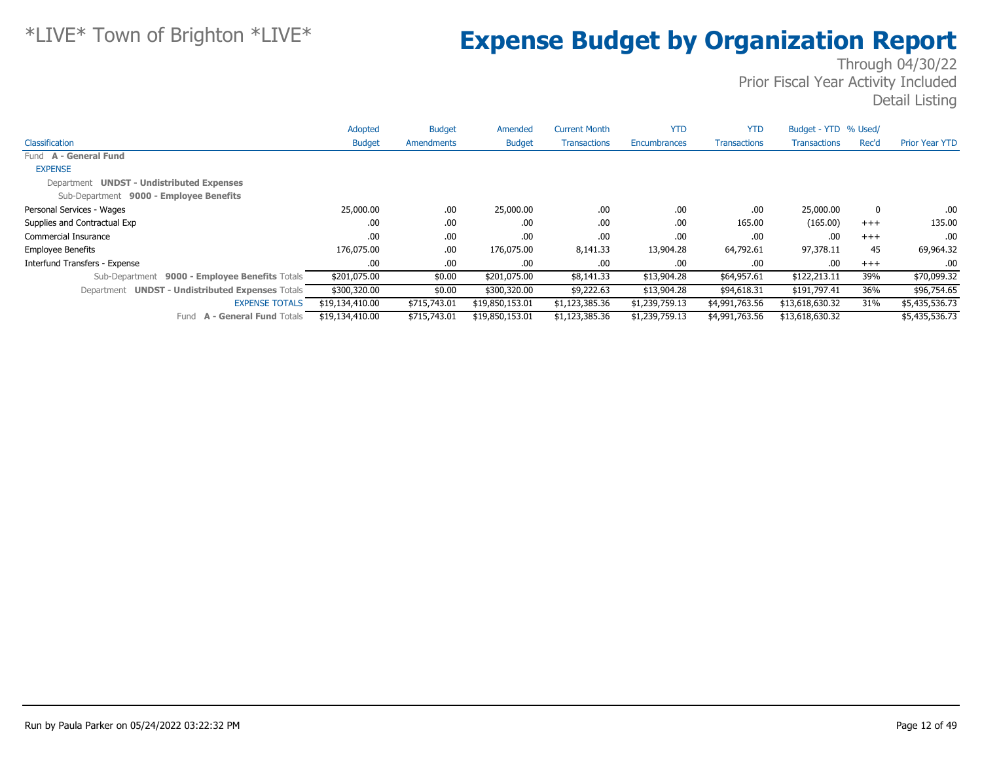|                                                  | Adopted         | <b>Budget</b> | Amended         | <b>Current Month</b> | <b>YTD</b>     | <b>YTD</b>          | Budget - YTD % Used/ |       |                       |
|--------------------------------------------------|-----------------|---------------|-----------------|----------------------|----------------|---------------------|----------------------|-------|-----------------------|
| Classification                                   | <b>Budget</b>   | Amendments    | <b>Budget</b>   | <b>Transactions</b>  | Encumbrances   | <b>Transactions</b> | <b>Transactions</b>  | Rec'd | <b>Prior Year YTD</b> |
| Fund A - General Fund                            |                 |               |                 |                      |                |                     |                      |       |                       |
| <b>EXPENSE</b>                                   |                 |               |                 |                      |                |                     |                      |       |                       |
| Department UNDST - Undistributed Expenses        |                 |               |                 |                      |                |                     |                      |       |                       |
| Sub-Department 9000 - Employee Benefits          |                 |               |                 |                      |                |                     |                      |       |                       |
| Personal Services - Wages                        | 25,000.00       | .00.          | 25,000.00       | .00.                 | .00            | .00.                | 25,000.00            | 0     | .00.                  |
| Supplies and Contractual Exp                     | .00             | .00.          | .00.            | .00.                 | .00            | 165.00              | (165.00)             | $+++$ | 135.00                |
| Commercial Insurance                             | .00             | .00.          | .00.            | .00.                 | .00            | .00                 | .00                  | $+++$ | .00                   |
| <b>Employee Benefits</b>                         | 176,075.00      | .00.          | 176,075.00      | 8,141.33             | 13,904.28      | 64,792.61           | 97,378.11            | 45    | 69,964.32             |
| Interfund Transfers - Expense                    | .00.            | .00.          | .00.            | .00.                 | .00            | .00                 | .00                  | $+++$ | .00                   |
| Sub-Department 9000 - Employee Benefits Totals   | \$201,075.00    | \$0.00        | \$201,075.00    | \$8,141.33           | \$13,904.28    | \$64,957.61         | \$122,213.11         | 39%   | \$70,099.32           |
| Department UNDST - Undistributed Expenses Totals | \$300,320.00    | \$0.00        | \$300,320.00    | \$9,222.63           | \$13,904.28    | \$94,618.31         | \$191,797.41         | 36%   | \$96,754.65           |
| <b>EXPENSE TOTALS</b>                            | \$19,134,410.00 | \$715,743.01  | \$19,850,153.01 | \$1,123,385.36       | \$1,239,759.13 | \$4,991,763.56      | \$13,618,630.32      | 31%   | \$5,435,536.73        |
| Fund A - General Fund Totals                     | \$19,134,410.00 | \$715,743.01  | \$19,850,153.01 | \$1,123,385.36       | \$1,239,759.13 | \$4,991,763.56      | \$13,618,630.32      |       | \$5,435,536.73        |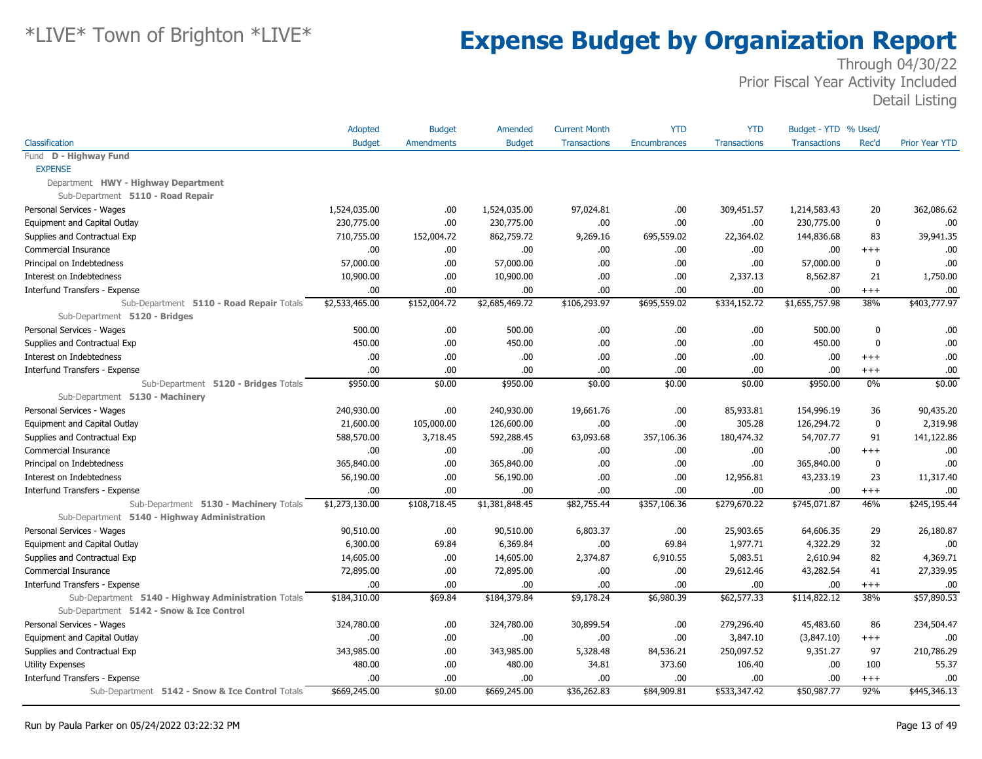|                                                                                        | Adopted        | <b>Budget</b>     | Amended        | <b>Current Month</b> | <b>YTD</b>   | <b>YTD</b>          | Budget - YTD % Used/ |             |                       |
|----------------------------------------------------------------------------------------|----------------|-------------------|----------------|----------------------|--------------|---------------------|----------------------|-------------|-----------------------|
| Classification                                                                         | <b>Budget</b>  | <b>Amendments</b> | <b>Budget</b>  | <b>Transactions</b>  | Encumbrances | <b>Transactions</b> | <b>Transactions</b>  | Rec'd       | <b>Prior Year YTD</b> |
| Fund D - Highway Fund                                                                  |                |                   |                |                      |              |                     |                      |             |                       |
| <b>EXPENSE</b>                                                                         |                |                   |                |                      |              |                     |                      |             |                       |
| Department HWY - Highway Department                                                    |                |                   |                |                      |              |                     |                      |             |                       |
| Sub-Department 5110 - Road Repair                                                      |                |                   |                |                      |              |                     |                      |             |                       |
| Personal Services - Wages                                                              | 1,524,035.00   | .00               | 1,524,035.00   | 97.024.81            | .00          | 309,451.57          | 1,214,583.43         | 20          | 362,086.62            |
| Equipment and Capital Outlay                                                           | 230,775.00     | .00               | 230,775.00     | .00                  | .00          | .00                 | 230,775.00           | $\mathbf 0$ | .00                   |
| Supplies and Contractual Exp                                                           | 710,755.00     | 152,004.72        | 862,759.72     | 9,269.16             | 695,559.02   | 22,364.02           | 144,836.68           | 83          | 39,941.35             |
| Commercial Insurance                                                                   | .00            | .00.              | .00.           | .00                  | .00          | .00                 | .00                  | $+++$       | .00                   |
| Principal on Indebtedness                                                              | 57,000.00      | .00               | 57,000.00      | .00                  | .00          | .00                 | 57,000.00            | 0           | .00                   |
| Interest on Indebtedness                                                               | 10,900.00      | .00.              | 10,900.00      | .00                  | .00          | 2,337.13            | 8,562.87             | 21          | 1,750.00              |
| Interfund Transfers - Expense                                                          | .00            | .00.              | .00.           | .00.                 | .00          | .00.                | .00                  | $^{+++}$    | .00                   |
| Sub-Department 5110 - Road Repair Totals<br>Sub-Department 5120 - Bridges              | \$2,533,465.00 | \$152,004.72      | \$2,685,469.72 | \$106,293.97         | \$695,559.02 | \$334,152.72        | \$1,655,757.98       | 38%         | \$403,777.97          |
| Personal Services - Wages                                                              | 500.00         | .00               | 500.00         | .00                  | .00          | .00                 | 500.00               | $\mathbf 0$ | .00                   |
| Supplies and Contractual Exp                                                           | 450.00         | .00               | 450.00         | .00                  | .00          | .00                 | 450.00               | $\mathbf 0$ | .00                   |
| Interest on Indebtedness                                                               | .00            | .00               | .00            | .00                  | .00          | .00                 | .00                  | $^{++}$     | .00                   |
| Interfund Transfers - Expense                                                          | .00            | .00.              | .00            | .00                  | .00          | .00                 | .00                  | $^{++}$     | .00                   |
| Sub-Department 5120 - Bridges Totals                                                   | \$950.00       | \$0.00            | \$950.00       | \$0.00               | \$0.00       | \$0.00              | \$950.00             | 0%          | \$0.00                |
| Sub-Department 5130 - Machinery                                                        |                |                   |                |                      |              |                     |                      |             |                       |
| Personal Services - Wages                                                              | 240,930.00     | .00               | 240,930.00     | 19,661.76            | .00          | 85,933.81           | 154,996.19           | 36          | 90,435.20             |
| Equipment and Capital Outlay                                                           | 21,600.00      | 105,000.00        | 126,600.00     | .00                  | .00          | 305.28              | 126,294.72           | $\mathbf 0$ | 2,319.98              |
| Supplies and Contractual Exp                                                           | 588,570.00     | 3,718.45          | 592,288.45     | 63,093.68            | 357,106.36   | 180,474.32          | 54,707.77            | 91          | 141,122.86            |
| Commercial Insurance                                                                   | .00.           | .00.              | .00            | .00                  | .00          | .00                 | .00                  | $^{++}$     | .00                   |
| Principal on Indebtedness                                                              | 365,840.00     | .00.              | 365,840.00     | .00                  | .00          | .00                 | 365,840.00           | $\mathbf 0$ | .00                   |
| Interest on Indebtedness                                                               | 56,190.00      | .00               | 56,190.00      | .00                  | .00          | 12,956.81           | 43,233.19            | 23          | 11,317.40             |
| Interfund Transfers - Expense                                                          | .00            | .00.              | .00            | .00                  | .00          | .00                 | .00                  | $^{++}$     | .00                   |
| Sub-Department 5130 - Machinery Totals<br>Sub-Department 5140 - Highway Administration | \$1,273,130.00 | \$108,718.45      | \$1,381,848.45 | \$82,755.44          | \$357,106.36 | \$279,670.22        | \$745,071.87         | 46%         | \$245,195.44          |
| Personal Services - Wages                                                              | 90,510.00      | .00               | 90,510.00      | 6,803.37             | .00          | 25,903.65           | 64,606.35            | 29          | 26,180.87             |
| Equipment and Capital Outlay                                                           | 6,300.00       | 69.84             | 6,369.84       | .00                  | 69.84        | 1,977.71            | 4,322.29             | 32          | .00                   |
| Supplies and Contractual Exp                                                           | 14,605.00      | .00.              | 14,605.00      | 2,374.87             | 6,910.55     | 5,083.51            | 2,610.94             | 82          | 4,369.71              |
| <b>Commercial Insurance</b>                                                            | 72,895.00      | .00.              | 72,895.00      | .00                  | .00          | 29,612.46           | 43,282.54            | 41          | 27,339.95             |
| Interfund Transfers - Expense                                                          | .00            | .00               | .00            | .00                  | .00          | .00.                | .00                  | $^{+++}$    | .00                   |
| Sub-Department 5140 - Highway Administration Totals                                    | \$184,310.00   | \$69.84           | \$184,379.84   | \$9,178.24           | \$6,980.39   | \$62,577.33         | \$114,822.12         | 38%         | \$57,890.53           |
| Sub-Department 5142 - Snow & Ice Control                                               |                |                   |                |                      |              |                     |                      |             |                       |
| Personal Services - Wages                                                              | 324,780.00     | .00               | 324,780.00     | 30,899.54            | .00          | 279,296.40          | 45,483.60            | 86          | 234,504.47            |
| Equipment and Capital Outlay                                                           | .00            | .00               | .00.           | .00                  | .00          | 3,847.10            | (3,847.10)           | $^{+++}$    | .00                   |
| Supplies and Contractual Exp                                                           | 343,985.00     | .00               | 343,985.00     | 5,328.48             | 84,536.21    | 250,097.52          | 9,351.27             | 97          | 210,786.29            |
| Utility Expenses                                                                       | 480.00         | .00               | 480.00         | 34.81                | 373.60       | 106.40              | .00                  | 100         | 55.37                 |
| Interfund Transfers - Expense                                                          | .00            | .00.              | .00            | .00                  | .00          | .00                 | .00                  | $^{+++}$    | .00                   |
| Sub-Department 5142 - Snow & Ice Control Totals                                        | \$669,245.00   | \$0.00            | \$669,245.00   | \$36,262.83          | \$84,909.81  | \$533,347.42        | \$50,987.77          | 92%         | \$445,346.13          |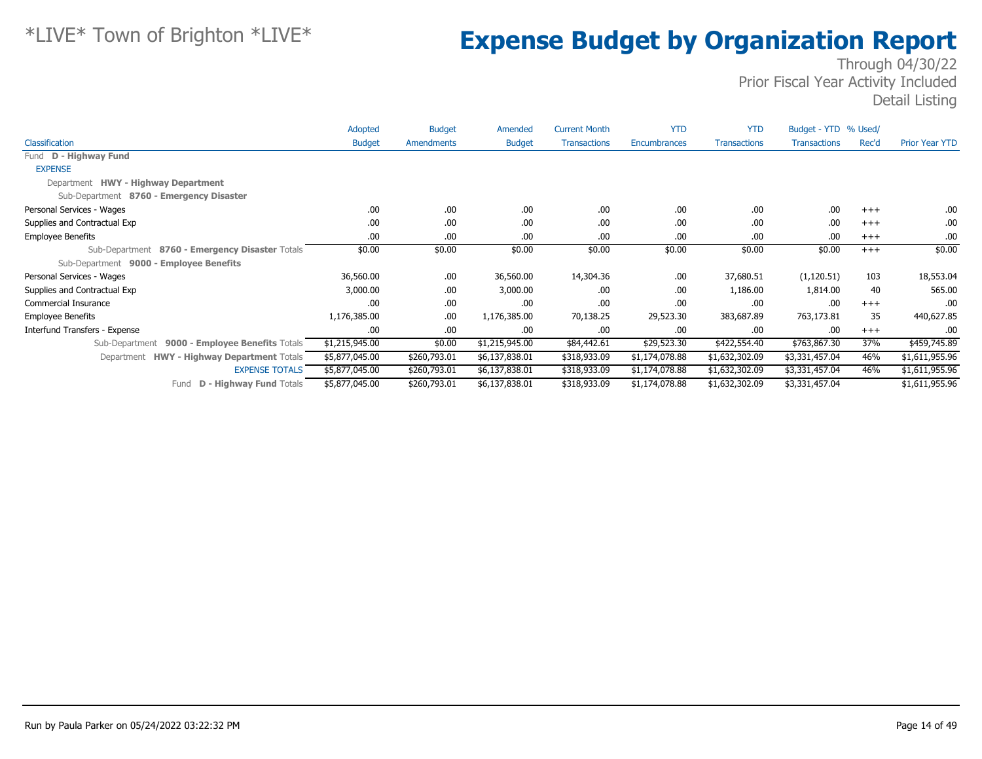|                                                   | Adopted        | <b>Budget</b> | Amended        | <b>Current Month</b> | <b>YTD</b>     | <b>YTD</b>          | Budget - YTD % Used/ |       |                       |
|---------------------------------------------------|----------------|---------------|----------------|----------------------|----------------|---------------------|----------------------|-------|-----------------------|
| Classification                                    | <b>Budget</b>  | Amendments    | <b>Budget</b>  | <b>Transactions</b>  | Encumbrances   | <b>Transactions</b> | <b>Transactions</b>  | Rec'd | <b>Prior Year YTD</b> |
| Fund D - Highway Fund                             |                |               |                |                      |                |                     |                      |       |                       |
| <b>EXPENSE</b>                                    |                |               |                |                      |                |                     |                      |       |                       |
| Department HWY - Highway Department               |                |               |                |                      |                |                     |                      |       |                       |
| Sub-Department 8760 - Emergency Disaster          |                |               |                |                      |                |                     |                      |       |                       |
| Personal Services - Wages                         | .00            | .00.          | .00            | .00                  | .00            | .00                 | .00                  | $+++$ | .00.                  |
| Supplies and Contractual Exp                      | .00            | .00.          | .00            | .00                  | .00            | .00                 | .00                  | $+++$ | .00.                  |
| <b>Employee Benefits</b>                          | .00            | .00           | .00            | .00                  | .00            | .00                 | .00                  | $+++$ | .00.                  |
| Sub-Department 8760 - Emergency Disaster Totals   | \$0.00         | \$0.00        | \$0.00         | \$0.00               | \$0.00         | \$0.00              | \$0.00               | $+++$ | \$0.00                |
| Sub-Department 9000 - Employee Benefits           |                |               |                |                      |                |                     |                      |       |                       |
| Personal Services - Wages                         | 36,560.00      | .00.          | 36,560.00      | 14,304.36            | .00            | 37,680.51           | (1, 120.51)          | 103   | 18,553.04             |
| Supplies and Contractual Exp                      | 3,000.00       | .00.          | 3,000.00       | .00                  | .00            | 1,186.00            | 1,814.00             | 40    | 565.00                |
| <b>Commercial Insurance</b>                       | .00            | .00.          | .00            | .00                  | .00            | .00                 | .00                  | $+++$ | .00                   |
| <b>Employee Benefits</b>                          | 1,176,385.00   | .00.          | 1,176,385.00   | 70,138.25            | 29,523.30      | 383,687.89          | 763,173.81           | 35    | 440,627.85            |
| Interfund Transfers - Expense                     | .00            | .00.          | .00.           | .00                  | .00            | .00                 | .00                  | $+++$ | .00.                  |
| 9000 - Employee Benefits Totals<br>Sub-Department | \$1,215,945.00 | \$0.00        | \$1,215,945.00 | \$84,442.61          | \$29,523.30    | \$422,554.40        | \$763,867.30         | 37%   | \$459,745.89          |
| Department HWY - Highway Department Totals        | \$5,877,045.00 | \$260,793.01  | \$6,137,838.01 | \$318,933.09         | \$1,174,078.88 | \$1,632,302.09      | \$3,331,457.04       | 46%   | \$1,611,955.96        |
| <b>EXPENSE TOTALS</b>                             | \$5,877,045.00 | \$260,793.01  | \$6,137,838.01 | \$318,933.09         | \$1,174,078.88 | \$1,632,302.09      | \$3,331,457.04       | 46%   | \$1,611,955.96        |
| <b>D - Highway Fund Totals</b><br>Fund            | \$5,877,045.00 | \$260,793.01  | \$6,137,838.01 | \$318,933.09         | \$1,174,078.88 | \$1,632,302.09      | \$3,331,457.04       |       | \$1,611,955.96        |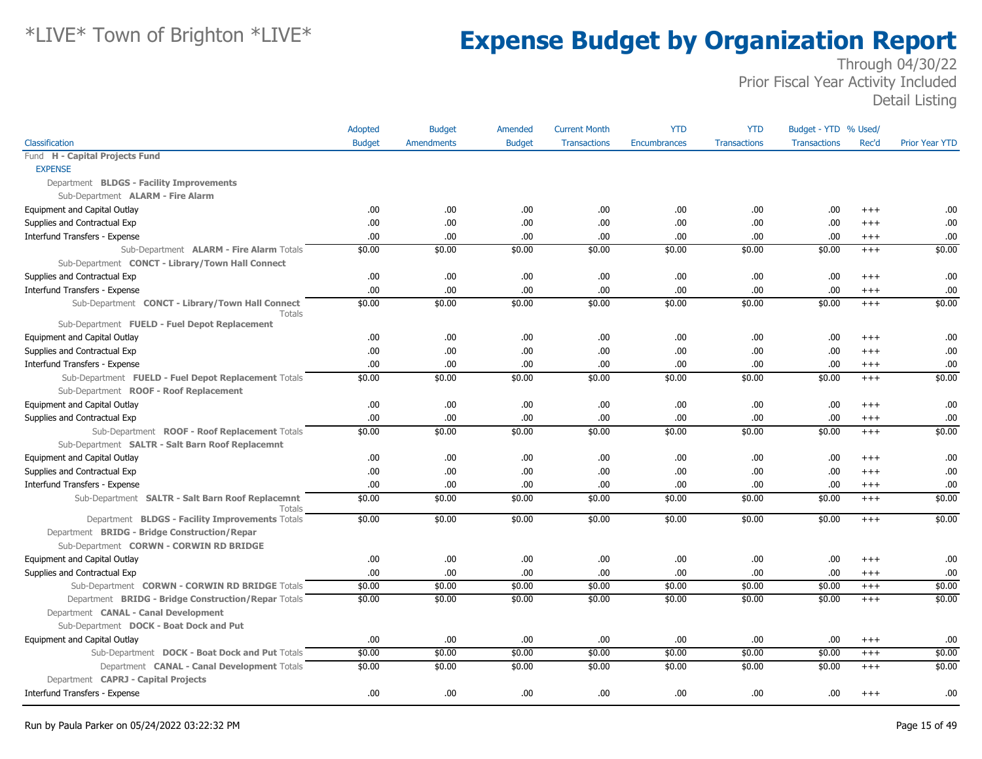|                                                                   | Adopted       | <b>Budget</b>     | Amended       | <b>Current Month</b> | <b>YTD</b>   | <b>YTD</b>          | Budget - YTD % Used/ |          |                       |
|-------------------------------------------------------------------|---------------|-------------------|---------------|----------------------|--------------|---------------------|----------------------|----------|-----------------------|
| Classification                                                    | <b>Budget</b> | <b>Amendments</b> | <b>Budget</b> | <b>Transactions</b>  | Encumbrances | <b>Transactions</b> | <b>Transactions</b>  | Rec'd    | <b>Prior Year YTD</b> |
| Fund H - Capital Projects Fund                                    |               |                   |               |                      |              |                     |                      |          |                       |
| <b>EXPENSE</b>                                                    |               |                   |               |                      |              |                     |                      |          |                       |
| Department BLDGS - Facility Improvements                          |               |                   |               |                      |              |                     |                      |          |                       |
| Sub-Department ALARM - Fire Alarm                                 |               |                   |               |                      |              |                     |                      |          |                       |
| Equipment and Capital Outlay                                      | .00.          | .00.              | .00.          | .00                  | .00          | .00.                | .00                  | $+++$    | .00                   |
| Supplies and Contractual Exp                                      | .00.          | .00               | .00.          | .00                  | .00          | .00.                | .00                  | $^{+++}$ | .00                   |
| Interfund Transfers - Expense                                     | .00.          | .00               | .00           | .00                  | .00          | .00.                | .00                  | $^{+++}$ | .00                   |
| Sub-Department ALARM - Fire Alarm Totals                          | \$0.00        | \$0.00            | \$0.00        | \$0.00               | \$0.00       | \$0.00              | \$0.00               | $+++$    | \$0.00                |
| Sub-Department CONCT - Library/Town Hall Connect                  |               |                   |               |                      |              |                     |                      |          |                       |
| Supplies and Contractual Exp                                      | .00.          | .00.              | .00.          | .00                  | .00          | .00.                | .00                  | $^{+++}$ | .00                   |
| Interfund Transfers - Expense                                     | .00.          | .00               | .00           | .00                  | .00          | .00.                | .00                  | $^{+++}$ | .00                   |
| Sub-Department CONCT - Library/Town Hall Connect<br><b>Totals</b> | \$0.00        | \$0.00            | \$0.00        | \$0.00               | \$0.00       | \$0.00              | \$0.00               | $^{+++}$ | \$0.00                |
| Sub-Department FUELD - Fuel Depot Replacement                     |               |                   |               |                      |              |                     |                      |          |                       |
| Equipment and Capital Outlay                                      | .00.          | .00               | .00           | .00                  | .00          | .00.                | .00                  | $^{+++}$ | .00                   |
| Supplies and Contractual Exp                                      | .00           | .00               | .00           | .00                  | .00          | .00.                | .00                  | $^{+++}$ | .00                   |
| Interfund Transfers - Expense                                     | .00.          | .00               | .00.          | .00                  | .00          | .00                 | .00                  | $^{+++}$ | .00                   |
| Sub-Department FUELD - Fuel Depot Replacement Totals              | \$0.00        | \$0.00            | \$0.00        | \$0.00               | \$0.00       | \$0.00              | \$0.00               | $^{+++}$ | \$0.00                |
| Sub-Department ROOF - Roof Replacement                            |               |                   |               |                      |              |                     |                      |          |                       |
| Equipment and Capital Outlay                                      | .00.          | .00               | .00           | .00                  | .00          | .00.                | .00                  | $+++$    | .00                   |
| Supplies and Contractual Exp                                      | .00.          | .00               | .00           | .00                  | .00          | .00.                | .00                  | $+++$    | .00                   |
| Sub-Department ROOF - Roof Replacement Totals                     | \$0.00        | \$0.00            | \$0.00        | \$0.00               | \$0.00       | \$0.00              | \$0.00               | $^{+++}$ | \$0.00                |
| Sub-Department SALTR - Salt Barn Roof Replacemnt                  |               |                   |               |                      |              |                     |                      |          |                       |
| Equipment and Capital Outlay                                      | .00.          | .00.              | .00.          | .00                  | .00          | .00.                | .00                  | $^{+++}$ | .00                   |
| Supplies and Contractual Exp                                      | .00.          | .00               | .00           | .00                  | .00          | .00.                | .00                  | $+++$    | .00                   |
| Interfund Transfers - Expense                                     | .00.          | .00               | .00.          | .00                  | .00          | .00.                | .00                  | $^{+++}$ | .00                   |
| Sub-Department SALTR - Salt Barn Roof Replacemnt<br>Totals        | \$0.00        | \$0.00            | \$0.00        | \$0.00               | \$0.00       | \$0.00              | \$0.00               | $+++$    | \$0.00                |
| Department BLDGS - Facility Improvements Totals                   | \$0.00        | \$0.00            | \$0.00        | \$0.00               | \$0.00       | \$0.00              | \$0.00               | $+++$    | \$0.00                |
| Department BRIDG - Bridge Construction/Repar                      |               |                   |               |                      |              |                     |                      |          |                       |
| Sub-Department CORWN - CORWIN RD BRIDGE                           |               |                   |               |                      |              |                     |                      |          |                       |
| Equipment and Capital Outlay                                      | .00.          | .00.              | .00.          | .00                  | .00          | .00.                | .00                  | $+++$    | .00                   |
| Supplies and Contractual Exp                                      | .00           | .00               | .00           | .00                  | .00          | .00.                | .00                  | $^{+++}$ | .00                   |
| Sub-Department CORWN - CORWIN RD BRIDGE Totals                    | \$0.00        | \$0.00            | \$0.00        | \$0.00               | \$0.00       | \$0.00              | \$0.00               | $^{+++}$ | \$0.00                |
| Department BRIDG - Bridge Construction/Repar Totals               | \$0.00        | \$0.00            | \$0.00        | \$0.00               | \$0.00       | \$0.00              | \$0.00               | $+++$    | \$0.00                |
| Department CANAL - Canal Development                              |               |                   |               |                      |              |                     |                      |          |                       |
| Sub-Department DOCK - Boat Dock and Put                           |               |                   |               |                      |              |                     |                      |          |                       |
| Equipment and Capital Outlay                                      | .00.          | .00               | .00.          | .00                  | .00          | .00.                | .00                  | $^{+++}$ | .00                   |
| Sub-Department DOCK - Boat Dock and Put Totals                    | \$0.00        | \$0.00            | \$0.00        | \$0.00               | \$0.00       | \$0.00              | \$0.00               | $^{+++}$ | \$0.00                |
| Department CANAL - Canal Development Totals                       | \$0.00        | \$0.00            | \$0.00        | \$0.00               | \$0.00       | \$0.00              | \$0.00               | $^{+++}$ | \$0.00                |
| Department CAPRJ - Capital Projects                               |               |                   |               |                      |              |                     |                      |          |                       |
| Interfund Transfers - Expense                                     | .00           | .00               | .00.          | .00                  | .00          | .00.                | .00                  | $^{+++}$ | .00                   |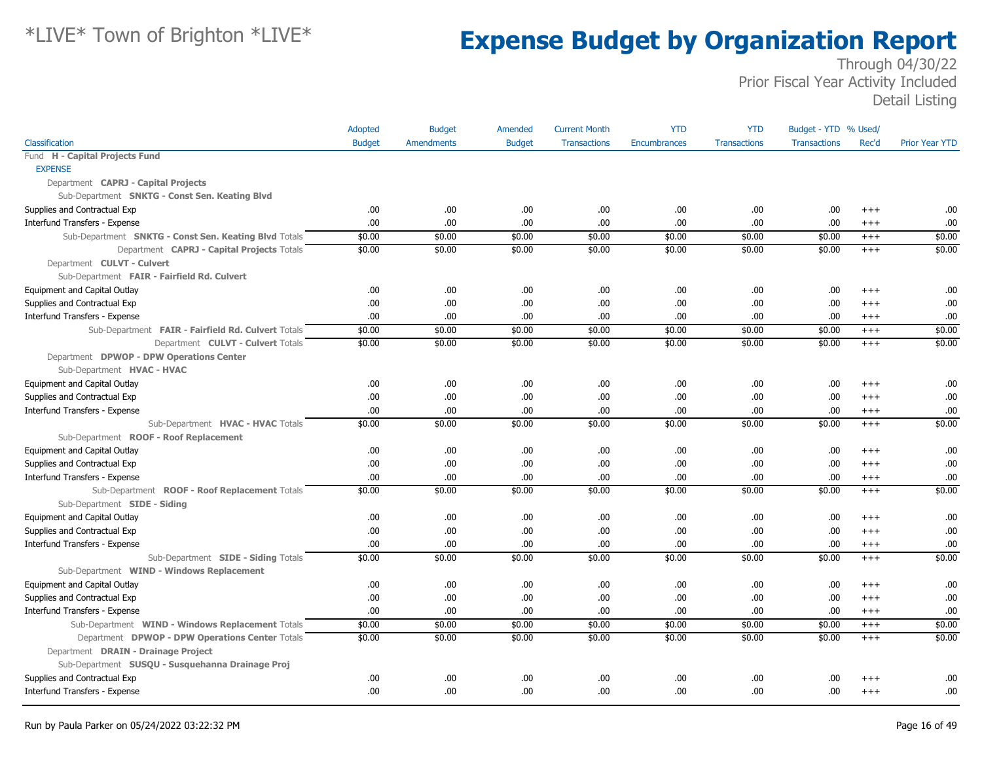|                                                       | Adopted       | <b>Budget</b>     | Amended       | <b>Current Month</b> | <b>YTD</b>   | <b>YTD</b>          | Budget - YTD % Used/ |          |                       |
|-------------------------------------------------------|---------------|-------------------|---------------|----------------------|--------------|---------------------|----------------------|----------|-----------------------|
| Classification                                        | <b>Budget</b> | <b>Amendments</b> | <b>Budget</b> | <b>Transactions</b>  | Encumbrances | <b>Transactions</b> | <b>Transactions</b>  | Rec'd    | <b>Prior Year YTD</b> |
| Fund H - Capital Projects Fund                        |               |                   |               |                      |              |                     |                      |          |                       |
| <b>EXPENSE</b>                                        |               |                   |               |                      |              |                     |                      |          |                       |
| Department CAPRJ - Capital Projects                   |               |                   |               |                      |              |                     |                      |          |                       |
| Sub-Department SNKTG - Const Sen. Keating Blvd        |               |                   |               |                      |              |                     |                      |          |                       |
| Supplies and Contractual Exp                          | .00           | .00               | .00.          | .00                  | .00.         | .00.                | .00                  | $+++$    | .00                   |
| Interfund Transfers - Expense                         | .00           | .00               | .00.          | .00                  | .00          | .00                 | .00.                 | $^{+++}$ | .00                   |
| Sub-Department SNKTG - Const Sen. Keating Blvd Totals | \$0.00        | \$0.00            | \$0.00        | \$0.00               | \$0.00       | \$0.00              | \$0.00               | $+++$    | \$0.00                |
| Department CAPRJ - Capital Projects Totals            | \$0.00        | \$0.00            | \$0.00        | \$0.00               | \$0.00       | \$0.00              | \$0.00               | $+++$    | \$0.00                |
| Department CULVT - Culvert                            |               |                   |               |                      |              |                     |                      |          |                       |
| Sub-Department FAIR - Fairfield Rd. Culvert           |               |                   |               |                      |              |                     |                      |          |                       |
| Equipment and Capital Outlay                          | .00.          | .00               | .00.          | .00                  | .00.         | .00.                | .00                  | $+++$    | .00                   |
| Supplies and Contractual Exp                          | .00           | .00               | .00.          | .00                  | .00          | .00                 | .00.                 | $+++$    | .00                   |
| Interfund Transfers - Expense                         | .00           | .00               | .00.          | .00                  | .00          | .00                 | .00                  | $^{+++}$ | .00                   |
| Sub-Department FAIR - Fairfield Rd. Culvert Totals    | \$0.00        | \$0.00            | \$0.00        | \$0.00               | \$0.00       | \$0.00              | \$0.00               | $^{+++}$ | \$0.00                |
| Department CULVT - Culvert Totals                     | \$0.00        | \$0.00            | \$0.00        | \$0.00               | \$0.00       | \$0.00              | \$0.00               | $+++$    | \$0.00                |
| Department DPWOP - DPW Operations Center              |               |                   |               |                      |              |                     |                      |          |                       |
| Sub-Department HVAC - HVAC                            |               |                   |               |                      |              |                     |                      |          |                       |
| Equipment and Capital Outlay                          | .00           | .00               | .00.          | .00                  | .00          | .00                 | .00.                 | $+++$    | .00                   |
| Supplies and Contractual Exp                          | .00.          | .00               | .00.          | .00                  | .00          | .00                 | .00                  | $+++$    | .00                   |
| Interfund Transfers - Expense                         | .00           | .00               | .00.          | .00                  | .00          | .00                 | .00.                 | $^{+++}$ | .00                   |
| Sub-Department HVAC - HVAC Totals                     | \$0.00        | \$0.00            | \$0.00        | \$0.00               | \$0.00       | \$0.00              | \$0.00               | $+++$    | \$0.00                |
| Sub-Department ROOF - Roof Replacement                |               |                   |               |                      |              |                     |                      |          |                       |
| Equipment and Capital Outlay                          | .00           | .00               | .00.          | .00                  | .00.         | .00                 | .00.                 | $^{+++}$ | .00                   |
| Supplies and Contractual Exp                          | .00           | .00               | .00.          | .00                  | .00          | .00.                | .00.                 | $+++$    | .00                   |
| Interfund Transfers - Expense                         | .00.          | .00               | .00.          | .00                  | .00.         | .00                 | .00.                 | $^{+++}$ | .00                   |
| Sub-Department ROOF - Roof Replacement Totals         | \$0.00        | \$0.00            | \$0.00        | \$0.00               | \$0.00       | \$0.00              | \$0.00               | $+++$    | \$0.00                |
| Sub-Department SIDE - Siding                          |               |                   |               |                      |              |                     |                      |          |                       |
| Equipment and Capital Outlay                          | .00           | .00               | .00.          | .00                  | .00.         | .00.                | .00.                 | $^{++}$  | .00                   |
| Supplies and Contractual Exp                          | .00           | .00               | .00.          | .00                  | .00.         | .00                 | .00.                 | $+++$    | .00                   |
| Interfund Transfers - Expense                         | .00           | .00               | .00.          | .00                  | .00.         | .00.                | .00.                 | $^{+++}$ | .00                   |
| Sub-Department SIDE - Siding Totals                   | \$0.00        | \$0.00            | \$0.00        | \$0.00               | \$0.00       | \$0.00              | \$0.00               | $^{+++}$ | \$0.00                |
| Sub-Department WIND - Windows Replacement             |               |                   |               |                      |              |                     |                      |          |                       |
| Equipment and Capital Outlay                          | .00           | .00               | .00.          | .00                  | .00          | .00                 | .00.                 | $^{++}$  | .00.                  |
| Supplies and Contractual Exp                          | .00           | .00               | .00.          | .00                  | .00          | .00                 | .00.                 | $^{++}$  | .00                   |
| Interfund Transfers - Expense                         | .00           | .00               | .00.          | .00                  | .00          | .00.                | .00                  | $+++$    | .00                   |
| Sub-Department WIND - Windows Replacement Totals      | \$0.00        | \$0.00            | \$0.00        | \$0.00               | \$0.00       | \$0.00              | \$0.00               | $^{+++}$ | \$0.00                |
| Department DPWOP - DPW Operations Center Totals       | \$0.00        | \$0.00            | \$0.00        | \$0.00               | \$0.00       | \$0.00              | \$0.00               | $+++$    | \$0.00                |
| Department DRAIN - Drainage Project                   |               |                   |               |                      |              |                     |                      |          |                       |
| Sub-Department SUSQU - Susquehanna Drainage Proj      |               |                   |               |                      |              |                     |                      |          |                       |
| Supplies and Contractual Exp                          | .00           | .00               | .00.          | .00                  | .00          | .00                 | .00                  | $+++$    | .00                   |
| Interfund Transfers - Expense                         | .00.          | .00               | .00.          | .00                  | .00.         | .00.                | .00.                 | $^{++}$  | .00                   |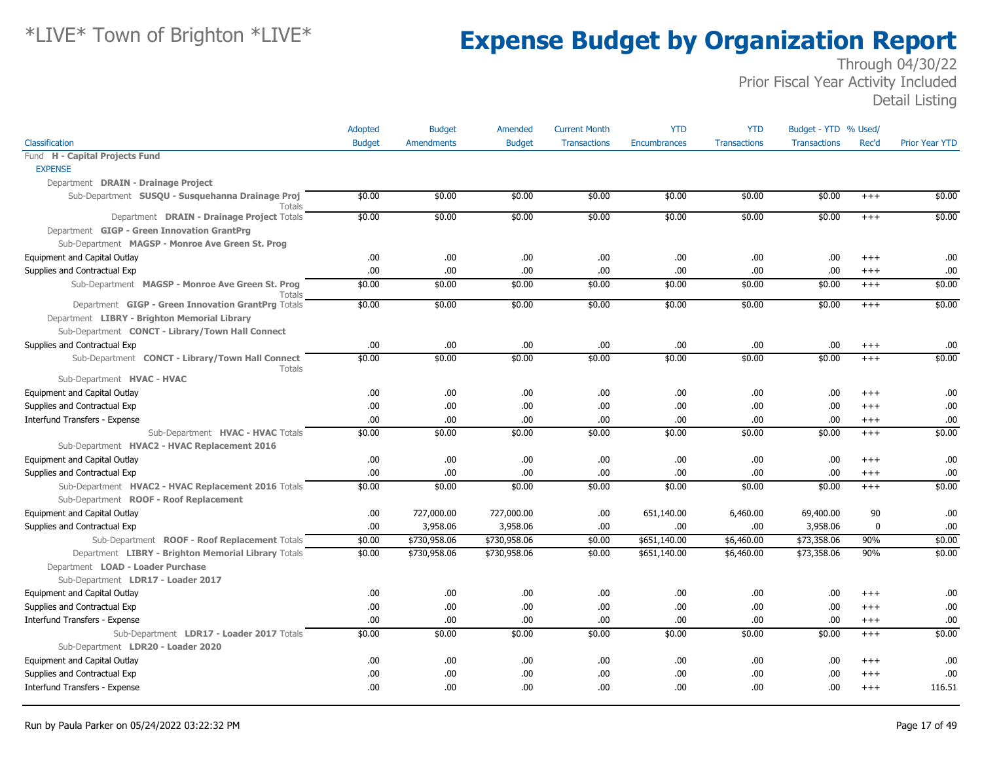|                                                                   | Adopted       | <b>Budget</b>     | Amended       | <b>Current Month</b> | <b>YTD</b>   | <b>YTD</b>          | Budget - YTD % Used/ |          |                       |
|-------------------------------------------------------------------|---------------|-------------------|---------------|----------------------|--------------|---------------------|----------------------|----------|-----------------------|
| Classification                                                    | <b>Budget</b> | <b>Amendments</b> | <b>Budget</b> | <b>Transactions</b>  | Encumbrances | <b>Transactions</b> | <b>Transactions</b>  | Rec'd    | <b>Prior Year YTD</b> |
| Fund H - Capital Projects Fund                                    |               |                   |               |                      |              |                     |                      |          |                       |
| <b>EXPENSE</b>                                                    |               |                   |               |                      |              |                     |                      |          |                       |
| Department DRAIN - Drainage Project                               |               |                   |               |                      |              |                     |                      |          |                       |
| Sub-Department SUSQU - Susquehanna Drainage Proj<br><b>Totals</b> | \$0.00        | \$0.00            | \$0.00        | \$0.00               | \$0.00       | \$0.00              | \$0.00               | $^{+++}$ | \$0.00                |
| Department DRAIN - Drainage Project Totals                        | \$0.00        | \$0.00            | \$0.00        | \$0.00               | \$0.00       | \$0.00              | \$0.00               | $+++$    | \$0.00                |
| Department GIGP - Green Innovation GrantPrg                       |               |                   |               |                      |              |                     |                      |          |                       |
| Sub-Department MAGSP - Monroe Ave Green St. Prog                  |               |                   |               |                      |              |                     |                      |          |                       |
| Equipment and Capital Outlay                                      | .00.          | .00.              | .00           | .00.                 | .00          | .00.                | .00                  | $^{+++}$ | .00                   |
| Supplies and Contractual Exp                                      | .00           | .00.              | .00           | .00.                 | .00          | .00                 | .00                  | $^{+++}$ | .00                   |
| Sub-Department MAGSP - Monroe Ave Green St. Prog<br>Totals        | \$0.00        | \$0.00            | \$0.00        | \$0.00               | \$0.00       | \$0.00              | \$0.00               | $+++$    | \$0.00                |
| Department GIGP - Green Innovation GrantPrg Totals                | \$0.00        | \$0.00            | \$0.00        | \$0.00               | \$0.00       | \$0.00              | \$0.00               | $+++$    | \$0.00                |
| Department LIBRY - Brighton Memorial Library                      |               |                   |               |                      |              |                     |                      |          |                       |
| Sub-Department CONCT - Library/Town Hall Connect                  |               |                   |               |                      |              |                     |                      |          |                       |
| Supplies and Contractual Exp                                      | .00           | .00.              | .00           | .00.                 | .00          | .00                 | .00                  | $^{+++}$ | .00                   |
| Sub-Department CONCT - Library/Town Hall Connect<br>Totals        | \$0.00        | \$0.00            | \$0.00        | \$0.00               | \$0.00       | \$0.00              | \$0.00               | $+++$    | \$0.00                |
| Sub-Department HVAC - HVAC                                        |               |                   |               |                      |              |                     |                      |          |                       |
| Equipment and Capital Outlay                                      | .00.          | .00.              | .00           | .00.                 | .00          | .00.                | .00                  | $^{++}$  | .00                   |
| Supplies and Contractual Exp                                      | .00.          | .00.              | .00           | .00.                 | .00          | .00.                | .00                  | $^{++}$  | .00                   |
| Interfund Transfers - Expense                                     | .00           | .00.              | .00           | .00.                 | .00          | .00.                | .00                  | $^{+++}$ | .00                   |
| Sub-Department HVAC - HVAC Totals                                 | \$0.00        | \$0.00            | \$0.00        | \$0.00               | \$0.00       | \$0.00              | \$0.00               | $^{++}$  | \$0.00                |
| Sub-Department HVAC2 - HVAC Replacement 2016                      |               |                   |               |                      |              |                     |                      |          |                       |
| Equipment and Capital Outlay                                      | .00.          | .00.              | .00.          | .00.                 | .00          | .00.                | .00                  | $+++$    | .00                   |
| Supplies and Contractual Exp                                      | .00           | .00.              | .00           | .00.                 | .00          | .00.                | .00                  | $^{+++}$ | .00                   |
| Sub-Department HVAC2 - HVAC Replacement 2016 Totals               | \$0.00        | \$0.00            | \$0.00        | \$0.00               | \$0.00       | \$0.00              | \$0.00               | $+++$    | \$0.00                |
| Sub-Department ROOF - Roof Replacement                            |               |                   |               |                      |              |                     |                      |          |                       |
| Equipment and Capital Outlay                                      | .00.          | 727,000.00        | 727,000.00    | .00.                 | 651,140.00   | 6,460.00            | 69,400.00            | 90       | .00                   |
| Supplies and Contractual Exp                                      | .00           | 3,958.06          | 3,958.06      | .00.                 | .00          | .00.                | 3,958.06             | 0        | .00                   |
| Sub-Department ROOF - Roof Replacement Totals                     | \$0.00        | \$730,958.06      | \$730,958.06  | \$0.00               | \$651,140.00 | \$6,460.00          | \$73,358.06          | 90%      | \$0.00                |
| Department LIBRY - Brighton Memorial Library Totals               | \$0.00        | \$730,958.06      | \$730,958.06  | \$0.00               | \$651,140.00 | \$6,460.00          | \$73,358.06          | 90%      | \$0.00                |
| Department LOAD - Loader Purchase                                 |               |                   |               |                      |              |                     |                      |          |                       |
| Sub-Department LDR17 - Loader 2017                                |               |                   |               |                      |              |                     |                      |          |                       |
| Equipment and Capital Outlay                                      | .00           | .00.              | .00           | .00.                 | .00          | .00.                | .00                  | $+++$    | .00                   |
| Supplies and Contractual Exp                                      | .00           | .00.              | .00           | .00.                 | .00          | .00.                | .00                  | $^{+++}$ | .00                   |
| <b>Interfund Transfers - Expense</b>                              | .00           | .00.              | .00           | .00                  | .00.         | .00.                | .00                  | $^{+++}$ | .00                   |
| Sub-Department LDR17 - Loader 2017 Totals                         | \$0.00        | \$0.00            | \$0.00        | \$0.00               | \$0.00       | \$0.00              | \$0.00               | $+++$    | \$0.00                |
| Sub-Department LDR20 - Loader 2020                                |               |                   |               |                      |              |                     |                      |          |                       |
| Equipment and Capital Outlay                                      | .00           | .00.              | .00           | .00.                 | .00          | .00.                | .00                  | $^{++}$  | .00                   |
| Supplies and Contractual Exp                                      | .00           | .00.              | .00           | .00.                 | .00          | .00.                | .00                  | $^{+++}$ | .00                   |
| Interfund Transfers - Expense                                     | .00.          | .00               | .00           | .00.                 | .00.         | 00.                 | .00                  | $+++$    | 116.51                |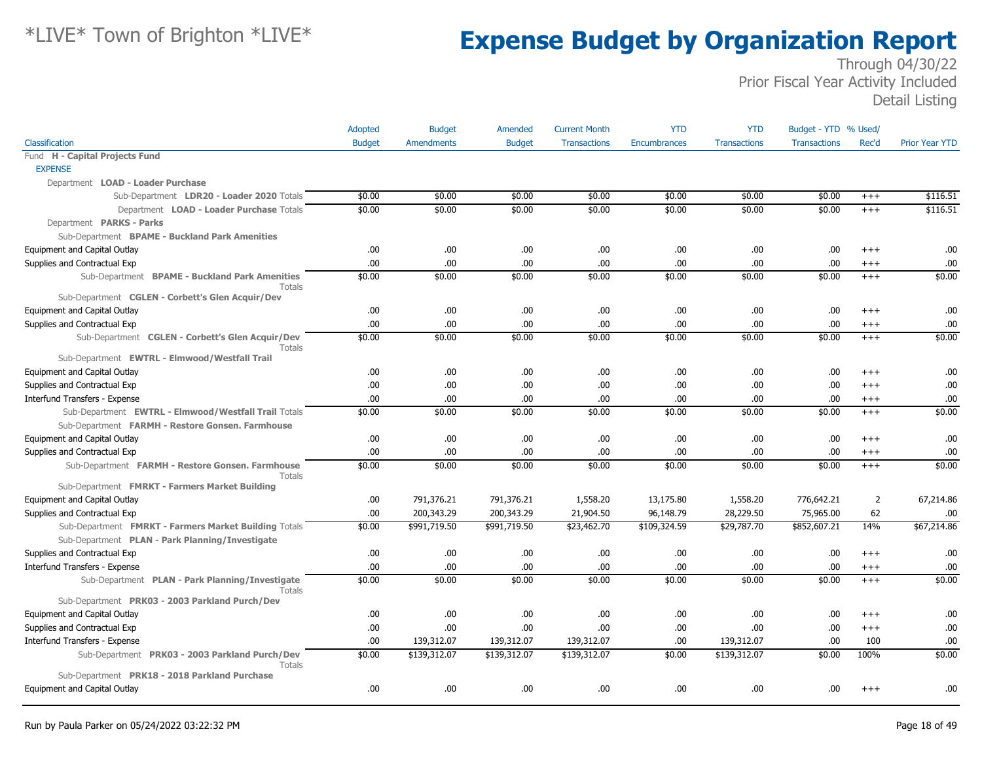|                                                            | Adopted       | <b>Budget</b> | Amended       | <b>Current Month</b> | <b>YTD</b>          | <b>YTD</b>          | Budget - YTD % Used/ |                |                       |
|------------------------------------------------------------|---------------|---------------|---------------|----------------------|---------------------|---------------------|----------------------|----------------|-----------------------|
| Classification                                             | <b>Budget</b> | Amendments    | <b>Budget</b> | <b>Transactions</b>  | <b>Encumbrances</b> | <b>Transactions</b> | <b>Transactions</b>  | Rec'd          | <b>Prior Year YTD</b> |
| Fund H - Capital Projects Fund                             |               |               |               |                      |                     |                     |                      |                |                       |
| <b>EXPENSE</b>                                             |               |               |               |                      |                     |                     |                      |                |                       |
| Department LOAD - Loader Purchase                          |               |               |               |                      |                     |                     |                      |                |                       |
| Sub-Department LDR20 - Loader 2020 Totals                  | \$0.00        | \$0.00        | \$0.00        | \$0.00               | \$0.00              | \$0.00              | \$0.00               | $^{+++}$       | \$116.51              |
| Department LOAD - Loader Purchase Totals                   | \$0.00        | \$0.00        | \$0.00        | \$0.00               | \$0.00              | \$0.00              | \$0.00               | $+++$          | \$116.51              |
| Department PARKS - Parks                                   |               |               |               |                      |                     |                     |                      |                |                       |
| Sub-Department BPAME - Buckland Park Amenities             |               |               |               |                      |                     |                     |                      |                |                       |
| Equipment and Capital Outlay                               | .00.          | .00.          | .00.          | .00                  | .00                 | .00                 | .00.                 | $+++$          | .00                   |
| Supplies and Contractual Exp                               | .00           | .00           | .00           | .00                  | .00                 | .00                 | .00                  | $+++$          | .00                   |
| Sub-Department BPAME - Buckland Park Amenities<br>Totals   | \$0.00        | \$0.00        | \$0.00        | \$0.00               | \$0.00              | \$0.00              | \$0.00               | $+++$          | \$0.00                |
| Sub-Department CGLEN - Corbett's Glen Acquir/Dev           |               |               |               |                      |                     |                     |                      |                |                       |
| Equipment and Capital Outlay                               | .00.          | .00.          | .00           | .00                  | .00.                | .00                 | .00.                 | $^{++}$        | .00                   |
| Supplies and Contractual Exp                               | .00.          | .00           | .00           | .00                  | .00                 | .00                 | .00.                 | $^{+++}$       | .00                   |
| Sub-Department CGLEN - Corbett's Glen Acquir/Dev<br>Totals | \$0.00        | \$0.00        | \$0.00        | \$0.00               | \$0.00              | \$0.00              | \$0.00               | $+++$          | \$0.00                |
| Sub-Department EWTRL - Elmwood/Westfall Trail              |               |               |               |                      |                     |                     |                      |                |                       |
| Equipment and Capital Outlay                               | .00           | .00           | .00.          | .00                  | .00.                | .00                 | .00.                 | $^{++}$        | .00                   |
| Supplies and Contractual Exp                               | .00           | .00           | .00           | .00                  | .00.                | .00                 | .00.                 | $+++$          | .00                   |
| Interfund Transfers - Expense                              | .00           | .00           | .00.          | .00                  | .00                 | .00                 | .00.                 | $^{+++}$       | .00                   |
| Sub-Department EWTRL - Elmwood/Westfall Trail Totals       | \$0.00        | \$0.00        | \$0.00        | \$0.00               | \$0.00              | \$0.00              | \$0.00               | $+++$          | \$0.00                |
| Sub-Department FARMH - Restore Gonsen. Farmhouse           |               |               |               |                      |                     |                     |                      |                |                       |
| Equipment and Capital Outlay                               | .00.          | .00.          | .00           | .00                  | .00.                | .00                 | .00                  | $+++$          | .00.                  |
| Supplies and Contractual Exp                               | .00.          | .00.          | .00.          | .00                  | .00.                | .00                 | .00                  | $^{+++}$       | .00                   |
| Sub-Department FARMH - Restore Gonsen. Farmhouse<br>Totals | \$0.00        | \$0.00        | \$0.00        | \$0.00               | \$0.00              | \$0.00              | \$0.00               | $+++$          | \$0.00                |
| Sub-Department FMRKT - Farmers Market Building             |               |               |               |                      |                     |                     |                      |                |                       |
| <b>Equipment and Capital Outlay</b>                        | .00.          | 791,376.21    | 791,376.21    | 1,558.20             | 13,175.80           | 1,558.20            | 776,642.21           | $\overline{2}$ | 67,214.86             |
| Supplies and Contractual Exp                               | .00.          | 200,343.29    | 200,343.29    | 21,904.50            | 96,148.79           | 28,229.50           | 75,965.00            | 62             | .00                   |
| Sub-Department FMRKT - Farmers Market Building Totals      | \$0.00        | \$991,719.50  | \$991,719.50  | \$23,462.70          | \$109,324.59        | \$29,787.70         | \$852,607.21         | 14%            | \$67,214.86           |
| Sub-Department PLAN - Park Planning/Investigate            |               |               |               |                      |                     |                     |                      |                |                       |
| Supplies and Contractual Exp                               | .00           | .00.          | .00.          | .00                  | .00.                | .00                 | .00.                 | $+++$          | .00                   |
| Interfund Transfers - Expense                              | .00           | .00           | .00           | .00                  | .00.                | .00                 | .00.                 | $^{+++}$       | .00                   |
| Sub-Department PLAN - Park Planning/Investigate<br>Totals  | \$0.00        | \$0.00        | \$0.00        | \$0.00               | \$0.00              | \$0.00              | \$0.00               | $+++$          | \$0.00                |
| Sub-Department PRK03 - 2003 Parkland Purch/Dev             |               |               |               |                      |                     |                     |                      |                |                       |
| Equipment and Capital Outlay                               | .00.          | .00.          | .00.          | .00                  | .00.                | .00                 | .00                  | $+++$          | .00                   |
| Supplies and Contractual Exp                               | .00           | .00           | .00           | .00                  | .00.                | .00                 | .00.                 | $+++$          | .00                   |
| Interfund Transfers - Expense                              | .00           | 139,312.07    | 139,312.07    | 139,312.07           | .00                 | 139,312.07          | .00.                 | 100            | .00                   |
| Sub-Department PRK03 - 2003 Parkland Purch/Dev<br>Totals   | \$0.00        | \$139,312.07  | \$139,312.07  | \$139,312.07         | \$0.00              | \$139,312.07        | \$0.00               | 100%           | \$0.00                |
| Sub-Department PRK18 - 2018 Parkland Purchase              |               |               |               |                      |                     |                     |                      |                |                       |
| Equipment and Capital Outlay                               | .00.          | .00           | .00.          | .00                  | .00                 | .00                 | .00                  | $+++$          | .00                   |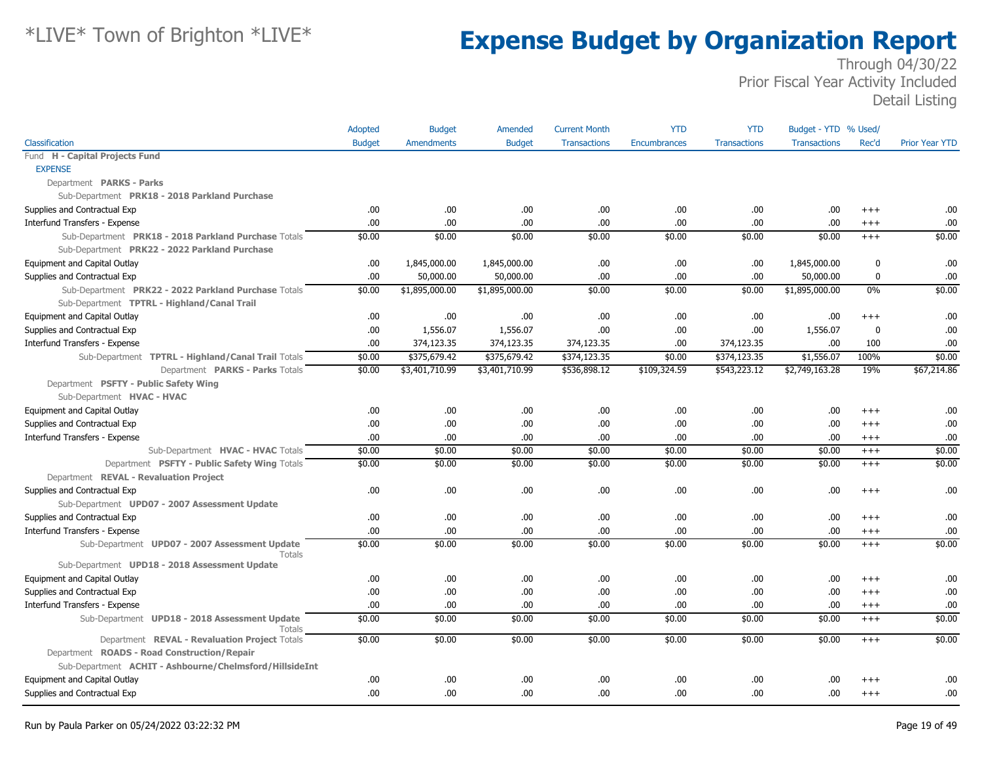|                                                                | <b>Adopted</b> | <b>Budget</b>     | Amended        | <b>Current Month</b> | <b>YTD</b>          | <b>YTD</b>          | Budget - YTD % Used/ |              |                       |
|----------------------------------------------------------------|----------------|-------------------|----------------|----------------------|---------------------|---------------------|----------------------|--------------|-----------------------|
| Classification                                                 | <b>Budget</b>  | <b>Amendments</b> | <b>Budget</b>  | <b>Transactions</b>  | <b>Encumbrances</b> | <b>Transactions</b> | <b>Transactions</b>  | Rec'd        | <b>Prior Year YTD</b> |
| Fund H - Capital Projects Fund                                 |                |                   |                |                      |                     |                     |                      |              |                       |
| <b>EXPENSE</b>                                                 |                |                   |                |                      |                     |                     |                      |              |                       |
| Department PARKS - Parks                                       |                |                   |                |                      |                     |                     |                      |              |                       |
| Sub-Department PRK18 - 2018 Parkland Purchase                  |                |                   |                |                      |                     |                     |                      |              |                       |
| Supplies and Contractual Exp                                   | .00.           | .00.              | .00.           | .00                  | .00                 | .00.                | .00.                 | $+++$        | .00                   |
| Interfund Transfers - Expense                                  | .00            | .00               | .00.           | .00                  | .00                 | .00.                | .00.                 | $+++$        | .00                   |
| Sub-Department PRK18 - 2018 Parkland Purchase Totals           | \$0.00         | \$0.00            | \$0.00         | \$0.00               | \$0.00              | \$0.00              | \$0.00               | $+++$        | \$0.00                |
| Sub-Department PRK22 - 2022 Parkland Purchase                  |                |                   |                |                      |                     |                     |                      |              |                       |
| Equipment and Capital Outlay                                   | .00.           | 1,845,000.00      | 1,845,000.00   | .00                  | .00                 | .00                 | 1,845,000.00         | 0            | .00                   |
| Supplies and Contractual Exp                                   | .00            | 50,000.00         | 50,000.00      | .00                  | .00                 | .00.                | 50,000.00            | 0            | .00                   |
| Sub-Department PRK22 - 2022 Parkland Purchase Totals           | \$0.00         | \$1,895,000.00    | \$1,895,000.00 | \$0.00               | \$0.00              | \$0.00              | \$1,895,000.00       | $0\%$        | \$0.00                |
| Sub-Department TPTRL - Highland/Canal Trail                    |                |                   |                |                      |                     |                     |                      |              |                       |
| Equipment and Capital Outlay                                   | .00            | .00               | .00.           | .00                  | .00                 | .00                 | .00.                 | $++++$       | .00                   |
| Supplies and Contractual Exp                                   | .00.           | 1,556.07          | 1,556.07       | .00                  | .00                 | .00                 | 1,556.07             | $\mathbf{0}$ | .00                   |
| Interfund Transfers - Expense                                  | .00            | 374,123.35        | 374,123.35     | 374,123.35           | .00                 | 374,123.35          | .00.                 | 100          | .00                   |
| Sub-Department TPTRL - Highland/Canal Trail Totals             | \$0.00         | \$375,679.42      | \$375,679.42   | \$374,123.35         | \$0.00              | \$374,123.35        | \$1,556.07           | 100%         | \$0.00                |
| Department PARKS - Parks Totals                                | \$0.00         | \$3,401,710.99    | \$3,401,710.99 | \$536,898.12         | \$109,324.59        | \$543,223.12        | \$2,749,163.28       | 19%          | \$67,214.86           |
| Department PSFTY - Public Safety Wing                          |                |                   |                |                      |                     |                     |                      |              |                       |
| Sub-Department HVAC - HVAC                                     |                |                   |                |                      |                     |                     |                      |              |                       |
| Equipment and Capital Outlay                                   | .00            | .00               | .00.           | .00                  | .00                 | .00                 | .00.                 | $+++$        | .00                   |
| Supplies and Contractual Exp                                   | .00.           | .00               | .00.           | .00                  | .00                 | .00                 | .00.                 | $+++$        | .00                   |
| Interfund Transfers - Expense                                  | .00            | .00.              | .00.           | .00                  | .00                 | .00.                | .00.                 | $+++$        | .00                   |
| Sub-Department HVAC - HVAC Totals                              | \$0.00         | \$0.00            | \$0.00         | \$0.00               | \$0.00              | \$0.00              | \$0.00               | $^{+++}$     | \$0.00                |
| Department PSFTY - Public Safety Wing Totals                   | \$0.00         | \$0.00            | \$0.00         | \$0.00               | \$0.00              | \$0.00              | \$0.00               | $+++$        | \$0.00                |
| Department REVAL - Revaluation Project                         |                |                   |                |                      |                     |                     |                      |              |                       |
| Supplies and Contractual Exp                                   | .00.           | .00               | .00            | .00                  | .00                 | .00                 | .00.                 | $^{+++}$     | .00                   |
| Sub-Department UPD07 - 2007 Assessment Update                  |                |                   |                |                      |                     |                     |                      |              |                       |
| Supplies and Contractual Exp                                   | .00.           | .00.              | .00            | .00                  | .00                 | .00                 | .00.                 | $+++$        | .00                   |
| Interfund Transfers - Expense                                  | .00.           | .00               | .00.           | .00.                 | .00                 | .00.                | .00.                 | $+++$        | .00                   |
| Sub-Department UPD07 - 2007 Assessment Update<br><b>Totals</b> | \$0.00         | \$0.00            | \$0.00         | \$0.00               | \$0.00              | \$0.00              | \$0.00               | $^{+++}$     | \$0.00                |
| Sub-Department UPD18 - 2018 Assessment Update                  |                |                   |                |                      |                     |                     |                      |              |                       |
| Equipment and Capital Outlay                                   | .00.           | .00.              | .00.           | .00                  | .00                 | .00.                | .00.                 | $+++$        | .00                   |
| Supplies and Contractual Exp                                   | .00.           | .00.              | .00            | .00                  | .00                 | .00.                | .00.                 | $^{++}$      | .00                   |
| Interfund Transfers - Expense                                  | .00            | .00.              | .00.           | .00                  | .00                 | .00                 | .00.                 | $^{+++}$     | .00                   |
| Sub-Department UPD18 - 2018 Assessment Update<br>Totals        | \$0.00         | \$0.00            | \$0.00         | \$0.00               | \$0.00              | \$0.00              | \$0.00               | $^{+++}$     | \$0.00                |
| Department REVAL - Revaluation Project Totals                  | \$0.00         | \$0.00            | \$0.00         | \$0.00               | \$0.00              | \$0.00              | \$0.00               | $^{+++}$     | \$0.00                |
| Department ROADS - Road Construction/Repair                    |                |                   |                |                      |                     |                     |                      |              |                       |
| Sub-Department ACHIT - Ashbourne/Chelmsford/HillsideInt        |                |                   |                |                      |                     |                     |                      |              |                       |
| Equipment and Capital Outlay                                   | .00            | .00               | .00.           | .00                  | .00                 | .00                 | .00.                 | $++++$       | .00                   |
| Supplies and Contractual Exp                                   | .00.           | .00               | .00.           | .00                  | .00                 | .00.                | .00.                 | $^{++}$      | .00                   |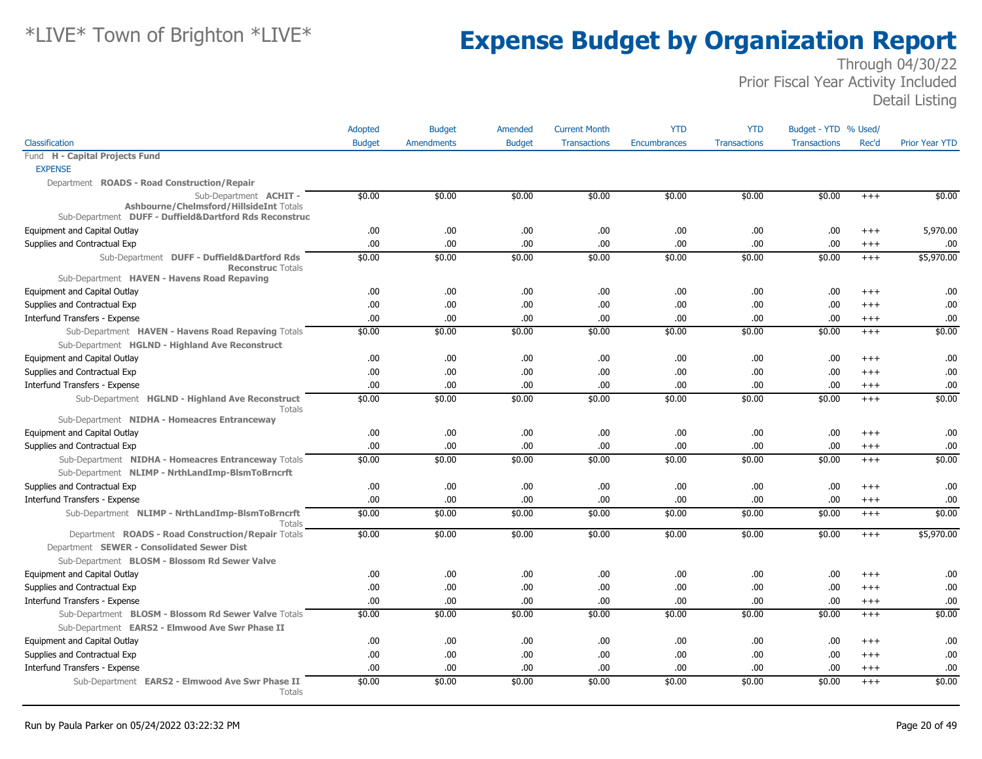|                                                                                                                                                   | Adopted       | <b>Budget</b> | Amended       | <b>Current Month</b> | <b>YTD</b>   | <b>YTD</b>          | Budget - YTD % Used/ |          |                       |
|---------------------------------------------------------------------------------------------------------------------------------------------------|---------------|---------------|---------------|----------------------|--------------|---------------------|----------------------|----------|-----------------------|
| Classification                                                                                                                                    | <b>Budget</b> | Amendments    | <b>Budget</b> | <b>Transactions</b>  | Encumbrances | <b>Transactions</b> | <b>Transactions</b>  | Rec'd    | <b>Prior Year YTD</b> |
| Fund H - Capital Projects Fund                                                                                                                    |               |               |               |                      |              |                     |                      |          |                       |
| <b>EXPENSE</b>                                                                                                                                    |               |               |               |                      |              |                     |                      |          |                       |
| Department ROADS - Road Construction/Repair                                                                                                       |               |               |               |                      |              |                     |                      |          |                       |
| Sub-Department ACHIT-<br>Ashbourne/Chelmsford/HillsideInt Totals<br>Sub-Department DUFF - Duffield&Dartford Rds Reconstruc                        | \$0.00        | \$0.00        | \$0.00        | \$0.00               | \$0.00       | \$0.00              | \$0.00               | $^{+++}$ | \$0.00                |
| Equipment and Capital Outlay                                                                                                                      | .00           | .00           | .00.          | .00                  | .00          | .00                 | .00.                 | $+++$    | 5,970.00              |
| Supplies and Contractual Exp                                                                                                                      | .00.          | .00           | .00           | .00                  | .00          | .00                 | .00.                 | $^{+++}$ | .00                   |
| Sub-Department DUFF - Duffield&Dartford Rds<br><b>Reconstruc Totals</b>                                                                           | \$0.00        | \$0.00        | \$0.00        | \$0.00               | \$0.00       | \$0.00              | \$0.00               | $+++$    | \$5,970.00            |
| Sub-Department HAVEN - Havens Road Repaving                                                                                                       |               |               |               |                      |              |                     |                      |          |                       |
| Equipment and Capital Outlay                                                                                                                      | .00           | .00.          | .00.          | .00                  | .00          | .00.                | .00.                 | $+++$    | .00                   |
| Supplies and Contractual Exp                                                                                                                      | .00.          | .00           | .00.          | .00                  | .00          | .00.                | .00.                 | $^{+++}$ | .00                   |
| Interfund Transfers - Expense                                                                                                                     | .00           | .00           | .00.          | .00                  | .00          | .00.                | .00.                 | $^{+++}$ | .00                   |
| Sub-Department HAVEN - Havens Road Repaving Totals                                                                                                | \$0.00        | \$0.00        | \$0.00        | \$0.00               | \$0.00       | \$0.00              | \$0.00               | $+++$    | \$0.00                |
| Sub-Department HGLND - Highland Ave Reconstruct                                                                                                   |               |               |               |                      |              |                     |                      |          |                       |
| Equipment and Capital Outlay                                                                                                                      | .00           | .00           | .00           | .00                  | .00          | .00                 | .00.                 | $+++$    | .00                   |
| Supplies and Contractual Exp                                                                                                                      | .00.          | .00           | .00           | .00                  | .00          | .00                 | .00.                 | $+++$    | .00                   |
| Interfund Transfers - Expense                                                                                                                     | .00           | .00           | .00           | .00                  | .00          | .00                 | .00.                 | $+++$    | .00                   |
| Sub-Department HGLND - Highland Ave Reconstruct<br>Totals                                                                                         | \$0.00        | \$0.00        | \$0.00        | \$0.00               | \$0.00       | \$0.00              | \$0.00               | $+++$    | \$0.00                |
| Sub-Department NIDHA - Homeacres Entranceway                                                                                                      |               |               |               |                      |              |                     |                      |          |                       |
| Equipment and Capital Outlay                                                                                                                      | .00.          | .00           | .00.          | .00                  | .00          | .00                 | .00.                 | $++++$   | .00                   |
| Supplies and Contractual Exp                                                                                                                      | .00.          | .00           | .00.          | .00                  | .00          | .00.                | .00                  | $^{+++}$ | .00                   |
| Sub-Department NIDHA - Homeacres Entranceway Totals<br>Sub-Department NLIMP - NrthLandImp-BlsmToBrncrft                                           | \$0.00        | \$0.00        | \$0.00        | \$0.00               | \$0.00       | \$0.00              | \$0.00               | $+++$    | \$0.00                |
| Supplies and Contractual Exp                                                                                                                      | .00.          | .00.          | .00.          | .00                  | .00          | .00                 | .00.                 | $+++$    | .00                   |
| Interfund Transfers - Expense                                                                                                                     | .00.          | .00           | .00           | .00                  | .00          | .00.                | .00                  | $+++$    | .00                   |
| Sub-Department NLIMP - NrthLandImp-BlsmToBrncrft<br>Totals                                                                                        | \$0.00        | \$0.00        | \$0.00        | \$0.00               | \$0.00       | \$0.00              | \$0.00               | $^{+++}$ | \$0.00                |
| Department ROADS - Road Construction/Repair Totals<br>Department SEWER - Consolidated Sewer Dist<br>Sub-Department BLOSM - Blossom Rd Sewer Valve | \$0.00        | \$0.00        | \$0.00        | \$0.00               | \$0.00       | \$0.00              | \$0.00               | $+++$    | \$5,970.00            |
| Equipment and Capital Outlay                                                                                                                      | .00.          | .00.          | .00.          | .00                  | .00          | .00.                | .00.                 | $^{+++}$ | .00                   |
| Supplies and Contractual Exp                                                                                                                      | .00.          | .00           | .00.          | .00                  | .00          | .00                 | .00.                 | $+++$    | .00                   |
| Interfund Transfers - Expense                                                                                                                     | .00.          | .00           | .00.          | .00                  | .00          | .00                 | .00.                 | $^{+++}$ | .00                   |
| Sub-Department BLOSM - Blossom Rd Sewer Valve Totals                                                                                              | \$0.00        | \$0.00        | \$0.00        | \$0.00               | \$0.00       | \$0.00              | \$0.00               | $+++$    | \$0.00                |
| Sub-Department EARS2 - Elmwood Ave Swr Phase II                                                                                                   |               |               |               |                      |              |                     |                      |          |                       |
| Equipment and Capital Outlay                                                                                                                      | .00.          | .00           | .00.          | .00                  | .00          | .00                 | .00.                 | $+++$    | .00                   |
| Supplies and Contractual Exp                                                                                                                      | .00           | .00           | .00.          | .00                  | .00          | .00                 | .00.                 | $++++$   | .00                   |
| Interfund Transfers - Expense                                                                                                                     | .00           | .00           | .00           | .00                  | .00          | .00                 | .00.                 | $+++$    | .00                   |
| Sub-Department EARS2 - Elmwood Ave Swr Phase II<br>Totals                                                                                         | \$0.00        | \$0.00        | \$0.00        | \$0.00               | \$0.00       | \$0.00              | \$0.00               | $+++$    | \$0.00                |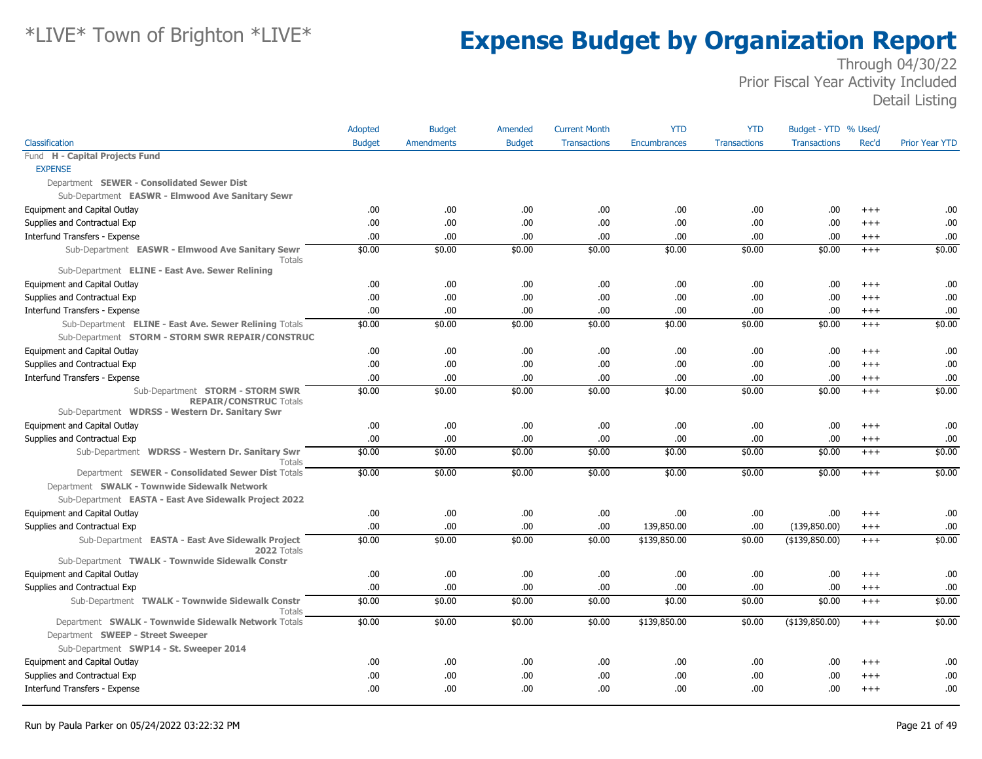|                                                                                                                    | <b>Adopted</b> | <b>Budget</b>     | Amended       | <b>Current Month</b> | <b>YTD</b>          | <b>YTD</b>          | Budget - YTD % Used/ |          |                       |
|--------------------------------------------------------------------------------------------------------------------|----------------|-------------------|---------------|----------------------|---------------------|---------------------|----------------------|----------|-----------------------|
| Classification                                                                                                     | <b>Budget</b>  | <b>Amendments</b> | <b>Budget</b> | <b>Transactions</b>  | <b>Encumbrances</b> | <b>Transactions</b> | <b>Transactions</b>  | Rec'd    | <b>Prior Year YTD</b> |
| Fund H - Capital Projects Fund                                                                                     |                |                   |               |                      |                     |                     |                      |          |                       |
| <b>EXPENSE</b>                                                                                                     |                |                   |               |                      |                     |                     |                      |          |                       |
| Department SEWER - Consolidated Sewer Dist                                                                         |                |                   |               |                      |                     |                     |                      |          |                       |
| Sub-Department EASWR - Elmwood Ave Sanitary Sewr                                                                   |                |                   |               |                      |                     |                     |                      |          |                       |
| Equipment and Capital Outlay                                                                                       | .00            | .00               | .00           | .00                  | .00                 | .00                 | .00.                 | $+++$    | .00                   |
| Supplies and Contractual Exp                                                                                       | .00            | .00               | .00.          | .00                  | .00                 | .00                 | .00.                 | $+++$    | .00                   |
| Interfund Transfers - Expense                                                                                      | 00.            | .00.              | .00.          | .00                  | .00.                | .00                 | .00.                 | $+++$    | .00                   |
| Sub-Department EASWR - Elmwood Ave Sanitary Sewr<br>Totals                                                         | \$0.00         | \$0.00            | \$0.00        | \$0.00               | \$0.00              | \$0.00              | \$0.00               | $^{+++}$ | \$0.00                |
| Sub-Department ELINE - East Ave. Sewer Relining                                                                    |                |                   |               |                      |                     |                     |                      |          |                       |
| Equipment and Capital Outlay                                                                                       | .00            | .00               | .00.          | .00                  | .00                 | .00                 | .00.                 | $+++$    | .00                   |
| Supplies and Contractual Exp                                                                                       | .00            | .00               | .00.          | .00                  | .00.                | .00                 | .00.                 | $^{+++}$ | .00                   |
| Interfund Transfers - Expense                                                                                      | .00            | .00               | .00.          | .00                  | .00.                | .00                 | .00.                 | $^{+++}$ | .00                   |
| Sub-Department ELINE - East Ave. Sewer Relining Totals<br>Sub-Department STORM - STORM SWR REPAIR/CONSTRUC         | \$0.00         | \$0.00            | \$0.00        | \$0.00               | \$0.00              | \$0.00              | \$0.00               | $+++$    | \$0.00                |
| Equipment and Capital Outlay                                                                                       | .00            | .00               | .00.          | .00                  | .00.                | .00                 | .00.                 | $+++$    | .00                   |
| Supplies and Contractual Exp                                                                                       | .00.           | .00.              | .00.          | .00                  | .00.                | .00                 | .00.                 | $+++$    | .00                   |
| Interfund Transfers - Expense                                                                                      | .00            | .00               | .00.          | .00                  | .00                 | .00                 | .00.                 | $+++$    | .00                   |
| Sub-Department STORM - STORM SWR<br><b>REPAIR/CONSTRUC Totals</b>                                                  | \$0.00         | \$0.00            | \$0.00        | \$0.00               | \$0.00              | \$0.00              | \$0.00               | $+++$    | \$0.00                |
| Sub-Department WDRSS - Western Dr. Sanitary Swr                                                                    |                |                   |               |                      |                     |                     |                      |          |                       |
| Equipment and Capital Outlay                                                                                       | .00.           | .00               | .00.          | .00                  | .00.                | .00                 | .00.                 | $+++$    | .00                   |
| Supplies and Contractual Exp                                                                                       | .00            | .00               | .00.          | .00                  | .00.                | .00                 | .00.                 | $^{+++}$ | .00                   |
| Sub-Department WDRSS - Western Dr. Sanitary Swr<br>Totals                                                          | \$0.00         | \$0.00            | \$0.00        | \$0.00               | \$0.00              | \$0.00              | \$0.00               | $^{+++}$ | \$0.00                |
| Department SEWER - Consolidated Sewer Dist Totals                                                                  | \$0.00         | \$0.00            | \$0.00        | \$0.00               | \$0.00              | \$0.00              | \$0.00               | $^{+++}$ | \$0.00                |
| Department SWALK - Townwide Sidewalk Network                                                                       |                |                   |               |                      |                     |                     |                      |          |                       |
| Sub-Department EASTA - East Ave Sidewalk Project 2022                                                              |                |                   |               |                      |                     |                     |                      |          |                       |
| Equipment and Capital Outlay                                                                                       | .00.           | .00               | .00.          | .00                  | .00                 | .00                 | .00                  | $+++$    | .00                   |
| Supplies and Contractual Exp                                                                                       | .00.           | .00               | .00.          | .00                  | 139,850.00          | .00                 | (139,850.00)         | $+++$    | .00                   |
| Sub-Department EASTA - East Ave Sidewalk Project<br>2022 Totals<br>Sub-Department TWALK - Townwide Sidewalk Constr | \$0.00         | \$0.00            | \$0.00        | \$0.00               | \$139,850.00        | \$0.00              | ( \$139, 850.00)     | $+++$    | \$0.00                |
| Equipment and Capital Outlay                                                                                       | .00            | .00.              | .00           | .00                  | .00.                | .00                 | .00                  | $+++$    | .00                   |
| Supplies and Contractual Exp                                                                                       | .00            | .00               | .00.          | .00                  | .00.                | .00                 | .00.                 | $^{+++}$ | .00                   |
| Sub-Department TWALK - Townwide Sidewalk Constr                                                                    | \$0.00         | \$0.00            | \$0.00        | \$0.00               | \$0.00              | \$0.00              | \$0.00               | $^{+++}$ | \$0.00                |
| Totals                                                                                                             |                |                   |               |                      |                     |                     |                      |          |                       |
| Department SWALK - Townwide Sidewalk Network Totals<br>Department SWEEP - Street Sweeper                           | \$0.00         | \$0.00            | \$0.00        | \$0.00               | \$139,850.00        | \$0.00              | ( \$139, 850.00)     | $+++$    | \$0.00                |
| Sub-Department SWP14 - St. Sweeper 2014                                                                            |                |                   |               |                      |                     |                     |                      |          |                       |
| Equipment and Capital Outlay                                                                                       | .00            | .00               | .00.          | .00                  | .00                 | .00                 | .00                  | $+++$    | .00                   |
| Supplies and Contractual Exp                                                                                       | .00            | .00               | .00.          | .00                  | .00                 | .00                 | .00                  | $+++$    | .00                   |
| Interfund Transfers - Expense                                                                                      | .00.           | .00               | .00.          | .00                  | .00.                | .00                 | .00                  | $^{+++}$ | .00                   |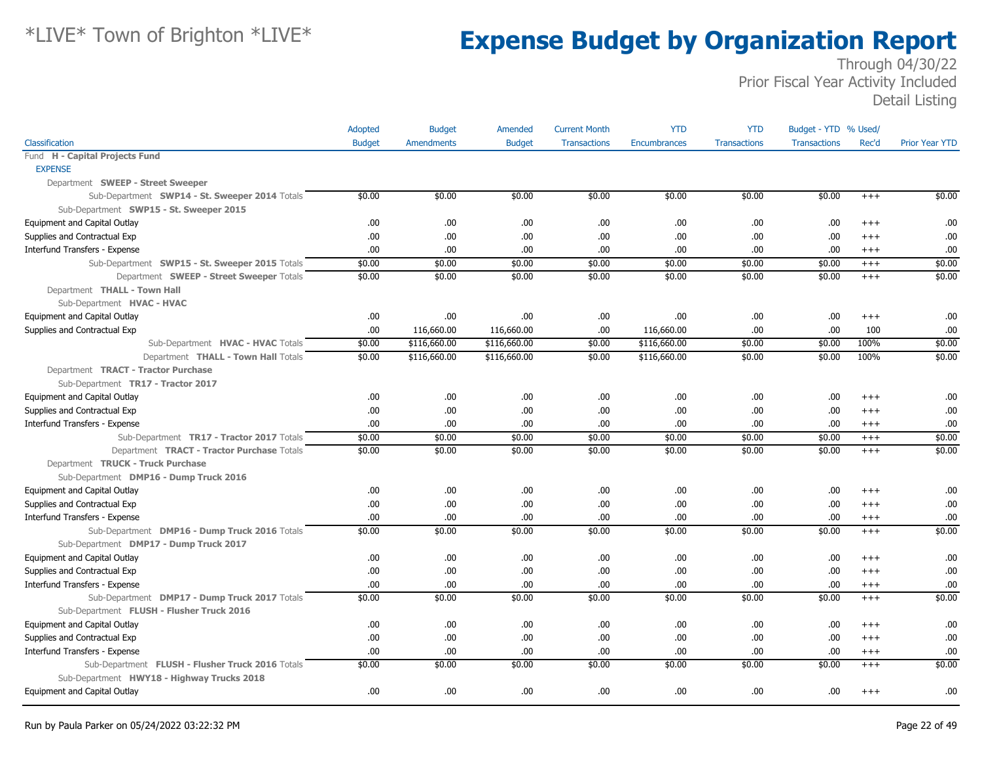|                                                  | Adopted       | <b>Budget</b>     | Amended       | <b>Current Month</b> | <b>YTD</b>          | <b>YTD</b>          | Budget - YTD % Used/ |          |                       |
|--------------------------------------------------|---------------|-------------------|---------------|----------------------|---------------------|---------------------|----------------------|----------|-----------------------|
| Classification                                   | <b>Budget</b> | <b>Amendments</b> | <b>Budget</b> | <b>Transactions</b>  | <b>Encumbrances</b> | <b>Transactions</b> | <b>Transactions</b>  | Rec'd    | <b>Prior Year YTD</b> |
| Fund H - Capital Projects Fund                   |               |                   |               |                      |                     |                     |                      |          |                       |
| <b>EXPENSE</b>                                   |               |                   |               |                      |                     |                     |                      |          |                       |
| Department SWEEP - Street Sweeper                |               |                   |               |                      |                     |                     |                      |          |                       |
| Sub-Department SWP14 - St. Sweeper 2014 Totals   | \$0.00        | \$0.00            | \$0.00        | \$0.00               | \$0.00              | \$0.00              | \$0.00               | $+++$    | \$0.00                |
| Sub-Department SWP15 - St. Sweeper 2015          |               |                   |               |                      |                     |                     |                      |          |                       |
| Equipment and Capital Outlay                     | .00.          | .00.              | .00.          | .00                  | .00.                | .00                 | .00                  | $+++$    | .00                   |
| Supplies and Contractual Exp                     | .00.          | .00               | .00.          | .00                  | .00.                | .00                 | .00                  | $^{++}$  | .00.                  |
| Interfund Transfers - Expense                    | 00.           | .00.              | .00.          | .00                  | .00.                | .00.                | .00                  | $+++$    | .00                   |
| Sub-Department SWP15 - St. Sweeper 2015 Totals   | \$0.00        | \$0.00            | \$0.00        | \$0.00               | \$0.00              | \$0.00              | \$0.00               | $+++$    | \$0.00                |
| Department SWEEP - Street Sweeper Totals         | \$0.00        | \$0.00            | \$0.00        | \$0.00               | \$0.00              | \$0.00              | \$0.00               | $+++$    | \$0.00                |
| Department THALL - Town Hall                     |               |                   |               |                      |                     |                     |                      |          |                       |
| Sub-Department HVAC - HVAC                       |               |                   |               |                      |                     |                     |                      |          |                       |
| Equipment and Capital Outlay                     | .00.          | .00               | .00.          | .00                  | .00.                | .00                 | .00.                 | $+++$    | .00                   |
| Supplies and Contractual Exp                     | 00.           | 116,660.00        | 116,660.00    | .00                  | 116,660.00          | .00                 | .00                  | 100      | .00.                  |
| Sub-Department HVAC - HVAC Totals                | \$0.00        | \$116,660.00      | \$116,660.00  | \$0.00               | \$116,660.00        | \$0.00              | \$0.00               | 100%     | \$0.00                |
| Department THALL - Town Hall Totals              | \$0.00        | \$116,660.00      | \$116,660.00  | \$0.00               | \$116,660.00        | \$0.00              | \$0.00               | 100%     | \$0.00                |
| Department TRACT - Tractor Purchase              |               |                   |               |                      |                     |                     |                      |          |                       |
| Sub-Department TR17 - Tractor 2017               |               |                   |               |                      |                     |                     |                      |          |                       |
| Equipment and Capital Outlay                     | .00.          | .00.              | .00.          | .00                  | .00.                | .00                 | .00.                 | $^{++}$  | .00                   |
| Supplies and Contractual Exp                     | .00.          | .00               | .00.          | .00                  | .00.                | .00                 | .00.                 | $^{+++}$ | .00                   |
| Interfund Transfers - Expense                    | .00           | .00               | .00.          | .00                  | .00.                | .00.                | .00.                 | $+++$    | .00                   |
| Sub-Department TR17 - Tractor 2017 Totals        | \$0.00        | \$0.00            | \$0.00        | \$0.00               | \$0.00              | \$0.00              | \$0.00               | $^{+++}$ | \$0.00                |
| Department TRACT - Tractor Purchase Totals       | \$0.00        | \$0.00            | \$0.00        | \$0.00               | \$0.00              | \$0.00              | \$0.00               | $+++$    | \$0.00                |
| Department TRUCK - Truck Purchase                |               |                   |               |                      |                     |                     |                      |          |                       |
| Sub-Department DMP16 - Dump Truck 2016           |               |                   |               |                      |                     |                     |                      |          |                       |
| Equipment and Capital Outlay                     | .00.          | .00               | .00.          | .00                  | .00.                | .00                 | .00.                 | $^{++}$  | .00                   |
| Supplies and Contractual Exp                     | .00.          | .00               | .00.          | .00                  | .00.                | .00                 | .00                  | $^{++}$  | .00                   |
| Interfund Transfers - Expense                    | .00.          | .00               | .00.          | .00                  | .00                 | .00                 | .00.                 | $+++$    | .00                   |
| Sub-Department DMP16 - Dump Truck 2016 Totals    | \$0.00        | \$0.00            | \$0.00        | \$0.00               | \$0.00              | \$0.00              | \$0.00               | $+++$    | \$0.00                |
| Sub-Department DMP17 - Dump Truck 2017           |               |                   |               |                      |                     |                     |                      |          |                       |
| Equipment and Capital Outlay                     | .00           | .00.              | .00.          | .00                  | .00.                | .00.                | .00.                 | $^{++}$  | .00                   |
| Supplies and Contractual Exp                     | .00.          | .00.              | .00.          | .00                  | .00.                | .00.                | .00                  | $+++$    | .00                   |
| Interfund Transfers - Expense                    | 00.           | .00.              | 00.           | .00                  | .00                 | .00                 | .00                  | $+++$    | .00                   |
| Sub-Department DMP17 - Dump Truck 2017 Totals    | \$0.00        | \$0.00            | \$0.00        | \$0.00               | \$0.00              | \$0.00              | \$0.00               | $+++$    | \$0.00                |
| Sub-Department FLUSH - Flusher Truck 2016        |               |                   |               |                      |                     |                     |                      |          |                       |
| Equipment and Capital Outlay                     | .00.          | .00.              | .00.          | .00                  | .00.                | .00.                | .00                  | $^{++}$  | .00                   |
| Supplies and Contractual Exp                     | .00.          | .00               | .00.          | .00                  | .00.                | .00                 | .00.                 | $+++$    | .00                   |
| Interfund Transfers - Expense                    | .00.          | .00               | .00.          | .00                  | .00.                | .00.                | .00.                 | $+++$    | .00                   |
| Sub-Department FLUSH - Flusher Truck 2016 Totals | \$0.00        | \$0.00            | \$0.00        | \$0.00               | \$0.00              | \$0.00              | \$0.00               | $+++$    | \$0.00                |
| Sub-Department HWY18 - Highway Trucks 2018       |               |                   |               |                      |                     |                     |                      |          |                       |
| Equipment and Capital Outlay                     | .00.          | .00               | .00.          | .00                  | .00.                | .00                 | .00                  | $^{+++}$ | .00                   |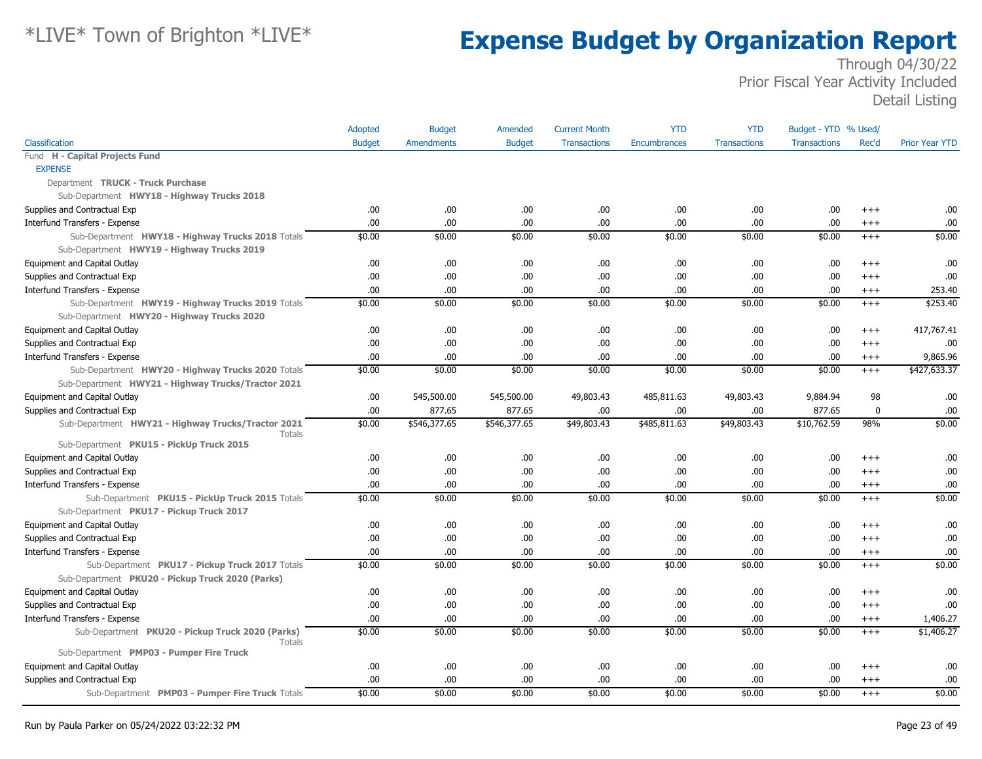|                                                                                             | Adopted       | <b>Budget</b>     | Amended       | <b>Current Month</b> | <b>YTD</b>   | <b>YTD</b>          | Budget - YTD % Used/ |             |                       |
|---------------------------------------------------------------------------------------------|---------------|-------------------|---------------|----------------------|--------------|---------------------|----------------------|-------------|-----------------------|
| Classification                                                                              | <b>Budget</b> | <b>Amendments</b> | <b>Budget</b> | <b>Transactions</b>  | Encumbrances | <b>Transactions</b> | <b>Transactions</b>  | Rec'd       | <b>Prior Year YTD</b> |
| Fund H - Capital Projects Fund                                                              |               |                   |               |                      |              |                     |                      |             |                       |
| <b>EXPENSE</b>                                                                              |               |                   |               |                      |              |                     |                      |             |                       |
| Department TRUCK - Truck Purchase                                                           |               |                   |               |                      |              |                     |                      |             |                       |
| Sub-Department HWY18 - Highway Trucks 2018                                                  |               |                   |               |                      |              |                     |                      |             |                       |
| Supplies and Contractual Exp                                                                | .00.          | .00               | .00.          | .00                  | .00.         | .00.                | .00                  | $^{+++}$    | .00                   |
| Interfund Transfers - Expense                                                               | .00.          | .00               | .00.          | .00                  | .00.         | .00                 | .00                  | $^{+++}$    | .00                   |
| Sub-Department HWY18 - Highway Trucks 2018 Totals                                           | \$0.00        | \$0.00            | \$0.00        | \$0.00               | \$0.00       | \$0.00              | \$0.00               | $^{+++}$    | \$0.00                |
| Sub-Department HWY19 - Highway Trucks 2019                                                  |               |                   |               |                      |              |                     |                      |             |                       |
| Equipment and Capital Outlay                                                                | .00.          | .00               | .00.          | .00                  | .00.         | .00                 | .00                  | $++++$      | .00                   |
| Supplies and Contractual Exp                                                                | .00.          | .00               | .00.          | .00                  | .00.         | .00                 | .00                  | $++++$      | .00                   |
| Interfund Transfers - Expense                                                               | .00.          | .00               | .00.          | .00                  | .00.         | .00.                | .00                  | $++++$      | 253.40                |
| Sub-Department HWY19 - Highway Trucks 2019 Totals                                           | \$0.00        | \$0.00            | \$0.00        | \$0.00               | \$0.00       | \$0.00              | \$0.00               | $^{+++}$    | \$253.40              |
| Sub-Department HWY20 - Highway Trucks 2020                                                  |               |                   |               |                      |              |                     |                      |             |                       |
| Equipment and Capital Outlay                                                                | .00.          | .00               | .00.          | .00                  | .00.         | .00                 | .00                  | $^{+++}$    | 417,767.41            |
| Supplies and Contractual Exp                                                                | 00.           | .00               | .00.          | .00                  | .00.         | .00.                | .00                  | $+++$       | .00                   |
| Interfund Transfers - Expense                                                               | 00.           | .00               | .00.          | .00                  | .00.         | .00                 | .00                  | $++++$      | 9,865.96              |
| Sub-Department HWY20 - Highway Trucks 2020 Totals                                           | \$0.00        | \$0.00            | \$0.00        | \$0.00               | \$0.00       | \$0.00              | \$0.00               | $^{+++}$    | \$427,633.37          |
| Sub-Department HWY21 - Highway Trucks/Tractor 2021                                          |               |                   |               |                      |              |                     |                      |             |                       |
| Equipment and Capital Outlay                                                                | .00.          | 545,500.00        | 545,500.00    | 49,803.43            | 485,811.63   | 49,803.43           | 9,884.94             | 98          | .00                   |
| Supplies and Contractual Exp                                                                | .00.          | 877.65            | 877.65        | .00                  | .00.         | .00.                | 877.65               | $\mathbf 0$ | .00                   |
| Sub-Department HWY21 - Highway Trucks/Tractor 2021<br>Totals                                | \$0.00        | \$546,377.65      | \$546,377.65  | \$49,803.43          | \$485,811.63 | \$49,803.43         | \$10,762.59          | 98%         | \$0.00                |
| Sub-Department PKU15 - PickUp Truck 2015                                                    |               |                   |               |                      |              |                     |                      |             |                       |
| Equipment and Capital Outlay                                                                | .00           | .00               | .00.          | .00                  | .00.         | .00                 | .00                  | $^{++}$     | .00                   |
| Supplies and Contractual Exp                                                                | .00.          | .00               | .00.          | .00                  | .00.         | .00                 | .00                  | $^{+++}$    | .00                   |
| Interfund Transfers - Expense                                                               | .00.          | .00               | .00.          | .00                  | .00.         | .00.                | .00                  | $++++$      | .00                   |
| Sub-Department PKU15 - PickUp Truck 2015 Totals<br>Sub-Department PKU17 - Pickup Truck 2017 | \$0.00        | \$0.00            | \$0.00        | \$0.00               | \$0.00       | \$0.00              | \$0.00               | $+++$       | \$0.00                |
| Equipment and Capital Outlay                                                                | .00.          | .00               | .00.          | .00                  | .00.         | .00                 | .00                  | $^{+++}$    | .00                   |
| Supplies and Contractual Exp                                                                | 00.           | .00               | .00.          | .00                  | .00.         | .00                 | .00                  | $^{+++}$    | .00                   |
| Interfund Transfers - Expense                                                               | .00           | .00               | .00.          | .00                  | .00.         | .00                 | .00                  | $^{+++}$    | .00                   |
| Sub-Department PKU17 - Pickup Truck 2017 Totals                                             | \$0.00        | \$0.00            | \$0.00        | \$0.00               | \$0.00       | \$0.00              | \$0.00               | $^{+++}$    | \$0.00                |
| Sub-Department PKU20 - Pickup Truck 2020 (Parks)                                            |               |                   |               |                      |              |                     |                      |             |                       |
| Equipment and Capital Outlay                                                                | .00.          | .00               | .00.          | .00                  | .00.         | .00                 | .00                  | $^{++}$     | .00                   |
| Supplies and Contractual Exp                                                                | .00           | .00               | .00.          | .00                  | .00.         | .00                 | .00                  | $^{+++}$    | .00                   |
| Interfund Transfers - Expense                                                               | .00.          | .00               | .00.          | .00                  | .00.         | .00                 | .00                  | $^{+++}$    | 1,406.27              |
| Sub-Department PKU20 - Pickup Truck 2020 (Parks)<br><b>Totals</b>                           | \$0.00        | \$0.00            | \$0.00        | \$0.00               | \$0.00       | \$0.00              | \$0.00               | $^{+++}$    | \$1,406.27            |
| Sub-Department PMP03 - Pumper Fire Truck                                                    |               |                   |               |                      |              |                     |                      |             |                       |
| Equipment and Capital Outlay                                                                | .00.          | .00               | .00.          | .00                  | .00.         | .00.                | .00                  | $+++$       | .00                   |
| Supplies and Contractual Exp                                                                | .00.          | .00               | .00.          | .00                  | .00.         | .00                 | .00                  | $^{+++}$    | .00                   |
| Sub-Department PMP03 - Pumper Fire Truck Totals                                             | \$0.00        | \$0.00            | \$0.00        | \$0.00               | \$0.00       | \$0.00              | \$0.00               | $+++$       | \$0.00                |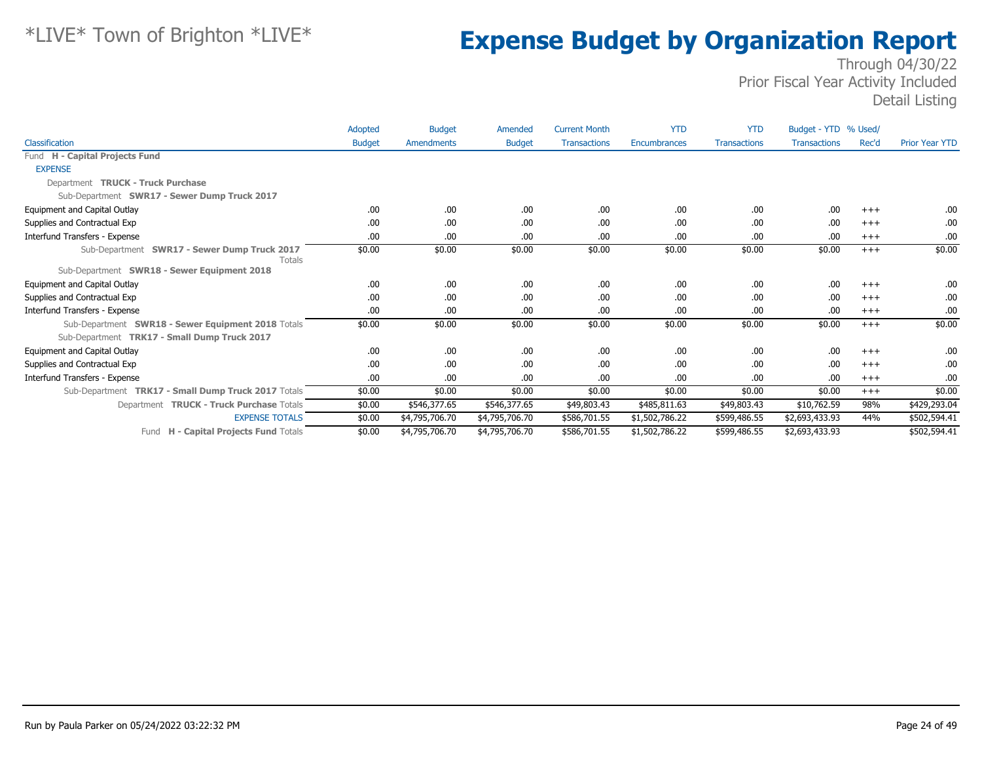|                                                                                                    | Adopted       | <b>Budget</b>  | Amended        | <b>Current Month</b> | <b>YTD</b>          | <b>YTD</b>          | Budget - YTD % Used/ |       |                       |
|----------------------------------------------------------------------------------------------------|---------------|----------------|----------------|----------------------|---------------------|---------------------|----------------------|-------|-----------------------|
| Classification                                                                                     | <b>Budget</b> | Amendments     | <b>Budget</b>  | <b>Transactions</b>  | <b>Encumbrances</b> | <b>Transactions</b> | <b>Transactions</b>  | Rec'd | <b>Prior Year YTD</b> |
| Fund H - Capital Projects Fund                                                                     |               |                |                |                      |                     |                     |                      |       |                       |
| <b>EXPENSE</b>                                                                                     |               |                |                |                      |                     |                     |                      |       |                       |
| Department TRUCK - Truck Purchase                                                                  |               |                |                |                      |                     |                     |                      |       |                       |
| Sub-Department SWR17 - Sewer Dump Truck 2017                                                       |               |                |                |                      |                     |                     |                      |       |                       |
| Equipment and Capital Outlay                                                                       | .00           | .00            | .00.           | .00                  | .00                 | .00                 | .00                  | $+++$ | .00.                  |
| Supplies and Contractual Exp                                                                       | .00           | .00            | .00            | .00                  | .00                 | .00                 | .00                  | $+++$ | .00                   |
| Interfund Transfers - Expense                                                                      | .00.          | .00            | .00            | .00                  | .00                 | .00                 | .00                  | $+++$ | .00                   |
| Sub-Department SWR17 - Sewer Dump Truck 2017<br><b>Totals</b>                                      | \$0.00        | \$0.00         | \$0.00         | \$0.00               | \$0.00              | \$0.00              | \$0.00               | $+++$ | \$0.00                |
| Sub-Department SWR18 - Sewer Equipment 2018                                                        |               |                |                |                      |                     |                     |                      |       |                       |
| Equipment and Capital Outlay                                                                       | .00.          | .00.           | .00.           | .00                  | .00                 | .00                 | .00                  | $+++$ | .00.                  |
| Supplies and Contractual Exp                                                                       | .00           | .00            | .00            | .00                  | .00                 | .00                 | .00                  | $+++$ | .00.                  |
| Interfund Transfers - Expense                                                                      | .00           | .00            | .00.           | .00                  | .00                 | .00                 | .00                  | $+++$ | .00.                  |
| Sub-Department SWR18 - Sewer Equipment 2018 Totals<br>Sub-Department TRK17 - Small Dump Truck 2017 | \$0.00        | \$0.00         | \$0.00         | \$0.00               | \$0.00              | \$0.00              | \$0.00               | $+++$ | \$0.00                |
| Equipment and Capital Outlay                                                                       | .00           | .00            | .00            | .00                  | .00                 | .00                 | .00                  | $+++$ | .00.                  |
| Supplies and Contractual Exp                                                                       | .00           | .00            | .00.           | .00                  | .00                 | .00                 | .00                  | $+++$ | .00                   |
| Interfund Transfers - Expense                                                                      | .00.          | .00            | .00            | .00                  | .00                 | .00                 | .00                  | $+++$ | .00                   |
| Sub-Department TRK17 - Small Dump Truck 2017 Totals                                                | \$0.00        | \$0.00         | \$0.00         | \$0.00               | \$0.00              | \$0.00              | \$0.00               | $+++$ | \$0.00                |
| Department TRUCK - Truck Purchase Totals                                                           | \$0.00        | \$546,377.65   | \$546,377.65   | \$49,803.43          | \$485,811.63        | \$49,803.43         | \$10,762.59          | 98%   | \$429,293.04          |
| <b>EXPENSE TOTALS</b>                                                                              | \$0.00        | \$4,795,706.70 | \$4,795,706.70 | \$586,701.55         | \$1,502,786.22      | \$599,486.55        | \$2,693,433.93       | 44%   | \$502,594.41          |
| H - Capital Projects Fund Totals<br>Fund                                                           | \$0.00        | \$4,795,706.70 | \$4,795,706.70 | \$586,701.55         | \$1,502,786.22      | \$599,486.55        | \$2,693,433.93       |       | \$502,594.41          |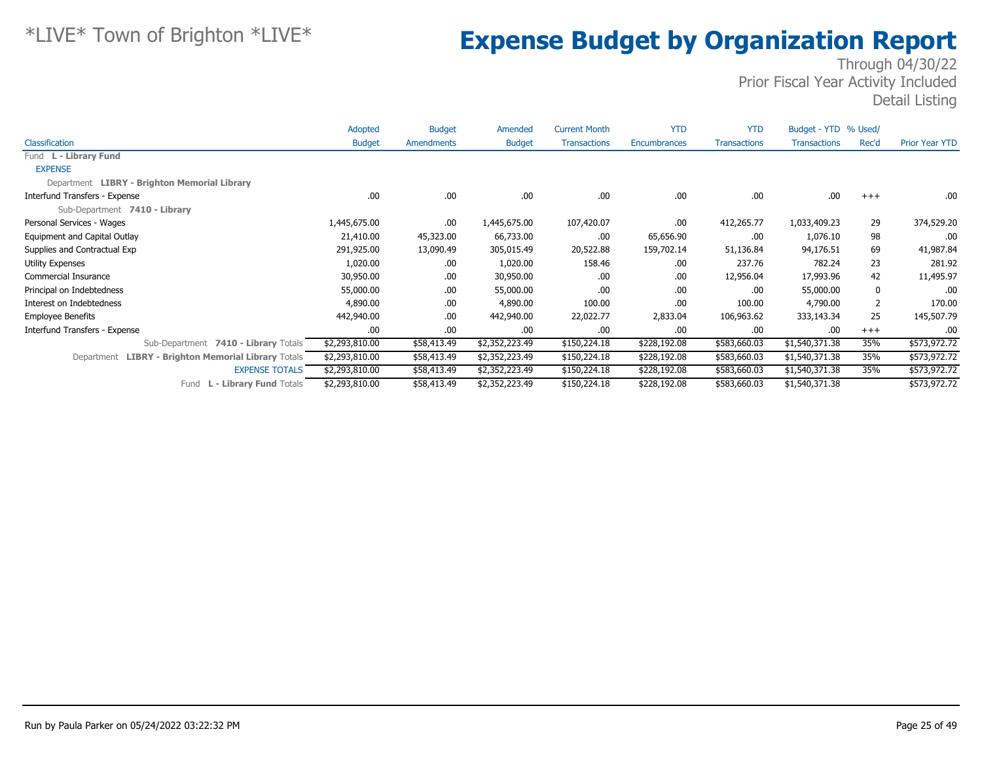|                                                     | Adopted        | <b>Budget</b> | Amended        | <b>Current Month</b> | <b>YTD</b>   | <b>YTD</b>          | Budget - YTD % Used/ |       |                       |
|-----------------------------------------------------|----------------|---------------|----------------|----------------------|--------------|---------------------|----------------------|-------|-----------------------|
| Classification                                      | <b>Budget</b>  | Amendments    | <b>Budget</b>  | <b>Transactions</b>  | Encumbrances | <b>Transactions</b> | <b>Transactions</b>  | Rec'd | <b>Prior Year YTD</b> |
| Fund L - Library Fund                               |                |               |                |                      |              |                     |                      |       |                       |
| <b>EXPENSE</b>                                      |                |               |                |                      |              |                     |                      |       |                       |
| Department LIBRY - Brighton Memorial Library        |                |               |                |                      |              |                     |                      |       |                       |
| Interfund Transfers - Expense                       | .00            | .00.          | .00.           | .00                  | .00          | .00.                | .00                  | $+++$ | .00.                  |
| Sub-Department 7410 - Library                       |                |               |                |                      |              |                     |                      |       |                       |
| Personal Services - Wages                           | 1,445,675.00   | .00.          | 1,445,675.00   | 107,420.07           | .00          | 412,265.77          | 1,033,409.23         | 29    | 374,529.20            |
| Equipment and Capital Outlay                        | 21,410.00      | 45,323.00     | 66,733.00      | .00                  | 65,656.90    | .00                 | 1,076.10             | 98    | .00                   |
| Supplies and Contractual Exp                        | 291,925.00     | 13,090.49     | 305,015.49     | 20,522.88            | 159,702.14   | 51,136.84           | 94,176.51            | 69    | 41,987.84             |
| <b>Utility Expenses</b>                             | 1,020.00       | .00.          | 1,020.00       | 158.46               | .00          | 237.76              | 782.24               | 23    | 281.92                |
| <b>Commercial Insurance</b>                         | 30,950.00      | .00.          | 30,950.00      | .00                  | .00          | 12,956.04           | 17,993.96            | 42    | 11,495.97             |
| Principal on Indebtedness                           | 55,000.00      | .00.          | 55,000.00      | .00                  | .00          | .00.                | 55,000.00            | 0     | .00.                  |
| Interest on Indebtedness                            | 4,890.00       | .00.          | 4,890.00       | 100.00               | .00          | 100.00              | 4,790.00             | 2     | 170.00                |
| <b>Employee Benefits</b>                            | 442,940.00     | .00.          | 442,940.00     | 22,022.77            | 2,833.04     | 106,963.62          | 333,143.34           | 25    | 145,507.79            |
| Interfund Transfers - Expense                       | .00            | .00.          | .00.           | .00                  | .00          | .00.                | .00                  | $+++$ | .00                   |
| Sub-Department 7410 - Library Totals                | \$2,293,810.00 | \$58,413.49   | \$2,352,223.49 | \$150,224.18         | \$228,192.08 | \$583,660.03        | \$1,540,371.38       | 35%   | \$573,972.72          |
| Department LIBRY - Brighton Memorial Library Totals | \$2,293,810.00 | \$58,413.49   | \$2,352,223.49 | \$150,224.18         | \$228,192.08 | \$583,660.03        | \$1,540,371.38       | 35%   | \$573,972.72          |
| <b>EXPENSE TOTALS</b>                               | \$2,293,810.00 | \$58,413.49   | \$2,352,223.49 | \$150,224.18         | \$228,192.08 | \$583,660.03        | \$1,540,371.38       | 35%   | \$573,972.72          |
| L - Library Fund Totals<br>Fund                     | \$2,293,810.00 | \$58,413.49   | \$2,352,223.49 | \$150,224.18         | \$228,192.08 | \$583,660.03        | \$1,540,371.38       |       | \$573,972.72          |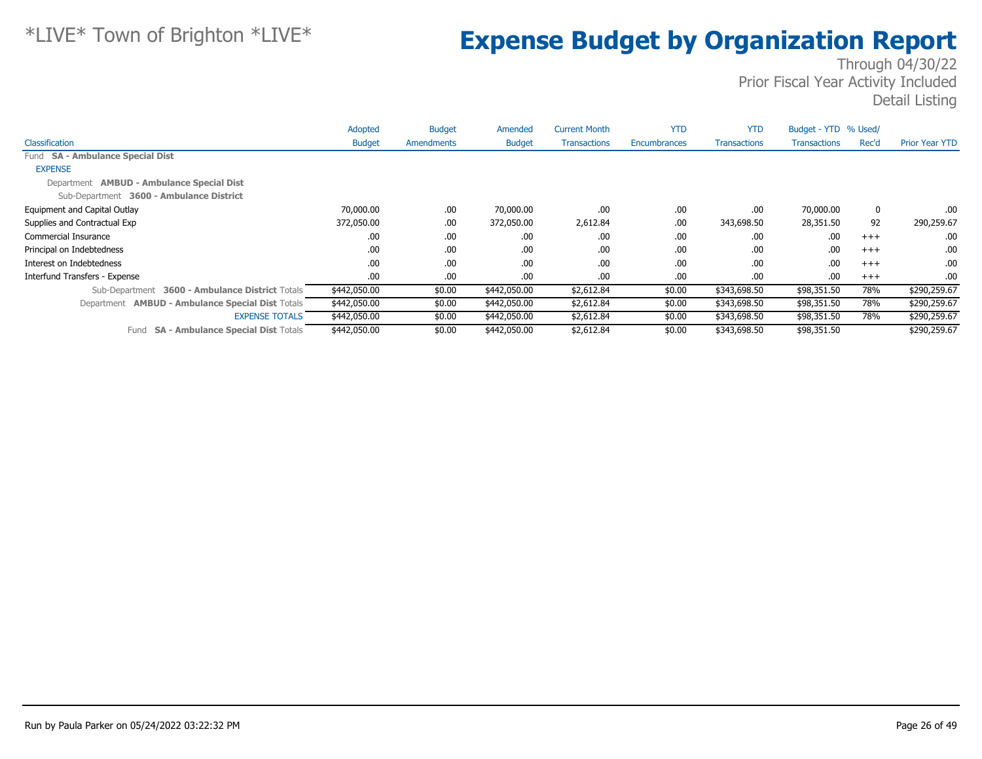|                                                           | Adopted       | <b>Budget</b>     | Amended       | <b>Current Month</b> | <b>YTD</b>   | <b>YTD</b>          | Budget - YTD % Used/ |       |                       |
|-----------------------------------------------------------|---------------|-------------------|---------------|----------------------|--------------|---------------------|----------------------|-------|-----------------------|
| <b>Classification</b>                                     | <b>Budget</b> | <b>Amendments</b> | <b>Budget</b> | <b>Transactions</b>  | Encumbrances | <b>Transactions</b> | <b>Transactions</b>  | Rec'd | <b>Prior Year YTD</b> |
| Fund SA - Ambulance Special Dist                          |               |                   |               |                      |              |                     |                      |       |                       |
| <b>EXPENSE</b>                                            |               |                   |               |                      |              |                     |                      |       |                       |
| Department <b>AMBUD - Ambulance Special Dist</b>          |               |                   |               |                      |              |                     |                      |       |                       |
| Sub-Department 3600 - Ambulance District                  |               |                   |               |                      |              |                     |                      |       |                       |
| Equipment and Capital Outlay                              | 70,000.00     | .00.              | 70,000.00     | .00.                 | .00          | .00                 | 70,000.00            | 0     | .00.                  |
| Supplies and Contractual Exp                              | 372,050.00    | .00.              | 372,050.00    | 2,612.84             | .00          | 343,698.50          | 28,351.50            | 92    | 290,259.67            |
| Commercial Insurance                                      | .00           | .00.              | .00.          | .00.                 | .00          | .00.                | .00                  | $+++$ | .00.                  |
| Principal on Indebtedness                                 | .00           | .00.              | .00.          | .00.                 | .00          | .00                 | .00                  | $+++$ | .00.                  |
| Interest on Indebtedness                                  | .00           | .00.              | .00.          | .00.                 | .00          | .00.                | .00                  | $+++$ | .00.                  |
| Interfund Transfers - Expense                             | .00           | .00.              | .00.          | .00.                 | .00          | .00.                | .00                  | $+++$ | .00.                  |
| <b>3600 - Ambulance District Totals</b><br>Sub-Department | \$442,050.00  | \$0.00            | \$442,050.00  | \$2,612.84           | \$0.00       | \$343,698.50        | \$98,351.50          | 78%   | \$290,259.67          |
| Department <b>AMBUD - Ambulance Special Dist Totals</b>   | \$442,050.00  | \$0.00            | \$442,050.00  | \$2,612.84           | \$0.00       | \$343,698.50        | \$98,351.50          | 78%   | \$290,259.67          |
| <b>EXPENSE TOTALS</b>                                     | \$442,050.00  | \$0.00            | \$442,050.00  | \$2,612.84           | \$0.00       | \$343,698.50        | \$98,351.50          | 78%   | \$290,259.67          |
| <b>SA - Ambulance Special Dist Totals</b><br>Fund         | \$442,050.00  | \$0.00            | \$442,050.00  | \$2,612.84           | \$0.00       | \$343,698.50        | \$98,351.50          |       | \$290,259.67          |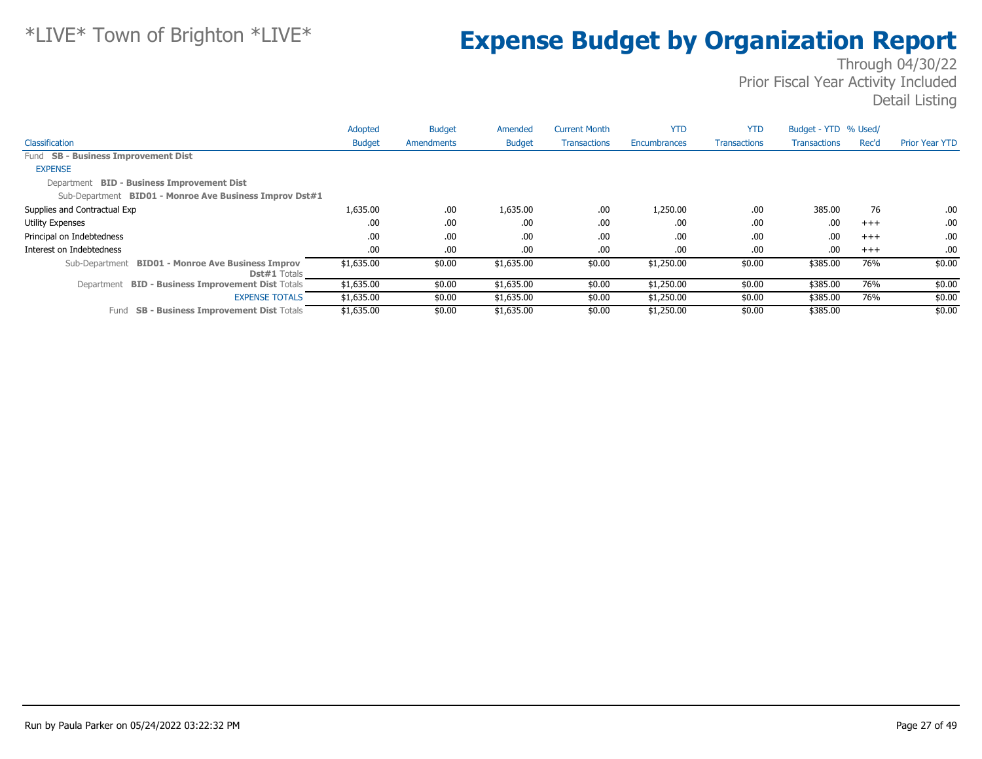|                                                                          | Adopted       | <b>Budget</b> | Amended       | <b>Current Month</b> | <b>YTD</b>   | <b>YTD</b>          | Budget - YTD % Used/ |          |                       |
|--------------------------------------------------------------------------|---------------|---------------|---------------|----------------------|--------------|---------------------|----------------------|----------|-----------------------|
| <b>Classification</b>                                                    | <b>Budget</b> | Amendments    | <b>Budget</b> | <b>Transactions</b>  | Encumbrances | <b>Transactions</b> | <b>Transactions</b>  | Rec'd    | <b>Prior Year YTD</b> |
| Fund SB - Business Improvement Dist                                      |               |               |               |                      |              |                     |                      |          |                       |
| <b>EXPENSE</b>                                                           |               |               |               |                      |              |                     |                      |          |                       |
| Department BID - Business Improvement Dist                               |               |               |               |                      |              |                     |                      |          |                       |
| Sub-Department BID01 - Monroe Ave Business Improv Dst#1                  |               |               |               |                      |              |                     |                      |          |                       |
| Supplies and Contractual Exp                                             | 1,635.00      | .00.          | 1,635.00      | .00                  | 1,250.00     | .00.                | 385.00               | 76       | $.00\,$               |
| <b>Utility Expenses</b>                                                  | .00           | .00.          | .00           | .00                  | .00          | .00.                | .00                  | $+++$    | .00.                  |
| Principal on Indebtedness                                                | .00           | .00.          | .00           | .00                  | .00          | .00.                | .00                  | $^{+++}$ | .00.                  |
| Interest on Indebtedness                                                 | .00           | .00.          | .00           | .00                  | .00          | .00.                | .00                  | $+++$    | .00.                  |
| Sub-Department BID01 - Monroe Ave Business Improv<br><b>Dst#1</b> Totals | \$1,635.00    | \$0.00        | \$1,635.00    | \$0.00               | \$1,250.00   | \$0.00              | \$385.00             | 76%      | \$0.00                |
| Department BID - Business Improvement Dist Totals                        | \$1,635.00    | \$0.00        | \$1,635.00    | \$0.00               | \$1,250.00   | \$0.00              | \$385.00             | 76%      | \$0.00                |
| <b>EXPENSE TOTALS</b>                                                    | \$1,635.00    | \$0.00        | \$1,635.00    | \$0.00               | \$1,250.00   | \$0.00              | \$385.00             | 76%      | \$0.00                |
| <b>SB - Business Improvement Dist Totals</b><br>Fund                     | \$1,635.00    | \$0.00        | \$1,635.00    | \$0.00               | \$1,250.00   | \$0.00              | \$385.00             |          | \$0.00                |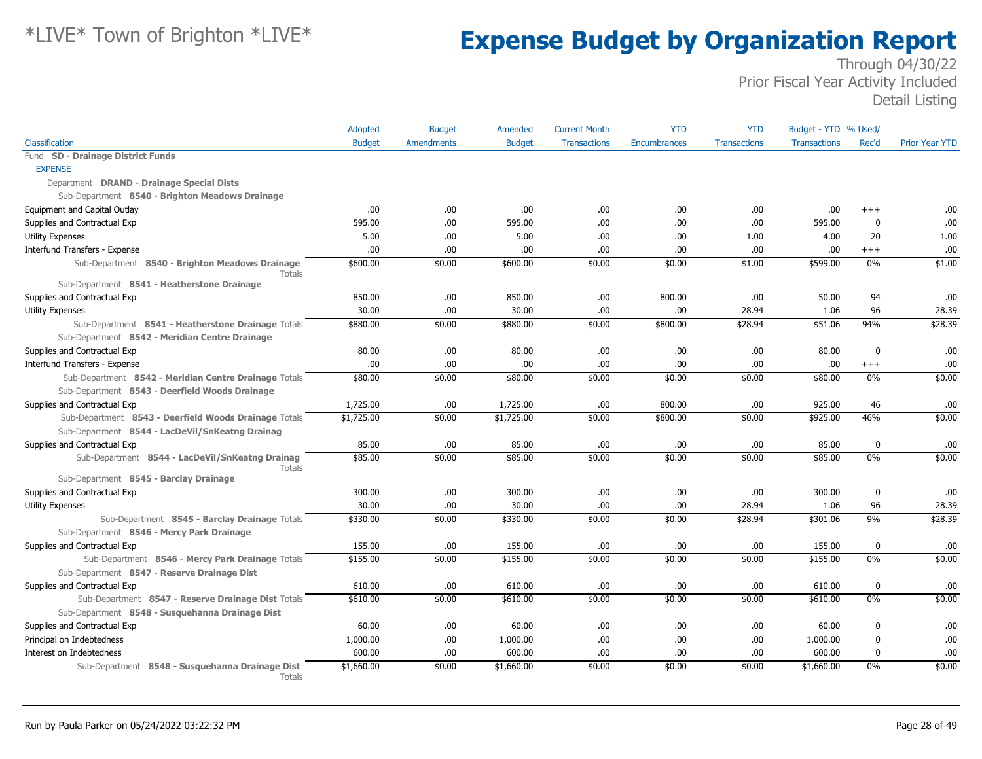|                                                                                                 | Adopted       | <b>Budget</b>     | Amended       | <b>Current Month</b> | <b>YTD</b>          | <b>YTD</b>          | Budget - YTD % Used/ |                  |                       |
|-------------------------------------------------------------------------------------------------|---------------|-------------------|---------------|----------------------|---------------------|---------------------|----------------------|------------------|-----------------------|
| Classification                                                                                  | <b>Budget</b> | <b>Amendments</b> | <b>Budget</b> | <b>Transactions</b>  | <b>Encumbrances</b> | <b>Transactions</b> | <b>Transactions</b>  | Rec'd            | <b>Prior Year YTD</b> |
| Fund SD - Drainage District Funds                                                               |               |                   |               |                      |                     |                     |                      |                  |                       |
| <b>EXPENSE</b>                                                                                  |               |                   |               |                      |                     |                     |                      |                  |                       |
| Department DRAND - Drainage Special Dists                                                       |               |                   |               |                      |                     |                     |                      |                  |                       |
| Sub-Department 8540 - Brighton Meadows Drainage                                                 |               |                   |               |                      |                     |                     |                      |                  |                       |
| Equipment and Capital Outlay                                                                    | .00.          | .00.              | .00.          | .00                  | .00                 | .00                 | .00                  | $^{++}$          | .00                   |
| Supplies and Contractual Exp                                                                    | 595.00        | .00.              | 595.00        | .00                  | .00                 | .00                 | 595.00               | $\mathbf 0$      | .00                   |
| <b>Utility Expenses</b>                                                                         | 5.00          | .00.              | 5.00          | .00                  | .00                 | 1.00                | 4.00                 | 20               | 1.00                  |
| Interfund Transfers - Expense                                                                   | .00.          | .00.              | .00           | .00                  | .00                 | .00                 | .00                  | $+++$            | .00                   |
| Sub-Department 8540 - Brighton Meadows Drainage<br><b>Totals</b>                                | \$600.00      | \$0.00            | \$600.00      | \$0.00               | \$0.00              | \$1.00              | \$599.00             | 0%               | \$1.00                |
| Sub-Department 8541 - Heatherstone Drainage                                                     |               |                   |               |                      |                     |                     |                      |                  |                       |
| Supplies and Contractual Exp                                                                    | 850.00        | .00.              | 850.00        | .00                  | 800.00              | .00                 | 50.00                | 94               | .00                   |
| Utility Expenses                                                                                | 30.00         | .00               | 30.00         | .00                  | .00                 | 28.94               | 1.06                 | 96               | 28.39                 |
| Sub-Department 8541 - Heatherstone Drainage Totals                                              | \$880.00      | \$0.00            | \$880.00      | \$0.00               | \$800.00            | \$28.94             | \$51.06              | 94%              | \$28.39               |
| Sub-Department 8542 - Meridian Centre Drainage                                                  |               |                   |               |                      |                     |                     |                      |                  |                       |
| Supplies and Contractual Exp                                                                    | 80.00         | .00.              | 80.00         | .00                  | .00                 | .00                 | 80.00                | $\mathbf 0$      | .00                   |
| Interfund Transfers - Expense                                                                   | .00           | .00               | .00           | .00                  | .00                 | .00                 | .00                  | $^{+++}$         | .00                   |
| Sub-Department 8542 - Meridian Centre Drainage Totals                                           | \$80.00       | \$0.00            | \$80.00       | \$0.00               | \$0.00              | \$0.00              | \$80.00              | 0%               | \$0.00                |
| Sub-Department 8543 - Deerfield Woods Drainage                                                  |               |                   |               |                      |                     |                     |                      |                  |                       |
| Supplies and Contractual Exp                                                                    | 1,725.00      | .00.              | 1,725.00      | .00                  | 800.00              | .00                 | 925.00               | 46               | .00                   |
| Sub-Department 8543 - Deerfield Woods Drainage Totals                                           | \$1,725.00    | \$0.00            | \$1,725.00    | \$0.00               | \$800.00            | \$0.00              | \$925.00             | 46%              | \$0.00                |
| Sub-Department 8544 - LacDeVil/SnKeatng Drainag                                                 |               |                   |               |                      |                     |                     |                      |                  |                       |
| Supplies and Contractual Exp                                                                    | 85.00         | .00               | 85.00         | .00                  | .00                 | .00                 | 85.00                | $\mathbf 0$      | .00                   |
| Sub-Department 8544 - LacDeVil/SnKeatng Drainag<br>Totals                                       | \$85.00       | \$0.00            | \$85.00       | \$0.00               | \$0.00              | \$0.00              | \$85.00              | 0%               | \$0.00                |
| Sub-Department 8545 - Barclay Drainage                                                          |               |                   |               |                      |                     |                     |                      |                  |                       |
| Supplies and Contractual Exp                                                                    | 300.00        | .00               | 300.00        | .00                  | .00                 | .00                 | 300.00               | $\mathbf 0$      | .00                   |
| Utility Expenses                                                                                | 30.00         | .00               | 30.00         | .00                  | .00                 | 28.94               | 1.06                 | 96               | 28.39                 |
| Sub-Department 8545 - Barclay Drainage Totals                                                   | \$330.00      | \$0.00            | \$330.00      | \$0.00               | \$0.00              | \$28.94             | \$301.06             | 9%               | \$28.39               |
| Sub-Department 8546 - Mercy Park Drainage                                                       |               |                   |               |                      |                     |                     |                      |                  |                       |
| Supplies and Contractual Exp                                                                    | 155.00        | .00               | 155.00        | .00                  | .00                 | .00                 | 155.00               | $\mathbf 0$      | .00                   |
| Sub-Department 8546 - Mercy Park Drainage Totals<br>Sub-Department 8547 - Reserve Drainage Dist | \$155.00      | \$0.00            | \$155.00      | \$0.00               | \$0.00              | \$0.00              | \$155.00             | 0%               | \$0.00                |
| Supplies and Contractual Exp                                                                    | 610.00        | .00.              | 610.00        | .00                  | .00                 | .00                 | 610.00               | $\mathbf 0$      | .00.                  |
| Sub-Department 8547 - Reserve Drainage Dist Totals                                              | \$610.00      | \$0.00            | \$610.00      | \$0.00               | \$0.00              | \$0.00              | \$610.00             | 0%               | \$0.00                |
| Sub-Department 8548 - Susquehanna Drainage Dist                                                 |               |                   |               |                      |                     |                     |                      |                  |                       |
| Supplies and Contractual Exp                                                                    | 60.00         | .00.              | 60.00         | .00                  | .00                 | .00                 | 60.00                | $\boldsymbol{0}$ | .00                   |
| Principal on Indebtedness                                                                       | 1,000.00      | .00.              | 1,000.00      | .00                  | .00                 | .00                 | 1,000.00             | 0                | .00                   |
| Interest on Indebtedness                                                                        | 600.00        | .00.              | 600.00        | .00.                 | .00                 | .00                 | 600.00               | $\mathbf 0$      | .00                   |
| Sub-Department 8548 - Susquehanna Drainage Dist<br>Totals                                       | \$1,660.00    | \$0.00            | \$1,660.00    | \$0.00               | \$0.00              | \$0.00              | \$1,660.00           | 0%               | \$0.00                |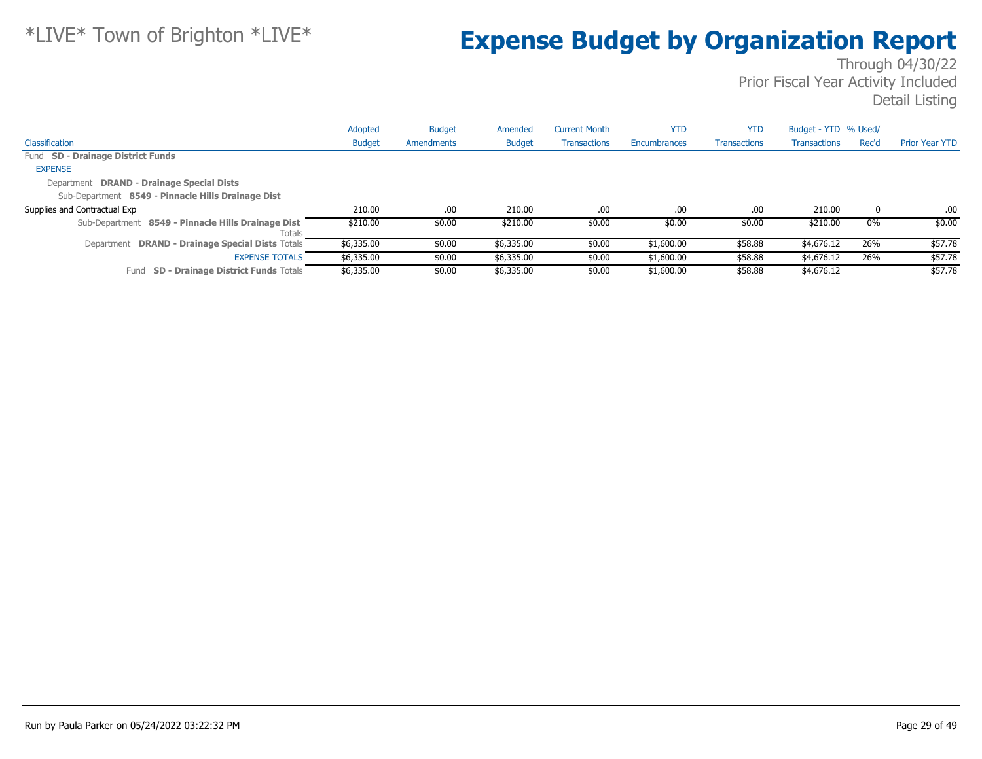|                                                              | Adopted       | <b>Budget</b> | Amended       | <b>Current Month</b> | <b>YTD</b>   | <b>YTD</b>          | Budget - YTD % Used/ |       |                       |
|--------------------------------------------------------------|---------------|---------------|---------------|----------------------|--------------|---------------------|----------------------|-------|-----------------------|
| Classification                                               | <b>Budget</b> | Amendments    | <b>Budget</b> | <b>Transactions</b>  | Encumbrances | <b>Transactions</b> | <b>Transactions</b>  | Rec'd | <b>Prior Year YTD</b> |
| Fund SD - Drainage District Funds                            |               |               |               |                      |              |                     |                      |       |                       |
| <b>EXPENSE</b>                                               |               |               |               |                      |              |                     |                      |       |                       |
| Department DRAND - Drainage Special Dists                    |               |               |               |                      |              |                     |                      |       |                       |
| Sub-Department 8549 - Pinnacle Hills Drainage Dist           |               |               |               |                      |              |                     |                      |       |                       |
| Supplies and Contractual Exp                                 | 210.00        | .00           | 210.00        | .00                  | .00          | .00.                | 210.00               | 0     | .00                   |
| Sub-Department 8549 - Pinnacle Hills Drainage Dist<br>Totals | \$210.00      | \$0.00        | \$210.00      | \$0.00               | \$0.00       | \$0.00              | \$210.00             | $0\%$ | \$0.00                |
| Department DRAND - Drainage Special Dists Totals             | \$6,335.00    | \$0.00        | \$6,335.00    | \$0.00               | \$1,600.00   | \$58.88             | \$4,676.12           | 26%   | \$57.78               |
| <b>EXPENSE TOTALS</b>                                        | \$6,335.00    | \$0.00        | \$6,335.00    | \$0.00               | \$1,600.00   | \$58.88             | \$4,676.12           | 26%   | \$57.78               |
| <b>SD - Drainage District Funds Totals</b><br>Fund           | \$6,335.00    | \$0.00        | \$6,335.00    | \$0.00               | \$1,600.00   | \$58.88             | \$4,676.12           |       | \$57.78               |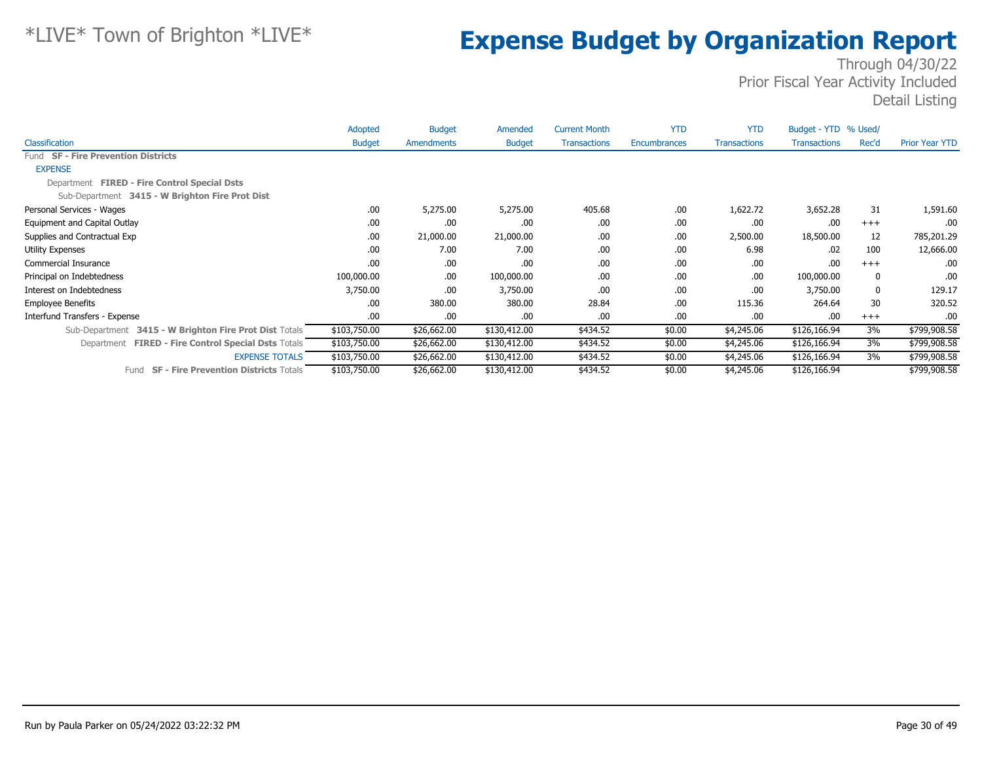|                                                               | Adopted       | <b>Budget</b> | Amended       | <b>Current Month</b> | <b>YTD</b>   | <b>YTD</b>          | Budget - YTD % Used/ |       |                       |
|---------------------------------------------------------------|---------------|---------------|---------------|----------------------|--------------|---------------------|----------------------|-------|-----------------------|
| Classification                                                | <b>Budget</b> | Amendments    | <b>Budget</b> | <b>Transactions</b>  | Encumbrances | <b>Transactions</b> | <b>Transactions</b>  | Rec'd | <b>Prior Year YTD</b> |
| Fund SF - Fire Prevention Districts                           |               |               |               |                      |              |                     |                      |       |                       |
| <b>EXPENSE</b>                                                |               |               |               |                      |              |                     |                      |       |                       |
| Department FIRED - Fire Control Special Dsts                  |               |               |               |                      |              |                     |                      |       |                       |
| Sub-Department 3415 - W Brighton Fire Prot Dist               |               |               |               |                      |              |                     |                      |       |                       |
| Personal Services - Wages                                     | .00           | 5,275.00      | 5,275.00      | 405.68               | .00          | 1,622.72            | 3,652.28             | 31    | 1,591.60              |
| Equipment and Capital Outlay                                  | .00           | .00           | .00           | .00                  | .00          | .00                 | .00                  | $+++$ | .00                   |
| Supplies and Contractual Exp                                  | .00           | 21,000.00     | 21,000.00     | .00                  | .00          | 2,500.00            | 18,500.00            | 12    | 785,201.29            |
| <b>Utility Expenses</b>                                       | .00           | 7.00          | 7.00          | .00                  | .00          | 6.98                | .02                  | 100   | 12,666.00             |
| Commercial Insurance                                          | .00           | .00           | .00           | .00                  | .00          | .00                 | .00                  | $+++$ | .00                   |
| Principal on Indebtedness                                     | 100,000.00    | .00.          | 100,000.00    | .00                  | .00          | .00                 | 100,000.00           | 0     | .00.                  |
| Interest on Indebtedness                                      | 3,750.00      | .00           | 3,750.00      | .00                  | .00          | .00                 | 3,750.00             | 0     | 129.17                |
| <b>Employee Benefits</b>                                      | .00           | 380.00        | 380.00        | 28.84                | .00          | 115.36              | 264.64               | 30    | 320.52                |
| Interfund Transfers - Expense                                 | .00           | .00           | .00           | .00                  | .00          | .00                 | .00                  | $+++$ | .00                   |
| 3415 - W Brighton Fire Prot Dist Totals<br>Sub-Department     | \$103,750.00  | \$26,662.00   | \$130,412.00  | \$434.52             | \$0.00       | \$4,245.06          | \$126,166.94         | 3%    | \$799,908.58          |
| <b>FIRED - Fire Control Special Dsts Totals</b><br>Department | \$103,750.00  | \$26,662.00   | \$130,412.00  | \$434.52             | \$0.00       | \$4,245.06          | \$126,166.94         | 3%    | \$799,908.58          |
| <b>EXPENSE TOTALS</b>                                         | \$103,750.00  | \$26,662.00   | \$130,412.00  | \$434.52             | \$0.00       | \$4,245.06          | \$126,166.94         | 3%    | \$799,908.58          |
| <b>SF - Fire Prevention Districts Totals</b><br>Fund          | \$103,750.00  | \$26,662.00   | \$130,412.00  | \$434.52             | \$0.00       | \$4,245.06          | \$126,166.94         |       | \$799,908.58          |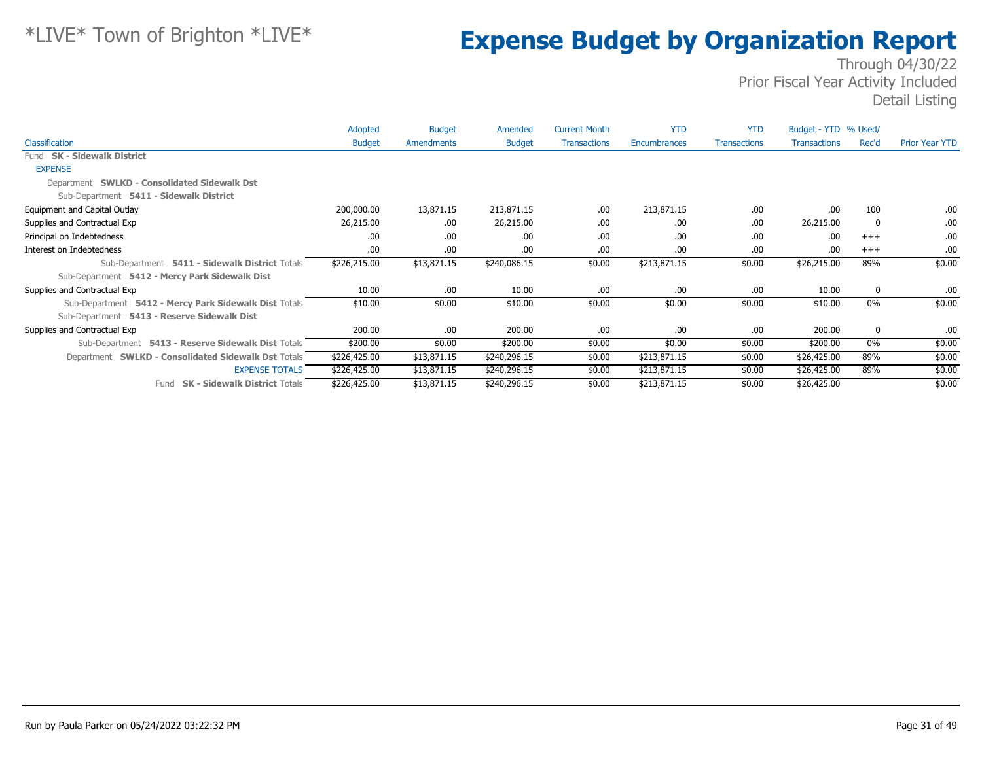|                                                       | Adopted       | <b>Budget</b> | Amended       | <b>Current Month</b> | <b>YTD</b>   | <b>YTD</b>          | Budget - YTD % Used/ |             |                       |
|-------------------------------------------------------|---------------|---------------|---------------|----------------------|--------------|---------------------|----------------------|-------------|-----------------------|
| Classification                                        | <b>Budget</b> | Amendments    | <b>Budget</b> | <b>Transactions</b>  | Encumbrances | <b>Transactions</b> | <b>Transactions</b>  | Rec'd       | <b>Prior Year YTD</b> |
| Fund SK - Sidewalk District                           |               |               |               |                      |              |                     |                      |             |                       |
| <b>EXPENSE</b>                                        |               |               |               |                      |              |                     |                      |             |                       |
| Department SWLKD - Consolidated Sidewalk Dst          |               |               |               |                      |              |                     |                      |             |                       |
| Sub-Department 5411 - Sidewalk District               |               |               |               |                      |              |                     |                      |             |                       |
| Equipment and Capital Outlay                          | 200,000.00    | 13,871.15     | 213,871.15    | .00.                 | 213,871.15   | .00.                | .00                  | 100         | .00.                  |
| Supplies and Contractual Exp                          | 26,215.00     | .00.          | 26,215.00     | .00                  | .00          | .00                 | 26,215.00            | 0           | .00                   |
| Principal on Indebtedness                             | .00.          | .00.          | .00.          | .00                  | .00          | .00                 | .00                  | $+++$       | .00.                  |
| Interest on Indebtedness                              | .00.          | .00.          | .00.          | .00                  | .00.         | .00.                | .00.                 | $+++$       | .00.                  |
| Sub-Department 5411 - Sidewalk District Totals        | \$226,215.00  | \$13,871.15   | \$240,086.15  | \$0.00               | \$213,871.15 | \$0.00              | \$26,215.00          | 89%         | \$0.00                |
| Sub-Department 5412 - Mercy Park Sidewalk Dist        |               |               |               |                      |              |                     |                      |             |                       |
| Supplies and Contractual Exp                          | 10.00         | .00.          | 10.00         | .00                  | .00.         | .00.                | 10.00                | 0           | .00                   |
| Sub-Department 5412 - Mercy Park Sidewalk Dist Totals | \$10.00       | \$0.00        | \$10.00       | \$0.00               | \$0.00       | \$0.00              | \$10.00              | 0%          | \$0.00                |
| Sub-Department 5413 - Reserve Sidewalk Dist           |               |               |               |                      |              |                     |                      |             |                       |
| Supplies and Contractual Exp                          | 200.00        | .00.          | 200.00        | .00                  | .00.         | .00.                | 200.00               | $\mathbf 0$ | .00.                  |
| Sub-Department 5413 - Reserve Sidewalk Dist Totals    | \$200.00      | \$0.00        | \$200.00      | \$0.00               | \$0.00       | \$0.00              | \$200.00             | $0\%$       | \$0.00                |
| Department SWLKD - Consolidated Sidewalk Dst Totals   | \$226,425.00  | \$13,871.15   | \$240,296.15  | \$0.00               | \$213,871.15 | \$0.00              | \$26,425.00          | 89%         | \$0.00                |
| <b>EXPENSE TOTALS</b>                                 | \$226,425.00  | \$13,871.15   | \$240,296.15  | \$0.00               | \$213,871.15 | \$0.00              | \$26,425.00          | 89%         | \$0.00                |
| <b>SK - Sidewalk District Totals</b><br>Fund          | \$226,425.00  | \$13,871.15   | \$240,296.15  | \$0.00               | \$213,871.15 | \$0.00              | \$26,425.00          |             | \$0.00                |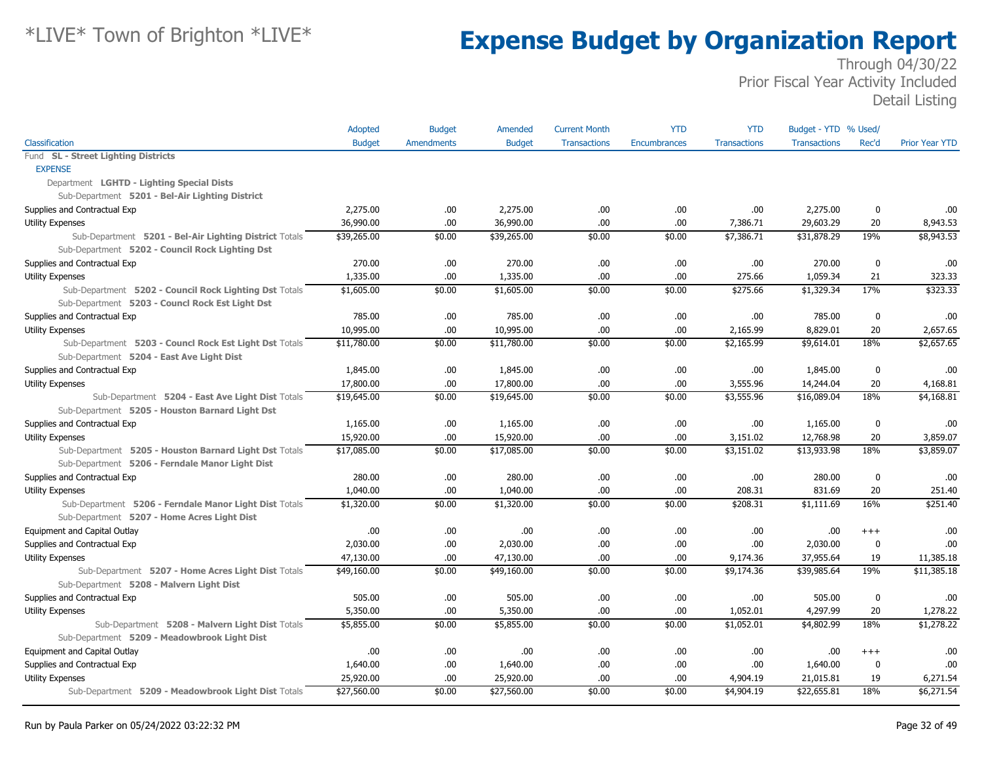|                                                        | Adopted       | <b>Budget</b>     | Amended       | <b>Current Month</b> | <b>YTD</b>          | <b>YTD</b>          | Budget - YTD % Used/ |             |                       |
|--------------------------------------------------------|---------------|-------------------|---------------|----------------------|---------------------|---------------------|----------------------|-------------|-----------------------|
| Classification                                         | <b>Budget</b> | <b>Amendments</b> | <b>Budget</b> | <b>Transactions</b>  | <b>Encumbrances</b> | <b>Transactions</b> | <b>Transactions</b>  | Rec'd       | <b>Prior Year YTD</b> |
| Fund SL - Street Lighting Districts                    |               |                   |               |                      |                     |                     |                      |             |                       |
| <b>EXPENSE</b>                                         |               |                   |               |                      |                     |                     |                      |             |                       |
| Department LGHTD - Lighting Special Dists              |               |                   |               |                      |                     |                     |                      |             |                       |
| Sub-Department 5201 - Bel-Air Lighting District        |               |                   |               |                      |                     |                     |                      |             |                       |
| Supplies and Contractual Exp                           | 2,275.00      | .00               | 2,275,00      | .00                  | .00                 | .00.                | 2,275,00             | 0           | .00                   |
| <b>Utility Expenses</b>                                | 36,990.00     | .00               | 36,990.00     | .00                  | .00                 | 7,386.71            | 29,603.29            | 20          | 8,943.53              |
| Sub-Department 5201 - Bel-Air Lighting District Totals | \$39,265.00   | \$0.00            | \$39,265.00   | \$0.00               | \$0.00              | \$7,386.71          | \$31,878.29          | 19%         | \$8,943.53            |
| Sub-Department 5202 - Council Rock Lighting Dst        |               |                   |               |                      |                     |                     |                      |             |                       |
| Supplies and Contractual Exp                           | 270.00        | .00.              | 270.00        | .00                  | .00                 | .00.                | 270.00               | 0           | .00                   |
| <b>Utility Expenses</b>                                | 1,335.00      | .00               | 1,335.00      | .00                  | .00                 | 275.66              | 1,059.34             | 21          | 323.33                |
| Sub-Department 5202 - Council Rock Lighting Dst Totals | \$1,605.00    | \$0.00            | \$1,605.00    | \$0.00               | \$0.00              | \$275.66            | \$1,329.34           | 17%         | \$323.33              |
| Sub-Department 5203 - Councl Rock Est Light Dst        |               |                   |               |                      |                     |                     |                      |             |                       |
| Supplies and Contractual Exp                           | 785.00        | .00               | 785.00        | .00                  | .00                 | .00.                | 785.00               | 0           | .00                   |
| <b>Utility Expenses</b>                                | 10,995.00     | .00.              | 10,995.00     | .00                  | .00                 | 2,165.99            | 8,829.01             | 20          | 2,657.65              |
| Sub-Department 5203 - Councl Rock Est Light Dst Totals | \$11,780.00   | \$0.00            | \$11,780.00   | \$0.00               | \$0.00              | \$2,165.99          | \$9,614.01           | 18%         | \$2,657.65            |
| Sub-Department 5204 - East Ave Light Dist              |               |                   |               |                      |                     |                     |                      |             |                       |
| Supplies and Contractual Exp                           | 1,845.00      | .00.              | 1,845.00      | .00                  | .00                 | .00.                | 1,845.00             | 0           | .00                   |
| <b>Utility Expenses</b>                                | 17,800.00     | .00               | 17,800.00     | .00                  | .00                 | 3,555.96            | 14,244.04            | 20          | 4,168.81              |
| Sub-Department 5204 - East Ave Light Dist Totals       | \$19,645.00   | \$0.00            | \$19,645.00   | \$0.00               | \$0.00              | \$3,555.96          | \$16,089.04          | 18%         | \$4,168.81            |
| Sub-Department 5205 - Houston Barnard Light Dst        |               |                   |               |                      |                     |                     |                      |             |                       |
| Supplies and Contractual Exp                           | 1,165.00      | .00.              | 1,165.00      | .00                  | .00                 | .00.                | 1,165.00             | 0           | .00                   |
| <b>Utility Expenses</b>                                | 15,920.00     | .00.              | 15,920.00     | .00                  | .00                 | 3,151.02            | 12,768.98            | 20          | 3,859.07              |
| Sub-Department 5205 - Houston Barnard Light Dst Totals | \$17,085.00   | \$0.00            | \$17,085.00   | \$0.00               | \$0.00              | \$3,151.02          | \$13,933.98          | 18%         | \$3,859.07            |
| Sub-Department 5206 - Ferndale Manor Light Dist        |               |                   |               |                      |                     |                     |                      |             |                       |
| Supplies and Contractual Exp                           | 280.00        | .00.              | 280.00        | .00                  | .00                 | .00                 | 280.00               | 0           | .00                   |
| <b>Utility Expenses</b>                                | 1,040.00      | .00               | 1,040.00      | .00                  | .00                 | 208.31              | 831.69               | 20          | 251.40                |
| Sub-Department 5206 - Ferndale Manor Light Dist Totals | \$1,320.00    | \$0.00            | \$1,320.00    | \$0.00               | \$0.00              | \$208.31            | \$1,111.69           | 16%         | \$251.40              |
| Sub-Department 5207 - Home Acres Light Dist            |               |                   |               |                      |                     |                     |                      |             |                       |
| Equipment and Capital Outlay                           | .00.          | .00.              | .00.          | .00                  | .00                 | .00                 | .00.                 | $^{++}$     | .00                   |
| Supplies and Contractual Exp                           | 2,030.00      | .00               | 2,030.00      | .00                  | .00                 | .00                 | 2,030.00             | $\mathbf 0$ | .00                   |
| Utility Expenses                                       | 47,130.00     | .00.              | 47,130.00     | .00                  | .00                 | 9,174.36            | 37,955.64            | 19          | 11,385.18             |
| Sub-Department 5207 - Home Acres Light Dist Totals     | \$49,160.00   | \$0.00            | \$49,160.00   | \$0.00               | \$0.00              | \$9,174.36          | \$39,985.64          | 19%         | \$11,385.18           |
| Sub-Department 5208 - Malvern Light Dist               |               |                   |               |                      |                     |                     |                      |             |                       |
| Supplies and Contractual Exp                           | 505.00        | .00.              | 505.00        | .00                  | .00                 | .00.                | 505.00               | $\mathbf 0$ | .00                   |
| Utility Expenses                                       | 5,350.00      | .00               | 5,350.00      | .00                  | .00                 | 1,052.01            | 4,297.99             | 20          | 1,278.22              |
| Sub-Department 5208 - Malvern Light Dist Totals        | \$5,855.00    | \$0.00            | \$5,855.00    | \$0.00               | \$0.00              | \$1,052.01          | \$4,802.99           | 18%         | \$1,278.22            |
| Sub-Department 5209 - Meadowbrook Light Dist           |               |                   |               |                      |                     |                     |                      |             |                       |
| Equipment and Capital Outlay                           | .00.          | .00.              | .00           | .00                  | .00                 | .00                 | .00.                 | $+++$       | .00                   |
| Supplies and Contractual Exp                           | 1,640.00      | .00.              | 1,640.00      | .00                  | .00                 | .00.                | 1,640.00             | 0           | .00                   |
| <b>Utility Expenses</b>                                | 25,920.00     | .00               | 25,920.00     | .00                  | .00                 | 4,904.19            | 21,015.81            | 19          | 6,271.54              |
| Sub-Department 5209 - Meadowbrook Light Dist Totals    | \$27,560.00   | \$0.00            | \$27,560.00   | \$0.00               | \$0.00              | \$4,904.19          | \$22,655.81          | 18%         | \$6,271.54            |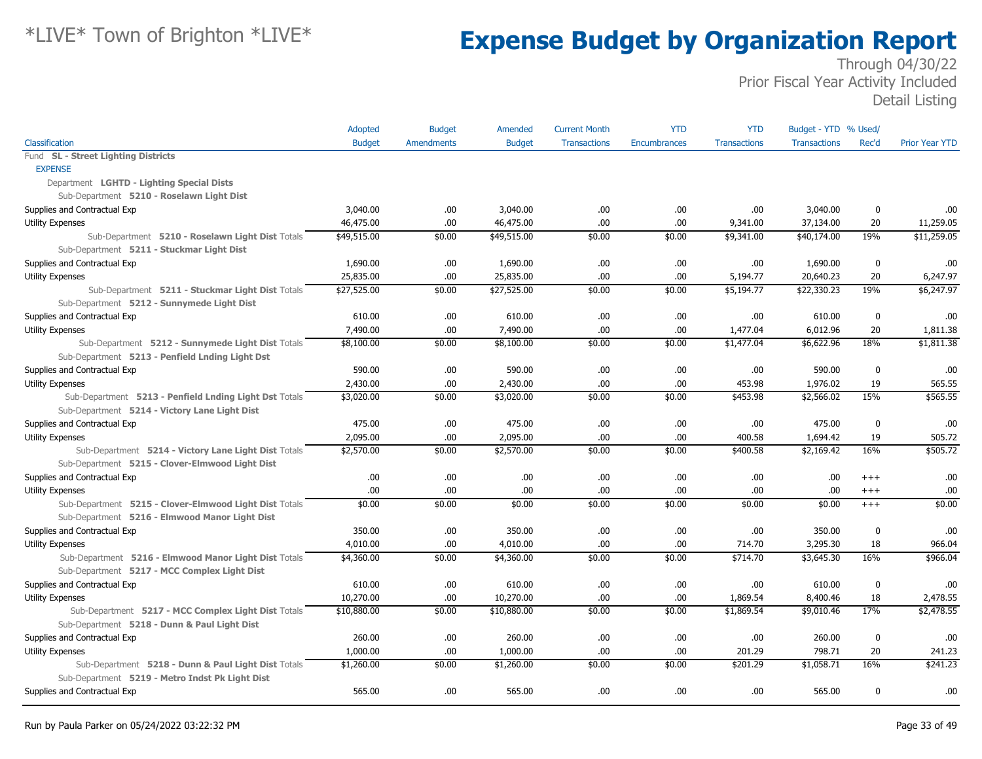|                                                        | Adopted       | <b>Budget</b>     | Amended       | <b>Current Month</b> | <b>YTD</b>   | <b>YTD</b>          | Budget - YTD % Used/ |             |                       |
|--------------------------------------------------------|---------------|-------------------|---------------|----------------------|--------------|---------------------|----------------------|-------------|-----------------------|
| Classification                                         | <b>Budget</b> | <b>Amendments</b> | <b>Budget</b> | <b>Transactions</b>  | Encumbrances | <b>Transactions</b> | <b>Transactions</b>  | Rec'd       | <b>Prior Year YTD</b> |
| Fund SL - Street Lighting Districts                    |               |                   |               |                      |              |                     |                      |             |                       |
| <b>EXPENSE</b>                                         |               |                   |               |                      |              |                     |                      |             |                       |
| Department LGHTD - Lighting Special Dists              |               |                   |               |                      |              |                     |                      |             |                       |
| Sub-Department 5210 - Roselawn Light Dist              |               |                   |               |                      |              |                     |                      |             |                       |
| Supplies and Contractual Exp                           | 3,040.00      | .00.              | 3,040.00      | .00                  | .00.         | .00.                | 3,040.00             | 0           | .00                   |
| <b>Utility Expenses</b>                                | 46,475.00     | .00               | 46,475.00     | .00                  | .00.         | 9,341.00            | 37,134.00            | 20          | 11,259.05             |
| Sub-Department 5210 - Roselawn Light Dist Totals       | \$49,515.00   | \$0.00            | \$49,515.00   | \$0.00               | \$0.00       | \$9,341.00          | \$40,174.00          | 19%         | \$11,259.05           |
| Sub-Department 5211 - Stuckmar Light Dist              |               |                   |               |                      |              |                     |                      |             |                       |
| Supplies and Contractual Exp                           | 1,690.00      | .00.              | 1,690.00      | .00                  | .00.         | .00                 | 1,690.00             | $\mathbf 0$ | .00                   |
| Utility Expenses                                       | 25,835.00     | .00               | 25,835.00     | .00                  | .00.         | 5,194.77            | 20,640.23            | 20          | 6,247.97              |
| Sub-Department 5211 - Stuckmar Light Dist Totals       | \$27,525.00   | \$0.00            | \$27,525.00   | \$0.00               | \$0.00       | \$5,194.77          | \$22,330.23          | 19%         | \$6,247.97            |
| Sub-Department 5212 - Sunnymede Light Dist             |               |                   |               |                      |              |                     |                      |             |                       |
| Supplies and Contractual Exp                           | 610.00        | .00               | 610.00        | .00                  | .00.         | .00                 | 610.00               | $\mathbf 0$ | .00                   |
| Utility Expenses                                       | 7,490.00      | .00.              | 7,490.00      | .00                  | .00.         | 1,477.04            | 6,012.96             | 20          | 1,811.38              |
| Sub-Department 5212 - Sunnymede Light Dist Totals      | \$8,100.00    | \$0.00            | \$8,100.00    | \$0.00               | \$0.00       | \$1,477.04          | \$6,622.96           | 18%         | \$1,811.38            |
| Sub-Department 5213 - Penfield Lnding Light Dst        |               |                   |               |                      |              |                     |                      |             |                       |
| Supplies and Contractual Exp                           | 590.00        | .00.              | 590.00        | .00                  | .00.         | .00.                | 590.00               | 0           | .00                   |
| <b>Utility Expenses</b>                                | 2,430.00      | .00.              | 2,430.00      | .00                  | .00.         | 453.98              | 1,976.02             | 19          | 565.55                |
| Sub-Department 5213 - Penfield Lnding Light Dst Totals | \$3,020.00    | \$0.00            | \$3,020.00    | \$0.00               | \$0.00       | \$453.98            | \$2,566.02           | 15%         | \$565.55              |
| Sub-Department 5214 - Victory Lane Light Dist          |               |                   |               |                      |              |                     |                      |             |                       |
| Supplies and Contractual Exp                           | 475.00        | .00.              | 475.00        | .00                  | .00.         | .00.                | 475.00               | 0           | .00                   |
| <b>Utility Expenses</b>                                | 2,095.00      | .00               | 2,095.00      | .00                  | .00.         | 400.58              | 1,694.42             | 19          | 505.72                |
| Sub-Department 5214 - Victory Lane Light Dist Totals   | \$2,570.00    | \$0.00            | \$2,570.00    | \$0.00               | \$0.00       | \$400.58            | \$2,169.42           | 16%         | \$505.72              |
| Sub-Department 5215 - Clover-Elmwood Light Dist        |               |                   |               |                      |              |                     |                      |             |                       |
| Supplies and Contractual Exp                           | .00.          | .00.              | .00.          | .00                  | .00.         | .00                 | .00.                 | $^{++}$     | .00                   |
| <b>Utility Expenses</b>                                | .00           | .00               | .00           | .00                  | .00.         | .00                 | .00.                 | $^{+++}$    | .00                   |
| Sub-Department 5215 - Clover-Elmwood Light Dist Totals | \$0.00        | \$0.00            | \$0.00        | \$0.00               | \$0.00       | \$0.00              | \$0.00               | $+++$       | \$0.00                |
| Sub-Department 5216 - Elmwood Manor Light Dist         |               |                   |               |                      |              |                     |                      |             |                       |
| Supplies and Contractual Exp                           | 350.00        | .00.              | 350.00        | .00                  | .00.         | .00                 | 350.00               | 0           | .00                   |
| Utility Expenses                                       | 4,010.00      | .00.              | 4,010.00      | .00                  | .00.         | 714.70              | 3,295.30             | 18          | 966.04                |
| Sub-Department 5216 - Elmwood Manor Light Dist Totals  | \$4,360.00    | \$0.00            | \$4,360.00    | \$0.00               | \$0.00       | \$714.70            | \$3,645.30           | 16%         | \$966.04              |
| Sub-Department 5217 - MCC Complex Light Dist           |               |                   |               |                      |              |                     |                      |             |                       |
| Supplies and Contractual Exp                           | 610.00        | .00.              | 610.00        | .00                  | .00.         | .00.                | 610.00               | $\mathbf 0$ | .00                   |
| <b>Utility Expenses</b>                                | 10,270.00     | .00.              | 10,270.00     | .00                  | .00.         | 1,869.54            | 8,400.46             | 18          | 2,478.55              |
| Sub-Department 5217 - MCC Complex Light Dist Totals    | \$10,880.00   | \$0.00            | \$10,880.00   | \$0.00               | \$0.00       | \$1,869.54          | \$9,010.46           | 17%         | \$2,478.55            |
| Sub-Department 5218 - Dunn & Paul Light Dist           |               |                   |               |                      |              |                     |                      |             |                       |
| Supplies and Contractual Exp                           | 260.00        | .00.              | 260.00        | .00                  | .00.         | .00.                | 260.00               | 0           | .00                   |
| <b>Utility Expenses</b>                                | 1,000.00      | .00.              | 1,000.00      | .00                  | .00.         | 201.29              | 798.71               | 20          | 241.23                |
| Sub-Department 5218 - Dunn & Paul Light Dist Totals    | \$1,260.00    | \$0.00            | \$1,260.00    | \$0.00               | \$0.00       | \$201.29            | \$1,058.71           | 16%         | \$241.23              |
| Sub-Department 5219 - Metro Indst Pk Light Dist        |               |                   |               |                      |              |                     |                      |             |                       |
| Supplies and Contractual Exp                           | 565.00        | .00.              | 565.00        | .00                  | .00.         | .00.                | 565.00               | 0           | .00                   |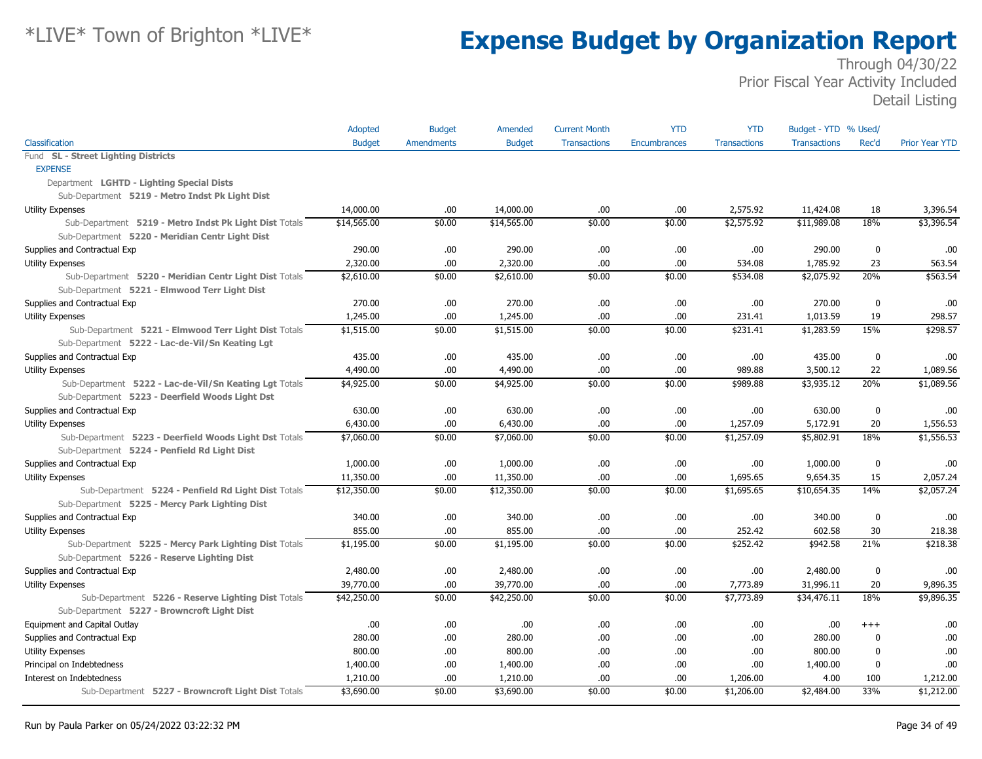|                                                        | Adopted       | <b>Budget</b>     | Amended       | <b>Current Month</b> | <b>YTD</b>   | <b>YTD</b>          | Budget - YTD % Used/ |             |                       |
|--------------------------------------------------------|---------------|-------------------|---------------|----------------------|--------------|---------------------|----------------------|-------------|-----------------------|
| Classification                                         | <b>Budget</b> | <b>Amendments</b> | <b>Budget</b> | <b>Transactions</b>  | Encumbrances | <b>Transactions</b> | <b>Transactions</b>  | Rec'd       | <b>Prior Year YTD</b> |
| Fund SL - Street Lighting Districts                    |               |                   |               |                      |              |                     |                      |             |                       |
| <b>EXPENSE</b>                                         |               |                   |               |                      |              |                     |                      |             |                       |
| Department LGHTD - Lighting Special Dists              |               |                   |               |                      |              |                     |                      |             |                       |
| Sub-Department 5219 - Metro Indst Pk Light Dist        |               |                   |               |                      |              |                     |                      |             |                       |
| Utility Expenses                                       | 14,000.00     | .00               | 14,000.00     | .00.                 | .00          | 2,575.92            | 11,424.08            | 18          | 3,396.54              |
| Sub-Department 5219 - Metro Indst Pk Light Dist Totals | \$14,565.00   | \$0.00            | \$14,565.00   | \$0.00               | \$0.00       | \$2,575.92          | \$11,989.08          | 18%         | \$3,396.54            |
| Sub-Department 5220 - Meridian Centr Light Dist        |               |                   |               |                      |              |                     |                      |             |                       |
| Supplies and Contractual Exp                           | 290.00        | .00.              | 290.00        | .00                  | .00.         | .00                 | 290.00               | $\mathbf 0$ | .00                   |
| <b>Utility Expenses</b>                                | 2,320.00      | .00               | 2,320.00      | .00                  | .00.         | 534.08              | 1,785.92             | 23          | 563.54                |
| Sub-Department 5220 - Meridian Centr Light Dist Totals | \$2,610.00    | \$0.00            | \$2,610.00    | \$0.00               | \$0.00       | \$534.08            | \$2,075.92           | 20%         | \$563.54              |
| Sub-Department 5221 - Elmwood Terr Light Dist          |               |                   |               |                      |              |                     |                      |             |                       |
| Supplies and Contractual Exp                           | 270.00        | .00.              | 270.00        | .00                  | .00.         | .00.                | 270.00               | 0           | .00                   |
| <b>Utility Expenses</b>                                | 1,245.00      | .00               | 1,245.00      | .00                  | .00.         | 231.41              | 1,013.59             | 19          | 298.57                |
| Sub-Department 5221 - Elmwood Terr Light Dist Totals   | \$1,515.00    | \$0.00            | \$1,515.00    | \$0.00               | \$0.00       | \$231.41            | \$1,283.59           | 15%         | \$298.57              |
| Sub-Department 5222 - Lac-de-Vil/Sn Keating Lgt        |               |                   |               |                      |              |                     |                      |             |                       |
| Supplies and Contractual Exp                           | 435.00        | .00.              | 435.00        | .00                  | .00.         | .00                 | 435.00               | 0           | .00                   |
| <b>Utility Expenses</b>                                | 4,490.00      | .00.              | 4,490.00      | .00                  | .00.         | 989.88              | 3,500.12             | 22          | 1,089.56              |
| Sub-Department 5222 - Lac-de-Vil/Sn Keating Lgt Totals | \$4,925.00    | \$0.00            | \$4,925.00    | \$0.00               | \$0.00       | \$989.88            | \$3,935.12           | 20%         | \$1,089.56            |
| Sub-Department 5223 - Deerfield Woods Light Dst        |               |                   |               |                      |              |                     |                      |             |                       |
| Supplies and Contractual Exp                           | 630.00        | .00.              | 630.00        | .00                  | .00.         | .00.                | 630.00               | 0           | .00                   |
| <b>Utility Expenses</b>                                | 6,430.00      | .00.              | 6,430.00      | .00                  | .00.         | 1,257.09            | 5,172.91             | 20          | 1,556.53              |
| Sub-Department 5223 - Deerfield Woods Light Dst Totals | \$7,060.00    | \$0.00            | \$7,060.00    | \$0.00               | \$0.00       | \$1,257.09          | \$5,802.91           | 18%         | \$1,556.53            |
| Sub-Department 5224 - Penfield Rd Light Dist           |               |                   |               |                      |              |                     |                      |             |                       |
| Supplies and Contractual Exp                           | 1,000.00      | .00               | 1,000.00      | .00                  | .00.         | .00                 | 1,000.00             | 0           | .00                   |
| <b>Utility Expenses</b>                                | 11,350.00     | .00.              | 11,350.00     | .00                  | .00.         | 1,695.65            | 9,654.35             | 15          | 2,057.24              |
| Sub-Department 5224 - Penfield Rd Light Dist Totals    | \$12,350.00   | \$0.00            | \$12,350.00   | \$0.00               | \$0.00       | \$1,695.65          | \$10,654.35          | 14%         | \$2,057.24            |
| Sub-Department 5225 - Mercy Park Lighting Dist         |               |                   |               |                      |              |                     |                      |             |                       |
| Supplies and Contractual Exp                           | 340.00        | .00.              | 340.00        | .00                  | .00.         | .00.                | 340.00               | 0           | .00                   |
| <b>Utility Expenses</b>                                | 855.00        | .00               | 855.00        | .00                  | .00.         | 252.42              | 602.58               | 30          | 218.38                |
| Sub-Department 5225 - Mercy Park Lighting Dist Totals  | \$1,195.00    | \$0.00            | \$1,195.00    | \$0.00               | \$0.00       | \$252.42            | \$942.58             | 21%         | \$218.38              |
| Sub-Department 5226 - Reserve Lighting Dist            |               |                   |               |                      |              |                     |                      |             |                       |
| Supplies and Contractual Exp                           | 2,480.00      | .00.              | 2,480.00      | .00                  | .00.         | .00.                | 2,480.00             | 0           | .00                   |
| <b>Utility Expenses</b>                                | 39,770.00     | .00.              | 39,770.00     | .00                  | .00.         | 7,773.89            | 31,996.11            | 20          | 9,896.35              |
| Sub-Department 5226 - Reserve Lighting Dist Totals     | \$42,250.00   | \$0.00            | \$42,250.00   | \$0.00               | \$0.00       | \$7,773.89          | \$34,476.11          | 18%         | \$9,896.35            |
| Sub-Department 5227 - Browncroft Light Dist            |               |                   |               |                      |              |                     |                      |             |                       |
| Equipment and Capital Outlay                           | .00.          | .00.              | .00.          | .00                  | .00          | .00.                | .00                  | $+++$       | .00                   |
| Supplies and Contractual Exp                           | 280.00        | .00               | 280.00        | .00                  | .00.         | .00                 | 280.00               | 0           | .00                   |
| <b>Utility Expenses</b>                                | 800.00        | .00.              | 800.00        | .00                  | .00.         | .00                 | 800.00               | $\mathbf 0$ | .00                   |
| Principal on Indebtedness                              | 1,400.00      | .00               | 1,400.00      | .00                  | .00.         | .00.                | 1,400.00             | 0           | .00                   |
| Interest on Indebtedness                               | 1,210.00      | .00               | 1,210.00      | .00                  | .00.         | 1,206.00            | 4.00                 | 100         | 1,212.00              |
| Sub-Department 5227 - Browncroft Light Dist Totals     | \$3,690.00    | \$0.00            | \$3,690.00    | \$0.00               | \$0.00       | \$1,206.00          | \$2,484.00           | 33%         | \$1,212.00            |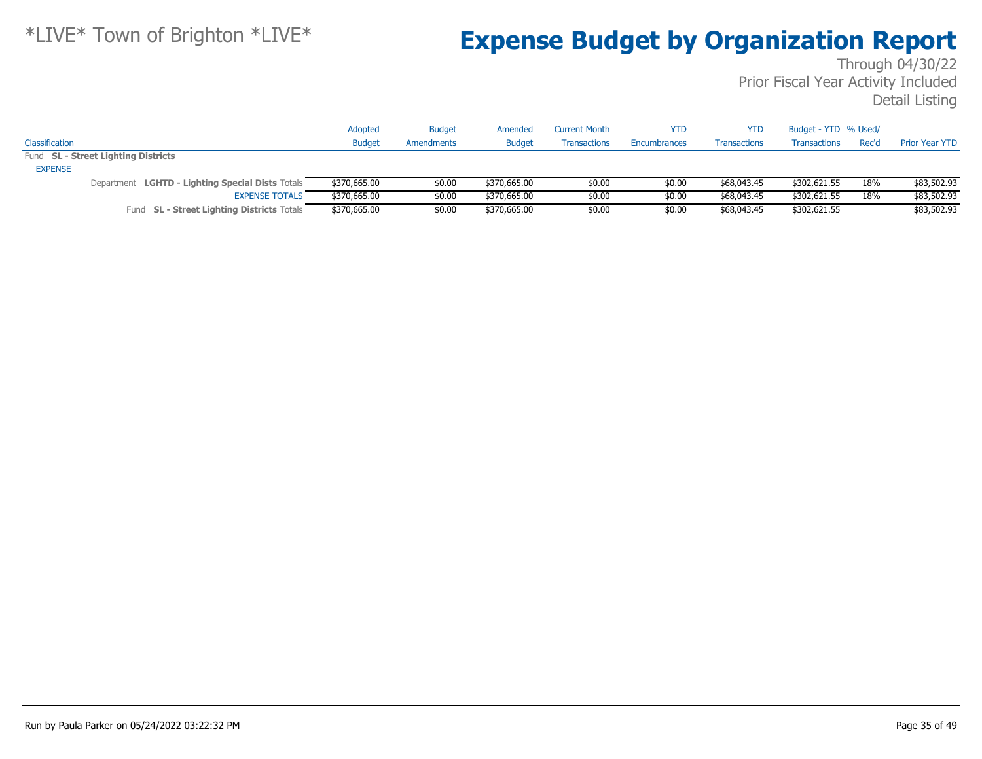|                |                                                  | Adopted       | <b>Budget</b> | Amended       | <b>Current Month</b> | YTD          | YTD                 | Budget - YTD % Used/ |       |                       |
|----------------|--------------------------------------------------|---------------|---------------|---------------|----------------------|--------------|---------------------|----------------------|-------|-----------------------|
| Classification |                                                  | <b>Budget</b> | Amendments    | <b>Budget</b> | <b>Transactions</b>  | Encumbrances | <b>Transactions</b> | <b>Transactions</b>  | Rec'd | <b>Prior Year YTD</b> |
|                | Fund SL - Street Lighting Districts              |               |               |               |                      |              |                     |                      |       |                       |
| <b>EXPENSE</b> |                                                  |               |               |               |                      |              |                     |                      |       |                       |
|                | Department LGHTD - Lighting Special Dists Totals | \$370,665.00  | \$0.00        | \$370,665.00  | \$0.00               | \$0.00       | \$68,043.45         | \$302,621.55         | 18%   | \$83,502.93           |
|                | <b>EXPENSE TOTALS</b>                            | \$370,665.00  | \$0.00        | \$370,665.00  | \$0.00               | \$0.00       | \$68,043.45         | \$302,621.55         | 18%   | \$83,502.93           |
|                | Fund SL - Street Lighting Districts Totals       | \$370,665.00  | \$0.00        | \$370,665.00  | \$0.00               | \$0.00       | \$68,043.45         | \$302,621.55         |       | \$83,502.93           |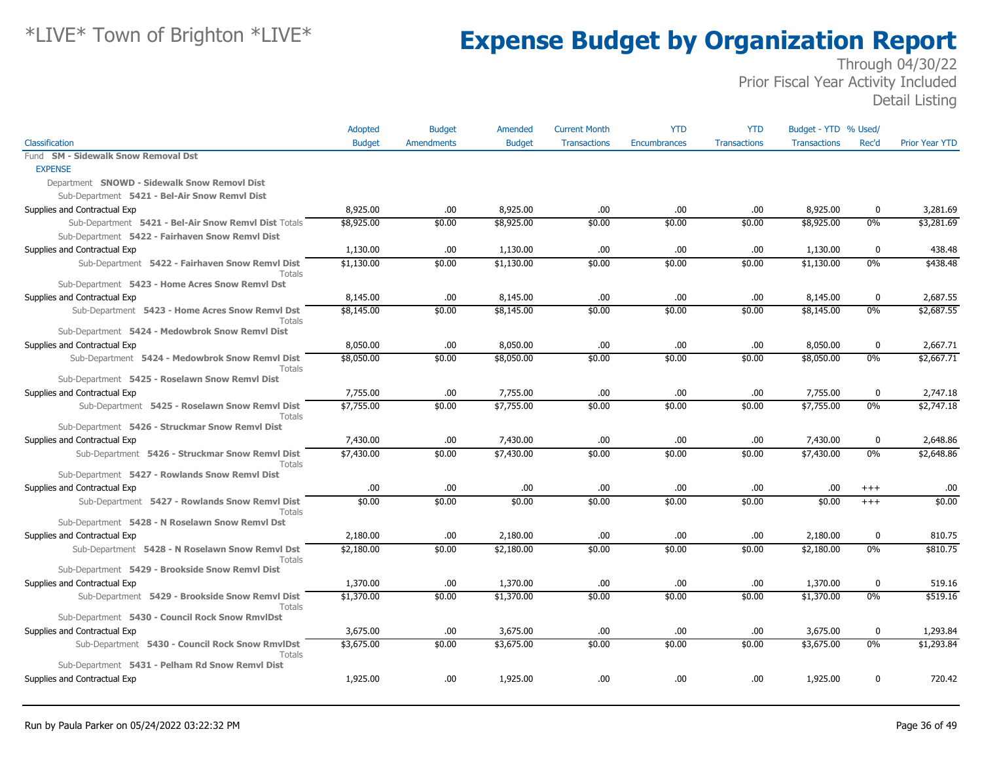|                                                                  | Adopted       | <b>Budget</b>     | Amended       | <b>Current Month</b> | <b>YTD</b>          | <b>YTD</b>          | Budget - YTD % Used/ |             |                       |
|------------------------------------------------------------------|---------------|-------------------|---------------|----------------------|---------------------|---------------------|----------------------|-------------|-----------------------|
| Classification                                                   | <b>Budget</b> | <b>Amendments</b> | <b>Budget</b> | <b>Transactions</b>  | <b>Encumbrances</b> | <b>Transactions</b> | <b>Transactions</b>  | Rec'd       | <b>Prior Year YTD</b> |
| <b>SM - Sidewalk Snow Removal Dst</b><br>Fund                    |               |                   |               |                      |                     |                     |                      |             |                       |
| <b>EXPENSE</b>                                                   |               |                   |               |                      |                     |                     |                      |             |                       |
| Department SNOWD - Sidewalk Snow Removl Dist                     |               |                   |               |                      |                     |                     |                      |             |                       |
| Sub-Department 5421 - Bel-Air Snow Remvl Dist                    |               |                   |               |                      |                     |                     |                      |             |                       |
| Supplies and Contractual Exp                                     | 8,925.00      | .00.              | 8,925.00      | .00                  | .00                 | .00                 | 8,925.00             | $\bf{0}$    | 3,281.69              |
| Sub-Department 5421 - Bel-Air Snow Remvl Dist Totals             | \$8,925.00    | \$0.00            | \$8,925.00    | \$0.00               | \$0.00              | \$0.00              | \$8,925.00           | 0%          | \$3,281.69            |
| Sub-Department 5422 - Fairhaven Snow Remvl Dist                  |               |                   |               |                      |                     |                     |                      |             |                       |
| Supplies and Contractual Exp                                     | 1,130.00      | .00.              | 1,130.00      | .00                  | .00                 | .00                 | 1,130.00             | $\mathbf 0$ | 438.48                |
| Sub-Department 5422 - Fairhaven Snow Remvl Dist<br>Totals        | \$1,130.00    | \$0.00            | \$1,130.00    | \$0.00               | \$0.00              | \$0.00              | \$1,130.00           | $0\%$       | \$438.48              |
| Sub-Department 5423 - Home Acres Snow Remvl Dst                  |               |                   |               |                      |                     |                     |                      |             |                       |
| Supplies and Contractual Exp                                     | 8,145.00      | .00.              | 8,145.00      | .00                  | .00                 | .00                 | 8,145.00             | 0           | 2,687.55              |
| Sub-Department 5423 - Home Acres Snow Remvl Dst<br>Totals        | \$8,145.00    | \$0.00            | \$8,145.00    | \$0.00               | \$0.00              | \$0.00              | \$8,145.00           | 0%          | \$2,687.55            |
| Sub-Department 5424 - Medowbrok Snow Remvl Dist                  |               |                   |               |                      |                     |                     |                      |             |                       |
| Supplies and Contractual Exp                                     | 8,050.00      | .00.              | 8,050.00      | .00                  | .00                 | .00                 | 8,050.00             | $\mathbf 0$ | 2,667.71              |
| Sub-Department 5424 - Medowbrok Snow Remvl Dist<br>Totals        | \$8,050.00    | \$0.00            | \$8,050.00    | \$0.00               | \$0.00              | \$0.00              | \$8,050.00           | $0\%$       | \$2,667.71            |
| Sub-Department 5425 - Roselawn Snow Remvl Dist                   |               |                   |               |                      |                     |                     |                      |             |                       |
| Supplies and Contractual Exp                                     | 7,755.00      | .00.              | 7,755.00      | .00                  | .00                 | .00                 | 7,755.00             | 0           | 2,747.18              |
| Sub-Department 5425 - Roselawn Snow Remvl Dist<br><b>Totals</b>  | \$7,755.00    | \$0.00            | \$7,755.00    | \$0.00               | \$0.00              | \$0.00              | \$7,755.00           | 0%          | \$2,747.18            |
| Sub-Department 5426 - Struckmar Snow Remvl Dist                  |               |                   |               |                      |                     |                     |                      |             |                       |
| Supplies and Contractual Exp                                     | 7,430.00      | .00.              | 7,430.00      | .00                  | .00                 | .00                 | 7,430.00             | $\bf{0}$    | 2,648.86              |
| Sub-Department 5426 - Struckmar Snow Remvl Dist<br><b>Totals</b> | \$7,430.00    | \$0.00            | \$7,430.00    | \$0.00               | \$0.00              | \$0.00              | \$7,430.00           | $0\%$       | \$2,648.86            |
| Sub-Department 5427 - Rowlands Snow Remvl Dist                   |               |                   |               |                      |                     |                     |                      |             |                       |
| Supplies and Contractual Exp                                     | .00.          | .00.              | .00           | .00                  | .00                 | .00.                | .00.                 | $^{+++}$    | .00                   |
| Sub-Department 5427 - Rowlands Snow Remvl Dist<br>Totals         | \$0.00        | \$0.00            | \$0.00        | \$0.00               | \$0.00              | \$0.00              | \$0.00               | $^{+++}$    | \$0.00                |
| Sub-Department 5428 - N Roselawn Snow Remvl Dst                  |               |                   |               |                      |                     |                     |                      |             |                       |
| Supplies and Contractual Exp                                     | 2,180.00      | .00.              | 2,180.00      | .00                  | .00                 | .00.                | 2,180.00             | 0           | 810.75                |
| Sub-Department 5428 - N Roselawn Snow Remvl Dst<br>Totals        | \$2,180.00    | \$0.00            | \$2,180.00    | \$0.00               | \$0.00              | \$0.00              | \$2,180.00           | $0\%$       | \$810.75              |
| Sub-Department 5429 - Brookside Snow Remvl Dist                  |               |                   |               |                      |                     |                     |                      |             |                       |
| Supplies and Contractual Exp                                     | 1,370.00      | .00.              | 1,370.00      | .00                  | .00                 | .00                 | 1,370.00             | $\bf{0}$    | 519.16                |
| Sub-Department 5429 - Brookside Snow Remvl Dist<br>Totals        | \$1,370.00    | \$0.00            | \$1,370.00    | \$0.00               | \$0.00              | \$0.00              | \$1,370.00           | 0%          | \$519.16              |
| Sub-Department 5430 - Council Rock Snow RmvlDst                  |               |                   |               |                      |                     |                     |                      |             |                       |
| Supplies and Contractual Exp                                     | 3,675.00      | .00.              | 3,675.00      | .00                  | .00                 | .00                 | 3,675.00             | $\mathbf 0$ | 1,293.84              |
| Sub-Department 5430 - Council Rock Snow RmvlDst<br>Totals        | \$3,675.00    | \$0.00            | \$3,675.00    | \$0.00               | \$0.00              | \$0.00              | \$3,675.00           | 0%          | \$1,293.84            |
| Sub-Department 5431 - Pelham Rd Snow Remvl Dist                  |               |                   |               |                      |                     |                     |                      |             |                       |
| Supplies and Contractual Exp                                     | 1,925.00      | .00               | 1,925.00      | .00                  | .00                 | .00                 | 1,925.00             | 0           | 720.42                |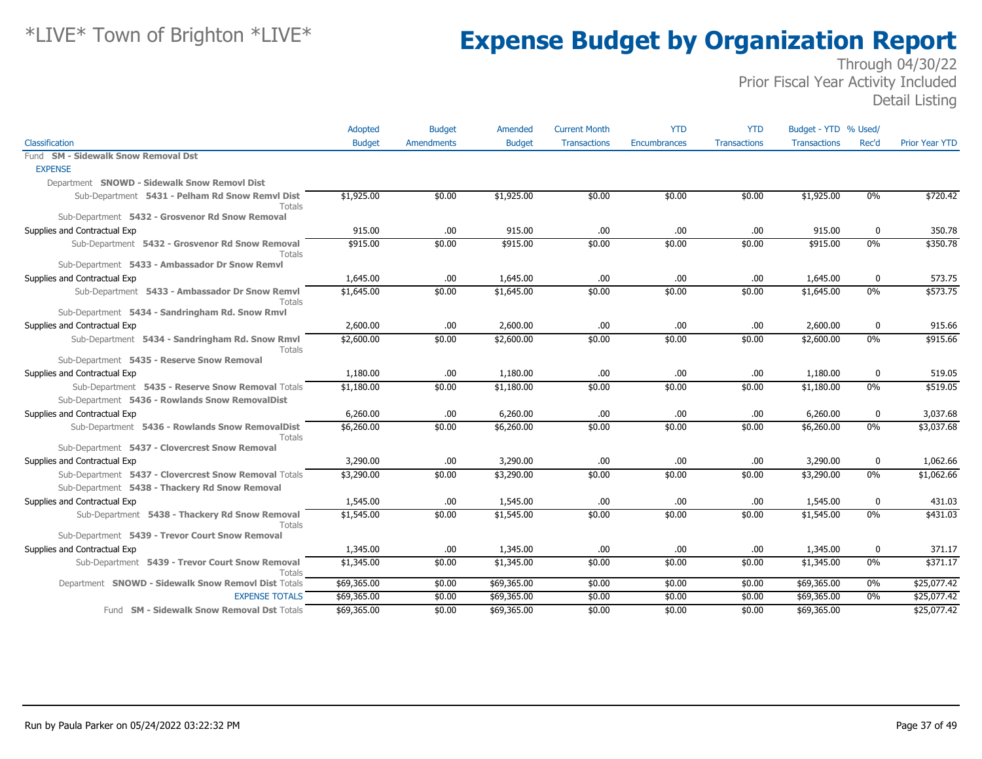|                                                           | Adopted       | <b>Budget</b>     | Amended       | <b>Current Month</b> | <b>YTD</b>          | <b>YTD</b>          | Budget - YTD % Used/ |       |                       |
|-----------------------------------------------------------|---------------|-------------------|---------------|----------------------|---------------------|---------------------|----------------------|-------|-----------------------|
| Classification                                            | <b>Budget</b> | <b>Amendments</b> | <b>Budget</b> | <b>Transactions</b>  | <b>Encumbrances</b> | <b>Transactions</b> | <b>Transactions</b>  | Rec'd | <b>Prior Year YTD</b> |
| Fund SM - Sidewalk Snow Removal Dst                       |               |                   |               |                      |                     |                     |                      |       |                       |
| <b>EXPENSE</b>                                            |               |                   |               |                      |                     |                     |                      |       |                       |
| Department SNOWD - Sidewalk Snow Removl Dist              |               |                   |               |                      |                     |                     |                      |       |                       |
| Sub-Department 5431 - Pelham Rd Snow Remvl Dist<br>Totals | \$1,925.00    | \$0.00            | \$1,925.00    | \$0.00               | \$0.00              | \$0.00              | \$1,925.00           | $0\%$ | \$720.42              |
| Sub-Department 5432 - Grosvenor Rd Snow Removal           |               |                   |               |                      |                     |                     |                      |       |                       |
| Supplies and Contractual Exp                              | 915.00        | .00.              | 915.00        | .00                  | .00                 | .00                 | 915.00               | 0     | 350.78                |
| Sub-Department 5432 - Grosvenor Rd Snow Removal<br>Totals | \$915.00      | \$0.00            | \$915.00      | \$0.00               | \$0.00              | \$0.00              | \$915.00             | 0%    | \$350.78              |
| Sub-Department 5433 - Ambassador Dr Snow Remvl            |               |                   |               |                      |                     |                     |                      |       |                       |
| Supplies and Contractual Exp                              | 1,645.00      | .00.              | 1,645.00      | .00                  | .00                 | .00                 | 1,645.00             | 0     | 573.75                |
| Sub-Department 5433 - Ambassador Dr Snow Remvl<br>Totals  | \$1,645.00    | \$0.00            | \$1,645.00    | \$0.00               | \$0.00              | \$0.00              | \$1,645.00           | 0%    | \$573.75              |
| Sub-Department 5434 - Sandringham Rd. Snow Rmvl           |               |                   |               |                      |                     |                     |                      |       |                       |
| Supplies and Contractual Exp                              | 2,600.00      | .00.              | 2,600.00      | .00                  | .00                 | .00                 | 2,600.00             | 0     | 915.66                |
| Sub-Department 5434 - Sandringham Rd. Snow Rmvl<br>Totals | \$2,600.00    | \$0.00            | \$2,600.00    | \$0.00               | \$0.00              | \$0.00              | \$2,600.00           | 0%    | \$915.66              |
| Sub-Department 5435 - Reserve Snow Removal                |               |                   |               |                      |                     |                     |                      |       |                       |
| Supplies and Contractual Exp                              | 1,180.00      | .00.              | 1,180.00      | .00                  | .00.                | .00                 | 1,180.00             | 0     | 519.05                |
| Sub-Department 5435 - Reserve Snow Removal Totals         | \$1,180.00    | \$0.00            | \$1,180.00    | \$0.00               | \$0.00              | \$0.00              | \$1,180.00           | 0%    | \$519.05              |
| Sub-Department 5436 - Rowlands Snow RemovalDist           |               |                   |               |                      |                     |                     |                      |       |                       |
| Supplies and Contractual Exp                              | 6,260.00      | .00.              | 6,260.00      | .00                  | .00                 | .00                 | 6,260.00             | 0     | 3,037.68              |
| Sub-Department 5436 - Rowlands Snow RemovalDist<br>Totals | \$6,260.00    | \$0.00            | \$6,260.00    | \$0.00               | \$0.00              | \$0.00              | \$6,260.00           | $0\%$ | \$3,037.68            |
| Sub-Department 5437 - Clovercrest Snow Removal            |               |                   |               |                      |                     |                     |                      |       |                       |
| Supplies and Contractual Exp                              | 3,290.00      | .00               | 3,290.00      | .00                  | .00                 | .00                 | 3,290.00             | 0     | 1,062.66              |
| Sub-Department 5437 - Clovercrest Snow Removal Totals     | \$3,290.00    | \$0.00            | \$3,290.00    | \$0.00               | \$0.00              | \$0.00              | \$3,290.00           | $0\%$ | \$1,062.66            |
| Sub-Department 5438 - Thackery Rd Snow Removal            |               |                   |               |                      |                     |                     |                      |       |                       |
| Supplies and Contractual Exp                              | 1,545.00      | .00               | 1,545.00      | .00                  | .00                 | .00                 | 1,545.00             | 0     | 431.03                |
| Sub-Department 5438 - Thackery Rd Snow Removal<br>Totals  | \$1,545.00    | \$0.00            | \$1,545.00    | \$0.00               | \$0.00              | \$0.00              | \$1,545.00           | 0%    | \$431.03              |
| Sub-Department 5439 - Trevor Court Snow Removal           |               |                   |               |                      |                     |                     |                      |       |                       |
| Supplies and Contractual Exp                              | 1,345.00      | .00.              | 1,345.00      | .00                  | .00                 | .00                 | 1,345.00             | 0     | 371.17                |
| Sub-Department 5439 - Trevor Court Snow Removal<br>Totals | \$1,345.00    | \$0.00            | \$1,345.00    | \$0.00               | \$0.00              | \$0.00              | \$1,345.00           | $0\%$ | \$371.17              |
| Department SNOWD - Sidewalk Snow Removl Dist Totals       | \$69,365.00   | \$0.00            | \$69,365.00   | \$0.00               | \$0.00              | \$0.00              | \$69,365.00          | 0%    | \$25,077.42           |
| <b>EXPENSE TOTALS</b>                                     | \$69,365.00   | \$0.00            | \$69,365.00   | \$0.00               | \$0.00              | \$0.00              | \$69,365.00          | $0\%$ | \$25,077.42           |
| Fund SM - Sidewalk Snow Removal Dst Totals                | \$69,365.00   | \$0.00            | \$69,365.00   | \$0.00               | \$0.00              | \$0.00              | \$69,365.00          |       | \$25,077.42           |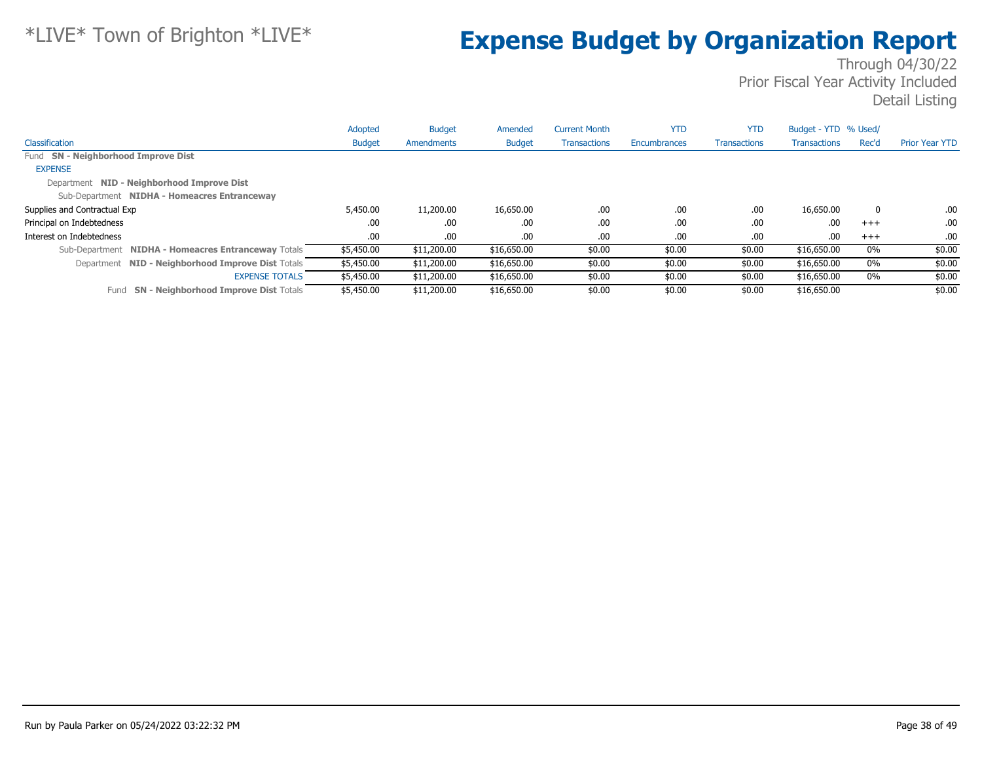|                                                      | Adopted       | <b>Budget</b> | Amended       | <b>Current Month</b> | <b>YTD</b>   | <b>YTD</b>          | Budget - YTD % Used/ |              |                       |
|------------------------------------------------------|---------------|---------------|---------------|----------------------|--------------|---------------------|----------------------|--------------|-----------------------|
| Classification                                       | <b>Budget</b> | Amendments    | <b>Budget</b> | <b>Transactions</b>  | Encumbrances | <b>Transactions</b> | <b>Transactions</b>  | Rec'd        | <b>Prior Year YTD</b> |
| Fund SN - Neighborhood Improve Dist                  |               |               |               |                      |              |                     |                      |              |                       |
| <b>EXPENSE</b>                                       |               |               |               |                      |              |                     |                      |              |                       |
| Department NID - Neighborhood Improve Dist           |               |               |               |                      |              |                     |                      |              |                       |
| Sub-Department NIDHA - Homeacres Entranceway         |               |               |               |                      |              |                     |                      |              |                       |
| Supplies and Contractual Exp                         | 5,450.00      | 11,200.00     | 16,650.00     | .00.                 | .00          | .00                 | 16,650,00            | $\mathbf{0}$ | .00.                  |
| Principal on Indebtedness                            | .00           | .00.          | .00.          | .00.                 | .00          | .00                 | .00                  | $+++$        | .00.                  |
| Interest on Indebtedness                             | .00           | .00.          | .00.          | .00.                 | .00          | .00                 | .00                  | $+++$        | .00.                  |
| Sub-Department NIDHA - Homeacres Entranceway Totals  | \$5,450.00    | \$11,200.00   | \$16,650.00   | \$0.00               | \$0.00       | \$0.00              | \$16,650.00          | 0%           | \$0.00                |
| Department NID - Neighborhood Improve Dist Totals    | \$5,450.00    | \$11,200.00   | \$16,650.00   | \$0.00               | \$0.00       | \$0.00              | \$16,650.00          | $0\%$        | \$0.00                |
| <b>EXPENSE TOTALS</b>                                | \$5,450.00    | \$11,200.00   | \$16,650.00   | \$0.00               | \$0.00       | \$0.00              | \$16,650.00          | 0%           | \$0.00                |
| <b>SN - Neighborhood Improve Dist Totals</b><br>Fund | \$5,450.00    | \$11,200.00   | \$16,650.00   | \$0.00               | \$0.00       | \$0.00              | \$16,650.00          |              | \$0.00                |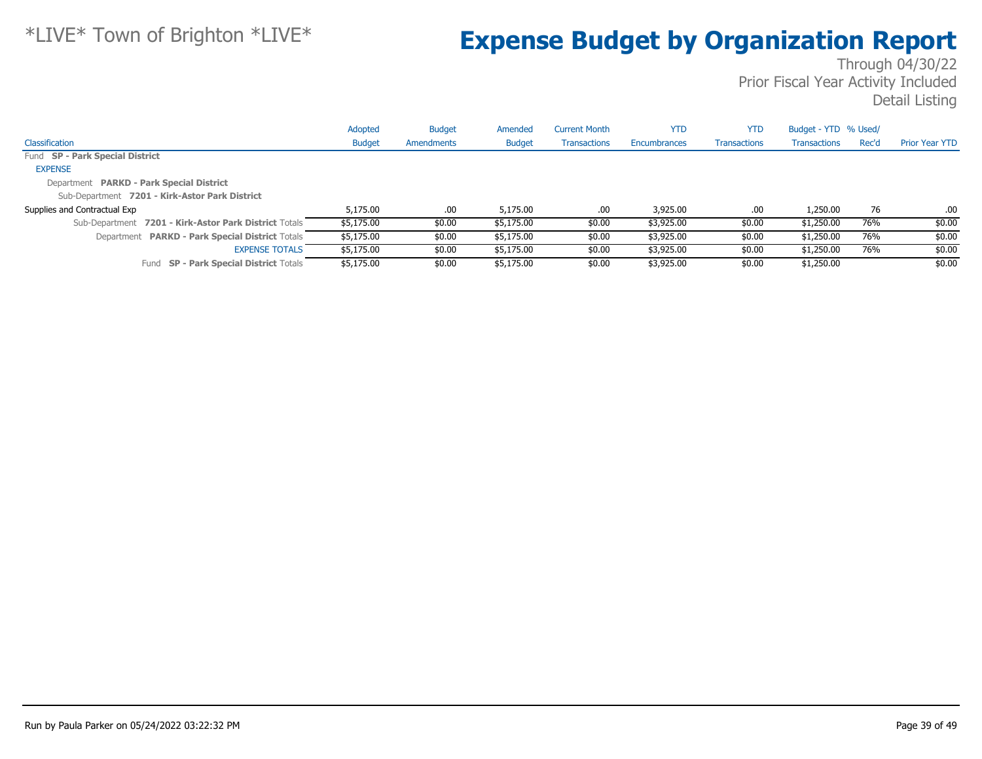|                                                       | Adopted       | <b>Budget</b> | Amended       | <b>Current Month</b> | <b>YTD</b>   | <b>YTD</b>          | Budget - YTD % Used/ |       |                       |
|-------------------------------------------------------|---------------|---------------|---------------|----------------------|--------------|---------------------|----------------------|-------|-----------------------|
| Classification                                        | <b>Budget</b> | Amendments    | <b>Budget</b> | Transactions         | Encumbrances | <b>Transactions</b> | <b>Transactions</b>  | Rec'd | <b>Prior Year YTD</b> |
| Fund SP - Park Special District                       |               |               |               |                      |              |                     |                      |       |                       |
| <b>EXPENSE</b>                                        |               |               |               |                      |              |                     |                      |       |                       |
| Department PARKD - Park Special District              |               |               |               |                      |              |                     |                      |       |                       |
| Sub-Department 7201 - Kirk-Astor Park District        |               |               |               |                      |              |                     |                      |       |                       |
| Supplies and Contractual Exp                          | 5,175,00      | .00.          | 5,175,00      | .00                  | 3,925.00     | .00                 | 1,250.00             | 76    | .00                   |
| Sub-Department 7201 - Kirk-Astor Park District Totals | \$5,175.00    | \$0.00        | \$5,175.00    | \$0.00               | \$3,925.00   | \$0.00              | \$1,250.00           | 76%   | \$0.00                |
| Department PARKD - Park Special District Totals       | \$5,175.00    | \$0.00        | \$5,175.00    | \$0.00               | \$3,925.00   | \$0.00              | \$1,250.00           | 76%   | \$0.00                |
| <b>EXPENSE TOTALS</b>                                 | \$5,175.00    | \$0.00        | \$5,175.00    | \$0.00               | \$3,925.00   | \$0.00              | \$1,250.00           | 76%   | \$0.00                |
| <b>SP - Park Special District Totals</b><br>Fund      | \$5,175.00    | \$0.00        | \$5,175.00    | \$0.00               | \$3,925.00   | \$0.00              | \$1,250.00           |       | \$0.00                |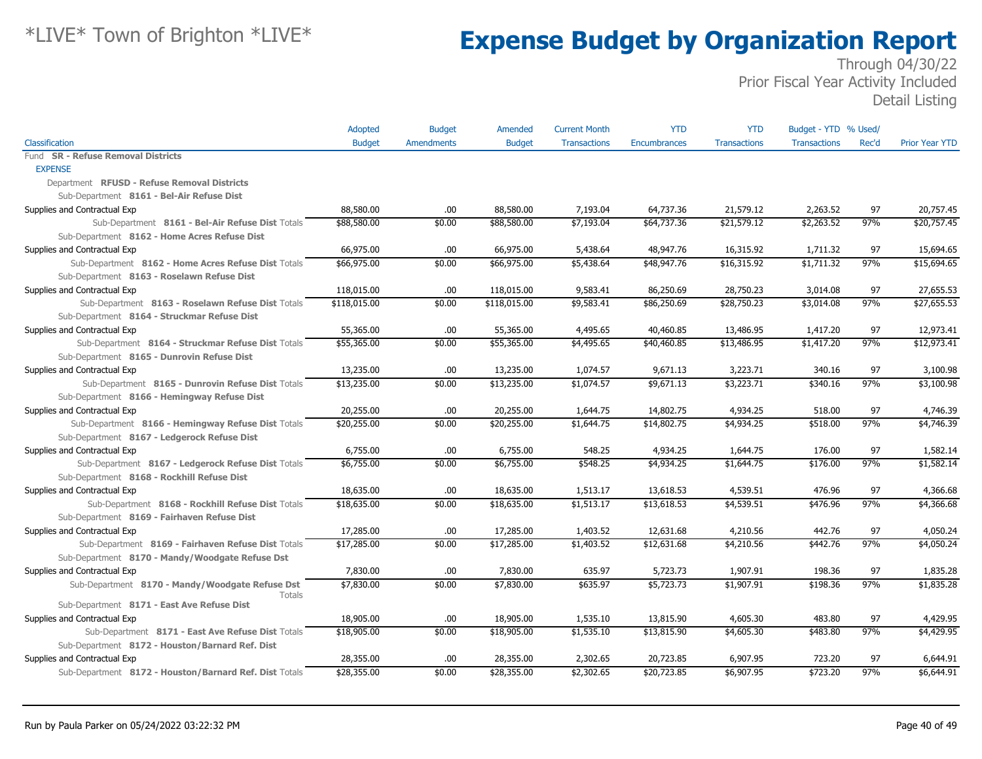|                                                        | Adopted       | <b>Budget</b>     | Amended       | <b>Current Month</b> | <b>YTD</b>   | <b>YTD</b>          | Budget - YTD % Used/ |       |                       |
|--------------------------------------------------------|---------------|-------------------|---------------|----------------------|--------------|---------------------|----------------------|-------|-----------------------|
| Classification                                         | <b>Budget</b> | <b>Amendments</b> | <b>Budget</b> | <b>Transactions</b>  | Encumbrances | <b>Transactions</b> | <b>Transactions</b>  | Rec'd | <b>Prior Year YTD</b> |
| Fund SR - Refuse Removal Districts                     |               |                   |               |                      |              |                     |                      |       |                       |
| <b>EXPENSE</b>                                         |               |                   |               |                      |              |                     |                      |       |                       |
| Department RFUSD - Refuse Removal Districts            |               |                   |               |                      |              |                     |                      |       |                       |
| Sub-Department 8161 - Bel-Air Refuse Dist              |               |                   |               |                      |              |                     |                      |       |                       |
| Supplies and Contractual Exp                           | 88,580.00     | .00               | 88,580.00     | 7,193.04             | 64,737.36    | 21,579.12           | 2,263.52             | 97    | 20,757.45             |
| Sub-Department 8161 - Bel-Air Refuse Dist Totals       | \$88,580.00   | \$0.00            | \$88,580.00   | \$7,193.04           | \$64,737.36  | \$21,579.12         | \$2,263.52           | 97%   | \$20,757.45           |
| Sub-Department 8162 - Home Acres Refuse Dist           |               |                   |               |                      |              |                     |                      |       |                       |
| Supplies and Contractual Exp                           | 66,975.00     | .00.              | 66,975.00     | 5,438.64             | 48,947.76    | 16,315.92           | 1,711.32             | 97    | 15,694.65             |
| Sub-Department 8162 - Home Acres Refuse Dist Totals    | \$66,975.00   | \$0.00            | \$66,975.00   | \$5,438.64           | \$48,947.76  | \$16,315.92         | \$1,711.32           | 97%   | \$15,694.65           |
| Sub-Department 8163 - Roselawn Refuse Dist             |               |                   |               |                      |              |                     |                      |       |                       |
| Supplies and Contractual Exp                           | 118,015.00    | .00               | 118,015.00    | 9,583.41             | 86,250.69    | 28,750.23           | 3,014.08             | 97    | 27,655.53             |
| Sub-Department 8163 - Roselawn Refuse Dist Totals      | \$118,015.00  | \$0.00            | \$118,015.00  | \$9,583.41           | \$86,250.69  | \$28,750.23         | \$3,014.08           | 97%   | \$27,655.53           |
| Sub-Department 8164 - Struckmar Refuse Dist            |               |                   |               |                      |              |                     |                      |       |                       |
| Supplies and Contractual Exp                           | 55,365.00     | .00               | 55,365.00     | 4,495.65             | 40,460.85    | 13,486.95           | 1,417.20             | 97    | 12,973.41             |
| Sub-Department 8164 - Struckmar Refuse Dist Totals     | \$55,365.00   | \$0.00            | \$55,365.00   | \$4,495.65           | \$40,460.85  | \$13,486.95         | \$1,417.20           | 97%   | \$12,973.41           |
| Sub-Department 8165 - Dunrovin Refuse Dist             |               |                   |               |                      |              |                     |                      |       |                       |
| Supplies and Contractual Exp                           | 13,235.00     | .00               | 13,235.00     | 1,074.57             | 9,671.13     | 3,223.71            | 340.16               | 97    | 3,100.98              |
| Sub-Department 8165 - Dunrovin Refuse Dist Totals      | \$13,235.00   | \$0.00            | \$13,235.00   | \$1,074.57           | \$9,671.13   | \$3,223.71          | \$340.16             | 97%   | \$3,100.98            |
| Sub-Department 8166 - Hemingway Refuse Dist            |               |                   |               |                      |              |                     |                      |       |                       |
| Supplies and Contractual Exp                           | 20,255.00     | .00               | 20,255.00     | 1,644.75             | 14,802.75    | 4,934.25            | 518.00               | 97    | 4,746.39              |
| Sub-Department 8166 - Hemingway Refuse Dist Totals     | \$20,255.00   | \$0.00            | \$20,255.00   | \$1,644.75           | \$14,802.75  | \$4,934.25          | \$518.00             | 97%   | \$4,746.39            |
| Sub-Department 8167 - Ledgerock Refuse Dist            |               |                   |               |                      |              |                     |                      |       |                       |
| Supplies and Contractual Exp                           | 6,755.00      | .00               | 6,755.00      | 548.25               | 4,934.25     | 1,644.75            | 176.00               | 97    | 1,582.14              |
| Sub-Department 8167 - Ledgerock Refuse Dist Totals     | \$6,755.00    | \$0.00            | \$6,755.00    | \$548.25             | \$4,934.25   | \$1,644.75          | \$176.00             | 97%   | \$1,582.14            |
| Sub-Department 8168 - Rockhill Refuse Dist             |               |                   |               |                      |              |                     |                      |       |                       |
| Supplies and Contractual Exp                           | 18,635.00     | .00               | 18,635.00     | 1,513.17             | 13,618.53    | 4,539.51            | 476.96               | 97    | 4,366.68              |
| Sub-Department 8168 - Rockhill Refuse Dist Totals      | \$18,635.00   | \$0.00            | \$18,635.00   | \$1,513.17           | \$13,618.53  | \$4,539.51          | \$476.96             | 97%   | \$4,366.68            |
| Sub-Department 8169 - Fairhaven Refuse Dist            |               |                   |               |                      |              |                     |                      |       |                       |
| Supplies and Contractual Exp                           | 17,285.00     | .00.              | 17,285.00     | 1,403.52             | 12,631.68    | 4,210.56            | 442.76               | 97    | 4,050.24              |
| Sub-Department 8169 - Fairhaven Refuse Dist Totals     | \$17,285.00   | \$0.00            | \$17,285.00   | \$1,403.52           | \$12,631.68  | \$4,210.56          | \$442.76             | 97%   | \$4,050.24            |
| Sub-Department 8170 - Mandy/Woodgate Refuse Dst        |               |                   |               |                      |              |                     |                      |       |                       |
| Supplies and Contractual Exp                           | 7,830.00      | .00.              | 7,830.00      | 635.97               | 5,723.73     | 1,907.91            | 198.36               | 97    | 1,835.28              |
| Sub-Department 8170 - Mandy/Woodgate Refuse Dst        | \$7,830.00    | \$0.00            | \$7,830.00    | \$635.97             | \$5,723.73   | \$1,907.91          | \$198.36             | 97%   | \$1,835.28            |
| Totals                                                 |               |                   |               |                      |              |                     |                      |       |                       |
| Sub-Department 8171 - East Ave Refuse Dist             |               |                   |               |                      |              |                     |                      |       |                       |
| Supplies and Contractual Exp                           | 18,905.00     | .00               | 18,905.00     | 1,535.10             | 13,815.90    | 4,605.30            | 483.80               | 97    | 4,429.95              |
| Sub-Department 8171 - East Ave Refuse Dist Totals      | \$18,905.00   | \$0.00            | \$18,905.00   | \$1,535.10           | \$13,815.90  | \$4,605.30          | \$483.80             | 97%   | \$4,429.95            |
| Sub-Department 8172 - Houston/Barnard Ref. Dist        |               |                   |               |                      |              |                     |                      |       |                       |
| Supplies and Contractual Exp                           | 28,355.00     | .00               | 28,355.00     | 2,302.65             | 20,723.85    | 6,907.95            | 723.20               | 97    | 6,644.91              |
| Sub-Department 8172 - Houston/Barnard Ref. Dist Totals | \$28,355.00   | \$0.00            | \$28,355.00   | \$2,302.65           | \$20,723.85  | \$6,907.95          | \$723.20             | 97%   | \$6,644.91            |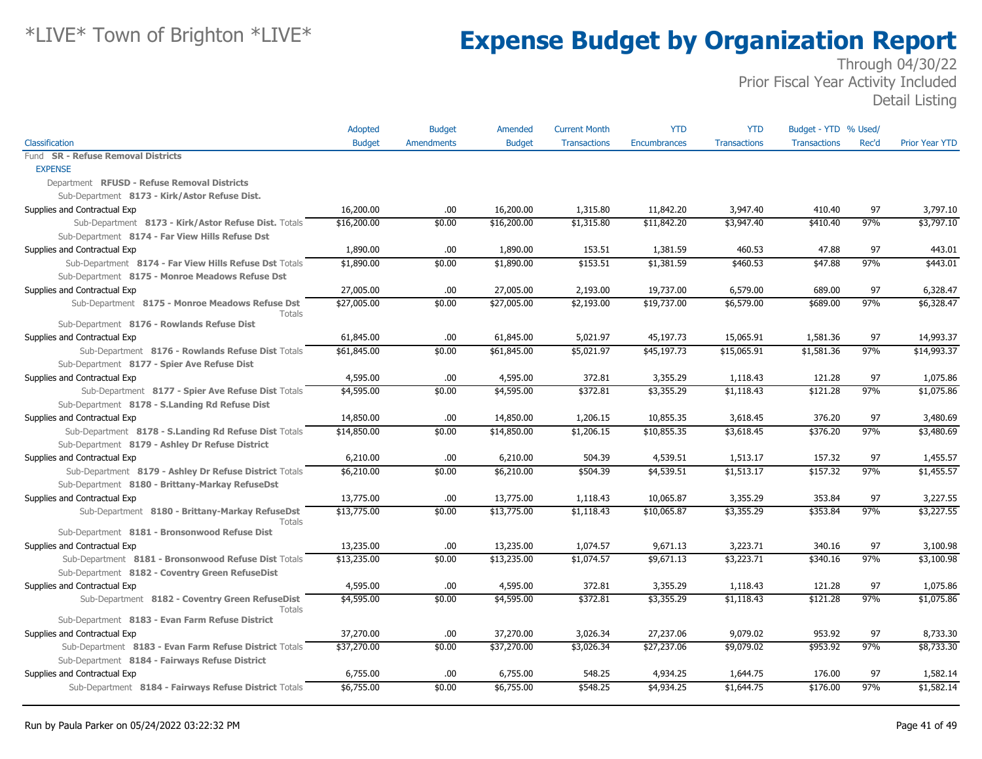|                                                                | Adopted       | <b>Budget</b>     | Amended       | <b>Current Month</b> | <b>YTD</b>   | <b>YTD</b>          | Budget - YTD % Used/ |       |                       |
|----------------------------------------------------------------|---------------|-------------------|---------------|----------------------|--------------|---------------------|----------------------|-------|-----------------------|
| Classification                                                 | <b>Budget</b> | <b>Amendments</b> | <b>Budget</b> | <b>Transactions</b>  | Encumbrances | <b>Transactions</b> | <b>Transactions</b>  | Rec'd | <b>Prior Year YTD</b> |
| Fund SR - Refuse Removal Districts                             |               |                   |               |                      |              |                     |                      |       |                       |
| <b>EXPENSE</b>                                                 |               |                   |               |                      |              |                     |                      |       |                       |
| Department RFUSD - Refuse Removal Districts                    |               |                   |               |                      |              |                     |                      |       |                       |
| Sub-Department 8173 - Kirk/Astor Refuse Dist.                  |               |                   |               |                      |              |                     |                      |       |                       |
| Supplies and Contractual Exp                                   | 16,200.00     | .00.              | 16,200.00     | 1,315.80             | 11,842.20    | 3,947.40            | 410.40               | 97    | 3,797.10              |
| Sub-Department 8173 - Kirk/Astor Refuse Dist. Totals           | \$16,200.00   | \$0.00            | \$16,200.00   | \$1,315.80           | \$11,842.20  | \$3,947.40          | \$410.40             | 97%   | \$3,797.10            |
| Sub-Department 8174 - Far View Hills Refuse Dst                |               |                   |               |                      |              |                     |                      |       |                       |
| Supplies and Contractual Exp                                   | 1,890.00      | .00.              | 1,890.00      | 153.51               | 1,381.59     | 460.53              | 47.88                | 97    | 443.01                |
| Sub-Department 8174 - Far View Hills Refuse Dst Totals         | \$1,890.00    | \$0.00            | \$1,890.00    | \$153.51             | \$1,381.59   | \$460.53            | \$47.88              | 97%   | \$443.01              |
| Sub-Department 8175 - Monroe Meadows Refuse Dst                |               |                   |               |                      |              |                     |                      |       |                       |
| Supplies and Contractual Exp                                   | 27,005.00     | .00.              | 27,005.00     | 2,193.00             | 19,737.00    | 6,579.00            | 689.00               | 97    | 6,328.47              |
| Sub-Department 8175 - Monroe Meadows Refuse Dst<br>Totals      | \$27,005.00   | \$0.00            | \$27,005.00   | \$2,193.00           | \$19,737.00  | \$6,579.00          | \$689.00             | 97%   | \$6,328.47            |
| Sub-Department 8176 - Rowlands Refuse Dist                     |               |                   |               |                      |              |                     |                      |       |                       |
| Supplies and Contractual Exp                                   | 61,845.00     | .00.              | 61,845.00     | 5,021.97             | 45,197.73    | 15,065.91           | 1,581.36             | 97    | 14,993.37             |
| Sub-Department 8176 - Rowlands Refuse Dist Totals              | \$61,845.00   | \$0.00            | \$61,845.00   | \$5,021.97           | \$45,197.73  | \$15,065.91         | \$1,581.36           | 97%   | \$14,993.37           |
| Sub-Department 8177 - Spier Ave Refuse Dist                    |               |                   |               |                      |              |                     |                      |       |                       |
| Supplies and Contractual Exp                                   | 4,595.00      | .00.              | 4,595.00      | 372.81               | 3,355.29     | 1,118.43            | 121.28               | 97    | 1,075.86              |
| Sub-Department 8177 - Spier Ave Refuse Dist Totals             | \$4,595.00    | \$0.00            | \$4,595.00    | \$372.81             | \$3,355.29   | \$1,118.43          | \$121.28             | 97%   | \$1,075.86            |
| Sub-Department 8178 - S.Landing Rd Refuse Dist                 |               |                   |               |                      |              |                     |                      |       |                       |
| Supplies and Contractual Exp                                   | 14,850.00     | .00.              | 14,850.00     | 1,206.15             | 10,855.35    | 3,618.45            | 376.20               | 97    | 3,480.69              |
| Sub-Department 8178 - S.Landing Rd Refuse Dist Totals          | \$14,850.00   | \$0.00            | \$14,850.00   | \$1,206.15           | \$10,855.35  | \$3,618.45          | \$376.20             | 97%   | \$3,480.69            |
| Sub-Department 8179 - Ashley Dr Refuse District                |               |                   |               |                      |              |                     |                      |       |                       |
| Supplies and Contractual Exp                                   | 6,210.00      | .00.              | 6,210.00      | 504.39               | 4,539.51     | 1,513.17            | 157.32               | 97    | 1,455.57              |
| Sub-Department 8179 - Ashley Dr Refuse District Totals         | \$6,210.00    | \$0.00            | \$6,210.00    | \$504.39             | \$4,539.51   | \$1,513.17          | \$157.32             | 97%   | \$1,455.57            |
| Sub-Department 8180 - Brittany-Markay RefuseDst                |               |                   |               |                      |              |                     |                      |       |                       |
| Supplies and Contractual Exp                                   | 13,775.00     | 00.               | 13,775.00     | 1,118.43             | 10,065.87    | 3,355.29            | 353.84               | 97    | 3,227.55              |
| Sub-Department 8180 - Brittany-Markay RefuseDst                | \$13,775.00   | \$0.00            | \$13,775.00   | \$1,118.43           | \$10,065.87  | \$3,355.29          | \$353.84             | 97%   | \$3,227.55            |
| <b>Totals</b><br>Sub-Department 8181 - Bronsonwood Refuse Dist |               |                   |               |                      |              |                     |                      |       |                       |
| Supplies and Contractual Exp                                   | 13,235.00     | .00.              | 13,235.00     | 1,074.57             | 9,671.13     | 3,223.71            | 340.16               | 97    | 3,100.98              |
| Sub-Department 8181 - Bronsonwood Refuse Dist Totals           | \$13,235.00   | \$0.00            | \$13,235.00   | \$1,074.57           | \$9,671.13   | \$3,223.71          | \$340.16             | 97%   | \$3,100.98            |
| Sub-Department 8182 - Coventry Green RefuseDist                |               |                   |               |                      |              |                     |                      |       |                       |
| Supplies and Contractual Exp                                   | 4,595.00      | .00.              | 4,595.00      | 372.81               | 3,355.29     | 1,118.43            | 121.28               | 97    | 1,075.86              |
| Sub-Department 8182 - Coventry Green RefuseDist                | \$4,595.00    | \$0.00            | \$4,595.00    | \$372.81             | \$3,355.29   | \$1,118.43          | \$121.28             | 97%   | \$1,075.86            |
| Totals                                                         |               |                   |               |                      |              |                     |                      |       |                       |
| Sub-Department 8183 - Evan Farm Refuse District                |               |                   |               |                      |              |                     |                      |       |                       |
| Supplies and Contractual Exp                                   | 37,270.00     | .00.              | 37,270.00     | 3,026.34             | 27,237.06    | 9,079.02            | 953.92               | 97    | 8,733.30              |
| Sub-Department 8183 - Evan Farm Refuse District Totals         | \$37,270.00   | \$0.00            | \$37,270.00   | \$3,026.34           | \$27,237.06  | \$9,079.02          | \$953.92             | 97%   | \$8,733.30            |
| Sub-Department 8184 - Fairways Refuse District                 |               |                   |               |                      |              |                     |                      |       |                       |
| Supplies and Contractual Exp                                   | 6,755.00      | .00               | 6,755.00      | 548.25               | 4,934.25     | 1,644.75            | 176.00               | 97    | 1,582.14              |
| Sub-Department 8184 - Fairways Refuse District Totals          | \$6,755.00    | \$0.00            | \$6,755.00    | \$548.25             | \$4,934.25   | \$1,644.75          | \$176.00             | 97%   | \$1,582.14            |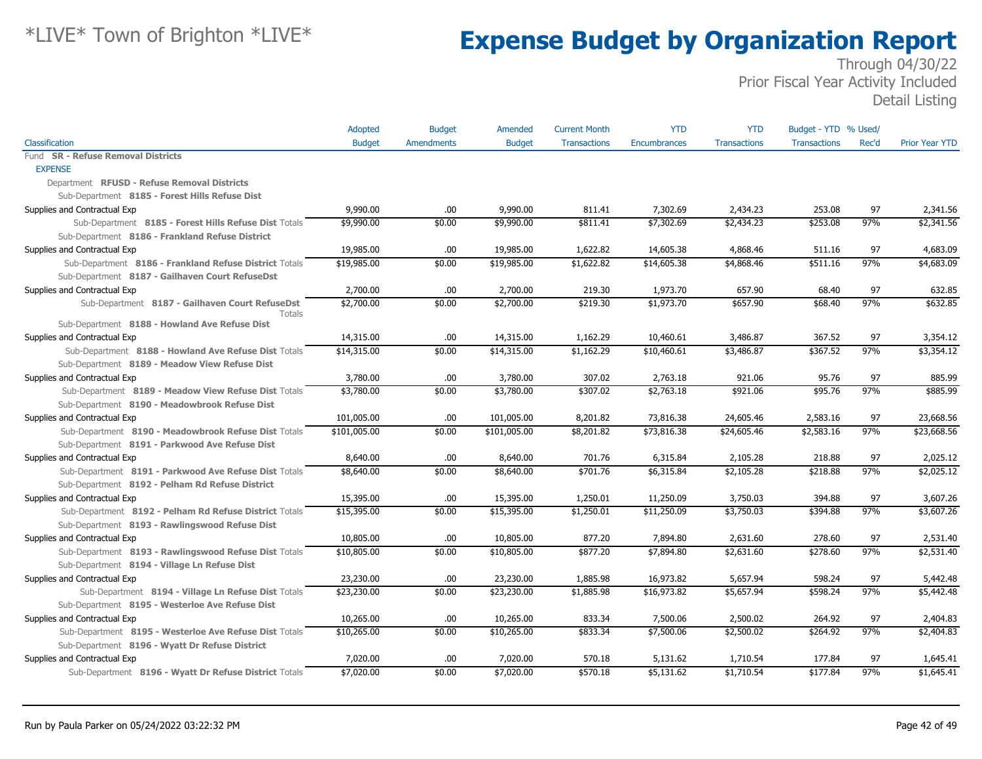|                                                        | Adopted       | <b>Budget</b>     | Amended       | <b>Current Month</b> | <b>YTD</b>   | <b>YTD</b>          | Budget - YTD % Used/ |       |                       |
|--------------------------------------------------------|---------------|-------------------|---------------|----------------------|--------------|---------------------|----------------------|-------|-----------------------|
| Classification                                         | <b>Budget</b> | <b>Amendments</b> | <b>Budget</b> | <b>Transactions</b>  | Encumbrances | <b>Transactions</b> | <b>Transactions</b>  | Rec'd | <b>Prior Year YTD</b> |
| <b>SR - Refuse Removal Districts</b><br>Fund           |               |                   |               |                      |              |                     |                      |       |                       |
| <b>EXPENSE</b>                                         |               |                   |               |                      |              |                     |                      |       |                       |
| Department RFUSD - Refuse Removal Districts            |               |                   |               |                      |              |                     |                      |       |                       |
| Sub-Department 8185 - Forest Hills Refuse Dist         |               |                   |               |                      |              |                     |                      |       |                       |
| Supplies and Contractual Exp                           | 9,990.00      | .00.              | 9,990.00      | 811.41               | 7,302.69     | 2,434.23            | 253.08               | 97    | 2,341.56              |
| Sub-Department 8185 - Forest Hills Refuse Dist Totals  | \$9,990.00    | \$0.00            | \$9,990.00    | \$811.41             | \$7,302.69   | \$2,434.23          | \$253.08             | 97%   | \$2,341.56            |
| Sub-Department 8186 - Frankland Refuse District        |               |                   |               |                      |              |                     |                      |       |                       |
| Supplies and Contractual Exp                           | 19,985.00     | .00.              | 19,985.00     | 1,622.82             | 14,605.38    | 4,868.46            | 511.16               | 97    | 4,683.09              |
| Sub-Department 8186 - Frankland Refuse District Totals | \$19,985.00   | \$0.00            | \$19,985.00   | \$1,622.82           | \$14,605.38  | \$4,868.46          | \$511.16             | 97%   | \$4,683.09            |
| Sub-Department 8187 - Gailhaven Court RefuseDst        |               |                   |               |                      |              |                     |                      |       |                       |
| Supplies and Contractual Exp                           | 2,700.00      | .00               | 2,700.00      | 219.30               | 1,973.70     | 657.90              | 68.40                | 97    | 632.85                |
| Sub-Department 8187 - Gailhaven Court RefuseDst        | \$2,700.00    | \$0.00            | \$2,700.00    | \$219.30             | \$1,973.70   | \$657.90            | \$68.40              | 97%   | \$632.85              |
| Totals                                                 |               |                   |               |                      |              |                     |                      |       |                       |
| Sub-Department 8188 - Howland Ave Refuse Dist          |               |                   |               |                      |              |                     |                      |       |                       |
| Supplies and Contractual Exp                           | 14,315.00     | .00.              | 14,315.00     | 1,162.29             | 10,460.61    | 3,486.87            | 367.52               | 97    | 3,354.12              |
| Sub-Department 8188 - Howland Ave Refuse Dist Totals   | \$14,315.00   | \$0.00            | \$14,315.00   | \$1,162.29           | \$10,460.61  | \$3,486.87          | \$367.52             | 97%   | \$3,354.12            |
| Sub-Department 8189 - Meadow View Refuse Dist          |               |                   |               |                      |              |                     |                      |       |                       |
| Supplies and Contractual Exp                           | 3,780.00      | .00.              | 3,780.00      | 307.02               | 2,763.18     | 921.06              | 95.76                | 97    | 885.99                |
| Sub-Department 8189 - Meadow View Refuse Dist Totals   | \$3,780.00    | \$0.00            | \$3,780.00    | \$307.02             | \$2,763.18   | \$921.06            | \$95.76              | 97%   | \$885.99              |
| Sub-Department 8190 - Meadowbrook Refuse Dist          |               |                   |               |                      |              |                     |                      |       |                       |
| Supplies and Contractual Exp                           | 101,005.00    | .00               | 101,005.00    | 8,201.82             | 73,816.38    | 24,605.46           | 2,583.16             | 97    | 23,668.56             |
| Sub-Department 8190 - Meadowbrook Refuse Dist Totals   | \$101,005.00  | \$0.00            | \$101,005.00  | \$8,201.82           | \$73,816.38  | \$24,605.46         | \$2,583.16           | 97%   | \$23,668.56           |
| Sub-Department 8191 - Parkwood Ave Refuse Dist         |               |                   |               |                      |              |                     |                      |       |                       |
| Supplies and Contractual Exp                           | 8,640.00      | .00               | 8,640.00      | 701.76               | 6,315.84     | 2,105.28            | 218.88               | 97    | 2,025.12              |
| Sub-Department 8191 - Parkwood Ave Refuse Dist Totals  | \$8,640.00    | \$0.00            | \$8,640.00    | \$701.76             | \$6,315.84   | \$2,105.28          | \$218.88             | 97%   | \$2,025.12            |
| Sub-Department 8192 - Pelham Rd Refuse District        |               |                   |               |                      |              |                     |                      |       |                       |
| Supplies and Contractual Exp                           | 15,395.00     | .00               | 15,395.00     | 1,250.01             | 11,250.09    | 3,750.03            | 394.88               | 97    | 3,607.26              |
| Sub-Department 8192 - Pelham Rd Refuse District Totals | \$15,395.00   | \$0.00            | \$15,395.00   | \$1,250.01           | \$11,250.09  | \$3,750.03          | \$394.88             | 97%   | \$3,607.26            |
| Sub-Department 8193 - Rawlingswood Refuse Dist         |               |                   |               |                      |              |                     |                      |       |                       |
| Supplies and Contractual Exp                           | 10,805.00     | .00               | 10,805.00     | 877.20               | 7,894.80     | 2,631.60            | 278.60               | 97    | 2,531.40              |
| Sub-Department 8193 - Rawlingswood Refuse Dist Totals  | \$10,805.00   | \$0.00            | \$10,805.00   | \$877.20             | \$7,894.80   | \$2,631.60          | \$278.60             | 97%   | \$2,531.40            |
| Sub-Department 8194 - Village Ln Refuse Dist           |               |                   |               |                      |              |                     |                      |       |                       |
| Supplies and Contractual Exp                           | 23,230.00     | .00               | 23,230.00     | 1,885.98             | 16,973.82    | 5,657.94            | 598.24               | 97    | 5,442.48              |
| Sub-Department 8194 - Village Ln Refuse Dist Totals    | \$23,230.00   | \$0.00            | \$23,230.00   | \$1,885.98           | \$16,973.82  | \$5,657.94          | \$598.24             | 97%   | \$5,442.48            |
| Sub-Department 8195 - Westerloe Ave Refuse Dist        |               |                   |               |                      |              |                     |                      |       |                       |
| Supplies and Contractual Exp                           | 10,265.00     | .00               | 10,265.00     | 833.34               | 7,500.06     | 2,500.02            | 264.92               | 97    | 2,404.83              |
| Sub-Department 8195 - Westerloe Ave Refuse Dist Totals | \$10,265.00   | \$0.00            | \$10,265.00   | \$833.34             | \$7,500.06   | \$2,500.02          | \$264.92             | 97%   | \$2,404.83            |
| Sub-Department 8196 - Wyatt Dr Refuse District         |               |                   |               |                      |              |                     |                      |       |                       |
| Supplies and Contractual Exp                           | 7,020.00      | .00               | 7,020.00      | 570.18               | 5,131.62     | 1,710.54            | 177.84               | 97    | 1,645.41              |
| Sub-Department 8196 - Wyatt Dr Refuse District Totals  | \$7,020.00    | \$0.00            | \$7,020.00    | \$570.18             | \$5,131.62   | \$1,710.54          | \$177.84             | 97%   | \$1,645.41            |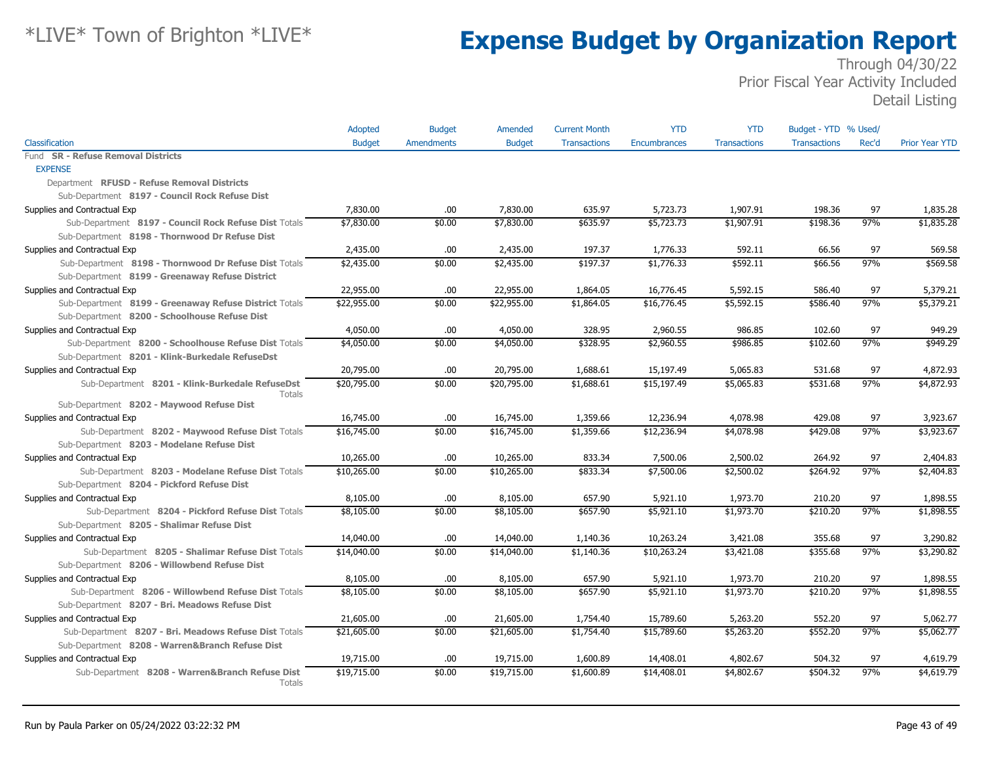|                                                           | Adopted       | <b>Budget</b>     | Amended       | <b>Current Month</b> | YTD          | <b>YTD</b>          | Budget - YTD % Used/ |       |                       |
|-----------------------------------------------------------|---------------|-------------------|---------------|----------------------|--------------|---------------------|----------------------|-------|-----------------------|
| Classification                                            | <b>Budget</b> | <b>Amendments</b> | <b>Budget</b> | <b>Transactions</b>  | Encumbrances | <b>Transactions</b> | <b>Transactions</b>  | Rec'd | <b>Prior Year YTD</b> |
| <b>SR - Refuse Removal Districts</b><br>Fund              |               |                   |               |                      |              |                     |                      |       |                       |
| <b>EXPENSE</b>                                            |               |                   |               |                      |              |                     |                      |       |                       |
| Department RFUSD - Refuse Removal Districts               |               |                   |               |                      |              |                     |                      |       |                       |
| Sub-Department 8197 - Council Rock Refuse Dist            |               |                   |               |                      |              |                     |                      |       |                       |
| Supplies and Contractual Exp                              | 7,830.00      | .00.              | 7,830.00      | 635.97               | 5,723.73     | 1,907.91            | 198.36               | 97    | 1,835.28              |
| Sub-Department 8197 - Council Rock Refuse Dist Totals     | \$7,830.00    | \$0.00            | \$7,830.00    | \$635.97             | \$5,723.73   | \$1,907.91          | \$198.36             | 97%   | \$1,835.28            |
| Sub-Department 8198 - Thornwood Dr Refuse Dist            |               |                   |               |                      |              |                     |                      |       |                       |
| Supplies and Contractual Exp                              | 2,435.00      | .00.              | 2,435.00      | 197.37               | 1,776.33     | 592.11              | 66.56                | 97    | 569.58                |
| Sub-Department 8198 - Thornwood Dr Refuse Dist Totals     | \$2,435.00    | \$0.00            | \$2,435.00    | \$197.37             | \$1,776.33   | \$592.11            | \$66.56              | 97%   | \$569.58              |
| Sub-Department 8199 - Greenaway Refuse District           |               |                   |               |                      |              |                     |                      |       |                       |
| Supplies and Contractual Exp                              | 22,955.00     | .00.              | 22,955.00     | 1,864.05             | 16,776.45    | 5,592.15            | 586.40               | 97    | 5,379.21              |
| Sub-Department 8199 - Greenaway Refuse District Totals    | \$22,955.00   | \$0.00            | \$22,955.00   | \$1,864.05           | \$16,776.45  | \$5,592.15          | \$586.40             | 97%   | \$5,379.21            |
| Sub-Department 8200 - Schoolhouse Refuse Dist             |               |                   |               |                      |              |                     |                      |       |                       |
| Supplies and Contractual Exp                              | 4,050.00      | .00               | 4,050.00      | 328.95               | 2,960.55     | 986.85              | 102.60               | 97    | 949.29                |
| Sub-Department 8200 - Schoolhouse Refuse Dist Totals      | \$4,050.00    | \$0.00            | \$4,050.00    | \$328.95             | \$2,960.55   | \$986.85            | \$102.60             | 97%   | \$949.29              |
| Sub-Department 8201 - Klink-Burkedale RefuseDst           |               |                   |               |                      |              |                     |                      |       |                       |
| Supplies and Contractual Exp                              | 20,795.00     | .00               | 20,795.00     | 1,688.61             | 15,197.49    | 5,065.83            | 531.68               | 97    | 4,872.93              |
| Sub-Department 8201 - Klink-Burkedale RefuseDst<br>Totals | \$20,795.00   | \$0.00            | \$20,795.00   | \$1,688.61           | \$15,197.49  | \$5,065.83          | \$531.68             | 97%   | \$4,872.93            |
| Sub-Department 8202 - Maywood Refuse Dist                 |               |                   |               |                      |              |                     |                      |       |                       |
| Supplies and Contractual Exp                              | 16,745.00     | .00               | 16,745.00     | 1,359.66             | 12,236.94    | 4,078.98            | 429.08               | 97    | 3,923.67              |
| Sub-Department 8202 - Maywood Refuse Dist Totals          | \$16,745.00   | \$0.00            | \$16,745.00   | \$1,359.66           | \$12,236.94  | \$4,078.98          | \$429.08             | 97%   | \$3,923.67            |
| Sub-Department 8203 - Modelane Refuse Dist                |               |                   |               |                      |              |                     |                      |       |                       |
| Supplies and Contractual Exp                              | 10,265.00     | .00               | 10,265.00     | 833.34               | 7,500.06     | 2,500.02            | 264.92               | 97    | 2,404.83              |
| Sub-Department 8203 - Modelane Refuse Dist Totals         | \$10,265.00   | \$0.00            | \$10,265.00   | \$833.34             | \$7,500.06   | \$2,500.02          | \$264.92             | 97%   | \$2,404.83            |
| Sub-Department 8204 - Pickford Refuse Dist                |               |                   |               |                      |              |                     |                      |       |                       |
| Supplies and Contractual Exp                              | 8,105.00      | .00               | 8,105.00      | 657.90               | 5,921.10     | 1,973.70            | 210.20               | 97    | 1,898.55              |
| Sub-Department 8204 - Pickford Refuse Dist Totals         | \$8,105.00    | \$0.00            | \$8,105.00    | \$657.90             | \$5,921.10   | \$1,973.70          | \$210.20             | 97%   | \$1,898.55            |
| Sub-Department 8205 - Shalimar Refuse Dist                |               |                   |               |                      |              |                     |                      |       |                       |
| Supplies and Contractual Exp                              | 14,040.00     | .00.              | 14,040.00     | 1,140.36             | 10,263.24    | 3,421.08            | 355.68               | 97    | 3,290.82              |
| Sub-Department 8205 - Shalimar Refuse Dist Totals         | \$14,040.00   | \$0.00            | \$14,040.00   | \$1,140.36           | \$10,263.24  | \$3,421.08          | \$355.68             | 97%   | \$3,290.82            |
| Sub-Department 8206 - Willowbend Refuse Dist              |               |                   |               |                      |              |                     |                      |       |                       |
| Supplies and Contractual Exp                              | 8,105.00      | .00.              | 8,105.00      | 657.90               | 5,921.10     | 1,973.70            | 210.20               | 97    | 1,898.55              |
| Sub-Department 8206 - Willowbend Refuse Dist Totals       | \$8,105.00    | \$0.00            | \$8,105.00    | \$657.90             | \$5,921.10   | \$1,973.70          | \$210.20             | 97%   | \$1,898.55            |
| Sub-Department 8207 - Bri. Meadows Refuse Dist            |               |                   |               |                      |              |                     |                      |       |                       |
| Supplies and Contractual Exp                              | 21,605.00     | .00.              | 21,605.00     | 1,754.40             | 15,789.60    | 5,263.20            | 552.20               | 97    | 5,062.77              |
| Sub-Department 8207 - Bri. Meadows Refuse Dist Totals     | \$21,605.00   | \$0.00            | \$21,605.00   | \$1,754.40           | \$15,789.60  | \$5,263.20          | \$552.20             | 97%   | \$5,062.77            |
| Sub-Department 8208 - Warren&Branch Refuse Dist           |               |                   |               |                      |              |                     |                      |       |                       |
| Supplies and Contractual Exp                              | 19,715.00     | .00.              | 19,715.00     | 1,600.89             | 14,408.01    | 4,802.67            | 504.32               | 97    | 4,619.79              |
| Sub-Department 8208 - Warren&Branch Refuse Dist<br>Totals | \$19,715.00   | \$0.00            | \$19,715.00   | \$1,600.89           | \$14,408.01  | \$4,802.67          | \$504.32             | 97%   | \$4,619.79            |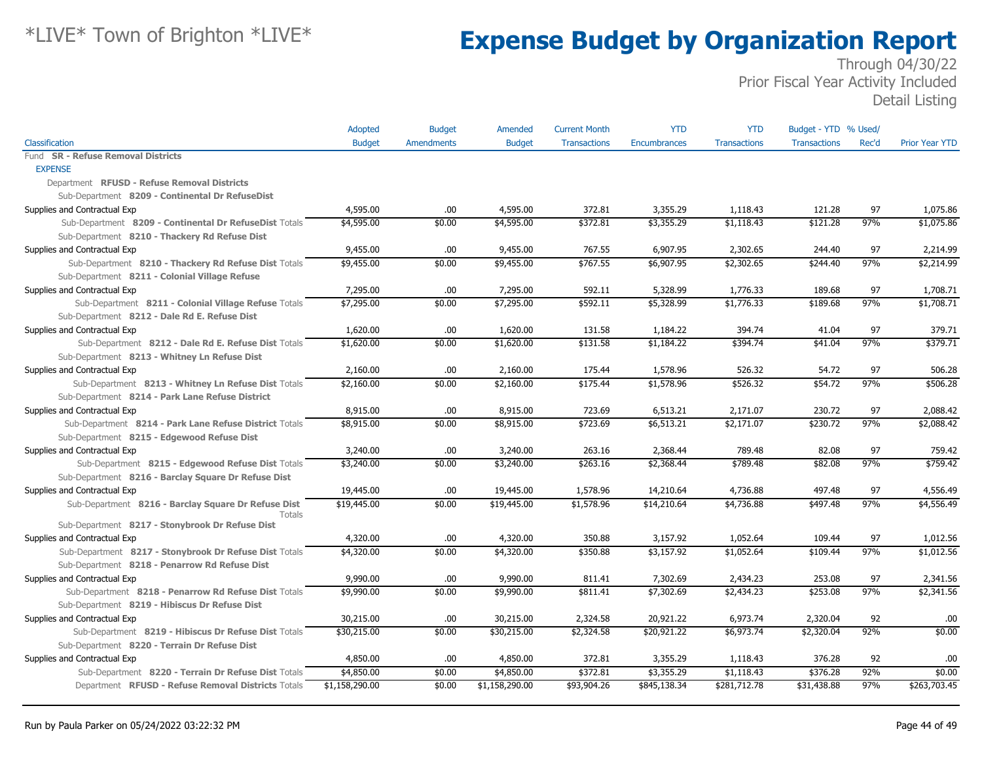|                                                                      | Adopted        | <b>Budget</b>     | Amended        | <b>Current Month</b> | <b>YTD</b>   | <b>YTD</b>          | Budget - YTD % Used/ |       |                       |
|----------------------------------------------------------------------|----------------|-------------------|----------------|----------------------|--------------|---------------------|----------------------|-------|-----------------------|
| Classification                                                       | <b>Budget</b>  | <b>Amendments</b> | <b>Budget</b>  | <b>Transactions</b>  | Encumbrances | <b>Transactions</b> | <b>Transactions</b>  | Rec'd | <b>Prior Year YTD</b> |
| Fund SR - Refuse Removal Districts                                   |                |                   |                |                      |              |                     |                      |       |                       |
| <b>EXPENSE</b>                                                       |                |                   |                |                      |              |                     |                      |       |                       |
| Department RFUSD - Refuse Removal Districts                          |                |                   |                |                      |              |                     |                      |       |                       |
| Sub-Department 8209 - Continental Dr RefuseDist                      |                |                   |                |                      |              |                     |                      |       |                       |
| Supplies and Contractual Exp                                         | 4,595.00       | .00.              | 4,595.00       | 372.81               | 3,355.29     | 1,118.43            | 121.28               | 97    | 1,075.86              |
| Sub-Department 8209 - Continental Dr RefuseDist Totals               | \$4,595.00     | \$0.00            | \$4,595.00     | \$372.81             | \$3,355.29   | \$1,118.43          | \$121.28             | 97%   | \$1,075.86            |
| Sub-Department 8210 - Thackery Rd Refuse Dist                        |                |                   |                |                      |              |                     |                      |       |                       |
| Supplies and Contractual Exp                                         | 9,455.00       | .00               | 9,455.00       | 767.55               | 6,907.95     | 2,302.65            | 244.40               | 97    | 2,214.99              |
| Sub-Department 8210 - Thackery Rd Refuse Dist Totals                 | \$9,455.00     | \$0.00            | \$9,455.00     | \$767.55             | \$6,907.95   | \$2,302.65          | \$244.40             | 97%   | \$2,214.99            |
| Sub-Department 8211 - Colonial Village Refuse                        |                |                   |                |                      |              |                     |                      |       |                       |
| Supplies and Contractual Exp                                         | 7,295.00       | .00               | 7,295.00       | 592.11               | 5,328.99     | 1,776.33            | 189.68               | 97    | 1,708.71              |
| Sub-Department 8211 - Colonial Village Refuse Totals                 | \$7,295.00     | \$0.00            | \$7,295.00     | \$592.11             | \$5,328.99   | \$1,776.33          | \$189.68             | 97%   | \$1,708.71            |
| Sub-Department 8212 - Dale Rd E. Refuse Dist                         |                |                   |                |                      |              |                     |                      |       |                       |
| Supplies and Contractual Exp                                         | 1,620.00       | .00               | 1,620.00       | 131.58               | 1,184.22     | 394.74              | 41.04                | 97    | 379.71                |
| Sub-Department 8212 - Dale Rd E. Refuse Dist Totals                  | \$1,620.00     | \$0.00            | \$1,620.00     | \$131.58             | \$1,184.22   | \$394.74            | \$41.04              | 97%   | \$379.71              |
| Sub-Department 8213 - Whitney Ln Refuse Dist                         |                |                   |                |                      |              |                     |                      |       |                       |
| Supplies and Contractual Exp                                         | 2,160.00       | .00.              | 2,160.00       | 175.44               | 1,578.96     | 526.32              | 54.72                | 97    | 506.28                |
| Sub-Department 8213 - Whitney Ln Refuse Dist Totals                  | \$2,160.00     | \$0.00            | \$2,160.00     | \$175.44             | \$1,578.96   | \$526.32            | \$54.72              | 97%   | \$506.28              |
| Sub-Department 8214 - Park Lane Refuse District                      |                |                   |                |                      |              |                     |                      |       |                       |
| Supplies and Contractual Exp                                         | 8,915.00       | .00.              | 8,915.00       | 723.69               | 6,513.21     | 2,171.07            | 230.72               | 97    | 2,088.42              |
| Sub-Department 8214 - Park Lane Refuse District Totals               | \$8,915.00     | \$0.00            | \$8,915.00     | \$723.69             | \$6,513.21   | \$2,171.07          | \$230.72             | 97%   | \$2,088.42            |
| Sub-Department 8215 - Edgewood Refuse Dist                           |                |                   |                |                      |              |                     |                      |       |                       |
| Supplies and Contractual Exp                                         | 3,240.00       | .00.              | 3,240.00       | 263.16               | 2,368.44     | 789.48              | 82.08                | 97    | 759.42                |
| Sub-Department 8215 - Edgewood Refuse Dist Totals                    | \$3,240.00     | \$0.00            | \$3,240.00     | \$263.16             | \$2,368.44   | \$789.48            | \$82.08              | 97%   | \$759.42              |
| Sub-Department 8216 - Barclay Square Dr Refuse Dist                  |                |                   |                |                      |              |                     |                      |       |                       |
| Supplies and Contractual Exp                                         | 19,445.00      | .00.              | 19,445.00      | 1,578.96             | 14,210.64    | 4,736.88            | 497.48               | 97    | 4,556.49              |
| Sub-Department 8216 - Barclay Square Dr Refuse Dist<br><b>Totals</b> | \$19,445.00    | \$0.00            | \$19,445.00    | \$1,578.96           | \$14,210.64  | \$4,736.88          | \$497.48             | 97%   | \$4,556.49            |
| Sub-Department 8217 - Stonybrook Dr Refuse Dist                      |                |                   |                |                      |              |                     |                      |       |                       |
| Supplies and Contractual Exp                                         | 4,320.00       | .00               | 4,320.00       | 350.88               | 3,157.92     | 1,052.64            | 109.44               | 97    | 1,012.56              |
| Sub-Department 8217 - Stonybrook Dr Refuse Dist Totals               | \$4,320.00     | \$0.00            | \$4,320.00     | \$350.88             | \$3,157.92   | \$1,052.64          | \$109.44             | 97%   | \$1,012.56            |
| Sub-Department 8218 - Penarrow Rd Refuse Dist                        |                |                   |                |                      |              |                     |                      |       |                       |
| Supplies and Contractual Exp                                         | 9,990.00       | .00.              | 9,990.00       | 811.41               | 7,302.69     | 2,434.23            | 253.08               | 97    | 2,341.56              |
| Sub-Department 8218 - Penarrow Rd Refuse Dist Totals                 | \$9,990.00     | \$0.00            | \$9,990.00     | \$811.41             | \$7,302.69   | \$2,434.23          | \$253.08             | 97%   | \$2,341.56            |
| Sub-Department 8219 - Hibiscus Dr Refuse Dist                        |                |                   |                |                      |              |                     |                      |       |                       |
| Supplies and Contractual Exp                                         | 30,215.00      | .00               | 30,215.00      | 2,324.58             | 20,921.22    | 6,973.74            | 2,320.04             | 92    | .00                   |
| Sub-Department 8219 - Hibiscus Dr Refuse Dist Totals                 | \$30,215.00    | \$0.00            | \$30,215.00    | \$2,324.58           | \$20,921.22  | \$6,973.74          | \$2,320.04           | 92%   | \$0.00                |
| Sub-Department 8220 - Terrain Dr Refuse Dist                         |                |                   |                |                      |              |                     |                      |       |                       |
| Supplies and Contractual Exp                                         | 4,850.00       | .00               | 4,850.00       | 372.81               | 3,355.29     | 1,118.43            | 376.28               | 92    | .00                   |
| Sub-Department 8220 - Terrain Dr Refuse Dist Totals                  | \$4,850.00     | \$0.00            | \$4,850.00     | \$372.81             | \$3,355.29   | \$1,118.43          | \$376.28             | 92%   | \$0.00                |
| Department RFUSD - Refuse Removal Districts Totals                   | \$1,158,290.00 | \$0.00            | \$1,158,290.00 | \$93,904.26          | \$845,138.34 | \$281,712.78        | \$31,438.88          | 97%   | \$263,703.45          |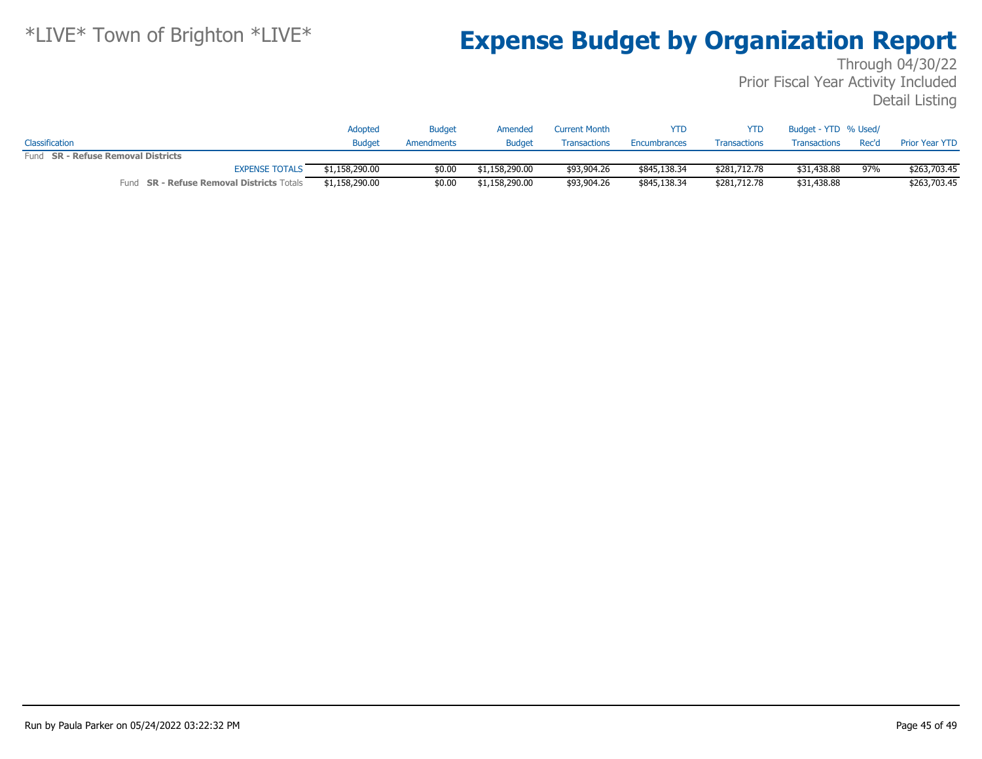|                                                  | Adopted        | Budget     | Amended        | <b>Current Month</b> | <b>YTD</b>   | YTD.                | Budget - YTD % Used/ |       |                       |
|--------------------------------------------------|----------------|------------|----------------|----------------------|--------------|---------------------|----------------------|-------|-----------------------|
| Classification                                   | <b>Budget</b>  | Amendments | <b>Budget</b>  | <b>Transactions</b>  | Encumbrances | <b>Transactions</b> | Transactions         | Rec'd | <b>Prior Year YTD</b> |
| Fund SR - Refuse Removal Districts               |                |            |                |                      |              |                     |                      |       |                       |
| <b>EXPENSE TOTALS</b>                            | \$1,158,290.00 | \$0.00     | \$1,158,290.00 | \$93,904.26          | \$845,138.34 | \$281,712,78        | \$31,438.88          | 97%   | \$263,703.45          |
| Fund <b>SR - Refuse Removal Districts</b> Totals | \$1,158,290.00 | \$0.00     | \$1,158,290.00 | \$93,904.26          | \$845,138.34 | \$281,712.78        | \$31,438.88          |       | \$263,703.45          |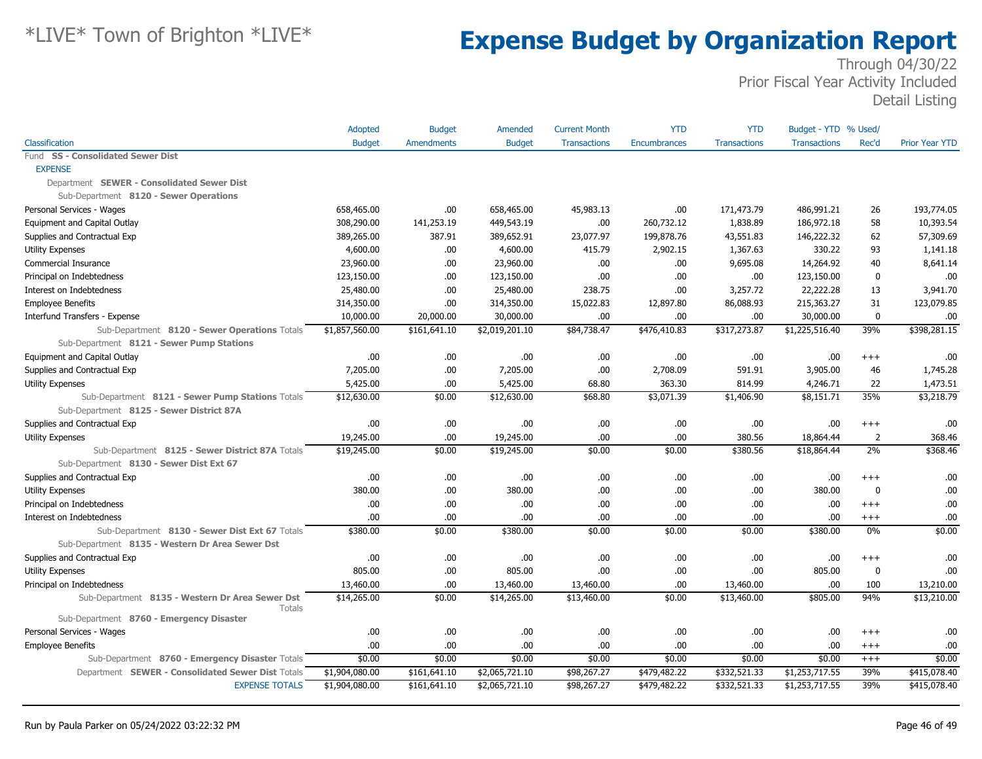|                                                                  | Adopted        | <b>Budget</b>     | Amended        | <b>Current Month</b> | <b>YTD</b>   | <b>YTD</b>          | Budget - YTD % Used/ |                  |                       |
|------------------------------------------------------------------|----------------|-------------------|----------------|----------------------|--------------|---------------------|----------------------|------------------|-----------------------|
| Classification                                                   | <b>Budget</b>  | <b>Amendments</b> | <b>Budget</b>  | <b>Transactions</b>  | Encumbrances | <b>Transactions</b> | <b>Transactions</b>  | Rec'd            | <b>Prior Year YTD</b> |
| Fund SS - Consolidated Sewer Dist                                |                |                   |                |                      |              |                     |                      |                  |                       |
| <b>EXPENSE</b>                                                   |                |                   |                |                      |              |                     |                      |                  |                       |
| Department SEWER - Consolidated Sewer Dist                       |                |                   |                |                      |              |                     |                      |                  |                       |
| Sub-Department 8120 - Sewer Operations                           |                |                   |                |                      |              |                     |                      |                  |                       |
| Personal Services - Wages                                        | 658,465.00     | .00               | 658,465.00     | 45,983.13            | .00          | 171,473.79          | 486,991.21           | 26               | 193,774.05            |
| Equipment and Capital Outlay                                     | 308,290.00     | 141,253.19        | 449,543.19     | .00.                 | 260,732.12   | 1,838.89            | 186,972.18           | 58               | 10,393.54             |
| Supplies and Contractual Exp                                     | 389,265.00     | 387.91            | 389,652.91     | 23,077.97            | 199,878.76   | 43,551.83           | 146,222.32           | 62               | 57,309.69             |
| <b>Utility Expenses</b>                                          | 4,600.00       | .00.              | 4,600.00       | 415.79               | 2,902.15     | 1,367.63            | 330.22               | 93               | 1,141.18              |
| Commercial Insurance                                             | 23,960.00      | .00               | 23,960.00      | .00.                 | .00          | 9,695.08            | 14,264.92            | 40               | 8,641.14              |
| Principal on Indebtedness                                        | 123,150.00     | .00.              | 123,150.00     | .00.                 | .00          | .00.                | 123,150.00           | $\boldsymbol{0}$ | .00                   |
| Interest on Indebtedness                                         | 25,480.00      | .00.              | 25,480.00      | 238.75               | .00          | 3,257.72            | 22,222.28            | 13               | 3,941.70              |
| <b>Employee Benefits</b>                                         | 314,350.00     | .00               | 314,350.00     | 15,022.83            | 12,897.80    | 86,088.93           | 215,363.27           | 31               | 123,079.85            |
| Interfund Transfers - Expense                                    | 10,000.00      | 20,000.00         | 30,000.00      | .00                  | .00          | .00                 | 30,000.00            | $\mathbf{0}$     | .00                   |
| Sub-Department 8120 - Sewer Operations Totals                    | \$1,857,560.00 | \$161,641.10      | \$2,019,201.10 | \$84,738.47          | \$476,410.83 | \$317,273.87        | \$1,225,516.40       | 39%              | \$398,281.15          |
| Sub-Department 8121 - Sewer Pump Stations                        |                |                   |                |                      |              |                     |                      |                  |                       |
| Equipment and Capital Outlay                                     | .00.           | .00.              | .00            | .00.                 | .00          | .00.                | .00                  | $^{+++}$         | .00                   |
| Supplies and Contractual Exp                                     | 7,205.00       | .00               | 7,205.00       | .00.                 | 2,708.09     | 591.91              | 3,905.00             | 46               | 1,745.28              |
| <b>Utility Expenses</b>                                          | 5,425.00       | .00.              | 5,425.00       | 68.80                | 363.30       | 814.99              | 4,246.71             | 22               | 1,473.51              |
| Sub-Department 8121 - Sewer Pump Stations Totals                 | \$12,630.00    | \$0.00            | \$12,630.00    | \$68.80              | \$3,071.39   | \$1,406.90          | \$8,151.71           | 35%              | \$3,218.79            |
| Sub-Department 8125 - Sewer District 87A                         |                |                   |                |                      |              |                     |                      |                  |                       |
| Supplies and Contractual Exp                                     | .00            | .00               | .00.           | .00.                 | .00          | .00.                | .00                  | $^{+++}$         | .00                   |
| Utility Expenses                                                 | 19,245.00      | .00               | 19,245.00      | .00.                 | .00          | 380.56              | 18,864.44            | $\overline{2}$   | 368.46                |
| Sub-Department 8125 - Sewer District 87A Totals                  | \$19,245.00    | \$0.00            | \$19,245.00    | \$0.00               | \$0.00       | \$380.56            | \$18,864.44          | 2%               | \$368.46              |
| Sub-Department 8130 - Sewer Dist Ext 67                          |                |                   |                |                      |              |                     |                      |                  |                       |
| Supplies and Contractual Exp                                     | .00            | .00.              | .00            | .00.                 | .00          | .00.                | .00                  | $^{+++}$         | .00                   |
| <b>Utility Expenses</b>                                          | 380.00         | .00               | 380.00         | .00.                 | .00          | .00.                | 380.00               | $\mathbf{0}$     | .00                   |
| Principal on Indebtedness                                        | .00            | .00               | .00            | .00.                 | .00          | .00.                | .00                  | $+++$            | .00                   |
| Interest on Indebtedness                                         | .00            | .00               | .00            | .00                  | .00          | .00.                | .00                  | $^{+++}$         | .00                   |
| Sub-Department 8130 - Sewer Dist Ext 67 Totals                   | \$380.00       | \$0.00            | \$380.00       | \$0.00               | \$0.00       | \$0.00              | \$380.00             | 0%               | \$0.00                |
| Sub-Department 8135 - Western Dr Area Sewer Dst                  |                |                   |                |                      |              |                     |                      |                  |                       |
| Supplies and Contractual Exp                                     | .00.           | .00               | .00            | .00.                 | .00          | .00.                | .00                  | $+++$            | .00                   |
| <b>Utility Expenses</b>                                          | 805.00         | .00               | 805.00         | .00                  | .00          | .00.                | 805.00               | $\Omega$         | .00                   |
| Principal on Indebtedness                                        | 13,460.00      | .00               | 13,460.00      | 13,460.00            | .00          | 13,460.00           | .00                  | 100              | 13,210.00             |
| Sub-Department 8135 - Western Dr Area Sewer Dst<br><b>Totals</b> | \$14,265.00    | \$0.00            | \$14,265.00    | \$13,460.00          | \$0.00       | \$13,460.00         | \$805.00             | 94%              | \$13,210.00           |
| Sub-Department 8760 - Emergency Disaster                         |                |                   |                |                      |              |                     |                      |                  |                       |
| Personal Services - Wages                                        | .00            | .00.              | .00            | .00.                 | .00          | .00.                | .00                  | $^{+++}$         | .00                   |
| <b>Employee Benefits</b>                                         | .00.           | .00.              | .00            | .00.                 | .00          | .00                 | .00                  | $^{+++}$         | .00                   |
| Sub-Department 8760 - Emergency Disaster Totals                  | \$0.00         | \$0.00            | \$0.00         | \$0.00               | \$0.00       | \$0.00              | \$0.00               | $^{+++}$         | \$0.00                |
| Department SEWER - Consolidated Sewer Dist Totals                | \$1,904,080.00 | \$161,641.10      | \$2,065,721.10 | \$98,267.27          | \$479,482.22 | \$332,521.33        | \$1,253,717.55       | 39%              | \$415,078.40          |
| <b>EXPENSE TOTALS</b>                                            | \$1,904,080.00 | \$161,641.10      | \$2,065,721.10 | \$98,267.27          | \$479,482.22 | \$332,521.33        | \$1,253,717.55       | 39%              | \$415,078.40          |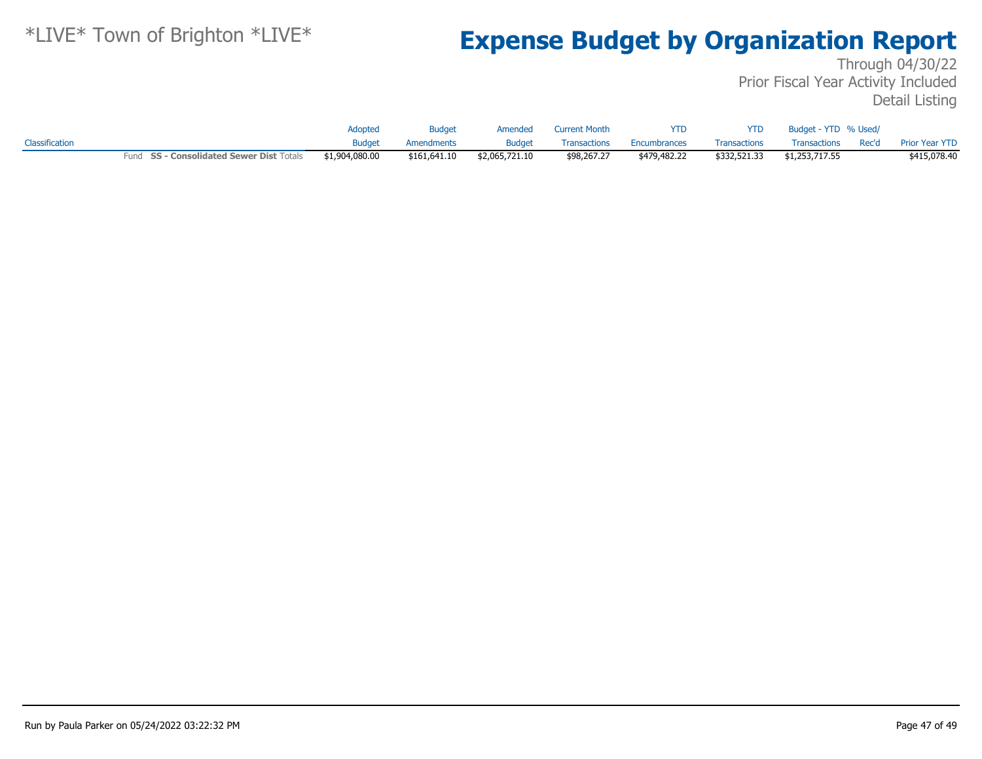|                |                                          | <b>Adopted</b> | <b>Budget</b> | Amended        | <b>Current Month</b> | <b>YTD</b>   | <b>YTD</b>   | Budget - YTD % Used/ |                      |
|----------------|------------------------------------------|----------------|---------------|----------------|----------------------|--------------|--------------|----------------------|----------------------|
| Classification |                                          | <b>Budget</b>  | Amendments    | <b>Budget</b>  | <b>Transactions</b>  | Encumbrances | Transactions | Transactions         | Rec'd Prior Year YTD |
|                | Fund SS - Consolidated Sewer Dist Totals | \$1,904,080.00 | \$161,641.10  | \$2,065,721.10 | \$98,267,27          | \$479,482.22 | \$332,521.33 | \$1,253,717.55       | \$415,078.40         |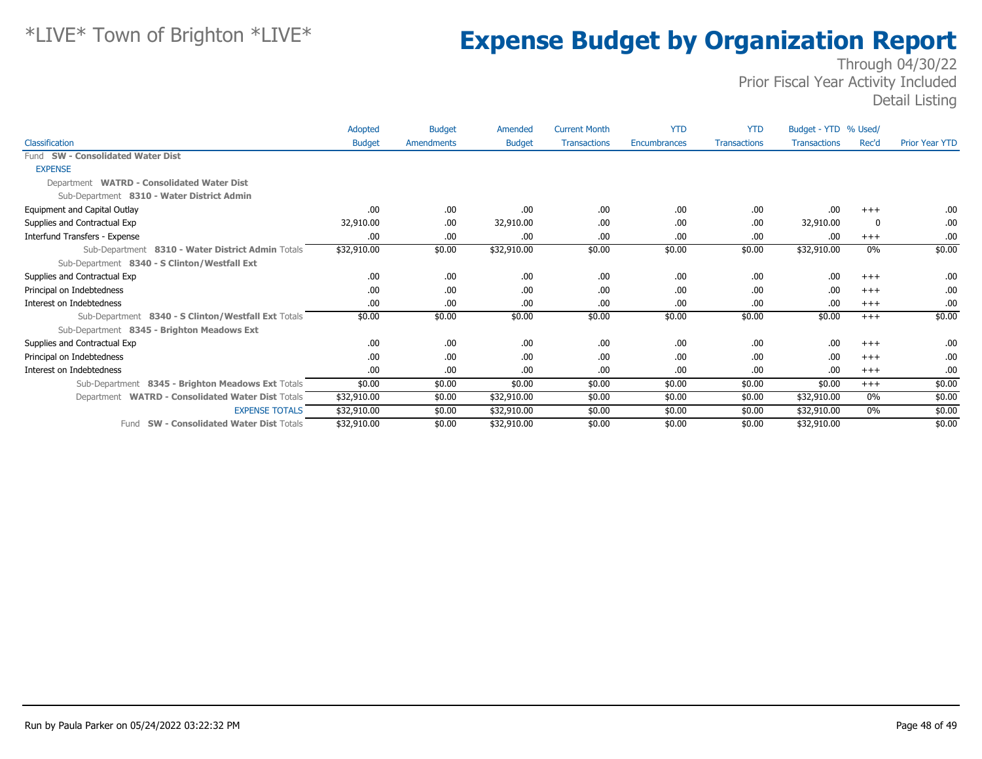|                                                     | Adopted       | <b>Budget</b> | Amended       | <b>Current Month</b> | <b>YTD</b>   | <b>YTD</b>          | Budget - YTD % Used/ |       |                       |
|-----------------------------------------------------|---------------|---------------|---------------|----------------------|--------------|---------------------|----------------------|-------|-----------------------|
| Classification                                      | <b>Budget</b> | Amendments    | <b>Budget</b> | <b>Transactions</b>  | Encumbrances | <b>Transactions</b> | <b>Transactions</b>  | Rec'd | <b>Prior Year YTD</b> |
| Fund SW - Consolidated Water Dist                   |               |               |               |                      |              |                     |                      |       |                       |
| <b>EXPENSE</b>                                      |               |               |               |                      |              |                     |                      |       |                       |
| Department WATRD - Consolidated Water Dist          |               |               |               |                      |              |                     |                      |       |                       |
| Sub-Department 8310 - Water District Admin          |               |               |               |                      |              |                     |                      |       |                       |
| Equipment and Capital Outlay                        | .00           | .00.          | .00           | .00                  | .00          | .00.                | .00                  | $+++$ | .00.                  |
| Supplies and Contractual Exp                        | 32,910.00     | .00.          | 32,910.00     | .00                  | .00          | .00.                | 32,910.00            | -0    | .00.                  |
| Interfund Transfers - Expense                       | .00           | .00.          | .00.          | .00                  | .00          | .00.                | .00                  | $+++$ | .00.                  |
| Sub-Department 8310 - Water District Admin Totals   | \$32,910.00   | \$0.00        | \$32,910.00   | \$0.00               | \$0.00       | \$0.00              | \$32,910.00          | 0%    | \$0.00                |
| Sub-Department 8340 - S Clinton/Westfall Ext        |               |               |               |                      |              |                     |                      |       |                       |
| Supplies and Contractual Exp                        | .00           | .00.          | .00.          | .00                  | .00          | .00.                | .00                  | $+++$ | .00.                  |
| Principal on Indebtedness                           | .00           | .00.          | .00           | .00                  | .00          | .00.                | .00.                 | $+++$ | .00                   |
| Interest on Indebtedness                            | .00           | .00.          | .00.          | .00                  | .00          | .00                 | .00                  | $+++$ | .00                   |
| Sub-Department 8340 - S Clinton/Westfall Ext Totals | \$0.00        | \$0.00        | \$0.00        | \$0.00               | \$0.00       | \$0.00              | \$0.00               | $+++$ | \$0.00                |
| Sub-Department 8345 - Brighton Meadows Ext          |               |               |               |                      |              |                     |                      |       |                       |
| Supplies and Contractual Exp                        | .00           | .00.          | .00.          | .00                  | .00          | .00.                | .00                  | $+++$ | .00.                  |
| Principal on Indebtedness                           | .00.          | .00.          | .00.          | .00                  | .00          | .00.                | .00.                 | $+++$ | .00.                  |
| Interest on Indebtedness                            | .00           | .00.          | .00.          | .00                  | .00          | .00.                | .00.                 | $+++$ | .00.                  |
| Sub-Department 8345 - Brighton Meadows Ext Totals   | \$0.00        | \$0.00        | \$0.00        | \$0.00               | \$0.00       | \$0.00              | \$0.00               | $+++$ | \$0.00                |
| Department WATRD - Consolidated Water Dist Totals   | \$32,910.00   | \$0.00        | \$32,910.00   | \$0.00               | \$0.00       | \$0.00              | \$32,910.00          | 0%    | \$0.00                |
| <b>EXPENSE TOTALS</b>                               | \$32,910.00   | \$0.00        | \$32,910.00   | \$0.00               | \$0.00       | \$0.00              | \$32,910.00          | 0%    | \$0.00                |
| <b>SW - Consolidated Water Dist Totals</b><br>Fund  | \$32,910.00   | \$0.00        | \$32,910.00   | \$0.00               | \$0.00       | \$0.00              | \$32,910.00          |       | \$0.00                |